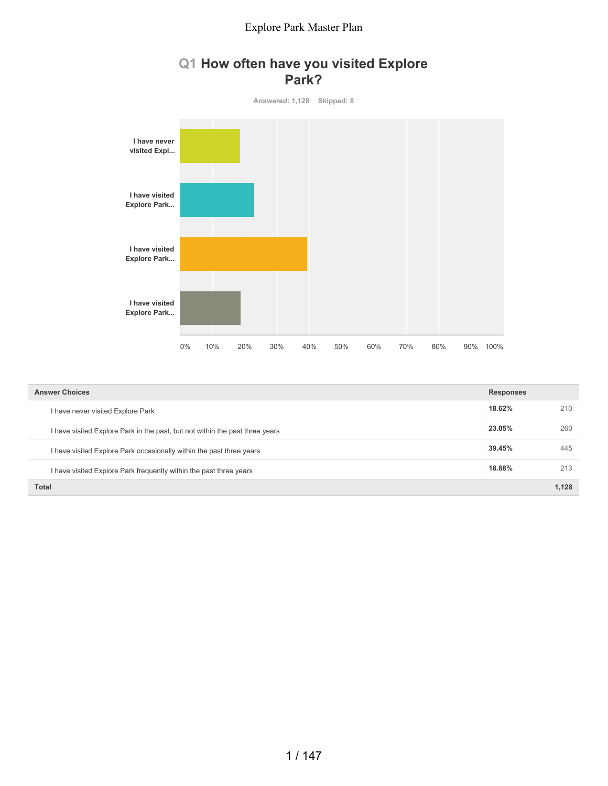## **Q1 How often have you visited Explore Park?**



| <b>Answer Choices</b>                                                        | <b>Responses</b> |       |
|------------------------------------------------------------------------------|------------------|-------|
| I have never visited Explore Park                                            | 18.62%           | 210   |
| I have visited Explore Park in the past, but not within the past three years | 23.05%           | 260   |
| I have visited Explore Park occasionally within the past three years         | 39.45%           | 445   |
| I have visited Explore Park frequently within the past three years           | 18.88%           | 213   |
| Total                                                                        |                  | 1.128 |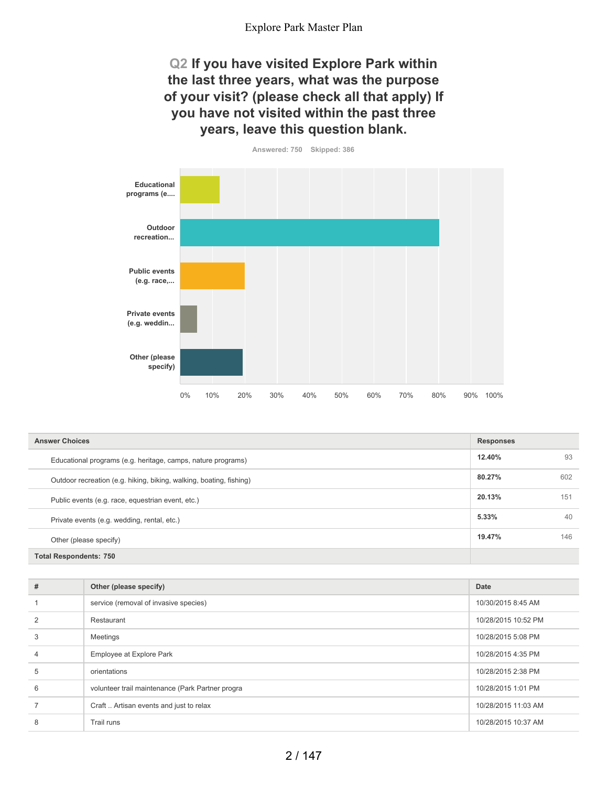## **Q2 If you have visited Explore Park within the last three years, what was the purpose of your visit? (please check all that apply) If you have not visited within the past three years, leave this question blank.**



**12.40%** 93 **80.27%** 602 **20.13%** 151 **5.33%** 40 **19.47%** 146 **Total Respondents: 750 Answer Choices Responses** Educational programs (e.g. heritage, camps, nature programs) Outdoor recreation (e.g. hiking, biking, walking, boating, fishing) Public events (e.g. race, equestrian event, etc.) Private events (e.g. wedding, rental, etc.) Other (please specify)

| #              | Other (please specify)                           | Date                |
|----------------|--------------------------------------------------|---------------------|
|                | service (removal of invasive species)            | 10/30/2015 8:45 AM  |
| 2              | Restaurant                                       | 10/28/2015 10:52 PM |
| 3              | Meetings                                         | 10/28/2015 5:08 PM  |
| $\overline{4}$ | Employee at Explore Park                         | 10/28/2015 4:35 PM  |
| 5              | orientations                                     | 10/28/2015 2:38 PM  |
| 6              | volunteer trail maintenance (Park Partner progra | 10/28/2015 1:01 PM  |
|                | Craft  Artisan events and just to relax          | 10/28/2015 11:03 AM |
| 8              | Trail runs                                       | 10/28/2015 10:37 AM |
|                |                                                  |                     |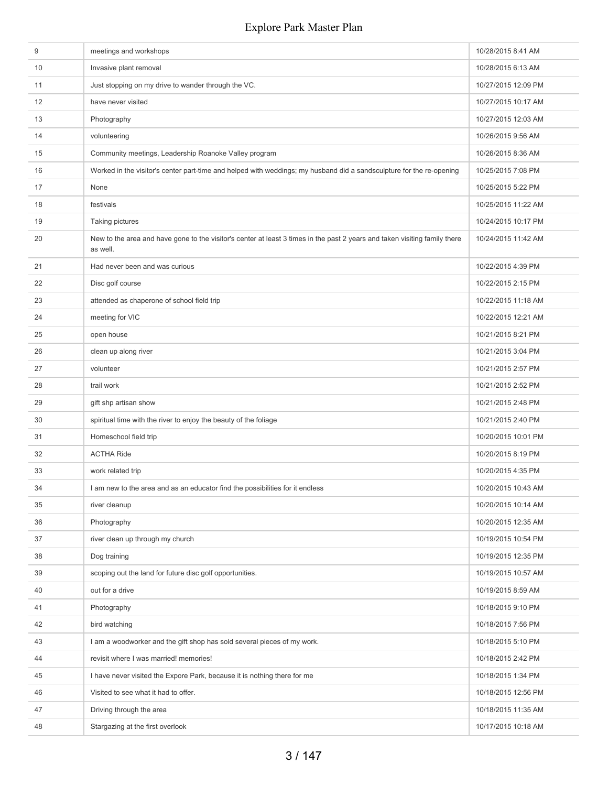| 9<br>10<br>11<br>12<br>13<br>Photography<br>14<br>volunteering<br>15 | meetings and workshops<br>Invasive plant removal<br>Just stopping on my drive to wander through the VC.<br>have never visited<br>Community meetings, Leadership Roanoke Valley program<br>Worked in the visitor's center part-time and helped with weddings; my husband did a sandsculpture for the re-opening | 10/28/2015 8:41 AM<br>10/28/2015 6:13 AM<br>10/27/2015 12:09 PM<br>10/27/2015 10:17 AM<br>10/27/2015 12:03 AM<br>10/26/2015 9:56 AM<br>10/26/2015 8:36 AM<br>10/25/2015 7:08 PM |
|----------------------------------------------------------------------|----------------------------------------------------------------------------------------------------------------------------------------------------------------------------------------------------------------------------------------------------------------------------------------------------------------|---------------------------------------------------------------------------------------------------------------------------------------------------------------------------------|
|                                                                      |                                                                                                                                                                                                                                                                                                                |                                                                                                                                                                                 |
|                                                                      |                                                                                                                                                                                                                                                                                                                |                                                                                                                                                                                 |
|                                                                      |                                                                                                                                                                                                                                                                                                                |                                                                                                                                                                                 |
|                                                                      |                                                                                                                                                                                                                                                                                                                |                                                                                                                                                                                 |
|                                                                      |                                                                                                                                                                                                                                                                                                                |                                                                                                                                                                                 |
|                                                                      |                                                                                                                                                                                                                                                                                                                |                                                                                                                                                                                 |
|                                                                      |                                                                                                                                                                                                                                                                                                                |                                                                                                                                                                                 |
| 16                                                                   |                                                                                                                                                                                                                                                                                                                |                                                                                                                                                                                 |
| 17<br>None                                                           |                                                                                                                                                                                                                                                                                                                | 10/25/2015 5:22 PM                                                                                                                                                              |
| 18<br>festivals                                                      |                                                                                                                                                                                                                                                                                                                | 10/25/2015 11:22 AM                                                                                                                                                             |
| Taking pictures<br>19                                                |                                                                                                                                                                                                                                                                                                                | 10/24/2015 10:17 PM                                                                                                                                                             |
| 20<br>as well.                                                       | New to the area and have gone to the visitor's center at least 3 times in the past 2 years and taken visiting family there                                                                                                                                                                                     | 10/24/2015 11:42 AM                                                                                                                                                             |
| 21                                                                   | Had never been and was curious                                                                                                                                                                                                                                                                                 | 10/22/2015 4:39 PM                                                                                                                                                              |
| 22<br>Disc golf course                                               |                                                                                                                                                                                                                                                                                                                | 10/22/2015 2:15 PM                                                                                                                                                              |
| 23                                                                   | attended as chaperone of school field trip                                                                                                                                                                                                                                                                     | 10/22/2015 11:18 AM                                                                                                                                                             |
| 24<br>meeting for VIC                                                |                                                                                                                                                                                                                                                                                                                | 10/22/2015 12:21 AM                                                                                                                                                             |
| open house<br>25                                                     |                                                                                                                                                                                                                                                                                                                | 10/21/2015 8:21 PM                                                                                                                                                              |
| 26                                                                   | clean up along river                                                                                                                                                                                                                                                                                           | 10/21/2015 3:04 PM                                                                                                                                                              |
| 27<br>volunteer                                                      |                                                                                                                                                                                                                                                                                                                | 10/21/2015 2:57 PM                                                                                                                                                              |
| 28<br>trail work                                                     |                                                                                                                                                                                                                                                                                                                | 10/21/2015 2:52 PM                                                                                                                                                              |
| 29                                                                   | gift shp artisan show                                                                                                                                                                                                                                                                                          | 10/21/2015 2:48 PM                                                                                                                                                              |
| 30                                                                   | spiritual time with the river to enjoy the beauty of the foliage                                                                                                                                                                                                                                               | 10/21/2015 2:40 PM                                                                                                                                                              |
| 31                                                                   | Homeschool field trip                                                                                                                                                                                                                                                                                          | 10/20/2015 10:01 PM                                                                                                                                                             |
| 32<br><b>ACTHA Ride</b>                                              |                                                                                                                                                                                                                                                                                                                | 10/20/2015 8:19 PM                                                                                                                                                              |
| 33<br>work related trip                                              |                                                                                                                                                                                                                                                                                                                | 10/20/2015 4:35 PM                                                                                                                                                              |
| 34                                                                   | I am new to the area and as an educator find the possibilities for it endless                                                                                                                                                                                                                                  | 10/20/2015 10:43 AM                                                                                                                                                             |
| 35<br>river cleanup                                                  |                                                                                                                                                                                                                                                                                                                | 10/20/2015 10:14 AM                                                                                                                                                             |
| 36<br>Photography                                                    |                                                                                                                                                                                                                                                                                                                | 10/20/2015 12:35 AM                                                                                                                                                             |
| 37                                                                   | river clean up through my church                                                                                                                                                                                                                                                                               | 10/19/2015 10:54 PM                                                                                                                                                             |
| 38<br>Dog training                                                   |                                                                                                                                                                                                                                                                                                                | 10/19/2015 12:35 PM                                                                                                                                                             |
| 39                                                                   | scoping out the land for future disc golf opportunities.                                                                                                                                                                                                                                                       | 10/19/2015 10:57 AM                                                                                                                                                             |
| 40<br>out for a drive                                                |                                                                                                                                                                                                                                                                                                                | 10/19/2015 8:59 AM                                                                                                                                                              |
| 41<br>Photography                                                    |                                                                                                                                                                                                                                                                                                                | 10/18/2015 9:10 PM                                                                                                                                                              |
| bird watching<br>42                                                  |                                                                                                                                                                                                                                                                                                                | 10/18/2015 7:56 PM                                                                                                                                                              |
| 43                                                                   | I am a woodworker and the gift shop has sold several pieces of my work.                                                                                                                                                                                                                                        | 10/18/2015 5:10 PM                                                                                                                                                              |
| 44                                                                   | revisit where I was married! memories!                                                                                                                                                                                                                                                                         | 10/18/2015 2:42 PM                                                                                                                                                              |
| 45                                                                   | I have never visited the Expore Park, because it is nothing there for me                                                                                                                                                                                                                                       | 10/18/2015 1:34 PM                                                                                                                                                              |
| 46                                                                   | Visited to see what it had to offer.                                                                                                                                                                                                                                                                           | 10/18/2015 12:56 PM                                                                                                                                                             |
| 47                                                                   | Driving through the area                                                                                                                                                                                                                                                                                       | 10/18/2015 11:35 AM                                                                                                                                                             |
| 48                                                                   | Stargazing at the first overlook                                                                                                                                                                                                                                                                               | 10/17/2015 10:18 AM                                                                                                                                                             |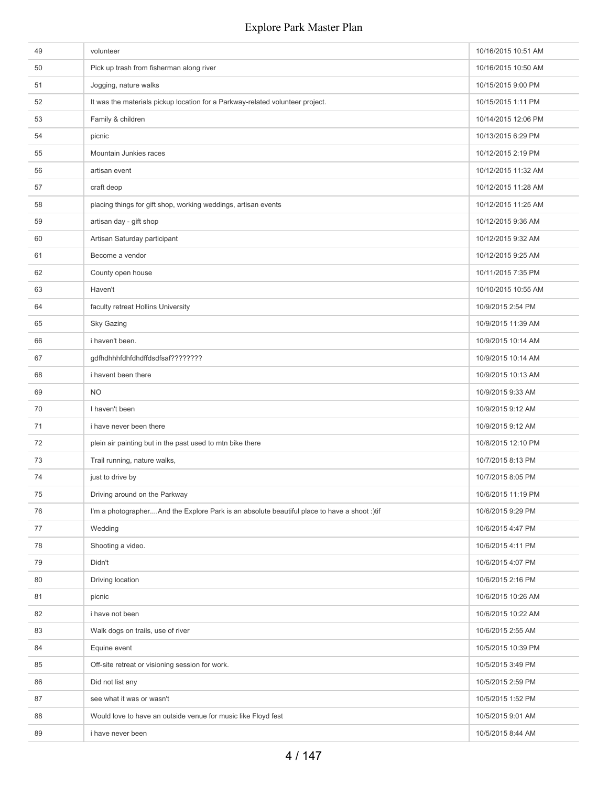| 49 | volunteer                                                                                   | 10/16/2015 10:51 AM |
|----|---------------------------------------------------------------------------------------------|---------------------|
| 50 | Pick up trash from fisherman along river                                                    | 10/16/2015 10:50 AM |
| 51 | Jogging, nature walks                                                                       | 10/15/2015 9:00 PM  |
| 52 | It was the materials pickup location for a Parkway-related volunteer project.               | 10/15/2015 1:11 PM  |
| 53 | Family & children                                                                           | 10/14/2015 12:06 PM |
| 54 | picnic                                                                                      | 10/13/2015 6:29 PM  |
| 55 | Mountain Junkies races                                                                      | 10/12/2015 2:19 PM  |
| 56 | artisan event                                                                               | 10/12/2015 11:32 AM |
| 57 | craft deop                                                                                  | 10/12/2015 11:28 AM |
| 58 | placing things for gift shop, working weddings, artisan events                              | 10/12/2015 11:25 AM |
| 59 | artisan day - gift shop                                                                     | 10/12/2015 9:36 AM  |
| 60 | Artisan Saturday participant                                                                | 10/12/2015 9:32 AM  |
| 61 | Become a vendor                                                                             | 10/12/2015 9:25 AM  |
| 62 | County open house                                                                           | 10/11/2015 7:35 PM  |
| 63 | Haven't                                                                                     | 10/10/2015 10:55 AM |
| 64 | faculty retreat Hollins University                                                          | 10/9/2015 2:54 PM   |
| 65 | <b>Sky Gazing</b>                                                                           | 10/9/2015 11:39 AM  |
| 66 | i haven't been.                                                                             | 10/9/2015 10:14 AM  |
| 67 | gdfhdhhhfdhfdhdffdsdfsaf????????                                                            | 10/9/2015 10:14 AM  |
| 68 | i havent been there                                                                         | 10/9/2015 10:13 AM  |
| 69 | <b>NO</b>                                                                                   | 10/9/2015 9:33 AM   |
| 70 | I haven't been                                                                              | 10/9/2015 9:12 AM   |
| 71 | i have never been there                                                                     | 10/9/2015 9:12 AM   |
| 72 | plein air painting but in the past used to mtn bike there                                   | 10/8/2015 12:10 PM  |
| 73 | Trail running, nature walks,                                                                | 10/7/2015 8:13 PM   |
| 74 | just to drive by                                                                            | 10/7/2015 8:05 PM   |
| 75 | Driving around on the Parkway                                                               | 10/6/2015 11:19 PM  |
| 76 | I'm a photographerAnd the Explore Park is an absolute beautiful place to have a shoot :)tif | 10/6/2015 9:29 PM   |
| 77 | Wedding                                                                                     | 10/6/2015 4:47 PM   |
| 78 | Shooting a video.                                                                           | 10/6/2015 4:11 PM   |
| 79 | Didn't                                                                                      | 10/6/2015 4:07 PM   |
| 80 | Driving location                                                                            | 10/6/2015 2:16 PM   |
| 81 | picnic                                                                                      | 10/6/2015 10:26 AM  |
| 82 | i have not been                                                                             | 10/6/2015 10:22 AM  |
| 83 | Walk dogs on trails, use of river                                                           | 10/6/2015 2:55 AM   |
| 84 | Equine event                                                                                | 10/5/2015 10:39 PM  |
| 85 | Off-site retreat or visioning session for work.                                             | 10/5/2015 3:49 PM   |
| 86 | Did not list any                                                                            | 10/5/2015 2:59 PM   |
| 87 | see what it was or wasn't                                                                   | 10/5/2015 1:52 PM   |
| 88 | Would love to have an outside venue for music like Floyd fest                               | 10/5/2015 9:01 AM   |
| 89 | i have never been                                                                           | 10/5/2015 8:44 AM   |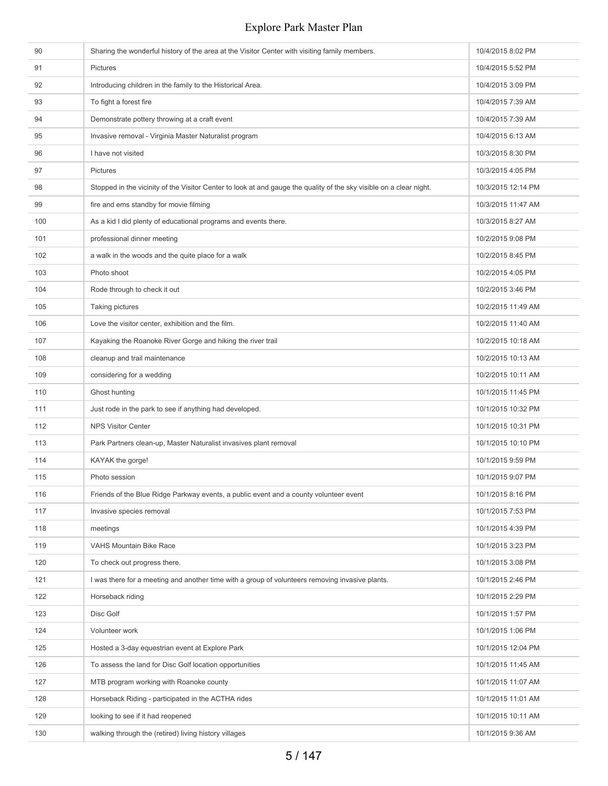| 90  | Sharing the wonderful history of the area at the Visitor Center with visiting family members.                       | 10/4/2015 8:02 PM  |
|-----|---------------------------------------------------------------------------------------------------------------------|--------------------|
| 91  | Pictures                                                                                                            | 10/4/2015 5:52 PM  |
| 92  | Introducing children in the family to the Historical Area.                                                          | 10/4/2015 3:09 PM  |
| 93  | To fight a forest fire                                                                                              | 10/4/2015 7:39 AM  |
| 94  | Demonstrate pottery throwing at a craft event                                                                       | 10/4/2015 7:39 AM  |
| 95  | Invasive removal - Virginia Master Naturalist program                                                               | 10/4/2015 6:13 AM  |
| 96  | I have not visited                                                                                                  | 10/3/2015 8:30 PM  |
| 97  | <b>Pictures</b>                                                                                                     | 10/3/2015 4:05 PM  |
| 98  | Stopped in the vicinity of the Visitor Center to look at and gauge the quality of the sky visible on a clear night. | 10/3/2015 12:14 PM |
| 99  | fire and ems standby for movie filming                                                                              | 10/3/2015 11:47 AM |
| 100 | As a kid I did plenty of educational programs and events there.                                                     | 10/3/2015 8:27 AM  |
| 101 | professional dinner meeting                                                                                         | 10/2/2015 9:08 PM  |
| 102 | a walk in the woods and the quite place for a walk                                                                  | 10/2/2015 8:45 PM  |
| 103 | Photo shoot                                                                                                         | 10/2/2015 4:05 PM  |
| 104 | Rode through to check it out                                                                                        | 10/2/2015 3:46 PM  |
| 105 | Taking pictures                                                                                                     | 10/2/2015 11:49 AM |
| 106 | Love the visitor center, exhibition and the film.                                                                   | 10/2/2015 11:40 AM |
| 107 | Kayaking the Roanoke River Gorge and hiking the river trail                                                         | 10/2/2015 10:18 AM |
| 108 | cleanup and trail maintenance                                                                                       | 10/2/2015 10:13 AM |
| 109 | considering for a wedding                                                                                           | 10/2/2015 10:11 AM |
| 110 | Ghost hunting                                                                                                       | 10/1/2015 11:45 PM |
| 111 | Just rode in the park to see if anything had developed.                                                             | 10/1/2015 10:32 PM |
| 112 | <b>NPS Visitor Center</b>                                                                                           | 10/1/2015 10:31 PM |
| 113 | Park Partners clean-up, Master Naturalist invasives plant removal                                                   | 10/1/2015 10:10 PM |
| 114 | KAYAK the gorge!                                                                                                    | 10/1/2015 9:59 PM  |
| 115 | Photo session                                                                                                       | 10/1/2015 9:07 PM  |
| 116 | Friends of the Blue Ridge Parkway events, a public event and a county volunteer event                               | 10/1/2015 8:16 PM  |
| 117 | Invasive species removal                                                                                            | 10/1/2015 7:53 PM  |
| 118 | meetings                                                                                                            | 10/1/2015 4:39 PM  |
| 119 | VAHS Mountain Bike Race                                                                                             | 10/1/2015 3:23 PM  |
| 120 | To check out progress there.                                                                                        | 10/1/2015 3:08 PM  |
| 121 | I was there for a meeting and another time with a group of volunteers removing invasive plants.                     | 10/1/2015 2:46 PM  |
| 122 | Horseback riding                                                                                                    | 10/1/2015 2:29 PM  |
| 123 | Disc Golf                                                                                                           | 10/1/2015 1:57 PM  |
| 124 | Volunteer work                                                                                                      | 10/1/2015 1:06 PM  |
| 125 | Hosted a 3-day equestrian event at Explore Park                                                                     | 10/1/2015 12:04 PM |
| 126 | To assess the land for Disc Golf location opportunities                                                             | 10/1/2015 11:45 AM |
| 127 | MTB program working with Roanoke county                                                                             | 10/1/2015 11:07 AM |
| 128 | Horseback Riding - participated in the ACTHA rides                                                                  | 10/1/2015 11:01 AM |
| 129 | looking to see if it had reopened                                                                                   | 10/1/2015 10:11 AM |
| 130 | walking through the (retired) living history villages                                                               | 10/1/2015 9:36 AM  |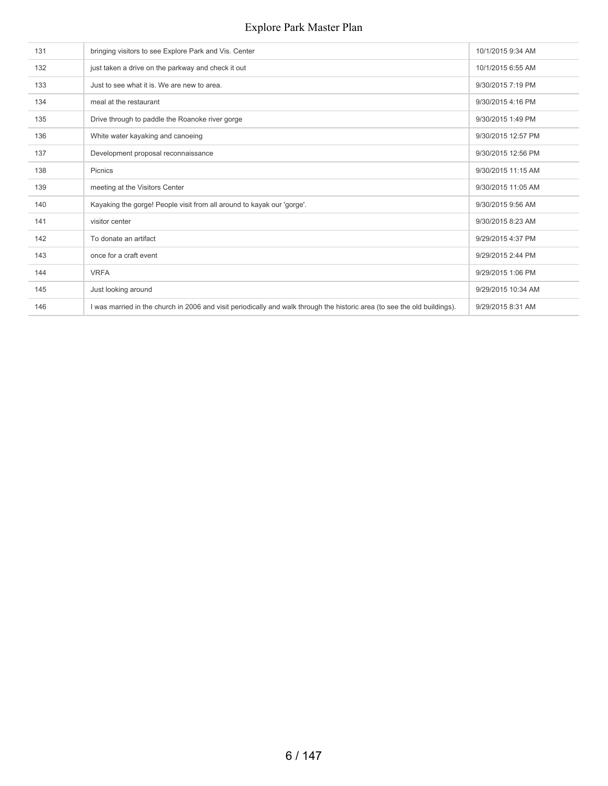| 131 | bringing visitors to see Explore Park and Vis. Center                                                                     | 10/1/2015 9:34 AM  |
|-----|---------------------------------------------------------------------------------------------------------------------------|--------------------|
| 132 | just taken a drive on the parkway and check it out                                                                        | 10/1/2015 6:55 AM  |
| 133 | Just to see what it is. We are new to area.                                                                               | 9/30/2015 7:19 PM  |
| 134 | meal at the restaurant                                                                                                    | 9/30/2015 4:16 PM  |
| 135 | Drive through to paddle the Roanoke river gorge                                                                           | 9/30/2015 1:49 PM  |
| 136 | White water kayaking and canoeing                                                                                         | 9/30/2015 12:57 PM |
| 137 | Development proposal reconnaissance                                                                                       | 9/30/2015 12:56 PM |
| 138 | <b>Picnics</b>                                                                                                            | 9/30/2015 11:15 AM |
| 139 | meeting at the Visitors Center                                                                                            | 9/30/2015 11:05 AM |
| 140 | Kayaking the gorge! People visit from all around to kayak our 'gorge'.                                                    | 9/30/2015 9:56 AM  |
| 141 | visitor center                                                                                                            | 9/30/2015 8:23 AM  |
| 142 | To donate an artifact                                                                                                     | 9/29/2015 4:37 PM  |
| 143 | once for a craft event                                                                                                    | 9/29/2015 2:44 PM  |
| 144 | <b>VRFA</b>                                                                                                               | 9/29/2015 1:06 PM  |
| 145 | Just looking around                                                                                                       | 9/29/2015 10:34 AM |
| 146 | I was married in the church in 2006 and visit periodically and walk through the historic area (to see the old buildings). | 9/29/2015 8:31 AM  |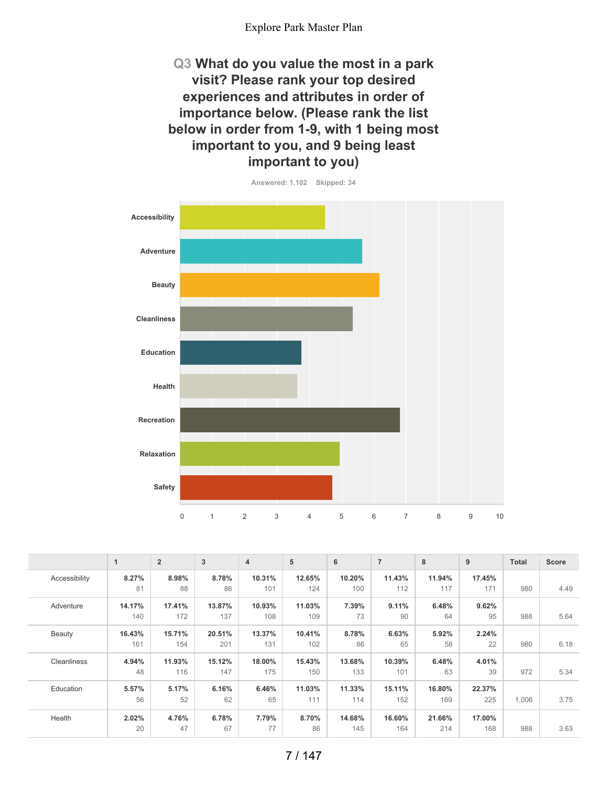**Q3 What do you value the most in a park visit? Please rank your top desired experiences and attributes in order of importance below. (Please rank the list below in order from 1-9, with 1 being most important to you, and 9 being least important to you)**



|               | $\mathbf 1$ | $\overline{2}$ | 3      | $\overline{4}$ | 5      | 6      | $\overline{7}$ | 8      | 9      | <b>Total</b> | <b>Score</b> |
|---------------|-------------|----------------|--------|----------------|--------|--------|----------------|--------|--------|--------------|--------------|
| Accessibility | 8.27%       | 8.98%          | 8.78%  | 10.31%         | 12.65% | 10.20% | 11.43%         | 11.94% | 17.45% |              |              |
|               | 81          | 88             | 86     | 101            | 124    | 100    | 112            | 117    | 171    | 980          | 4.49         |
| Adventure     | 14.17%      | 17.41%         | 13.87% | 10.93%         | 11.03% | 7.39%  | 9.11%          | 6.48%  | 9.62%  |              |              |
|               | 140         | 172            | 137    | 108            | 109    | 73     | 90             | 64     | 95     | 988          | 5.64         |
| Beauty        | 16.43%      | 15.71%         | 20.51% | 13.37%         | 10.41% | 8.78%  | 6.63%          | 5.92%  | 2.24%  |              |              |
|               | 161         | 154            | 201    | 131            | 102    | 86     | 65             | 58     | 22     | 980          | 6.18         |
| Cleanliness   | 4.94%       | 11.93%         | 15.12% | 18.00%         | 15.43% | 13.68% | 10.39%         | 6.48%  | 4.01%  |              |              |
|               | 48          | 116            | 147    | 175            | 150    | 133    | 101            | 63     | 39     | 972          | 5.34         |
| Education     | 5.57%       | 5.17%          | 6.16%  | 6.46%          | 11.03% | 11.33% | 15.11%         | 16.80% | 22.37% |              |              |
|               | 56          | 52             | 62     | 65             | 111    | 114    | 152            | 169    | 225    | 1,006        | 3.75         |
| Health        | 2.02%       | 4.76%          | 6.78%  | 7.79%          | 8.70%  | 14.68% | 16.60%         | 21.66% | 17.00% |              |              |
|               | 20          | 47             | 67     | 77             | 86     | 145    | 164            | 214    | 168    | 988          | 3.63         |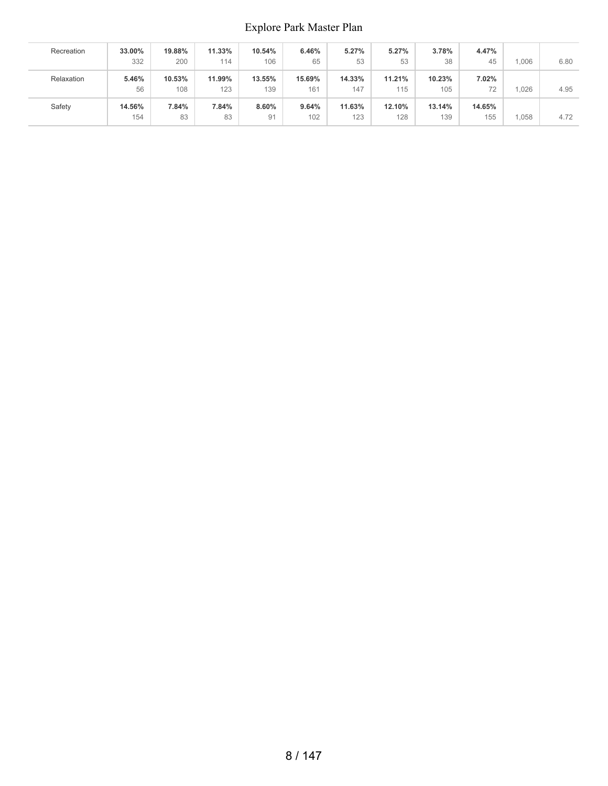| Recreation | 33.00%<br>332 | 19.88%<br>200 | 11.33%<br>114 | 10.54%<br>106 | 6.46%<br>65   | 5.27%<br>53   | 5.27%<br>53   | 3.78%<br>38   | 4.47%<br>45   | 1.006 | 6.80 |
|------------|---------------|---------------|---------------|---------------|---------------|---------------|---------------|---------------|---------------|-------|------|
| Relaxation | 5.46%<br>56   | 10.53%<br>108 | 11.99%<br>123 | 13.55%<br>139 | 15.69%<br>161 | 14.33%<br>147 | 11.21%<br>115 | 10.23%<br>105 | 7.02%         | .026  | 4.95 |
| Safety     | 14.56%<br>154 | 7.84%<br>83   | 7.84%<br>83   | 8.60%<br>91   | 9.64%<br>102  | 11.63%<br>123 | 12.10%<br>128 | 13.14%<br>139 | 14.65%<br>155 | 1,058 | 4.72 |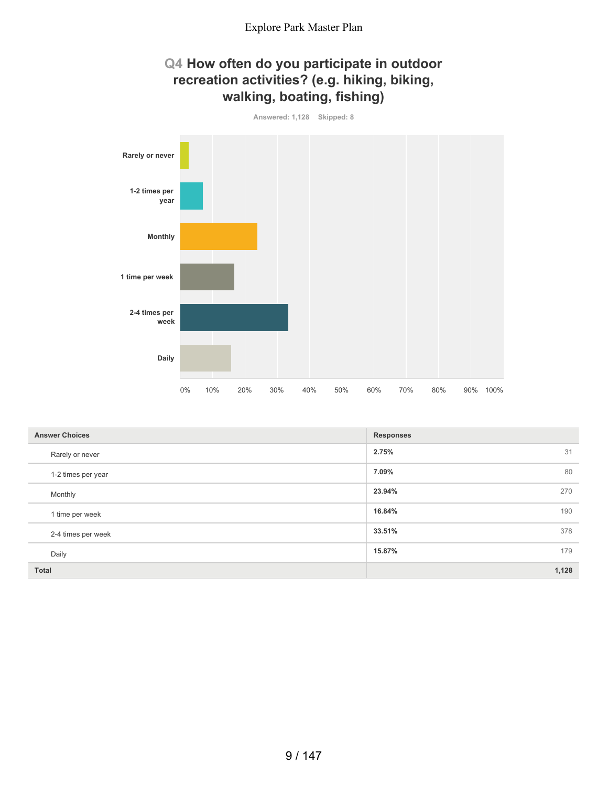## **Q4 How often do you participate in outdoor recreation activities? (e.g. hiking, biking, walking, boating, fishing)**



| Answered: 1,128 | Skipped: 8 |  |
|-----------------|------------|--|

| <b>Answer Choices</b> | <b>Responses</b> |
|-----------------------|------------------|
| Rarely or never       | 2.75%<br>31      |
| 1-2 times per year    | 7.09%<br>80      |
| Monthly               | 23.94%<br>270    |
| 1 time per week       | 16.84%<br>190    |
| 2-4 times per week    | 33.51%<br>378    |
| Daily                 | 15.87%<br>179    |
| <b>Total</b>          | 1,128            |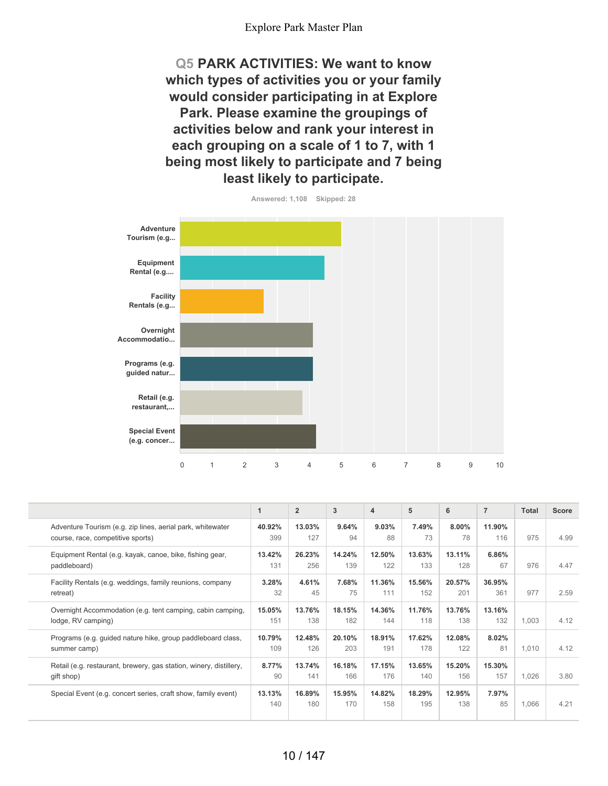**Q5 PARK ACTIVITIES: We want to know which types of activities you or your family would consider participating in at Explore Park. Please examine the groupings of activities below and rank your interest in each grouping on a scale of 1 to 7, with 1 being most likely to participate and 7 being least likely to participate.**



**Answered: 1,108 Skipped: 28**

|                                                                                                 | 1             | $\overline{2}$ | 3             | 4             | 5             | 6             | $\overline{7}$ | <b>Total</b> | <b>Score</b> |
|-------------------------------------------------------------------------------------------------|---------------|----------------|---------------|---------------|---------------|---------------|----------------|--------------|--------------|
| Adventure Tourism (e.g. zip lines, aerial park, whitewater<br>course, race, competitive sports) | 40.92%<br>399 | 13.03%<br>127  | 9.64%<br>94   | 9.03%<br>88   | 7.49%<br>73   | 8.00%<br>78   | 11.90%<br>116  | 975          | 4.99         |
| Equipment Rental (e.g. kayak, canoe, bike, fishing gear,<br>paddleboard)                        | 13.42%<br>131 | 26.23%<br>256  | 14.24%<br>139 | 12.50%<br>122 | 13.63%<br>133 | 13.11%<br>128 | $6.86\%$<br>67 | 976          | 4.47         |
| Facility Rentals (e.g. weddings, family reunions, company<br>retreat)                           | 3.28%<br>32   | 4.61%<br>45    | 7.68%<br>75   | 11.36%<br>111 | 15.56%<br>152 | 20.57%<br>201 | 36.95%<br>361  | 977          | 2.59         |
| Overnight Accommodation (e.g. tent camping, cabin camping,<br>lodge, RV camping)                | 15.05%<br>151 | 13.76%<br>138  | 18.15%<br>182 | 14.36%<br>144 | 11.76%<br>118 | 13.76%<br>138 | 13.16%<br>132  | 1,003        | 4.12         |
| Programs (e.g. guided nature hike, group paddleboard class,<br>summer camp)                     | 10.79%<br>109 | 12.48%<br>126  | 20.10%<br>203 | 18.91%<br>191 | 17.62%<br>178 | 12.08%<br>122 | 8.02%<br>81    | 1.010        | 4.12         |
| Retail (e.g. restaurant, brewery, gas station, winery, distillery,<br>gift shop)                | 8.77%<br>90   | 13.74%<br>141  | 16.18%<br>166 | 17.15%<br>176 | 13.65%<br>140 | 15.20%<br>156 | 15.30%<br>157  | 1,026        | 3.80         |
| Special Event (e.g. concert series, craft show, family event)                                   | 13.13%<br>140 | 16.89%<br>180  | 15.95%<br>170 | 14.82%<br>158 | 18.29%<br>195 | 12.95%<br>138 | 7.97%<br>85    | 1,066        | 4.21         |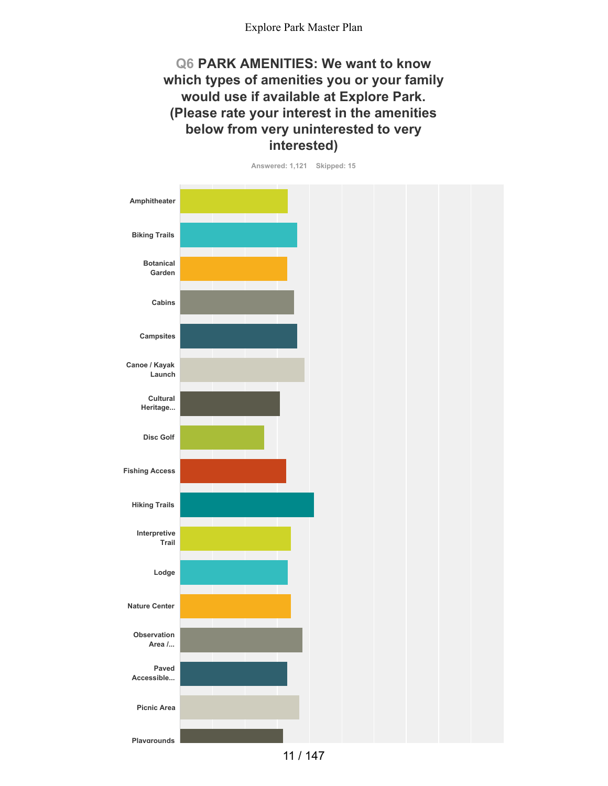## **Q6 PARK AMENITIES: We want to know which types of amenities you or your family would use if available at Explore Park. (Please rate your interest in the amenities below from very uninterested to very interested)**

**Answered: 1,121 Skipped: 15**

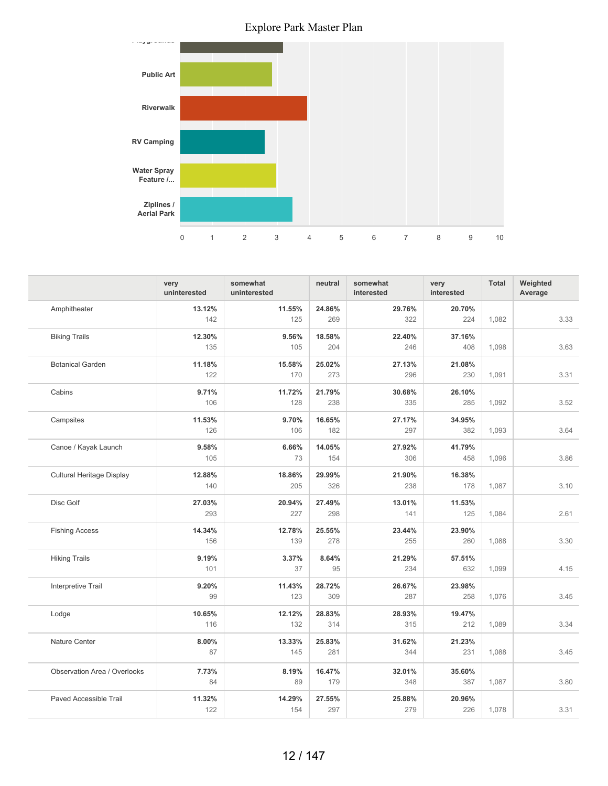

|                                  | very<br>uninterested | somewhat<br>uninterested | neutral | somewhat<br>interested | very<br>interested | <b>Total</b> | Weighted<br>Average |
|----------------------------------|----------------------|--------------------------|---------|------------------------|--------------------|--------------|---------------------|
| Amphitheater                     | 13.12%               | 11.55%                   | 24.86%  | 29.76%                 | 20.70%             |              |                     |
|                                  | 142                  | 125                      | 269     | 322                    | 224                | 1.082        | 3.33                |
| <b>Biking Trails</b>             | 12.30%               | 9.56%                    | 18.58%  | 22.40%                 | 37.16%             |              |                     |
|                                  | 135                  | 105                      | 204     | 246                    | 408                | 1,098        | 3.63                |
| <b>Botanical Garden</b>          | 11.18%               | 15.58%                   | 25.02%  | 27.13%                 | 21.08%             |              |                     |
|                                  | 122                  | 170                      | 273     | 296                    | 230                | 1,091        | 3.31                |
| Cabins                           | 9.71%                | 11.72%                   | 21.79%  | 30.68%                 | 26.10%             |              |                     |
|                                  | 106                  | 128                      | 238     | 335                    | 285                | 1,092        | 3.52                |
| Campsites                        | 11.53%               | 9.70%                    | 16.65%  | 27.17%                 | 34.95%             |              |                     |
|                                  | 126                  | 106                      | 182     | 297                    | 382                | 1,093        | 3.64                |
| Canoe / Kayak Launch             | 9.58%                | 6.66%                    | 14.05%  | 27.92%                 | 41.79%             |              |                     |
|                                  | 105                  | 73                       | 154     | 306                    | 458                | 1,096        | 3.86                |
| <b>Cultural Heritage Display</b> | 12.88%               | 18.86%                   | 29.99%  | 21.90%                 | 16.38%             |              |                     |
|                                  | 140                  | 205                      | 326     | 238                    | 178                | 1,087        | 3.10                |
| Disc Golf                        | 27.03%               | 20.94%                   | 27.49%  | 13.01%                 | 11.53%             |              |                     |
|                                  | 293                  | 227                      | 298     | 141                    | 125                | 1,084        | 2.61                |
| <b>Fishing Access</b>            | 14.34%               | 12.78%                   | 25.55%  | 23.44%                 | 23.90%             |              |                     |
|                                  | 156                  | 139                      | 278     | 255                    | 260                | 1,088        | 3.30                |
| <b>Hiking Trails</b>             | 9.19%                | 3.37%                    | 8.64%   | 21.29%                 | 57.51%             |              |                     |
|                                  | 101                  | 37                       | 95      | 234                    | 632                | 1,099        | 4.15                |
| Interpretive Trail               | 9.20%                | 11.43%                   | 28.72%  | 26.67%                 | 23.98%             |              |                     |
|                                  | 99                   | 123                      | 309     | 287                    | 258                | 1,076        | 3.45                |
| Lodge                            | 10.65%               | 12.12%                   | 28.83%  | 28.93%                 | 19.47%             |              |                     |
|                                  | 116                  | 132                      | 314     | 315                    | 212                | 1,089        | 3.34                |
| Nature Center                    | 8.00%                | 13.33%                   | 25.83%  | 31.62%                 | 21.23%             |              |                     |
|                                  | 87                   | 145                      | 281     | 344                    | 231                | 1,088        | 3.45                |
| Observation Area / Overlooks     | 7.73%                | 8.19%                    | 16.47%  | 32.01%                 | 35.60%             |              |                     |
|                                  | 84                   | 89                       | 179     | 348                    | 387                | 1,087        | 3.80                |
| Paved Accessible Trail           | 11.32%               | 14.29%                   | 27.55%  | 25.88%                 | 20.96%             |              |                     |
|                                  | 122                  | 154                      | 297     | 279                    | 226                | 1,078        | 3.31                |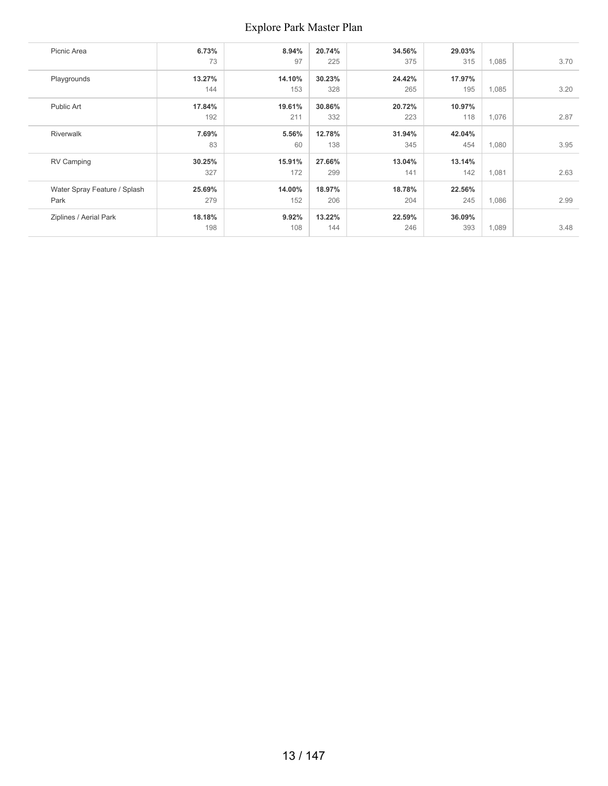| Picnic Area                  | 6.73%  | 8.94%  | 20.74% | 34.56% | 29.03% |       |      |
|------------------------------|--------|--------|--------|--------|--------|-------|------|
|                              | 73     | 97     | 225    | 375    | 315    | 1,085 | 3.70 |
| Playgrounds                  | 13.27% | 14.10% | 30.23% | 24.42% | 17.97% |       |      |
|                              | 144    | 153    | 328    | 265    | 195    | 1,085 | 3.20 |
| Public Art                   | 17.84% | 19.61% | 30.86% | 20.72% | 10.97% |       |      |
|                              | 192    | 211    | 332    | 223    | 118    | 1,076 | 2.87 |
| <b>Riverwalk</b>             | 7.69%  | 5.56%  | 12.78% | 31.94% | 42.04% |       |      |
|                              | 83     | 60     | 138    | 345    | 454    | 1,080 | 3.95 |
| RV Camping                   | 30.25% | 15.91% | 27.66% | 13.04% | 13.14% |       |      |
|                              | 327    | 172    | 299    | 141    | 142    | 1,081 | 2.63 |
| Water Spray Feature / Splash | 25.69% | 14.00% | 18.97% | 18.78% | 22.56% |       |      |
| Park                         | 279    | 152    | 206    | 204    | 245    | 1,086 | 2.99 |
| Ziplines / Aerial Park       | 18.18% | 9.92%  | 13.22% | 22.59% | 36.09% |       |      |
|                              | 198    | 108    | 144    | 246    | 393    | 1,089 | 3.48 |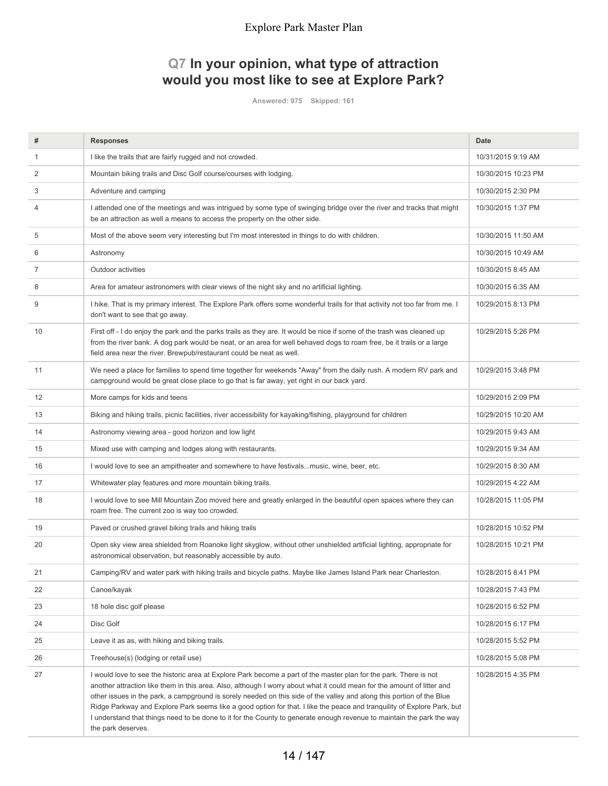# **Q7 In your opinion, what type of attraction would you most like to see at Explore Park?**

**Answered: 975 Skipped: 161**

| #  | <b>Responses</b>                                                                                                                                                                                                                                                                                                                                                                                                                                                                                                                                                                                                                                | <b>Date</b>         |
|----|-------------------------------------------------------------------------------------------------------------------------------------------------------------------------------------------------------------------------------------------------------------------------------------------------------------------------------------------------------------------------------------------------------------------------------------------------------------------------------------------------------------------------------------------------------------------------------------------------------------------------------------------------|---------------------|
| 1  | I like the trails that are fairly rugged and not crowded.                                                                                                                                                                                                                                                                                                                                                                                                                                                                                                                                                                                       | 10/31/2015 9:19 AM  |
| 2  | Mountain biking trails and Disc Golf course/courses with lodging.                                                                                                                                                                                                                                                                                                                                                                                                                                                                                                                                                                               | 10/30/2015 10:23 PM |
| 3  | Adventure and camping                                                                                                                                                                                                                                                                                                                                                                                                                                                                                                                                                                                                                           | 10/30/2015 2:30 PM  |
| 4  | I attended one of the meetings and was intrigued by some type of swinging bridge over the river and tracks that might<br>be an attraction as well a means to access the property on the other side.                                                                                                                                                                                                                                                                                                                                                                                                                                             | 10/30/2015 1:37 PM  |
| 5  | Most of the above seem very interesting but I'm most interested in things to do with children.                                                                                                                                                                                                                                                                                                                                                                                                                                                                                                                                                  | 10/30/2015 11:50 AM |
| 6  | Astronomy                                                                                                                                                                                                                                                                                                                                                                                                                                                                                                                                                                                                                                       | 10/30/2015 10:49 AM |
| 7  | Outdoor activities                                                                                                                                                                                                                                                                                                                                                                                                                                                                                                                                                                                                                              | 10/30/2015 8:45 AM  |
| 8  | Area for amateur astronomers with clear views of the night sky and no artificial lighting.                                                                                                                                                                                                                                                                                                                                                                                                                                                                                                                                                      | 10/30/2015 6:35 AM  |
| 9  | I hike. That is my primary interest. The Explore Park offers some wonderful trails for that activity not too far from me. I<br>don't want to see that go away.                                                                                                                                                                                                                                                                                                                                                                                                                                                                                  | 10/29/2015 8:13 PM  |
| 10 | First off - I do enjoy the park and the parks trails as they are. It would be nice if some of the trash was cleaned up<br>from the river bank. A dog park would be neat, or an area for well behaved dogs to roam free, be it trails or a large<br>field area near the river. Brewpub/restaurant could be neat as well.                                                                                                                                                                                                                                                                                                                         | 10/29/2015 5:26 PM  |
| 11 | We need a place for families to spend time together for weekends "Away" from the daily rush. A modern RV park and<br>campground would be great close place to go that is far away, yet right in our back yard.                                                                                                                                                                                                                                                                                                                                                                                                                                  | 10/29/2015 3:48 PM  |
| 12 | More camps for kids and teens                                                                                                                                                                                                                                                                                                                                                                                                                                                                                                                                                                                                                   | 10/29/2015 2:09 PM  |
| 13 | Biking and hiking trails, picnic facilities, river accessibility for kayaking/fishing, playground for children                                                                                                                                                                                                                                                                                                                                                                                                                                                                                                                                  | 10/29/2015 10:20 AM |
| 14 | Astronomy viewing area - good horizon and low light                                                                                                                                                                                                                                                                                                                                                                                                                                                                                                                                                                                             | 10/29/2015 9:43 AM  |
| 15 | Mixed use with camping and lodges along with restaurants.                                                                                                                                                                                                                                                                                                                                                                                                                                                                                                                                                                                       | 10/29/2015 9:34 AM  |
| 16 | I would love to see an ampitheater and somewhere to have festivalsmusic, wine, beer, etc.                                                                                                                                                                                                                                                                                                                                                                                                                                                                                                                                                       | 10/29/2015 8:30 AM  |
| 17 | Whitewater play features and more mountain biking trails.                                                                                                                                                                                                                                                                                                                                                                                                                                                                                                                                                                                       | 10/29/2015 4:22 AM  |
| 18 | I would love to see Mill Mountain Zoo moved here and greatly enlarged in the beautiful open spaces where they can<br>roam free. The current zoo is way too crowded.                                                                                                                                                                                                                                                                                                                                                                                                                                                                             | 10/28/2015 11:05 PM |
| 19 | Paved or crushed gravel biking trails and hiking trails                                                                                                                                                                                                                                                                                                                                                                                                                                                                                                                                                                                         | 10/28/2015 10:52 PM |
| 20 | Open sky view area shielded from Roanoke light skyglow, without other unshielded artificial lighting, appropriate for<br>astronomical observation, but reasonably accessible by auto.                                                                                                                                                                                                                                                                                                                                                                                                                                                           | 10/28/2015 10:21 PM |
| 21 | Camping/RV and water park with hiking trails and bicycle paths. Maybe like James Island Park near Charleston.                                                                                                                                                                                                                                                                                                                                                                                                                                                                                                                                   | 10/28/2015 8:41 PM  |
| 22 | Canoe/kayak                                                                                                                                                                                                                                                                                                                                                                                                                                                                                                                                                                                                                                     | 10/28/2015 7:43 PM  |
| 23 | 18 hole disc golf please                                                                                                                                                                                                                                                                                                                                                                                                                                                                                                                                                                                                                        | 10/28/2015 6:52 PM  |
| 24 | Disc Golf                                                                                                                                                                                                                                                                                                                                                                                                                                                                                                                                                                                                                                       | 10/28/2015 6:17 PM  |
| 25 | Leave it as as, with hiking and biking trails.                                                                                                                                                                                                                                                                                                                                                                                                                                                                                                                                                                                                  | 10/28/2015 5:52 PM  |
| 26 | Treehouse(s) (lodging or retail use)                                                                                                                                                                                                                                                                                                                                                                                                                                                                                                                                                                                                            | 10/28/2015 5:08 PM  |
| 27 | I would love to see the historic area at Explore Park become a part of the master plan for the park. There is not<br>another attraction like them in this area. Also, although I worry about what it could mean for the amount of litter and<br>other issues in the park, a campground is sorely needed on this side of the valley and along this portion of the Blue<br>Ridge Parkway and Explore Park seems like a good option for that. I like the peace and tranquility of Explore Park, but<br>I understand that things need to be done to it for the County to generate enough revenue to maintain the park the way<br>the park deserves. | 10/28/2015 4:35 PM  |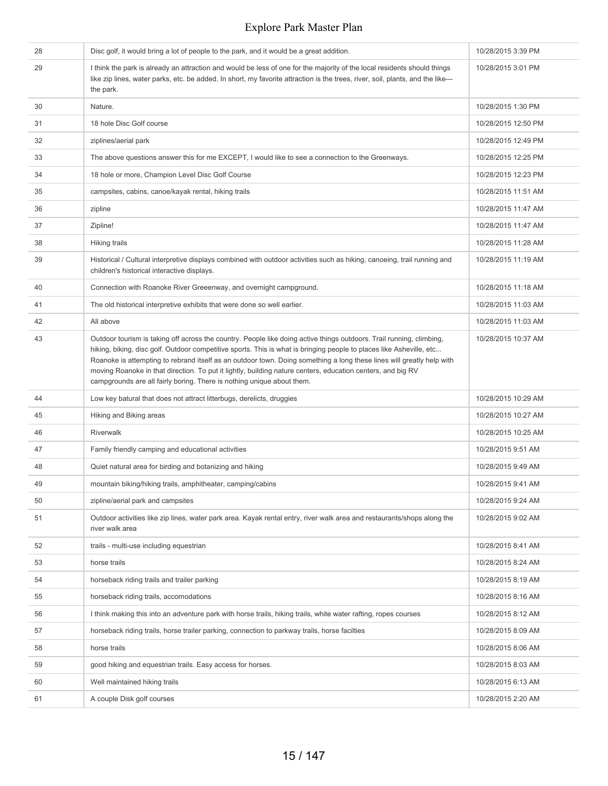| 28 | Disc golf, it would bring a lot of people to the park, and it would be a great addition.                                                                                                                                                                                                                                                                                                                                                                                                                                                                       | 10/28/2015 3:39 PM  |
|----|----------------------------------------------------------------------------------------------------------------------------------------------------------------------------------------------------------------------------------------------------------------------------------------------------------------------------------------------------------------------------------------------------------------------------------------------------------------------------------------------------------------------------------------------------------------|---------------------|
| 29 | I think the park is already an attraction and would be less of one for the majority of the local residents should things<br>like zip lines, water parks, etc. be added. In short, my favorite attraction is the trees, river, soil, plants, and the like---<br>the park.                                                                                                                                                                                                                                                                                       | 10/28/2015 3:01 PM  |
| 30 | Nature.                                                                                                                                                                                                                                                                                                                                                                                                                                                                                                                                                        | 10/28/2015 1:30 PM  |
| 31 | 18 hole Disc Golf course                                                                                                                                                                                                                                                                                                                                                                                                                                                                                                                                       | 10/28/2015 12:50 PM |
| 32 | ziplines/aerial park                                                                                                                                                                                                                                                                                                                                                                                                                                                                                                                                           | 10/28/2015 12:49 PM |
| 33 | The above questions answer this for me EXCEPT, I would like to see a connection to the Greenways.                                                                                                                                                                                                                                                                                                                                                                                                                                                              | 10/28/2015 12:25 PM |
| 34 | 18 hole or more, Champion Level Disc Golf Course                                                                                                                                                                                                                                                                                                                                                                                                                                                                                                               | 10/28/2015 12:23 PM |
| 35 | campsites, cabins, canoe/kayak rental, hiking trails                                                                                                                                                                                                                                                                                                                                                                                                                                                                                                           | 10/28/2015 11:51 AM |
| 36 | zipline                                                                                                                                                                                                                                                                                                                                                                                                                                                                                                                                                        | 10/28/2015 11:47 AM |
| 37 | Zipline!                                                                                                                                                                                                                                                                                                                                                                                                                                                                                                                                                       | 10/28/2015 11:47 AM |
| 38 | <b>Hiking trails</b>                                                                                                                                                                                                                                                                                                                                                                                                                                                                                                                                           | 10/28/2015 11:28 AM |
| 39 | Historical / Cultural interpretive displays combined with outdoor activities such as hiking, canoeing, trail running and<br>children's historical interactive displays.                                                                                                                                                                                                                                                                                                                                                                                        | 10/28/2015 11:19 AM |
| 40 | Connection with Roanoke River Greeenway, and overnight campground.                                                                                                                                                                                                                                                                                                                                                                                                                                                                                             | 10/28/2015 11:18 AM |
| 41 | The old historical interpretive exhibits that were done so well earlier.                                                                                                                                                                                                                                                                                                                                                                                                                                                                                       | 10/28/2015 11:03 AM |
| 42 | All above                                                                                                                                                                                                                                                                                                                                                                                                                                                                                                                                                      | 10/28/2015 11:03 AM |
| 43 | Outdoor tourism is taking off across the country. People like doing active things outdoors. Trail running, climbing,<br>hiking, biking, disc golf. Outdoor competitive sports. This is what is bringing people to places like Asheville, etc<br>Roanoke is attempting to rebrand itself as an outdoor town. Doing something a long these lines will greatly help with<br>moving Roanoke in that direction. To put it lightly, building nature centers, education centers, and big RV<br>campgrounds are all fairly boring. There is nothing unique about them. | 10/28/2015 10:37 AM |
| 44 | Low key batural that does not attract litterbugs, derelicts, druggies                                                                                                                                                                                                                                                                                                                                                                                                                                                                                          | 10/28/2015 10:29 AM |
| 45 | Hiking and Biking areas                                                                                                                                                                                                                                                                                                                                                                                                                                                                                                                                        | 10/28/2015 10:27 AM |
| 46 | Riverwalk                                                                                                                                                                                                                                                                                                                                                                                                                                                                                                                                                      | 10/28/2015 10:25 AM |
| 47 | Family friendly camping and educational activities                                                                                                                                                                                                                                                                                                                                                                                                                                                                                                             | 10/28/2015 9:51 AM  |
| 48 | Quiet natural area for birding and botanizing and hiking                                                                                                                                                                                                                                                                                                                                                                                                                                                                                                       | 10/28/2015 9:49 AM  |
| 49 | mountain biking/hiking trails, amphitheater, camping/cabins                                                                                                                                                                                                                                                                                                                                                                                                                                                                                                    | 10/28/2015 9:41 AM  |
| 50 | zipline/aerial park and campsites                                                                                                                                                                                                                                                                                                                                                                                                                                                                                                                              | 10/28/2015 9:24 AM  |
| 51 | Outdoor activities like zip lines, water park area. Kayak rental entry, river walk area and restaurants/shops along the<br>river walk area                                                                                                                                                                                                                                                                                                                                                                                                                     | 10/28/2015 9:02 AM  |
| 52 | trails - multi-use including equestrian                                                                                                                                                                                                                                                                                                                                                                                                                                                                                                                        | 10/28/2015 8:41 AM  |
| 53 | horse trails                                                                                                                                                                                                                                                                                                                                                                                                                                                                                                                                                   | 10/28/2015 8:24 AM  |
| 54 | horseback riding trails and trailer parking                                                                                                                                                                                                                                                                                                                                                                                                                                                                                                                    | 10/28/2015 8:19 AM  |
| 55 | horseback riding trails, accomodations                                                                                                                                                                                                                                                                                                                                                                                                                                                                                                                         | 10/28/2015 8:16 AM  |
| 56 | I think making this into an adventure park with horse trails, hiking trails, white water rafting, ropes courses                                                                                                                                                                                                                                                                                                                                                                                                                                                | 10/28/2015 8:12 AM  |
| 57 | horseback riding trails, horse trailer parking, connection to parkway trails, horse facilties                                                                                                                                                                                                                                                                                                                                                                                                                                                                  | 10/28/2015 8:09 AM  |
| 58 | horse trails                                                                                                                                                                                                                                                                                                                                                                                                                                                                                                                                                   | 10/28/2015 8:06 AM  |
| 59 | good hiking and equestrian trails. Easy access for horses.                                                                                                                                                                                                                                                                                                                                                                                                                                                                                                     | 10/28/2015 8:03 AM  |
| 60 | Well maintained hiking trails                                                                                                                                                                                                                                                                                                                                                                                                                                                                                                                                  | 10/28/2015 6:13 AM  |
| 61 | A couple Disk golf courses                                                                                                                                                                                                                                                                                                                                                                                                                                                                                                                                     | 10/28/2015 2:20 AM  |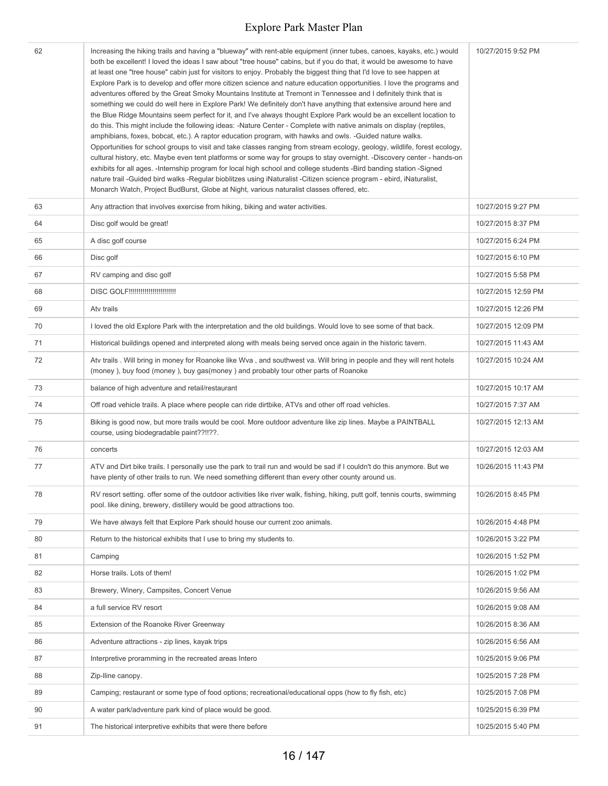| 62 | Increasing the hiking trails and having a "blueway" with rent-able equipment (inner tubes, canoes, kayaks, etc.) would<br>both be excellent! I loved the ideas I saw about "tree house" cabins, but if you do that, it would be awesome to have<br>at least one "tree house" cabin just for visitors to enjoy. Probably the biggest thing that I'd love to see happen at<br>Explore Park is to develop and offer more citizen science and nature education opportunities. I love the programs and<br>adventures offered by the Great Smoky Mountains Institute at Tremont in Tennessee and I definitely think that is<br>something we could do well here in Explore Park! We definitely don't have anything that extensive around here and<br>the Blue Ridge Mountains seem perfect for it, and I've always thought Explore Park would be an excellent location to<br>do this. This might include the following ideas: -Nature Center - Complete with native animals on display (reptiles,<br>amphibians, foxes, bobcat, etc.). A raptor education program, with hawks and owls. -Guided nature walks.<br>Opportunities for school groups to visit and take classes ranging from stream ecology, geology, wildlife, forest ecology,<br>cultural history, etc. Maybe even tent platforms or some way for groups to stay overnight. -Discovery center - hands-on<br>exhibits for all ages. - Internship program for local high school and college students - Bird banding station - Signed<br>nature trail -Guided bird walks -Regular bioblitzes using iNaturalist -Citizen science program - ebird, iNaturalist,<br>Monarch Watch, Project BudBurst, Globe at Night, various naturalist classes offered, etc. | 10/27/2015 9:52 PM  |
|----|---------------------------------------------------------------------------------------------------------------------------------------------------------------------------------------------------------------------------------------------------------------------------------------------------------------------------------------------------------------------------------------------------------------------------------------------------------------------------------------------------------------------------------------------------------------------------------------------------------------------------------------------------------------------------------------------------------------------------------------------------------------------------------------------------------------------------------------------------------------------------------------------------------------------------------------------------------------------------------------------------------------------------------------------------------------------------------------------------------------------------------------------------------------------------------------------------------------------------------------------------------------------------------------------------------------------------------------------------------------------------------------------------------------------------------------------------------------------------------------------------------------------------------------------------------------------------------------------------------------------------------------------------------------------------------------------------------------|---------------------|
| 63 | Any attraction that involves exercise from hiking, biking and water activities.                                                                                                                                                                                                                                                                                                                                                                                                                                                                                                                                                                                                                                                                                                                                                                                                                                                                                                                                                                                                                                                                                                                                                                                                                                                                                                                                                                                                                                                                                                                                                                                                                               | 10/27/2015 9:27 PM  |
| 64 | Disc golf would be great!                                                                                                                                                                                                                                                                                                                                                                                                                                                                                                                                                                                                                                                                                                                                                                                                                                                                                                                                                                                                                                                                                                                                                                                                                                                                                                                                                                                                                                                                                                                                                                                                                                                                                     | 10/27/2015 8:37 PM  |
| 65 | A disc golf course                                                                                                                                                                                                                                                                                                                                                                                                                                                                                                                                                                                                                                                                                                                                                                                                                                                                                                                                                                                                                                                                                                                                                                                                                                                                                                                                                                                                                                                                                                                                                                                                                                                                                            | 10/27/2015 6:24 PM  |
| 66 | Disc golf                                                                                                                                                                                                                                                                                                                                                                                                                                                                                                                                                                                                                                                                                                                                                                                                                                                                                                                                                                                                                                                                                                                                                                                                                                                                                                                                                                                                                                                                                                                                                                                                                                                                                                     | 10/27/2015 6:10 PM  |
| 67 | RV camping and disc golf                                                                                                                                                                                                                                                                                                                                                                                                                                                                                                                                                                                                                                                                                                                                                                                                                                                                                                                                                                                                                                                                                                                                                                                                                                                                                                                                                                                                                                                                                                                                                                                                                                                                                      | 10/27/2015 5:58 PM  |
| 68 | DISC GOLF!!!!!!!!!!!!!!!!!!!!!!!!!                                                                                                                                                                                                                                                                                                                                                                                                                                                                                                                                                                                                                                                                                                                                                                                                                                                                                                                                                                                                                                                                                                                                                                                                                                                                                                                                                                                                                                                                                                                                                                                                                                                                            | 10/27/2015 12:59 PM |
| 69 | Atv trails                                                                                                                                                                                                                                                                                                                                                                                                                                                                                                                                                                                                                                                                                                                                                                                                                                                                                                                                                                                                                                                                                                                                                                                                                                                                                                                                                                                                                                                                                                                                                                                                                                                                                                    | 10/27/2015 12:26 PM |
| 70 | I loved the old Explore Park with the interpretation and the old buildings. Would love to see some of that back.                                                                                                                                                                                                                                                                                                                                                                                                                                                                                                                                                                                                                                                                                                                                                                                                                                                                                                                                                                                                                                                                                                                                                                                                                                                                                                                                                                                                                                                                                                                                                                                              | 10/27/2015 12:09 PM |
| 71 | Historical buildings opened and interpreted along with meals being served once again in the historic tavern.                                                                                                                                                                                                                                                                                                                                                                                                                                                                                                                                                                                                                                                                                                                                                                                                                                                                                                                                                                                                                                                                                                                                                                                                                                                                                                                                                                                                                                                                                                                                                                                                  | 10/27/2015 11:43 AM |
| 72 | Atv trails. Will bring in money for Roanoke like Wva, and southwest va. Will bring in people and they will rent hotels<br>(money), buy food (money), buy gas(money) and probably tour other parts of Roanoke                                                                                                                                                                                                                                                                                                                                                                                                                                                                                                                                                                                                                                                                                                                                                                                                                                                                                                                                                                                                                                                                                                                                                                                                                                                                                                                                                                                                                                                                                                  | 10/27/2015 10:24 AM |
| 73 | balance of high adventure and retail/restaurant                                                                                                                                                                                                                                                                                                                                                                                                                                                                                                                                                                                                                                                                                                                                                                                                                                                                                                                                                                                                                                                                                                                                                                                                                                                                                                                                                                                                                                                                                                                                                                                                                                                               | 10/27/2015 10:17 AM |
| 74 | Off road vehicle trails. A place where people can ride dirtbike, ATVs and other off road vehicles.                                                                                                                                                                                                                                                                                                                                                                                                                                                                                                                                                                                                                                                                                                                                                                                                                                                                                                                                                                                                                                                                                                                                                                                                                                                                                                                                                                                                                                                                                                                                                                                                            | 10/27/2015 7:37 AM  |
| 75 | Biking is good now, but more trails would be cool. More outdoor adventure like zip lines. Maybe a PAINTBALL<br>course, using biodegradable paint??!!??.                                                                                                                                                                                                                                                                                                                                                                                                                                                                                                                                                                                                                                                                                                                                                                                                                                                                                                                                                                                                                                                                                                                                                                                                                                                                                                                                                                                                                                                                                                                                                       | 10/27/2015 12:13 AM |
| 76 | concerts                                                                                                                                                                                                                                                                                                                                                                                                                                                                                                                                                                                                                                                                                                                                                                                                                                                                                                                                                                                                                                                                                                                                                                                                                                                                                                                                                                                                                                                                                                                                                                                                                                                                                                      | 10/27/2015 12:03 AM |
| 77 | ATV and Dirt bike trails. I personally use the park to trail run and would be sad if I couldn't do this anymore. But we<br>have plenty of other trails to run. We need something different than every other county around us.                                                                                                                                                                                                                                                                                                                                                                                                                                                                                                                                                                                                                                                                                                                                                                                                                                                                                                                                                                                                                                                                                                                                                                                                                                                                                                                                                                                                                                                                                 | 10/26/2015 11:43 PM |
| 78 | RV resort setting. offer some of the outdoor activities like river walk, fishing, hiking, putt golf, tennis courts, swimming<br>pool. like dining, brewery, distillery would be good attractions too.                                                                                                                                                                                                                                                                                                                                                                                                                                                                                                                                                                                                                                                                                                                                                                                                                                                                                                                                                                                                                                                                                                                                                                                                                                                                                                                                                                                                                                                                                                         | 10/26/2015 8:45 PM  |
| 79 | We have always felt that Explore Park should house our current zoo animals.                                                                                                                                                                                                                                                                                                                                                                                                                                                                                                                                                                                                                                                                                                                                                                                                                                                                                                                                                                                                                                                                                                                                                                                                                                                                                                                                                                                                                                                                                                                                                                                                                                   | 10/26/2015 4:48 PM  |
| 80 | Return to the historical exhibits that I use to bring my students to.                                                                                                                                                                                                                                                                                                                                                                                                                                                                                                                                                                                                                                                                                                                                                                                                                                                                                                                                                                                                                                                                                                                                                                                                                                                                                                                                                                                                                                                                                                                                                                                                                                         | 10/26/2015 3:22 PM  |
| 81 | Camping                                                                                                                                                                                                                                                                                                                                                                                                                                                                                                                                                                                                                                                                                                                                                                                                                                                                                                                                                                                                                                                                                                                                                                                                                                                                                                                                                                                                                                                                                                                                                                                                                                                                                                       | 10/26/2015 1:52 PM  |
| 82 | Horse trails. Lots of them!                                                                                                                                                                                                                                                                                                                                                                                                                                                                                                                                                                                                                                                                                                                                                                                                                                                                                                                                                                                                                                                                                                                                                                                                                                                                                                                                                                                                                                                                                                                                                                                                                                                                                   | 10/26/2015 1:02 PM  |
| 83 | Brewery, Winery, Campsites, Concert Venue                                                                                                                                                                                                                                                                                                                                                                                                                                                                                                                                                                                                                                                                                                                                                                                                                                                                                                                                                                                                                                                                                                                                                                                                                                                                                                                                                                                                                                                                                                                                                                                                                                                                     | 10/26/2015 9:56 AM  |
| 84 | a full service RV resort                                                                                                                                                                                                                                                                                                                                                                                                                                                                                                                                                                                                                                                                                                                                                                                                                                                                                                                                                                                                                                                                                                                                                                                                                                                                                                                                                                                                                                                                                                                                                                                                                                                                                      | 10/26/2015 9:08 AM  |
| 85 | Extension of the Roanoke River Greenway                                                                                                                                                                                                                                                                                                                                                                                                                                                                                                                                                                                                                                                                                                                                                                                                                                                                                                                                                                                                                                                                                                                                                                                                                                                                                                                                                                                                                                                                                                                                                                                                                                                                       | 10/26/2015 8:36 AM  |
| 86 | Adventure attractions - zip lines, kayak trips                                                                                                                                                                                                                                                                                                                                                                                                                                                                                                                                                                                                                                                                                                                                                                                                                                                                                                                                                                                                                                                                                                                                                                                                                                                                                                                                                                                                                                                                                                                                                                                                                                                                | 10/26/2015 6:56 AM  |
| 87 | Interpretive proramming in the recreated areas Intero                                                                                                                                                                                                                                                                                                                                                                                                                                                                                                                                                                                                                                                                                                                                                                                                                                                                                                                                                                                                                                                                                                                                                                                                                                                                                                                                                                                                                                                                                                                                                                                                                                                         | 10/25/2015 9:06 PM  |
| 88 | Zip-Iline canopy.                                                                                                                                                                                                                                                                                                                                                                                                                                                                                                                                                                                                                                                                                                                                                                                                                                                                                                                                                                                                                                                                                                                                                                                                                                                                                                                                                                                                                                                                                                                                                                                                                                                                                             | 10/25/2015 7:28 PM  |
| 89 | Camping; restaurant or some type of food options; recreational/educational opps (how to fly fish, etc)                                                                                                                                                                                                                                                                                                                                                                                                                                                                                                                                                                                                                                                                                                                                                                                                                                                                                                                                                                                                                                                                                                                                                                                                                                                                                                                                                                                                                                                                                                                                                                                                        | 10/25/2015 7:08 PM  |
| 90 | A water park/adventure park kind of place would be good.                                                                                                                                                                                                                                                                                                                                                                                                                                                                                                                                                                                                                                                                                                                                                                                                                                                                                                                                                                                                                                                                                                                                                                                                                                                                                                                                                                                                                                                                                                                                                                                                                                                      | 10/25/2015 6:39 PM  |
| 91 | The historical interpretive exhibits that were there before                                                                                                                                                                                                                                                                                                                                                                                                                                                                                                                                                                                                                                                                                                                                                                                                                                                                                                                                                                                                                                                                                                                                                                                                                                                                                                                                                                                                                                                                                                                                                                                                                                                   | 10/25/2015 5:40 PM  |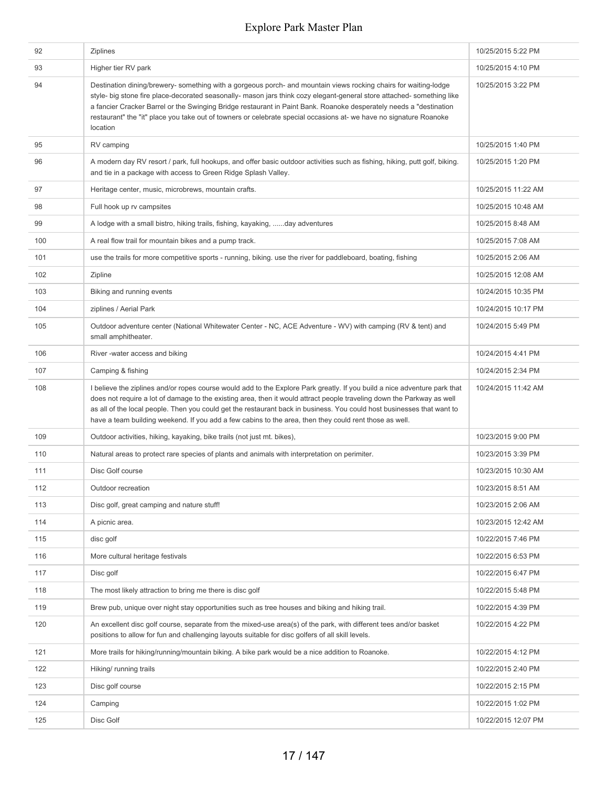| 92  | <b>Ziplines</b>                                                                                                                                                                                                                                                                                                                                                                                                                                                                                    | 10/25/2015 5:22 PM  |
|-----|----------------------------------------------------------------------------------------------------------------------------------------------------------------------------------------------------------------------------------------------------------------------------------------------------------------------------------------------------------------------------------------------------------------------------------------------------------------------------------------------------|---------------------|
| 93  | Higher tier RV park                                                                                                                                                                                                                                                                                                                                                                                                                                                                                | 10/25/2015 4:10 PM  |
| 94  | Destination dining/brewery- something with a gorgeous porch- and mountain views rocking chairs for waiting-lodge<br>style- big stone fire place-decorated seasonally- mason jars think cozy elegant-general store attached- something like<br>a fancier Cracker Barrel or the Swinging Bridge restaurant in Paint Bank. Roanoke desperately needs a "destination<br>restaurant" the "it" place you take out of towners or celebrate special occasions at- we have no signature Roanoke<br>location | 10/25/2015 3:22 PM  |
| 95  | RV camping                                                                                                                                                                                                                                                                                                                                                                                                                                                                                         | 10/25/2015 1:40 PM  |
| 96  | A modern day RV resort / park, full hookups, and offer basic outdoor activities such as fishing, hiking, putt golf, biking.<br>and tie in a package with access to Green Ridge Splash Valley.                                                                                                                                                                                                                                                                                                      | 10/25/2015 1:20 PM  |
| 97  | Heritage center, music, microbrews, mountain crafts.                                                                                                                                                                                                                                                                                                                                                                                                                                               | 10/25/2015 11:22 AM |
| 98  | Full hook up rv campsites                                                                                                                                                                                                                                                                                                                                                                                                                                                                          | 10/25/2015 10:48 AM |
| 99  | A lodge with a small bistro, hiking trails, fishing, kayaking, day adventures                                                                                                                                                                                                                                                                                                                                                                                                                      | 10/25/2015 8:48 AM  |
| 100 | A real flow trail for mountain bikes and a pump track.                                                                                                                                                                                                                                                                                                                                                                                                                                             | 10/25/2015 7:08 AM  |
| 101 | use the trails for more competitive sports - running, biking, use the river for paddleboard, boating, fishing                                                                                                                                                                                                                                                                                                                                                                                      | 10/25/2015 2:06 AM  |
| 102 | Zipline                                                                                                                                                                                                                                                                                                                                                                                                                                                                                            | 10/25/2015 12:08 AM |
| 103 | Biking and running events                                                                                                                                                                                                                                                                                                                                                                                                                                                                          | 10/24/2015 10:35 PM |
| 104 | ziplines / Aerial Park                                                                                                                                                                                                                                                                                                                                                                                                                                                                             | 10/24/2015 10:17 PM |
| 105 | Outdoor adventure center (National Whitewater Center - NC, ACE Adventure - WV) with camping (RV & tent) and<br>small amphitheater.                                                                                                                                                                                                                                                                                                                                                                 | 10/24/2015 5:49 PM  |
| 106 | River-water access and biking                                                                                                                                                                                                                                                                                                                                                                                                                                                                      | 10/24/2015 4:41 PM  |
| 107 | Camping & fishing                                                                                                                                                                                                                                                                                                                                                                                                                                                                                  | 10/24/2015 2:34 PM  |
| 108 | I believe the ziplines and/or ropes course would add to the Explore Park greatly. If you build a nice adventure park that<br>does not require a lot of damage to the existing area, then it would attract people traveling down the Parkway as well<br>as all of the local people. Then you could get the restaurant back in business. You could host businesses that want to<br>have a team building weekend. If you add a few cabins to the area, then they could rent those as well.            | 10/24/2015 11:42 AM |
| 109 | Outdoor activities, hiking, kayaking, bike trails (not just mt. bikes),                                                                                                                                                                                                                                                                                                                                                                                                                            | 10/23/2015 9:00 PM  |
| 110 | Natural areas to protect rare species of plants and animals with interpretation on perimiter.                                                                                                                                                                                                                                                                                                                                                                                                      | 10/23/2015 3:39 PM  |
| 111 | Disc Golf course                                                                                                                                                                                                                                                                                                                                                                                                                                                                                   | 10/23/2015 10:30 AM |
| 112 | Outdoor recreation                                                                                                                                                                                                                                                                                                                                                                                                                                                                                 | 10/23/2015 8:51 AM  |
| 113 | Disc golf, great camping and nature stuff!                                                                                                                                                                                                                                                                                                                                                                                                                                                         | 10/23/2015 2:06 AM  |
| 114 | A picnic area.                                                                                                                                                                                                                                                                                                                                                                                                                                                                                     | 10/23/2015 12:42 AM |
| 115 | disc golf                                                                                                                                                                                                                                                                                                                                                                                                                                                                                          | 10/22/2015 7:46 PM  |
| 116 | More cultural heritage festivals                                                                                                                                                                                                                                                                                                                                                                                                                                                                   | 10/22/2015 6:53 PM  |
| 117 | Disc golf                                                                                                                                                                                                                                                                                                                                                                                                                                                                                          | 10/22/2015 6:47 PM  |
| 118 | The most likely attraction to bring me there is disc golf                                                                                                                                                                                                                                                                                                                                                                                                                                          | 10/22/2015 5:48 PM  |
| 119 | Brew pub, unique over night stay opportunities such as tree houses and biking and hiking trail.                                                                                                                                                                                                                                                                                                                                                                                                    | 10/22/2015 4:39 PM  |
| 120 | An excellent disc golf course, separate from the mixed-use area(s) of the park, with different tees and/or basket<br>positions to allow for fun and challenging layouts suitable for disc golfers of all skill levels.                                                                                                                                                                                                                                                                             | 10/22/2015 4:22 PM  |
| 121 | More trails for hiking/running/mountain biking. A bike park would be a nice addition to Roanoke.                                                                                                                                                                                                                                                                                                                                                                                                   | 10/22/2015 4:12 PM  |
| 122 | Hiking/ running trails                                                                                                                                                                                                                                                                                                                                                                                                                                                                             | 10/22/2015 2:40 PM  |
| 123 | Disc golf course                                                                                                                                                                                                                                                                                                                                                                                                                                                                                   | 10/22/2015 2:15 PM  |
| 124 | Camping                                                                                                                                                                                                                                                                                                                                                                                                                                                                                            | 10/22/2015 1:02 PM  |
| 125 | Disc Golf                                                                                                                                                                                                                                                                                                                                                                                                                                                                                          | 10/22/2015 12:07 PM |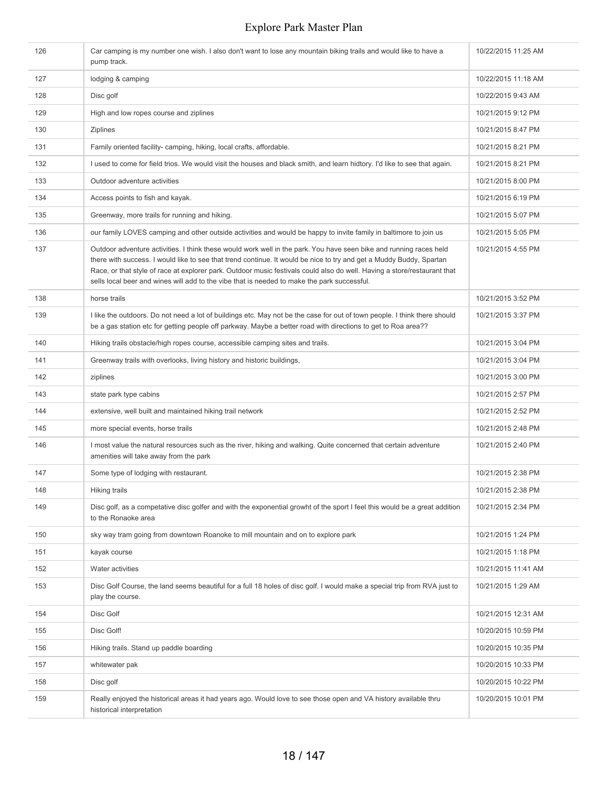| 126 | Car camping is my number one wish. I also don't want to lose any mountain biking trails and would like to have a<br>pump track.                                                                                                                                                                                                                                                                                                                                      | 10/22/2015 11:25 AM |
|-----|----------------------------------------------------------------------------------------------------------------------------------------------------------------------------------------------------------------------------------------------------------------------------------------------------------------------------------------------------------------------------------------------------------------------------------------------------------------------|---------------------|
| 127 | lodging & camping                                                                                                                                                                                                                                                                                                                                                                                                                                                    | 10/22/2015 11:18 AM |
| 128 | Disc golf                                                                                                                                                                                                                                                                                                                                                                                                                                                            | 10/22/2015 9:43 AM  |
| 129 | High and low ropes course and ziplines                                                                                                                                                                                                                                                                                                                                                                                                                               | 10/21/2015 9:12 PM  |
| 130 | <b>Ziplines</b>                                                                                                                                                                                                                                                                                                                                                                                                                                                      | 10/21/2015 8:47 PM  |
| 131 | Family oriented facility-camping, hiking, local crafts, affordable.                                                                                                                                                                                                                                                                                                                                                                                                  | 10/21/2015 8:21 PM  |
| 132 | I used to come for field trios. We would visit the houses and black smith, and learn hidtory. I'd like to see that again.                                                                                                                                                                                                                                                                                                                                            | 10/21/2015 8:21 PM  |
| 133 | Outdoor adventure activities                                                                                                                                                                                                                                                                                                                                                                                                                                         | 10/21/2015 8:00 PM  |
| 134 | Access points to fish and kayak.                                                                                                                                                                                                                                                                                                                                                                                                                                     | 10/21/2015 6:19 PM  |
| 135 | Greenway, more trails for running and hiking.                                                                                                                                                                                                                                                                                                                                                                                                                        | 10/21/2015 5:07 PM  |
| 136 | our family LOVES camping and other outside activities and would be happy to invite family in baltimore to join us                                                                                                                                                                                                                                                                                                                                                    | 10/21/2015 5:05 PM  |
| 137 | Outdoor adventure activities. I think these would work well in the park. You have seen bike and running races held<br>there with success. I would like to see that trend continue. It would be nice to try and get a Muddy Buddy, Spartan<br>Race, or that style of race at explorer park. Outdoor music festivals could also do well. Having a store/restaurant that<br>sells local beer and wines will add to the vibe that is needed to make the park successful. | 10/21/2015 4:55 PM  |
| 138 | horse trails                                                                                                                                                                                                                                                                                                                                                                                                                                                         | 10/21/2015 3:52 PM  |
| 139 | I like the outdoors. Do not need a lot of buildings etc. May not be the case for out of town people. I think there should<br>be a gas station etc for getting people off parkway. Maybe a better road with directions to get to Roa area??                                                                                                                                                                                                                           | 10/21/2015 3:37 PM  |
| 140 | Hiking trails obstacle/high ropes course, accessible camping sites and trails.                                                                                                                                                                                                                                                                                                                                                                                       | 10/21/2015 3:04 PM  |
| 141 | Greenway trails with overlooks, living history and historic buildings,                                                                                                                                                                                                                                                                                                                                                                                               | 10/21/2015 3:04 PM  |
| 142 | ziplines                                                                                                                                                                                                                                                                                                                                                                                                                                                             | 10/21/2015 3:00 PM  |
| 143 | state park type cabins                                                                                                                                                                                                                                                                                                                                                                                                                                               | 10/21/2015 2:57 PM  |
| 144 | extensive, well built and maintained hiking trail network                                                                                                                                                                                                                                                                                                                                                                                                            | 10/21/2015 2:52 PM  |
| 145 | more special events, horse trails                                                                                                                                                                                                                                                                                                                                                                                                                                    | 10/21/2015 2:48 PM  |
| 146 | I most value the natural resources such as the river, hiking and walking. Quite concerned that certain adventure<br>amenities will take away from the park                                                                                                                                                                                                                                                                                                           | 10/21/2015 2:40 PM  |
| 147 | Some type of lodging with restaurant.                                                                                                                                                                                                                                                                                                                                                                                                                                | 10/21/2015 2:38 PM  |
| 148 | Hiking trails                                                                                                                                                                                                                                                                                                                                                                                                                                                        | 10/21/2015 2:38 PM  |
| 149 | Disc golf, as a competative disc golfer and with the exponential growht of the sport I feel this would be a great addition<br>to the Ronaoke area                                                                                                                                                                                                                                                                                                                    | 10/21/2015 2:34 PM  |
| 150 | sky way tram going from downtown Roanoke to mill mountain and on to explore park                                                                                                                                                                                                                                                                                                                                                                                     | 10/21/2015 1:24 PM  |
| 151 | kayak course                                                                                                                                                                                                                                                                                                                                                                                                                                                         | 10/21/2015 1:18 PM  |
| 152 | Water activities                                                                                                                                                                                                                                                                                                                                                                                                                                                     | 10/21/2015 11:41 AM |
| 153 | Disc Golf Course, the land seems beautiful for a full 18 holes of disc golf. I would make a special trip from RVA just to<br>play the course.                                                                                                                                                                                                                                                                                                                        | 10/21/2015 1:29 AM  |
| 154 | Disc Golf                                                                                                                                                                                                                                                                                                                                                                                                                                                            | 10/21/2015 12:31 AM |
| 155 | Disc Golf!                                                                                                                                                                                                                                                                                                                                                                                                                                                           | 10/20/2015 10:59 PM |
| 156 | Hiking trails. Stand up paddle boarding                                                                                                                                                                                                                                                                                                                                                                                                                              | 10/20/2015 10:35 PM |
| 157 | whitewater pak                                                                                                                                                                                                                                                                                                                                                                                                                                                       | 10/20/2015 10:33 PM |
| 158 | Disc golf                                                                                                                                                                                                                                                                                                                                                                                                                                                            | 10/20/2015 10:22 PM |
| 159 | Really enjoyed the historical areas it had years ago. Would love to see those open and VA history available thru<br>historical interpretation                                                                                                                                                                                                                                                                                                                        | 10/20/2015 10:01 PM |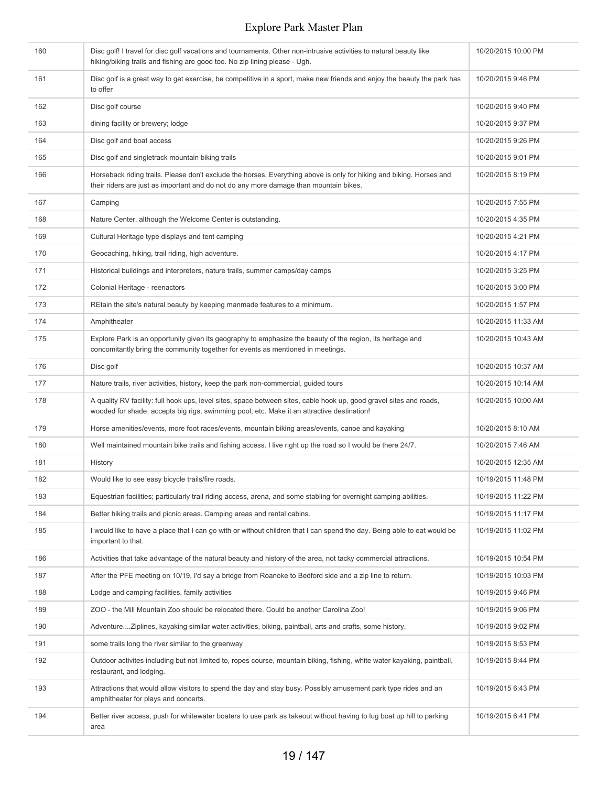| 160 | Disc golf! I travel for disc golf vacations and tournaments. Other non-intrusive activities to natural beauty like<br>hiking/biking trails and fishing are good too. No zip lining please - Ugh.                  | 10/20/2015 10:00 PM |
|-----|-------------------------------------------------------------------------------------------------------------------------------------------------------------------------------------------------------------------|---------------------|
| 161 | Disc golf is a great way to get exercise, be competitive in a sport, make new friends and enjoy the beauty the park has<br>to offer                                                                               | 10/20/2015 9:46 PM  |
| 162 | Disc golf course                                                                                                                                                                                                  | 10/20/2015 9:40 PM  |
| 163 | dining facility or brewery; lodge                                                                                                                                                                                 | 10/20/2015 9:37 PM  |
| 164 | Disc golf and boat access                                                                                                                                                                                         | 10/20/2015 9:26 PM  |
| 165 | Disc golf and singletrack mountain biking trails                                                                                                                                                                  | 10/20/2015 9:01 PM  |
| 166 | Horseback riding trails. Please don't exclude the horses. Everything above is only for hiking and biking. Horses and<br>their riders are just as important and do not do any more damage than mountain bikes.     | 10/20/2015 8:19 PM  |
| 167 | Camping                                                                                                                                                                                                           | 10/20/2015 7:55 PM  |
| 168 | Nature Center, although the Welcome Center is outstanding.                                                                                                                                                        | 10/20/2015 4:35 PM  |
| 169 | Cultural Heritage type displays and tent camping                                                                                                                                                                  | 10/20/2015 4:21 PM  |
| 170 | Geocaching, hiking, trail riding, high adventure.                                                                                                                                                                 | 10/20/2015 4:17 PM  |
| 171 | Historical buildings and interpreters, nature trails, summer camps/day camps                                                                                                                                      | 10/20/2015 3:25 PM  |
| 172 | Colonial Heritage - reenactors                                                                                                                                                                                    | 10/20/2015 3:00 PM  |
| 173 | REtain the site's natural beauty by keeping manmade features to a minimum.                                                                                                                                        | 10/20/2015 1:57 PM  |
| 174 | Amphitheater                                                                                                                                                                                                      | 10/20/2015 11:33 AM |
| 175 | Explore Park is an opportunity given its geography to emphasize the beauty of the region, its heritage and<br>concomitantly bring the community together for events as mentioned in meetings.                     | 10/20/2015 10:43 AM |
| 176 | Disc golf                                                                                                                                                                                                         | 10/20/2015 10:37 AM |
| 177 | Nature trails, river activities, history, keep the park non-commercial, guided tours                                                                                                                              | 10/20/2015 10:14 AM |
| 178 | A quality RV facility: full hook ups, level sites, space between sites, cable hook up, good gravel sites and roads,<br>wooded for shade, accepts big rigs, swimming pool, etc. Make it an attractive destination! | 10/20/2015 10:00 AM |
| 179 | Horse amenities/events, more foot races/events, mountain biking areas/events, canoe and kayaking                                                                                                                  | 10/20/2015 8:10 AM  |
| 180 | Well maintained mountain bike trails and fishing access. I live right up the road so I would be there 24/7.                                                                                                       | 10/20/2015 7:46 AM  |
| 181 | History                                                                                                                                                                                                           | 10/20/2015 12:35 AM |
| 182 | Would like to see easy bicycle trails/fire roads.                                                                                                                                                                 | 10/19/2015 11:48 PM |
| 183 | Equestrian facilities; particularly trail riding access, arena, and some stabling for overnight camping abilities.                                                                                                | 10/19/2015 11:22 PM |
| 184 | Better hiking trails and picnic areas. Camping areas and rental cabins.                                                                                                                                           | 10/19/2015 11:17 PM |
| 185 | I would like to have a place that I can go with or without children that I can spend the day. Being able to eat would be<br>important to that.                                                                    | 10/19/2015 11:02 PM |
| 186 | Activities that take advantage of the natural beauty and history of the area, not tacky commercial attractions.                                                                                                   | 10/19/2015 10:54 PM |
| 187 | After the PFE meeting on 10/19, I'd say a bridge from Roanoke to Bedford side and a zip line to return.                                                                                                           | 10/19/2015 10:03 PM |
| 188 | Lodge and camping facilities, family activities                                                                                                                                                                   | 10/19/2015 9:46 PM  |
| 189 | ZOO - the Mill Mountain Zoo should be relocated there. Could be another Carolina Zoo!                                                                                                                             | 10/19/2015 9:06 PM  |
| 190 | AdventureZiplines, kayaking similar water activities, biking, paintball, arts and crafts, some history,                                                                                                           | 10/19/2015 9:02 PM  |
| 191 | some trails long the river similar to the greenway                                                                                                                                                                | 10/19/2015 8:53 PM  |
| 192 | Outdoor activites including but not limited to, ropes course, mountain biking, fishing, white water kayaking, paintball,<br>restaurant, and lodging.                                                              | 10/19/2015 8:44 PM  |
| 193 | Attractions that would allow visitors to spend the day and stay busy. Possibly amusement park type rides and an<br>amphitheater for plays and concerts.                                                           | 10/19/2015 6:43 PM  |
| 194 | Better river access, push for whitewater boaters to use park as takeout without having to lug boat up hill to parking<br>area                                                                                     | 10/19/2015 6:41 PM  |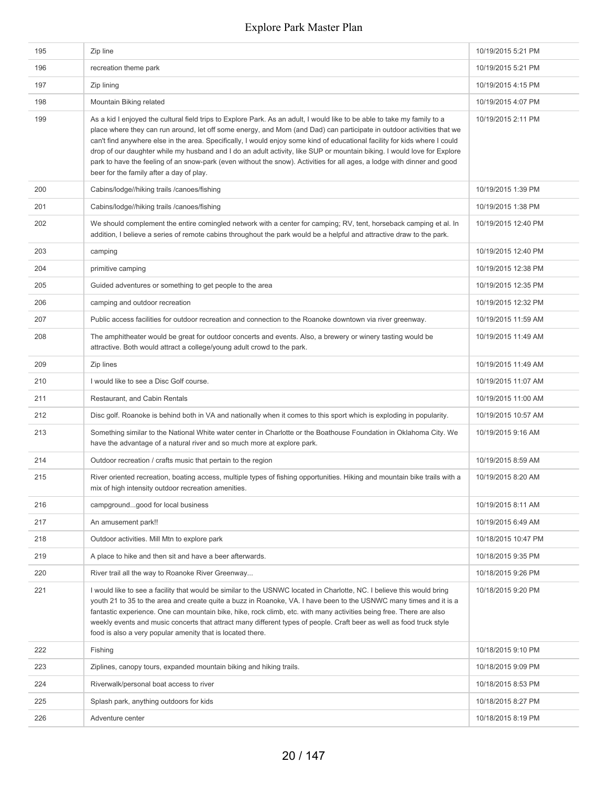| 195 | Zip line                                                                                                                                                                                                                                                                                                                                                                                                                                                                                                                                                                                                                                                                          | 10/19/2015 5:21 PM  |
|-----|-----------------------------------------------------------------------------------------------------------------------------------------------------------------------------------------------------------------------------------------------------------------------------------------------------------------------------------------------------------------------------------------------------------------------------------------------------------------------------------------------------------------------------------------------------------------------------------------------------------------------------------------------------------------------------------|---------------------|
| 196 | recreation theme park                                                                                                                                                                                                                                                                                                                                                                                                                                                                                                                                                                                                                                                             | 10/19/2015 5:21 PM  |
| 197 | Zip lining                                                                                                                                                                                                                                                                                                                                                                                                                                                                                                                                                                                                                                                                        | 10/19/2015 4:15 PM  |
| 198 | Mountain Biking related                                                                                                                                                                                                                                                                                                                                                                                                                                                                                                                                                                                                                                                           | 10/19/2015 4:07 PM  |
| 199 | As a kid I enjoyed the cultural field trips to Explore Park. As an adult, I would like to be able to take my family to a<br>place where they can run around, let off some energy, and Mom (and Dad) can participate in outdoor activities that we<br>can't find anywhere else in the area. Specifically, I would enjoy some kind of educational facility for kids where I could<br>drop of our daughter while my husband and I do an adult activity, like SUP or mountain biking. I would love for Explore<br>park to have the feeling of an snow-park (even without the snow). Activities for all ages, a lodge with dinner and good<br>beer for the family after a day of play. | 10/19/2015 2:11 PM  |
| 200 | Cabins/lodge//hiking trails /canoes/fishing                                                                                                                                                                                                                                                                                                                                                                                                                                                                                                                                                                                                                                       | 10/19/2015 1:39 PM  |
| 201 | Cabins/lodge//hiking trails /canoes/fishing                                                                                                                                                                                                                                                                                                                                                                                                                                                                                                                                                                                                                                       | 10/19/2015 1:38 PM  |
| 202 | We should complement the entire comingled network with a center for camping; RV, tent, horseback camping et al. In<br>addition, I believe a series of remote cabins throughout the park would be a helpful and attractive draw to the park.                                                                                                                                                                                                                                                                                                                                                                                                                                       | 10/19/2015 12:40 PM |
| 203 | camping                                                                                                                                                                                                                                                                                                                                                                                                                                                                                                                                                                                                                                                                           | 10/19/2015 12:40 PM |
| 204 | primitive camping                                                                                                                                                                                                                                                                                                                                                                                                                                                                                                                                                                                                                                                                 | 10/19/2015 12:38 PM |
| 205 | Guided adventures or something to get people to the area                                                                                                                                                                                                                                                                                                                                                                                                                                                                                                                                                                                                                          | 10/19/2015 12:35 PM |
| 206 | camping and outdoor recreation                                                                                                                                                                                                                                                                                                                                                                                                                                                                                                                                                                                                                                                    | 10/19/2015 12:32 PM |
| 207 | Public access facilities for outdoor recreation and connection to the Roanoke downtown via river greenway.                                                                                                                                                                                                                                                                                                                                                                                                                                                                                                                                                                        | 10/19/2015 11:59 AM |
| 208 | The amphitheater would be great for outdoor concerts and events. Also, a brewery or winery tasting would be<br>attractive. Both would attract a college/young adult crowd to the park.                                                                                                                                                                                                                                                                                                                                                                                                                                                                                            | 10/19/2015 11:49 AM |
| 209 | Zip lines                                                                                                                                                                                                                                                                                                                                                                                                                                                                                                                                                                                                                                                                         | 10/19/2015 11:49 AM |
| 210 | I would like to see a Disc Golf course.                                                                                                                                                                                                                                                                                                                                                                                                                                                                                                                                                                                                                                           | 10/19/2015 11:07 AM |
| 211 | Restaurant, and Cabin Rentals                                                                                                                                                                                                                                                                                                                                                                                                                                                                                                                                                                                                                                                     | 10/19/2015 11:00 AM |
| 212 | Disc golf. Roanoke is behind both in VA and nationally when it comes to this sport which is exploding in popularity.                                                                                                                                                                                                                                                                                                                                                                                                                                                                                                                                                              | 10/19/2015 10:57 AM |
| 213 | Something similar to the National White water center in Charlotte or the Boathouse Foundation in Oklahoma City. We<br>have the advantage of a natural river and so much more at explore park.                                                                                                                                                                                                                                                                                                                                                                                                                                                                                     | 10/19/2015 9:16 AM  |
| 214 | Outdoor recreation / crafts music that pertain to the region                                                                                                                                                                                                                                                                                                                                                                                                                                                                                                                                                                                                                      | 10/19/2015 8:59 AM  |
| 215 | River oriented recreation, boating access, multiple types of fishing opportunities. Hiking and mountain bike trails with a<br>mix of high intensity outdoor recreation amenities.                                                                                                                                                                                                                                                                                                                                                                                                                                                                                                 | 10/19/2015 8:20 AM  |
| 216 | campgroundgood for local business                                                                                                                                                                                                                                                                                                                                                                                                                                                                                                                                                                                                                                                 | 10/19/2015 8:11 AM  |
| 217 | An amusement park!!                                                                                                                                                                                                                                                                                                                                                                                                                                                                                                                                                                                                                                                               | 10/19/2015 6:49 AM  |
| 218 | Outdoor activities. Mill Mtn to explore park                                                                                                                                                                                                                                                                                                                                                                                                                                                                                                                                                                                                                                      | 10/18/2015 10:47 PM |
| 219 | A place to hike and then sit and have a beer afterwards.                                                                                                                                                                                                                                                                                                                                                                                                                                                                                                                                                                                                                          | 10/18/2015 9:35 PM  |
| 220 | River trail all the way to Roanoke River Greenway                                                                                                                                                                                                                                                                                                                                                                                                                                                                                                                                                                                                                                 | 10/18/2015 9:26 PM  |
| 221 | I would like to see a facility that would be similar to the USNWC located in Charlotte, NC. I believe this would bring<br>youth 21 to 35 to the area and create quite a buzz in Roanoke, VA. I have been to the USNWC many times and it is a<br>fantastic experience. One can mountain bike, hike, rock climb, etc. with many activities being free. There are also<br>weekly events and music concerts that attract many different types of people. Craft beer as well as food truck style<br>food is also a very popular amenity that is located there.                                                                                                                         | 10/18/2015 9:20 PM  |
| 222 | Fishing                                                                                                                                                                                                                                                                                                                                                                                                                                                                                                                                                                                                                                                                           | 10/18/2015 9:10 PM  |
| 223 | Ziplines, canopy tours, expanded mountain biking and hiking trails.                                                                                                                                                                                                                                                                                                                                                                                                                                                                                                                                                                                                               | 10/18/2015 9:09 PM  |
| 224 | Riverwalk/personal boat access to river                                                                                                                                                                                                                                                                                                                                                                                                                                                                                                                                                                                                                                           | 10/18/2015 8:53 PM  |
| 225 | Splash park, anything outdoors for kids                                                                                                                                                                                                                                                                                                                                                                                                                                                                                                                                                                                                                                           | 10/18/2015 8:27 PM  |
| 226 | Adventure center                                                                                                                                                                                                                                                                                                                                                                                                                                                                                                                                                                                                                                                                  | 10/18/2015 8:19 PM  |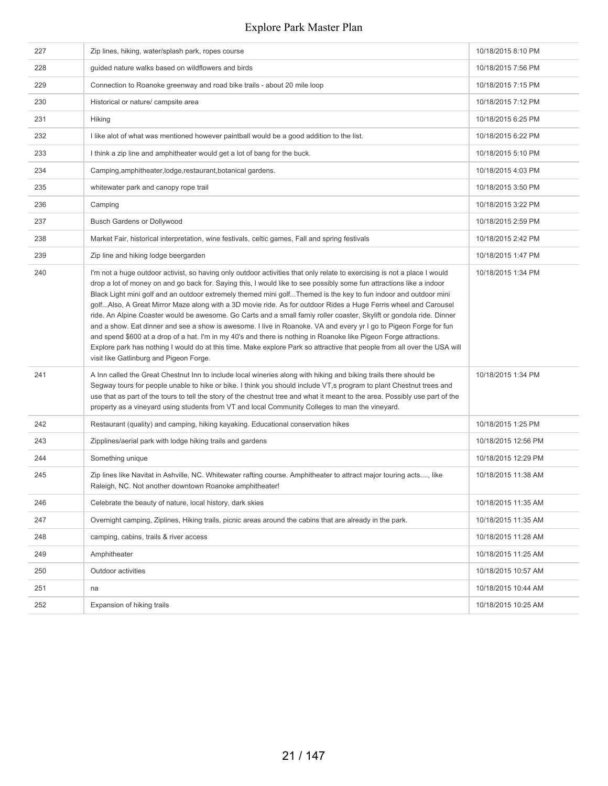| 227 | Zip lines, hiking, water/splash park, ropes course                                                                                                                                                                                                                                                                                                                                                                                                                                                                                                                                                                                                                                                                                                                                                                                                                                                                                                                                                                              | 10/18/2015 8:10 PM  |
|-----|---------------------------------------------------------------------------------------------------------------------------------------------------------------------------------------------------------------------------------------------------------------------------------------------------------------------------------------------------------------------------------------------------------------------------------------------------------------------------------------------------------------------------------------------------------------------------------------------------------------------------------------------------------------------------------------------------------------------------------------------------------------------------------------------------------------------------------------------------------------------------------------------------------------------------------------------------------------------------------------------------------------------------------|---------------------|
| 228 | guided nature walks based on wildflowers and birds                                                                                                                                                                                                                                                                                                                                                                                                                                                                                                                                                                                                                                                                                                                                                                                                                                                                                                                                                                              | 10/18/2015 7:56 PM  |
| 229 | Connection to Roanoke greenway and road bike trails - about 20 mile loop                                                                                                                                                                                                                                                                                                                                                                                                                                                                                                                                                                                                                                                                                                                                                                                                                                                                                                                                                        | 10/18/2015 7:15 PM  |
| 230 | Historical or nature/ campsite area                                                                                                                                                                                                                                                                                                                                                                                                                                                                                                                                                                                                                                                                                                                                                                                                                                                                                                                                                                                             | 10/18/2015 7:12 PM  |
| 231 | Hiking                                                                                                                                                                                                                                                                                                                                                                                                                                                                                                                                                                                                                                                                                                                                                                                                                                                                                                                                                                                                                          | 10/18/2015 6:25 PM  |
| 232 | I like alot of what was mentioned however paintball would be a good addition to the list.                                                                                                                                                                                                                                                                                                                                                                                                                                                                                                                                                                                                                                                                                                                                                                                                                                                                                                                                       | 10/18/2015 6:22 PM  |
| 233 | I think a zip line and amphitheater would get a lot of bang for the buck.                                                                                                                                                                                                                                                                                                                                                                                                                                                                                                                                                                                                                                                                                                                                                                                                                                                                                                                                                       | 10/18/2015 5:10 PM  |
| 234 | Camping, amphitheater, lodge, restaurant, botanical gardens.                                                                                                                                                                                                                                                                                                                                                                                                                                                                                                                                                                                                                                                                                                                                                                                                                                                                                                                                                                    | 10/18/2015 4:03 PM  |
| 235 | whitewater park and canopy rope trail                                                                                                                                                                                                                                                                                                                                                                                                                                                                                                                                                                                                                                                                                                                                                                                                                                                                                                                                                                                           | 10/18/2015 3:50 PM  |
| 236 | Camping                                                                                                                                                                                                                                                                                                                                                                                                                                                                                                                                                                                                                                                                                                                                                                                                                                                                                                                                                                                                                         | 10/18/2015 3:22 PM  |
| 237 | <b>Busch Gardens or Dollywood</b>                                                                                                                                                                                                                                                                                                                                                                                                                                                                                                                                                                                                                                                                                                                                                                                                                                                                                                                                                                                               | 10/18/2015 2:59 PM  |
| 238 | Market Fair, historical interpretation, wine festivals, celtic games, Fall and spring festivals                                                                                                                                                                                                                                                                                                                                                                                                                                                                                                                                                                                                                                                                                                                                                                                                                                                                                                                                 | 10/18/2015 2:42 PM  |
| 239 | Zip line and hiking lodge beergarden                                                                                                                                                                                                                                                                                                                                                                                                                                                                                                                                                                                                                                                                                                                                                                                                                                                                                                                                                                                            | 10/18/2015 1:47 PM  |
| 240 | I'm not a huge outdoor activist, so having only outdoor activities that only relate to exercising is not a place I would<br>drop a lot of money on and go back for. Saying this, I would like to see possibly some fun attractions like a indoor<br>Black Light mini golf and an outdoor extremely themed mini golfThemed is the key to fun indoor and outdoor mini<br>golfAlso, A Great Mirror Maze along with a 3D movie ride. As for outdoor Rides a Huge Ferris wheel and Carousel<br>ride. An Alpine Coaster would be awesome. Go Carts and a small famiy roller coaster, Skylift or gondola ride. Dinner<br>and a show. Eat dinner and see a show is awesome. I live in Roanoke. VA and every yr I go to Pigeon Forge for fun<br>and spend \$600 at a drop of a hat. I'm in my 40's and there is nothing in Roanoke like Pigeon Forge attractions.<br>Explore park has nothing I would do at this time. Make explore Park so attractive that people from all over the USA will<br>visit like Gatlinburg and Pigeon Forge. | 10/18/2015 1:34 PM  |
| 241 | A Inn called the Great Chestnut Inn to include local wineries along with hiking and biking trails there should be<br>Segway tours for people unable to hike or bike. I think you should include VT,s program to plant Chestnut trees and<br>use that as part of the tours to tell the story of the chestnut tree and what it meant to the area. Possibly use part of the<br>property as a vineyard using students from VT and local Community Colleges to man the vineyard.                                                                                                                                                                                                                                                                                                                                                                                                                                                                                                                                                     | 10/18/2015 1:34 PM  |
| 242 | Restaurant (quality) and camping, hiking kayaking. Educational conservation hikes                                                                                                                                                                                                                                                                                                                                                                                                                                                                                                                                                                                                                                                                                                                                                                                                                                                                                                                                               | 10/18/2015 1:25 PM  |
| 243 | Zipplines/aerial park with lodge hiking trails and gardens                                                                                                                                                                                                                                                                                                                                                                                                                                                                                                                                                                                                                                                                                                                                                                                                                                                                                                                                                                      | 10/18/2015 12:56 PM |
| 244 | Something unique                                                                                                                                                                                                                                                                                                                                                                                                                                                                                                                                                                                                                                                                                                                                                                                                                                                                                                                                                                                                                | 10/18/2015 12:29 PM |
| 245 | Zip lines like Navitat in Ashville, NC. Whitewater rafting course. Amphitheater to attract major touring acts, like<br>Raleigh, NC. Not another downtown Roanoke amphitheater!                                                                                                                                                                                                                                                                                                                                                                                                                                                                                                                                                                                                                                                                                                                                                                                                                                                  | 10/18/2015 11:38 AM |
| 246 | Celebrate the beauty of nature, local history, dark skies                                                                                                                                                                                                                                                                                                                                                                                                                                                                                                                                                                                                                                                                                                                                                                                                                                                                                                                                                                       | 10/18/2015 11:35 AM |
| 247 | Overnight camping, Ziplines, Hiking trails, picnic areas around the cabins that are already in the park.                                                                                                                                                                                                                                                                                                                                                                                                                                                                                                                                                                                                                                                                                                                                                                                                                                                                                                                        | 10/18/2015 11:35 AM |
| 248 | camping, cabins, trails & river access                                                                                                                                                                                                                                                                                                                                                                                                                                                                                                                                                                                                                                                                                                                                                                                                                                                                                                                                                                                          | 10/18/2015 11:28 AM |
| 249 | Amphitheater                                                                                                                                                                                                                                                                                                                                                                                                                                                                                                                                                                                                                                                                                                                                                                                                                                                                                                                                                                                                                    | 10/18/2015 11:25 AM |
| 250 | Outdoor activities                                                                                                                                                                                                                                                                                                                                                                                                                                                                                                                                                                                                                                                                                                                                                                                                                                                                                                                                                                                                              | 10/18/2015 10:57 AM |
| 251 | na                                                                                                                                                                                                                                                                                                                                                                                                                                                                                                                                                                                                                                                                                                                                                                                                                                                                                                                                                                                                                              | 10/18/2015 10:44 AM |
| 252 | Expansion of hiking trails                                                                                                                                                                                                                                                                                                                                                                                                                                                                                                                                                                                                                                                                                                                                                                                                                                                                                                                                                                                                      | 10/18/2015 10:25 AM |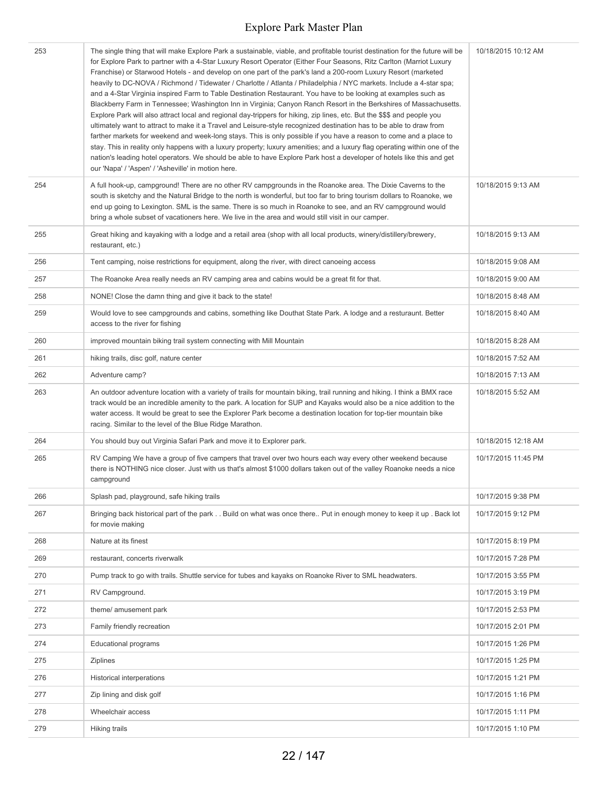| 253 | The single thing that will make Explore Park a sustainable, viable, and profitable tourist destination for the future will be<br>for Explore Park to partner with a 4-Star Luxury Resort Operator (Either Four Seasons, Ritz Carlton (Marriot Luxury<br>Franchise) or Starwood Hotels - and develop on one part of the park's land a 200-room Luxury Resort (marketed<br>heavily to DC-NOVA / Richmond / Tidewater / Charlotte / Atlanta / Philadelphia / NYC markets. Include a 4-star spa;<br>and a 4-Star Virginia inspired Farm to Table Destination Restaurant. You have to be looking at examples such as<br>Blackberry Farm in Tennessee; Washington Inn in Virginia; Canyon Ranch Resort in the Berkshires of Massachusetts.<br>Explore Park will also attract local and regional day-trippers for hiking, zip lines, etc. But the \$\$\$ and people you<br>ultimately want to attract to make it a Travel and Leisure-style recognized destination has to be able to draw from<br>farther markets for weekend and week-long stays. This is only possible if you have a reason to come and a place to<br>stay. This in reality only happens with a luxury property; luxury amenities; and a luxury flag operating within one of the<br>nation's leading hotel operators. We should be able to have Explore Park host a developer of hotels like this and get<br>our 'Napa' / 'Aspen' / 'Asheville' in motion here. | 10/18/2015 10:12 AM |
|-----|----------------------------------------------------------------------------------------------------------------------------------------------------------------------------------------------------------------------------------------------------------------------------------------------------------------------------------------------------------------------------------------------------------------------------------------------------------------------------------------------------------------------------------------------------------------------------------------------------------------------------------------------------------------------------------------------------------------------------------------------------------------------------------------------------------------------------------------------------------------------------------------------------------------------------------------------------------------------------------------------------------------------------------------------------------------------------------------------------------------------------------------------------------------------------------------------------------------------------------------------------------------------------------------------------------------------------------------------------------------------------------------------------------------------------|---------------------|
| 254 | A full hook-up, campground! There are no other RV campgrounds in the Roanoke area. The Dixie Caverns to the<br>south is sketchy and the Natural Bridge to the north is wonderful, but too far to bring tourism dollars to Roanoke, we<br>end up going to Lexington. SML is the same. There is so much in Roanoke to see, and an RV campground would<br>bring a whole subset of vacationers here. We live in the area and would still visit in our camper.                                                                                                                                                                                                                                                                                                                                                                                                                                                                                                                                                                                                                                                                                                                                                                                                                                                                                                                                                                  | 10/18/2015 9:13 AM  |
| 255 | Great hiking and kayaking with a lodge and a retail area (shop with all local products, winery/distillery/brewery,<br>restaurant, etc.)                                                                                                                                                                                                                                                                                                                                                                                                                                                                                                                                                                                                                                                                                                                                                                                                                                                                                                                                                                                                                                                                                                                                                                                                                                                                                    | 10/18/2015 9:13 AM  |
| 256 | Tent camping, noise restrictions for equipment, along the river, with direct canoeing access                                                                                                                                                                                                                                                                                                                                                                                                                                                                                                                                                                                                                                                                                                                                                                                                                                                                                                                                                                                                                                                                                                                                                                                                                                                                                                                               | 10/18/2015 9:08 AM  |
| 257 | The Roanoke Area really needs an RV camping area and cabins would be a great fit for that.                                                                                                                                                                                                                                                                                                                                                                                                                                                                                                                                                                                                                                                                                                                                                                                                                                                                                                                                                                                                                                                                                                                                                                                                                                                                                                                                 | 10/18/2015 9:00 AM  |
| 258 | NONE! Close the damn thing and give it back to the state!                                                                                                                                                                                                                                                                                                                                                                                                                                                                                                                                                                                                                                                                                                                                                                                                                                                                                                                                                                                                                                                                                                                                                                                                                                                                                                                                                                  | 10/18/2015 8:48 AM  |
| 259 | Would love to see campgrounds and cabins, something like Douthat State Park. A lodge and a resturaunt. Better<br>access to the river for fishing                                                                                                                                                                                                                                                                                                                                                                                                                                                                                                                                                                                                                                                                                                                                                                                                                                                                                                                                                                                                                                                                                                                                                                                                                                                                           | 10/18/2015 8:40 AM  |
| 260 | improved mountain biking trail system connecting with Mill Mountain                                                                                                                                                                                                                                                                                                                                                                                                                                                                                                                                                                                                                                                                                                                                                                                                                                                                                                                                                                                                                                                                                                                                                                                                                                                                                                                                                        | 10/18/2015 8:28 AM  |
| 261 | hiking trails, disc golf, nature center                                                                                                                                                                                                                                                                                                                                                                                                                                                                                                                                                                                                                                                                                                                                                                                                                                                                                                                                                                                                                                                                                                                                                                                                                                                                                                                                                                                    | 10/18/2015 7:52 AM  |
| 262 | Adventure camp?                                                                                                                                                                                                                                                                                                                                                                                                                                                                                                                                                                                                                                                                                                                                                                                                                                                                                                                                                                                                                                                                                                                                                                                                                                                                                                                                                                                                            | 10/18/2015 7:13 AM  |
| 263 | An outdoor adventure location with a variety of trails for mountain biking, trail running and hiking. I think a BMX race<br>track would be an incredible amenity to the park. A location for SUP and Kayaks would also be a nice addition to the<br>water access. It would be great to see the Explorer Park become a destination location for top-tier mountain bike<br>racing. Similar to the level of the Blue Ridge Marathon.                                                                                                                                                                                                                                                                                                                                                                                                                                                                                                                                                                                                                                                                                                                                                                                                                                                                                                                                                                                          | 10/18/2015 5:52 AM  |
| 264 | You should buy out Virginia Safari Park and move it to Explorer park.                                                                                                                                                                                                                                                                                                                                                                                                                                                                                                                                                                                                                                                                                                                                                                                                                                                                                                                                                                                                                                                                                                                                                                                                                                                                                                                                                      | 10/18/2015 12:18 AM |
| 265 | RV Camping We have a group of five campers that travel over two hours each way every other weekend because<br>there is NOTHING nice closer. Just with us that's almost \$1000 dollars taken out of the valley Roanoke needs a nice<br>campground                                                                                                                                                                                                                                                                                                                                                                                                                                                                                                                                                                                                                                                                                                                                                                                                                                                                                                                                                                                                                                                                                                                                                                           | 10/17/2015 11:45 PM |
| 266 | Splash pad, playground, safe hiking trails                                                                                                                                                                                                                                                                                                                                                                                                                                                                                                                                                                                                                                                                                                                                                                                                                                                                                                                                                                                                                                                                                                                                                                                                                                                                                                                                                                                 | 10/17/2015 9:38 PM  |
| 267 | Bringing back historical part of the park Build on what was once there Put in enough money to keep it up . Back lot<br>for movie making                                                                                                                                                                                                                                                                                                                                                                                                                                                                                                                                                                                                                                                                                                                                                                                                                                                                                                                                                                                                                                                                                                                                                                                                                                                                                    | 10/17/2015 9:12 PM  |
| 268 | Nature at its finest                                                                                                                                                                                                                                                                                                                                                                                                                                                                                                                                                                                                                                                                                                                                                                                                                                                                                                                                                                                                                                                                                                                                                                                                                                                                                                                                                                                                       | 10/17/2015 8:19 PM  |
| 269 | restaurant, concerts riverwalk                                                                                                                                                                                                                                                                                                                                                                                                                                                                                                                                                                                                                                                                                                                                                                                                                                                                                                                                                                                                                                                                                                                                                                                                                                                                                                                                                                                             | 10/17/2015 7:28 PM  |
| 270 | Pump track to go with trails. Shuttle service for tubes and kayaks on Roanoke River to SML headwaters.                                                                                                                                                                                                                                                                                                                                                                                                                                                                                                                                                                                                                                                                                                                                                                                                                                                                                                                                                                                                                                                                                                                                                                                                                                                                                                                     | 10/17/2015 3:55 PM  |
| 271 | RV Campground.                                                                                                                                                                                                                                                                                                                                                                                                                                                                                                                                                                                                                                                                                                                                                                                                                                                                                                                                                                                                                                                                                                                                                                                                                                                                                                                                                                                                             | 10/17/2015 3:19 PM  |
| 272 | theme/ amusement park                                                                                                                                                                                                                                                                                                                                                                                                                                                                                                                                                                                                                                                                                                                                                                                                                                                                                                                                                                                                                                                                                                                                                                                                                                                                                                                                                                                                      | 10/17/2015 2:53 PM  |
| 273 | Family friendly recreation                                                                                                                                                                                                                                                                                                                                                                                                                                                                                                                                                                                                                                                                                                                                                                                                                                                                                                                                                                                                                                                                                                                                                                                                                                                                                                                                                                                                 | 10/17/2015 2:01 PM  |
| 274 | <b>Educational programs</b>                                                                                                                                                                                                                                                                                                                                                                                                                                                                                                                                                                                                                                                                                                                                                                                                                                                                                                                                                                                                                                                                                                                                                                                                                                                                                                                                                                                                | 10/17/2015 1:26 PM  |
| 275 | <b>Ziplines</b>                                                                                                                                                                                                                                                                                                                                                                                                                                                                                                                                                                                                                                                                                                                                                                                                                                                                                                                                                                                                                                                                                                                                                                                                                                                                                                                                                                                                            | 10/17/2015 1:25 PM  |
| 276 | <b>Historical interperations</b>                                                                                                                                                                                                                                                                                                                                                                                                                                                                                                                                                                                                                                                                                                                                                                                                                                                                                                                                                                                                                                                                                                                                                                                                                                                                                                                                                                                           | 10/17/2015 1:21 PM  |
| 277 | Zip lining and disk golf                                                                                                                                                                                                                                                                                                                                                                                                                                                                                                                                                                                                                                                                                                                                                                                                                                                                                                                                                                                                                                                                                                                                                                                                                                                                                                                                                                                                   | 10/17/2015 1:16 PM  |
| 278 | Wheelchair access                                                                                                                                                                                                                                                                                                                                                                                                                                                                                                                                                                                                                                                                                                                                                                                                                                                                                                                                                                                                                                                                                                                                                                                                                                                                                                                                                                                                          | 10/17/2015 1:11 PM  |
| 279 | <b>Hiking trails</b>                                                                                                                                                                                                                                                                                                                                                                                                                                                                                                                                                                                                                                                                                                                                                                                                                                                                                                                                                                                                                                                                                                                                                                                                                                                                                                                                                                                                       | 10/17/2015 1:10 PM  |
|     |                                                                                                                                                                                                                                                                                                                                                                                                                                                                                                                                                                                                                                                                                                                                                                                                                                                                                                                                                                                                                                                                                                                                                                                                                                                                                                                                                                                                                            |                     |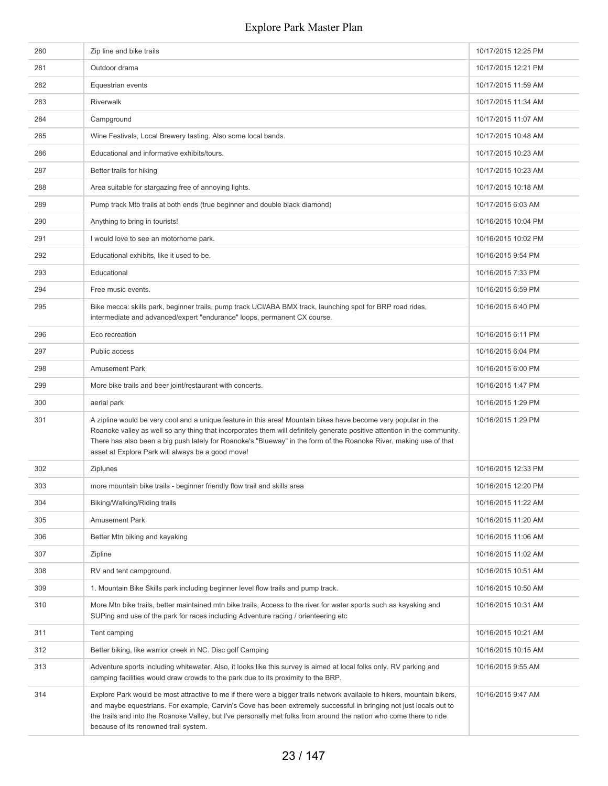| 280 | Zip line and bike trails                                                                                                                                                                                                                                                                                                                                                                                              | 10/17/2015 12:25 PM |
|-----|-----------------------------------------------------------------------------------------------------------------------------------------------------------------------------------------------------------------------------------------------------------------------------------------------------------------------------------------------------------------------------------------------------------------------|---------------------|
| 281 | Outdoor drama                                                                                                                                                                                                                                                                                                                                                                                                         | 10/17/2015 12:21 PM |
| 282 | Equestrian events                                                                                                                                                                                                                                                                                                                                                                                                     | 10/17/2015 11:59 AM |
| 283 | Riverwalk                                                                                                                                                                                                                                                                                                                                                                                                             | 10/17/2015 11:34 AM |
| 284 | Campground                                                                                                                                                                                                                                                                                                                                                                                                            | 10/17/2015 11:07 AM |
| 285 | Wine Festivals, Local Brewery tasting. Also some local bands.                                                                                                                                                                                                                                                                                                                                                         | 10/17/2015 10:48 AM |
| 286 | Educational and informative exhibits/tours.                                                                                                                                                                                                                                                                                                                                                                           | 10/17/2015 10:23 AM |
| 287 | Better trails for hiking                                                                                                                                                                                                                                                                                                                                                                                              | 10/17/2015 10:23 AM |
| 288 | Area suitable for stargazing free of annoying lights.                                                                                                                                                                                                                                                                                                                                                                 | 10/17/2015 10:18 AM |
| 289 | Pump track Mtb trails at both ends (true beginner and double black diamond)                                                                                                                                                                                                                                                                                                                                           | 10/17/2015 6:03 AM  |
| 290 | Anything to bring in tourists!                                                                                                                                                                                                                                                                                                                                                                                        | 10/16/2015 10:04 PM |
| 291 | I would love to see an motorhome park.                                                                                                                                                                                                                                                                                                                                                                                | 10/16/2015 10:02 PM |
| 292 | Educational exhibits, like it used to be.                                                                                                                                                                                                                                                                                                                                                                             | 10/16/2015 9:54 PM  |
| 293 | Educational                                                                                                                                                                                                                                                                                                                                                                                                           | 10/16/2015 7:33 PM  |
| 294 | Free music events.                                                                                                                                                                                                                                                                                                                                                                                                    | 10/16/2015 6:59 PM  |
| 295 | Bike mecca: skills park, beginner trails, pump track UCI/ABA BMX track, launching spot for BRP road rides,<br>intermediate and advanced/expert "endurance" loops, permanent CX course.                                                                                                                                                                                                                                | 10/16/2015 6:40 PM  |
| 296 | Eco recreation                                                                                                                                                                                                                                                                                                                                                                                                        | 10/16/2015 6:11 PM  |
| 297 | Public access                                                                                                                                                                                                                                                                                                                                                                                                         | 10/16/2015 6:04 PM  |
| 298 | <b>Amusement Park</b>                                                                                                                                                                                                                                                                                                                                                                                                 | 10/16/2015 6:00 PM  |
| 299 | More bike trails and beer joint/restaurant with concerts.                                                                                                                                                                                                                                                                                                                                                             | 10/16/2015 1:47 PM  |
| 300 | aerial park                                                                                                                                                                                                                                                                                                                                                                                                           | 10/16/2015 1:29 PM  |
| 301 | A zipline would be very cool and a unique feature in this area! Mountain bikes have become very popular in the<br>Roanoke valley as well so any thing that incorporates them will definitely generate positive attention in the community.<br>There has also been a big push lately for Roanoke's "Blueway" in the form of the Roanoke River, making use of that<br>asset at Explore Park will always be a good move! | 10/16/2015 1:29 PM  |
| 302 | Ziplunes                                                                                                                                                                                                                                                                                                                                                                                                              | 10/16/2015 12:33 PM |
| 303 | more mountain bike trails - beginner friendly flow trail and skills area                                                                                                                                                                                                                                                                                                                                              | 10/16/2015 12:20 PM |
| 304 | Biking/Walking/Riding trails                                                                                                                                                                                                                                                                                                                                                                                          | 10/16/2015 11:22 AM |
| 305 | <b>Amusement Park</b>                                                                                                                                                                                                                                                                                                                                                                                                 | 10/16/2015 11:20 AM |
| 306 | Better Mtn biking and kayaking                                                                                                                                                                                                                                                                                                                                                                                        | 10/16/2015 11:06 AM |
| 307 | Zipline                                                                                                                                                                                                                                                                                                                                                                                                               | 10/16/2015 11:02 AM |
| 308 | RV and tent campground.                                                                                                                                                                                                                                                                                                                                                                                               | 10/16/2015 10:51 AM |
| 309 | 1. Mountain Bike Skills park including beginner level flow trails and pump track.                                                                                                                                                                                                                                                                                                                                     | 10/16/2015 10:50 AM |
| 310 | More Mtn bike trails, better maintained mtn bike trails, Access to the river for water sports such as kayaking and<br>SUPing and use of the park for races including Adventure racing / orienteering etc                                                                                                                                                                                                              | 10/16/2015 10:31 AM |
| 311 | Tent camping                                                                                                                                                                                                                                                                                                                                                                                                          | 10/16/2015 10:21 AM |
| 312 | Better biking, like warrior creek in NC. Disc golf Camping                                                                                                                                                                                                                                                                                                                                                            | 10/16/2015 10:15 AM |
| 313 | Adventure sports including whitewater. Also, it looks like this survey is aimed at local folks only. RV parking and<br>camping facilities would draw crowds to the park due to its proximity to the BRP.                                                                                                                                                                                                              | 10/16/2015 9:55 AM  |
| 314 | Explore Park would be most attractive to me if there were a bigger trails network available to hikers, mountain bikers,<br>and maybe equestrians. For example, Carvin's Cove has been extremely successful in bringing not just locals out to<br>the trails and into the Roanoke Valley, but I've personally met folks from around the nation who come there to ride<br>because of its renowned trail system.         | 10/16/2015 9:47 AM  |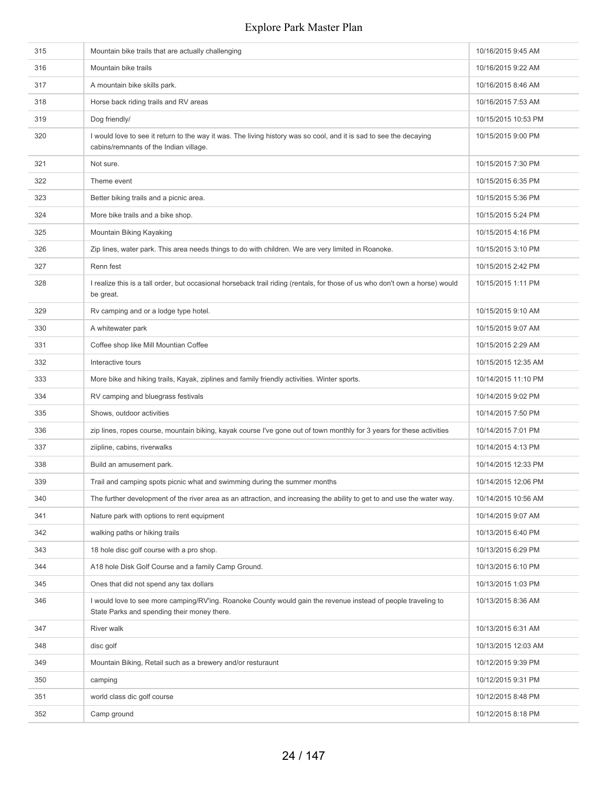| 315 | Mountain bike trails that are actually challenging                                                                                                           | 10/16/2015 9:45 AM  |
|-----|--------------------------------------------------------------------------------------------------------------------------------------------------------------|---------------------|
| 316 | Mountain bike trails                                                                                                                                         | 10/16/2015 9:22 AM  |
| 317 | A mountain bike skills park.                                                                                                                                 | 10/16/2015 8:46 AM  |
| 318 | Horse back riding trails and RV areas                                                                                                                        | 10/16/2015 7:53 AM  |
| 319 | Dog friendly/                                                                                                                                                | 10/15/2015 10:53 PM |
| 320 | I would love to see it return to the way it was. The living history was so cool, and it is sad to see the decaying<br>cabins/remnants of the Indian village. | 10/15/2015 9:00 PM  |
| 321 | Not sure.                                                                                                                                                    | 10/15/2015 7:30 PM  |
| 322 | Theme event                                                                                                                                                  | 10/15/2015 6:35 PM  |
| 323 | Better biking trails and a picnic area.                                                                                                                      | 10/15/2015 5:36 PM  |
| 324 | More bike trails and a bike shop.                                                                                                                            | 10/15/2015 5:24 PM  |
| 325 | Mountain Biking Kayaking                                                                                                                                     | 10/15/2015 4:16 PM  |
| 326 | Zip lines, water park. This area needs things to do with children. We are very limited in Roanoke.                                                           | 10/15/2015 3:10 PM  |
| 327 | Renn fest                                                                                                                                                    | 10/15/2015 2:42 PM  |
| 328 | I realize this is a tall order, but occasional horseback trail riding (rentals, for those of us who don't own a horse) would<br>be great.                    | 10/15/2015 1:11 PM  |
| 329 | Rv camping and or a lodge type hotel.                                                                                                                        | 10/15/2015 9:10 AM  |
| 330 | A whitewater park                                                                                                                                            | 10/15/2015 9:07 AM  |
| 331 | Coffee shop like Mill Mountian Coffee                                                                                                                        | 10/15/2015 2:29 AM  |
| 332 | Interactive tours                                                                                                                                            | 10/15/2015 12:35 AM |
| 333 | More bike and hiking trails, Kayak, ziplines and family friendly activities. Winter sports.                                                                  | 10/14/2015 11:10 PM |
| 334 | RV camping and bluegrass festivals                                                                                                                           | 10/14/2015 9:02 PM  |
| 335 | Shows, outdoor activities                                                                                                                                    | 10/14/2015 7:50 PM  |
| 336 | zip lines, ropes course, mountain biking, kayak course I've gone out of town monthly for 3 years for these activities                                        | 10/14/2015 7:01 PM  |
| 337 | ziipline, cabins, riverwalks                                                                                                                                 | 10/14/2015 4:13 PM  |
| 338 | Build an amusement park.                                                                                                                                     | 10/14/2015 12:33 PM |
| 339 | Trail and camping spots picnic what and swimming during the summer months                                                                                    | 10/14/2015 12:06 PM |
| 340 | The further development of the river area as an attraction, and increasing the ability to get to and use the water way.                                      | 10/14/2015 10:56 AM |
| 341 | Nature park with options to rent equipment                                                                                                                   | 10/14/2015 9:07 AM  |
| 342 | walking paths or hiking trails                                                                                                                               | 10/13/2015 6:40 PM  |
| 343 | 18 hole disc golf course with a pro shop.                                                                                                                    | 10/13/2015 6:29 PM  |
| 344 | A18 hole Disk Golf Course and a family Camp Ground.                                                                                                          | 10/13/2015 6:10 PM  |
| 345 | Ones that did not spend any tax dollars                                                                                                                      | 10/13/2015 1:03 PM  |
| 346 | I would love to see more camping/RV'ing. Roanoke County would gain the revenue instead of people traveling to<br>State Parks and spending their money there. | 10/13/2015 8:36 AM  |
| 347 | River walk                                                                                                                                                   | 10/13/2015 6:31 AM  |
| 348 | disc golf                                                                                                                                                    | 10/13/2015 12:03 AM |
| 349 | Mountain Biking, Retail such as a brewery and/or resturaunt                                                                                                  | 10/12/2015 9:39 PM  |
| 350 | camping                                                                                                                                                      | 10/12/2015 9:31 PM  |
| 351 | world class dic golf course                                                                                                                                  | 10/12/2015 8:48 PM  |
| 352 | Camp ground                                                                                                                                                  | 10/12/2015 8:18 PM  |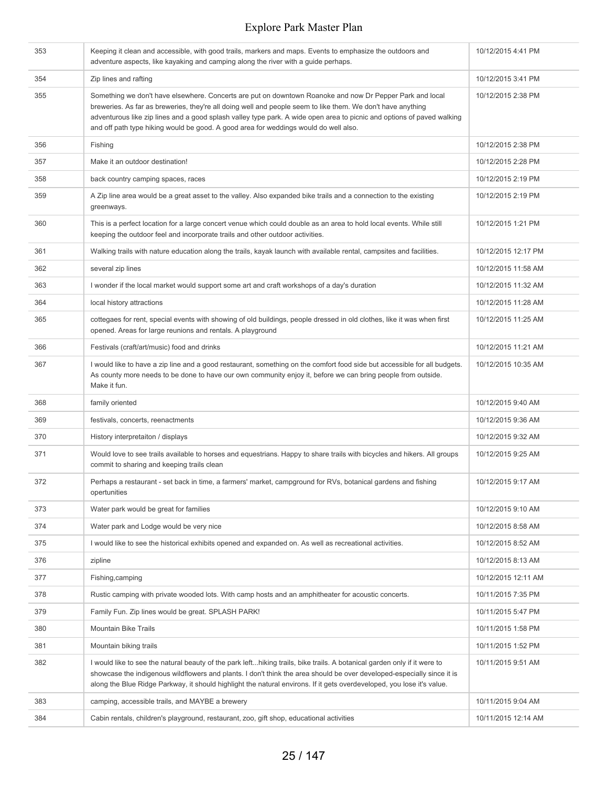| 353 | Keeping it clean and accessible, with good trails, markers and maps. Events to emphasize the outdoors and<br>adventure aspects, like kayaking and camping along the river with a guide perhaps.                                                                                                                                                                                                                                           | 10/12/2015 4:41 PM  |
|-----|-------------------------------------------------------------------------------------------------------------------------------------------------------------------------------------------------------------------------------------------------------------------------------------------------------------------------------------------------------------------------------------------------------------------------------------------|---------------------|
| 354 | Zip lines and rafting                                                                                                                                                                                                                                                                                                                                                                                                                     | 10/12/2015 3:41 PM  |
| 355 | Something we don't have elsewhere. Concerts are put on downtown Roanoke and now Dr Pepper Park and local<br>breweries. As far as breweries, they're all doing well and people seem to like them. We don't have anything<br>adventurous like zip lines and a good splash valley type park. A wide open area to picnic and options of paved walking<br>and off path type hiking would be good. A good area for weddings would do well also. | 10/12/2015 2:38 PM  |
| 356 | Fishing                                                                                                                                                                                                                                                                                                                                                                                                                                   | 10/12/2015 2:38 PM  |
| 357 | Make it an outdoor destination!                                                                                                                                                                                                                                                                                                                                                                                                           | 10/12/2015 2:28 PM  |
| 358 | back country camping spaces, races                                                                                                                                                                                                                                                                                                                                                                                                        | 10/12/2015 2:19 PM  |
| 359 | A Zip line area would be a great asset to the valley. Also expanded bike trails and a connection to the existing<br>greenways.                                                                                                                                                                                                                                                                                                            | 10/12/2015 2:19 PM  |
| 360 | This is a perfect location for a large concert venue which could double as an area to hold local events. While still<br>keeping the outdoor feel and incorporate trails and other outdoor activities.                                                                                                                                                                                                                                     | 10/12/2015 1:21 PM  |
| 361 | Walking trails with nature education along the trails, kayak launch with available rental, campsites and facilities.                                                                                                                                                                                                                                                                                                                      | 10/12/2015 12:17 PM |
| 362 | several zip lines                                                                                                                                                                                                                                                                                                                                                                                                                         | 10/12/2015 11:58 AM |
| 363 | I wonder if the local market would support some art and craft workshops of a day's duration                                                                                                                                                                                                                                                                                                                                               | 10/12/2015 11:32 AM |
| 364 | local history attractions                                                                                                                                                                                                                                                                                                                                                                                                                 | 10/12/2015 11:28 AM |
| 365 | cottegaes for rent, special events with showing of old buildings, people dressed in old clothes, like it was when first<br>opened. Areas for large reunions and rentals. A playground                                                                                                                                                                                                                                                     | 10/12/2015 11:25 AM |
| 366 | Festivals (craft/art/music) food and drinks                                                                                                                                                                                                                                                                                                                                                                                               | 10/12/2015 11:21 AM |
| 367 | I would like to have a zip line and a good restaurant, something on the comfort food side but accessible for all budgets.<br>As county more needs to be done to have our own community enjoy it, before we can bring people from outside.<br>Make it fun.                                                                                                                                                                                 | 10/12/2015 10:35 AM |
| 368 | family oriented                                                                                                                                                                                                                                                                                                                                                                                                                           | 10/12/2015 9:40 AM  |
| 369 | festivals, concerts, reenactments                                                                                                                                                                                                                                                                                                                                                                                                         | 10/12/2015 9:36 AM  |
| 370 | History interpretaiton / displays                                                                                                                                                                                                                                                                                                                                                                                                         | 10/12/2015 9:32 AM  |
| 371 | Would love to see trails available to horses and equestrians. Happy to share trails with bicycles and hikers. All groups<br>commit to sharing and keeping trails clean                                                                                                                                                                                                                                                                    | 10/12/2015 9:25 AM  |
| 372 | Perhaps a restaurant - set back in time, a farmers' market, campground for RVs, botanical gardens and fishing<br>opertunities                                                                                                                                                                                                                                                                                                             | 10/12/2015 9:17 AM  |
| 373 | Water park would be great for families                                                                                                                                                                                                                                                                                                                                                                                                    | 10/12/2015 9:10 AM  |
| 374 | Water park and Lodge would be very nice                                                                                                                                                                                                                                                                                                                                                                                                   | 10/12/2015 8:58 AM  |
| 375 | I would like to see the historical exhibits opened and expanded on. As well as recreational activities.                                                                                                                                                                                                                                                                                                                                   | 10/12/2015 8:52 AM  |
| 376 | zipline                                                                                                                                                                                                                                                                                                                                                                                                                                   | 10/12/2015 8:13 AM  |
| 377 | Fishing, camping                                                                                                                                                                                                                                                                                                                                                                                                                          | 10/12/2015 12:11 AM |
| 378 | Rustic camping with private wooded lots. With camp hosts and an amphitheater for acoustic concerts.                                                                                                                                                                                                                                                                                                                                       | 10/11/2015 7:35 PM  |
| 379 | Family Fun. Zip lines would be great. SPLASH PARK!                                                                                                                                                                                                                                                                                                                                                                                        | 10/11/2015 5:47 PM  |
| 380 | <b>Mountain Bike Trails</b>                                                                                                                                                                                                                                                                                                                                                                                                               | 10/11/2015 1:58 PM  |
| 381 | Mountain biking trails                                                                                                                                                                                                                                                                                                                                                                                                                    | 10/11/2015 1:52 PM  |
| 382 | I would like to see the natural beauty of the park lefthiking trails, bike trails. A botanical garden only if it were to<br>showcase the indigenous wildflowers and plants. I don't think the area should be over developed-especially since it is<br>along the Blue Ridge Parkway, it should highlight the natural environs. If it gets overdeveloped, you lose it's value.                                                              | 10/11/2015 9:51 AM  |
| 383 | camping, accessible trails, and MAYBE a brewery                                                                                                                                                                                                                                                                                                                                                                                           | 10/11/2015 9:04 AM  |
| 384 | Cabin rentals, children's playground, restaurant, zoo, gift shop, educational activities                                                                                                                                                                                                                                                                                                                                                  | 10/11/2015 12:14 AM |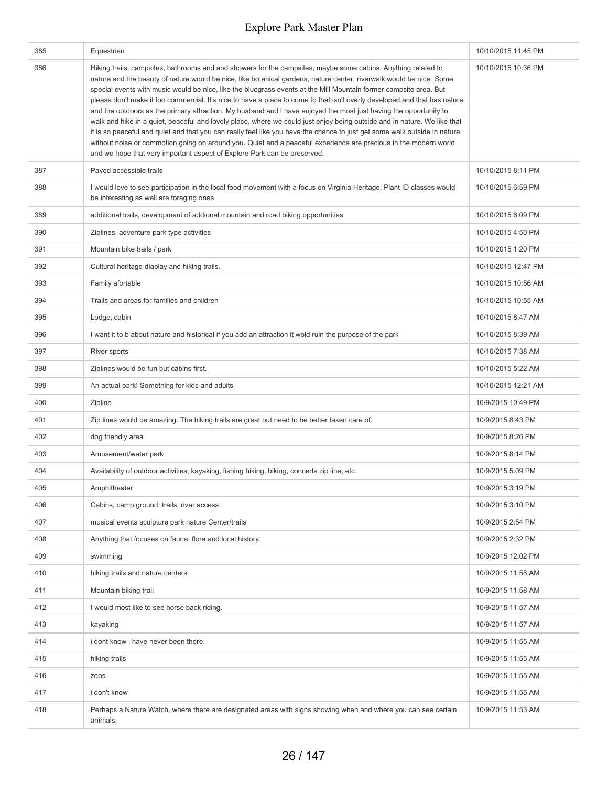| 385 | Equestrian                                                                                                                                                                                                                                                                                                                                                                                                                                                                                                                                                                                                                                                                                                                                                                                                                                                                                                                                                                                                                                                           | 10/10/2015 11:45 PM |
|-----|----------------------------------------------------------------------------------------------------------------------------------------------------------------------------------------------------------------------------------------------------------------------------------------------------------------------------------------------------------------------------------------------------------------------------------------------------------------------------------------------------------------------------------------------------------------------------------------------------------------------------------------------------------------------------------------------------------------------------------------------------------------------------------------------------------------------------------------------------------------------------------------------------------------------------------------------------------------------------------------------------------------------------------------------------------------------|---------------------|
| 386 | Hiking trails, campsites, bathrooms and and showers for the campsites, maybe some cabins. Anything related to<br>nature and the beauty of nature would be nice, like botanical gardens, nature center, riverwalk would be nice. Some<br>special events with music would be nice, like the bluegrass events at the Mill Mountain former campsite area. But<br>please don't make it too commercial. It's nice to have a place to come to that isn't overly developed and that has nature<br>and the outdoors as the primary attraction. My husband and I have enjoyed the most just having the opportunity to<br>walk and hike in a quiet, peaceful and lovely place, where we could just enjoy being outside and in nature. We like that<br>it is so peaceful and quiet and that you can really feel like you have the chance to just get some walk outside in nature<br>without noise or commotion going on around you. Quiet and a peaceful experience are precious in the modern world<br>and we hope that very important aspect of Explore Park can be preserved. | 10/10/2015 10:36 PM |
| 387 | Paved accessible trails                                                                                                                                                                                                                                                                                                                                                                                                                                                                                                                                                                                                                                                                                                                                                                                                                                                                                                                                                                                                                                              | 10/10/2015 8:11 PM  |
| 388 | I would love to see participation in the local food movement with a focus on Virginia Heritage. Plant ID classes would<br>be interesting as well are foraging ones                                                                                                                                                                                                                                                                                                                                                                                                                                                                                                                                                                                                                                                                                                                                                                                                                                                                                                   | 10/10/2015 6:59 PM  |
| 389 | additional trails, development of addional mountain and road biking opportunities                                                                                                                                                                                                                                                                                                                                                                                                                                                                                                                                                                                                                                                                                                                                                                                                                                                                                                                                                                                    | 10/10/2015 6:09 PM  |
| 390 | Ziplines, adventure park type activities                                                                                                                                                                                                                                                                                                                                                                                                                                                                                                                                                                                                                                                                                                                                                                                                                                                                                                                                                                                                                             | 10/10/2015 4:50 PM  |
| 391 | Mountain bike trails / park                                                                                                                                                                                                                                                                                                                                                                                                                                                                                                                                                                                                                                                                                                                                                                                                                                                                                                                                                                                                                                          | 10/10/2015 1:20 PM  |
| 392 | Cultural heritage diaplay and hiking trails.                                                                                                                                                                                                                                                                                                                                                                                                                                                                                                                                                                                                                                                                                                                                                                                                                                                                                                                                                                                                                         | 10/10/2015 12:47 PM |
| 393 | Family afortable                                                                                                                                                                                                                                                                                                                                                                                                                                                                                                                                                                                                                                                                                                                                                                                                                                                                                                                                                                                                                                                     | 10/10/2015 10:56 AM |
| 394 | Trails and areas for families and children                                                                                                                                                                                                                                                                                                                                                                                                                                                                                                                                                                                                                                                                                                                                                                                                                                                                                                                                                                                                                           | 10/10/2015 10:55 AM |
| 395 | Lodge, cabin                                                                                                                                                                                                                                                                                                                                                                                                                                                                                                                                                                                                                                                                                                                                                                                                                                                                                                                                                                                                                                                         | 10/10/2015 8:47 AM  |
| 396 | I want it to b about nature and historical if you add an attraction it wold ruin the purpose of the park                                                                                                                                                                                                                                                                                                                                                                                                                                                                                                                                                                                                                                                                                                                                                                                                                                                                                                                                                             | 10/10/2015 8:39 AM  |
| 397 | River sports                                                                                                                                                                                                                                                                                                                                                                                                                                                                                                                                                                                                                                                                                                                                                                                                                                                                                                                                                                                                                                                         | 10/10/2015 7:38 AM  |
| 398 | Ziplines would be fun but cabins first.                                                                                                                                                                                                                                                                                                                                                                                                                                                                                                                                                                                                                                                                                                                                                                                                                                                                                                                                                                                                                              | 10/10/2015 5:22 AM  |
| 399 | An actual park! Something for kids and adults                                                                                                                                                                                                                                                                                                                                                                                                                                                                                                                                                                                                                                                                                                                                                                                                                                                                                                                                                                                                                        | 10/10/2015 12:21 AM |
| 400 | Zipline                                                                                                                                                                                                                                                                                                                                                                                                                                                                                                                                                                                                                                                                                                                                                                                                                                                                                                                                                                                                                                                              | 10/9/2015 10:49 PM  |
| 401 | Zip lines would be amazing. The hiking trails are great but need to be better taken care of.                                                                                                                                                                                                                                                                                                                                                                                                                                                                                                                                                                                                                                                                                                                                                                                                                                                                                                                                                                         | 10/9/2015 8:43 PM   |
| 402 | dog friendly area                                                                                                                                                                                                                                                                                                                                                                                                                                                                                                                                                                                                                                                                                                                                                                                                                                                                                                                                                                                                                                                    | 10/9/2015 8:26 PM   |
| 403 | Amusement/water park                                                                                                                                                                                                                                                                                                                                                                                                                                                                                                                                                                                                                                                                                                                                                                                                                                                                                                                                                                                                                                                 | 10/9/2015 8:14 PM   |
| 404 | Availability of outdoor activities, kayaking, fishing hiking, biking, concerts zip line, etc.                                                                                                                                                                                                                                                                                                                                                                                                                                                                                                                                                                                                                                                                                                                                                                                                                                                                                                                                                                        | 10/9/2015 5:09 PM   |
| 405 | Amphitheater                                                                                                                                                                                                                                                                                                                                                                                                                                                                                                                                                                                                                                                                                                                                                                                                                                                                                                                                                                                                                                                         | 10/9/2015 3:19 PM   |
| 406 | Cabins, camp ground, trails, river access                                                                                                                                                                                                                                                                                                                                                                                                                                                                                                                                                                                                                                                                                                                                                                                                                                                                                                                                                                                                                            | 10/9/2015 3:10 PM   |
| 407 | musical events sculpture park nature Center/trails                                                                                                                                                                                                                                                                                                                                                                                                                                                                                                                                                                                                                                                                                                                                                                                                                                                                                                                                                                                                                   | 10/9/2015 2:54 PM   |
| 408 | Anything that focuses on fauna, flora and local history.                                                                                                                                                                                                                                                                                                                                                                                                                                                                                                                                                                                                                                                                                                                                                                                                                                                                                                                                                                                                             | 10/9/2015 2:32 PM   |
| 409 | swimming                                                                                                                                                                                                                                                                                                                                                                                                                                                                                                                                                                                                                                                                                                                                                                                                                                                                                                                                                                                                                                                             | 10/9/2015 12:02 PM  |
| 410 | hiking trails and nature centers                                                                                                                                                                                                                                                                                                                                                                                                                                                                                                                                                                                                                                                                                                                                                                                                                                                                                                                                                                                                                                     | 10/9/2015 11:58 AM  |
| 411 | Mountain biking trail                                                                                                                                                                                                                                                                                                                                                                                                                                                                                                                                                                                                                                                                                                                                                                                                                                                                                                                                                                                                                                                | 10/9/2015 11:58 AM  |
| 412 | I would most like to see horse back riding.                                                                                                                                                                                                                                                                                                                                                                                                                                                                                                                                                                                                                                                                                                                                                                                                                                                                                                                                                                                                                          | 10/9/2015 11:57 AM  |
| 413 | kayaking                                                                                                                                                                                                                                                                                                                                                                                                                                                                                                                                                                                                                                                                                                                                                                                                                                                                                                                                                                                                                                                             | 10/9/2015 11:57 AM  |
| 414 | i dont know i have never been there.                                                                                                                                                                                                                                                                                                                                                                                                                                                                                                                                                                                                                                                                                                                                                                                                                                                                                                                                                                                                                                 | 10/9/2015 11:55 AM  |
| 415 | hiking trails                                                                                                                                                                                                                                                                                                                                                                                                                                                                                                                                                                                                                                                                                                                                                                                                                                                                                                                                                                                                                                                        | 10/9/2015 11:55 AM  |
| 416 | <b>ZOOS</b>                                                                                                                                                                                                                                                                                                                                                                                                                                                                                                                                                                                                                                                                                                                                                                                                                                                                                                                                                                                                                                                          | 10/9/2015 11:55 AM  |
| 417 | i don't know                                                                                                                                                                                                                                                                                                                                                                                                                                                                                                                                                                                                                                                                                                                                                                                                                                                                                                                                                                                                                                                         | 10/9/2015 11:55 AM  |
| 418 | Perhaps a Nature Watch, where there are designated areas with signs showing when and where you can see certain<br>animals.                                                                                                                                                                                                                                                                                                                                                                                                                                                                                                                                                                                                                                                                                                                                                                                                                                                                                                                                           | 10/9/2015 11:53 AM  |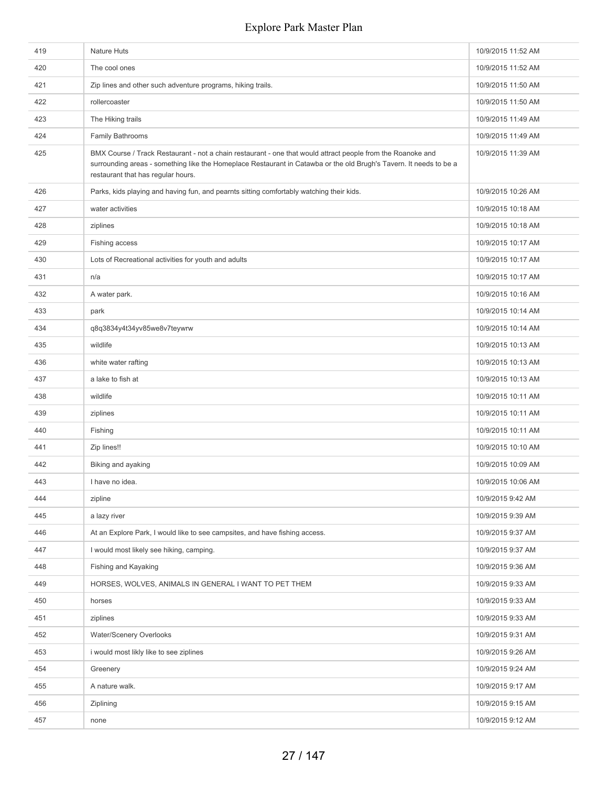| 419 | Nature Huts                                                                                                                                                                                                                                                             | 10/9/2015 11:52 AM |
|-----|-------------------------------------------------------------------------------------------------------------------------------------------------------------------------------------------------------------------------------------------------------------------------|--------------------|
| 420 | The cool ones                                                                                                                                                                                                                                                           | 10/9/2015 11:52 AM |
| 421 | Zip lines and other such adventure programs, hiking trails.                                                                                                                                                                                                             | 10/9/2015 11:50 AM |
| 422 | rollercoaster                                                                                                                                                                                                                                                           | 10/9/2015 11:50 AM |
| 423 | The Hiking trails                                                                                                                                                                                                                                                       | 10/9/2015 11:49 AM |
| 424 | Family Bathrooms                                                                                                                                                                                                                                                        | 10/9/2015 11:49 AM |
| 425 | BMX Course / Track Restaurant - not a chain restaurant - one that would attract people from the Roanoke and<br>surrounding areas - something like the Homeplace Restaurant in Catawba or the old Brugh's Tavern. It needs to be a<br>restaurant that has regular hours. | 10/9/2015 11:39 AM |
| 426 | Parks, kids playing and having fun, and pearnts sitting comfortably watching their kids.                                                                                                                                                                                | 10/9/2015 10:26 AM |
| 427 | water activities                                                                                                                                                                                                                                                        | 10/9/2015 10:18 AM |
| 428 | ziplines                                                                                                                                                                                                                                                                | 10/9/2015 10:18 AM |
| 429 | Fishing access                                                                                                                                                                                                                                                          | 10/9/2015 10:17 AM |
| 430 | Lots of Recreational activities for youth and adults                                                                                                                                                                                                                    | 10/9/2015 10:17 AM |
| 431 | n/a                                                                                                                                                                                                                                                                     | 10/9/2015 10:17 AM |
| 432 | A water park.                                                                                                                                                                                                                                                           | 10/9/2015 10:16 AM |
| 433 | park                                                                                                                                                                                                                                                                    | 10/9/2015 10:14 AM |
| 434 | q8q3834y4t34yv85we8v7teywrw                                                                                                                                                                                                                                             | 10/9/2015 10:14 AM |
| 435 | wildlife                                                                                                                                                                                                                                                                | 10/9/2015 10:13 AM |
| 436 | white water rafting                                                                                                                                                                                                                                                     | 10/9/2015 10:13 AM |
| 437 | a lake to fish at                                                                                                                                                                                                                                                       | 10/9/2015 10:13 AM |
| 438 | wildlife                                                                                                                                                                                                                                                                | 10/9/2015 10:11 AM |
| 439 | ziplines                                                                                                                                                                                                                                                                | 10/9/2015 10:11 AM |
| 440 | Fishing                                                                                                                                                                                                                                                                 | 10/9/2015 10:11 AM |
| 441 | Zip lines!!                                                                                                                                                                                                                                                             | 10/9/2015 10:10 AM |
| 442 | Biking and ayaking                                                                                                                                                                                                                                                      | 10/9/2015 10:09 AM |
| 443 | I have no idea.                                                                                                                                                                                                                                                         | 10/9/2015 10:06 AM |
| 444 | zipline                                                                                                                                                                                                                                                                 | 10/9/2015 9:42 AM  |
| 445 | a lazy river                                                                                                                                                                                                                                                            | 10/9/2015 9:39 AM  |
| 446 | At an Explore Park, I would like to see campsites, and have fishing access.                                                                                                                                                                                             | 10/9/2015 9:37 AM  |
| 447 | I would most likely see hiking, camping.                                                                                                                                                                                                                                | 10/9/2015 9:37 AM  |
| 448 | Fishing and Kayaking                                                                                                                                                                                                                                                    | 10/9/2015 9:36 AM  |
| 449 | HORSES, WOLVES, ANIMALS IN GENERAL I WANT TO PET THEM                                                                                                                                                                                                                   | 10/9/2015 9:33 AM  |
| 450 | horses                                                                                                                                                                                                                                                                  | 10/9/2015 9:33 AM  |
| 451 | ziplines                                                                                                                                                                                                                                                                | 10/9/2015 9:33 AM  |
| 452 | Water/Scenery Overlooks                                                                                                                                                                                                                                                 | 10/9/2015 9:31 AM  |
| 453 | i would most likly like to see ziplines                                                                                                                                                                                                                                 | 10/9/2015 9:26 AM  |
| 454 | Greenery                                                                                                                                                                                                                                                                | 10/9/2015 9:24 AM  |
| 455 | A nature walk.                                                                                                                                                                                                                                                          | 10/9/2015 9:17 AM  |
| 456 | Ziplining                                                                                                                                                                                                                                                               | 10/9/2015 9:15 AM  |
| 457 | none                                                                                                                                                                                                                                                                    | 10/9/2015 9:12 AM  |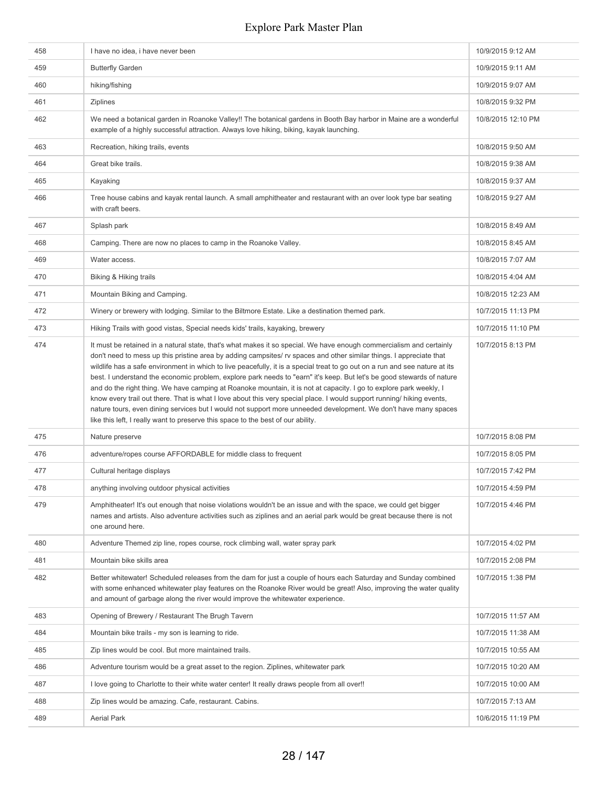| 458 | I have no idea, i have never been                                                                                                                                                                                                                                                                                                                                                                                                                                                                                                                                                                                                                                                                                                                                                                                                                                                                                                                         | 10/9/2015 9:12 AM  |
|-----|-----------------------------------------------------------------------------------------------------------------------------------------------------------------------------------------------------------------------------------------------------------------------------------------------------------------------------------------------------------------------------------------------------------------------------------------------------------------------------------------------------------------------------------------------------------------------------------------------------------------------------------------------------------------------------------------------------------------------------------------------------------------------------------------------------------------------------------------------------------------------------------------------------------------------------------------------------------|--------------------|
| 459 | <b>Butterfly Garden</b>                                                                                                                                                                                                                                                                                                                                                                                                                                                                                                                                                                                                                                                                                                                                                                                                                                                                                                                                   | 10/9/2015 9:11 AM  |
| 460 | hiking/fishing                                                                                                                                                                                                                                                                                                                                                                                                                                                                                                                                                                                                                                                                                                                                                                                                                                                                                                                                            | 10/9/2015 9:07 AM  |
| 461 | Ziplines                                                                                                                                                                                                                                                                                                                                                                                                                                                                                                                                                                                                                                                                                                                                                                                                                                                                                                                                                  | 10/8/2015 9:32 PM  |
| 462 | We need a botanical garden in Roanoke Valley!! The botanical gardens in Booth Bay harbor in Maine are a wonderful<br>example of a highly successful attraction. Always love hiking, biking, kayak launching.                                                                                                                                                                                                                                                                                                                                                                                                                                                                                                                                                                                                                                                                                                                                              | 10/8/2015 12:10 PM |
| 463 | Recreation, hiking trails, events                                                                                                                                                                                                                                                                                                                                                                                                                                                                                                                                                                                                                                                                                                                                                                                                                                                                                                                         | 10/8/2015 9:50 AM  |
| 464 | Great bike trails.                                                                                                                                                                                                                                                                                                                                                                                                                                                                                                                                                                                                                                                                                                                                                                                                                                                                                                                                        | 10/8/2015 9:38 AM  |
| 465 | Kayaking                                                                                                                                                                                                                                                                                                                                                                                                                                                                                                                                                                                                                                                                                                                                                                                                                                                                                                                                                  | 10/8/2015 9:37 AM  |
| 466 | Tree house cabins and kayak rental launch. A small amphitheater and restaurant with an over look type bar seating<br>with craft beers.                                                                                                                                                                                                                                                                                                                                                                                                                                                                                                                                                                                                                                                                                                                                                                                                                    | 10/8/2015 9:27 AM  |
| 467 | Splash park                                                                                                                                                                                                                                                                                                                                                                                                                                                                                                                                                                                                                                                                                                                                                                                                                                                                                                                                               | 10/8/2015 8:49 AM  |
| 468 | Camping. There are now no places to camp in the Roanoke Valley.                                                                                                                                                                                                                                                                                                                                                                                                                                                                                                                                                                                                                                                                                                                                                                                                                                                                                           | 10/8/2015 8:45 AM  |
| 469 | Water access.                                                                                                                                                                                                                                                                                                                                                                                                                                                                                                                                                                                                                                                                                                                                                                                                                                                                                                                                             | 10/8/2015 7:07 AM  |
| 470 | Biking & Hiking trails                                                                                                                                                                                                                                                                                                                                                                                                                                                                                                                                                                                                                                                                                                                                                                                                                                                                                                                                    | 10/8/2015 4:04 AM  |
| 471 | Mountain Biking and Camping.                                                                                                                                                                                                                                                                                                                                                                                                                                                                                                                                                                                                                                                                                                                                                                                                                                                                                                                              | 10/8/2015 12:23 AM |
| 472 | Winery or brewery with lodging. Similar to the Biltmore Estate. Like a destination themed park.                                                                                                                                                                                                                                                                                                                                                                                                                                                                                                                                                                                                                                                                                                                                                                                                                                                           | 10/7/2015 11:13 PM |
| 473 | Hiking Trails with good vistas, Special needs kids' trails, kayaking, brewery                                                                                                                                                                                                                                                                                                                                                                                                                                                                                                                                                                                                                                                                                                                                                                                                                                                                             | 10/7/2015 11:10 PM |
| 474 | It must be retained in a natural state, that's what makes it so special. We have enough commercialism and certainly<br>don't need to mess up this pristine area by adding campsites/ rv spaces and other similar things. I appreciate that<br>wildlife has a safe environment in which to live peacefully, it is a special treat to go out on a run and see nature at its<br>best. I understand the economic problem, explore park needs to "earn" it's keep. But let's be good stewards of nature<br>and do the right thing. We have camping at Roanoke mountain, it is not at capacity. I go to explore park weekly, I<br>know every trail out there. That is what I love about this very special place. I would support running/ hiking events,<br>nature tours, even dining services but I would not support more unneeded development. We don't have many spaces<br>like this left, I really want to preserve this space to the best of our ability. | 10/7/2015 8:13 PM  |
| 475 | Nature preserve                                                                                                                                                                                                                                                                                                                                                                                                                                                                                                                                                                                                                                                                                                                                                                                                                                                                                                                                           | 10/7/2015 8:08 PM  |
| 476 | adventure/ropes course AFFORDABLE for middle class to frequent                                                                                                                                                                                                                                                                                                                                                                                                                                                                                                                                                                                                                                                                                                                                                                                                                                                                                            | 10/7/2015 8:05 PM  |
| 477 | Cultural heritage displays                                                                                                                                                                                                                                                                                                                                                                                                                                                                                                                                                                                                                                                                                                                                                                                                                                                                                                                                | 10/7/2015 7:42 PM  |
| 478 | anything involving outdoor physical activities                                                                                                                                                                                                                                                                                                                                                                                                                                                                                                                                                                                                                                                                                                                                                                                                                                                                                                            | 10/7/2015 4:59 PM  |
| 479 | Amphitheater! It's out enough that noise violations wouldn't be an issue and with the space, we could get bigger<br>names and artists. Also adventure activities such as ziplines and an aerial park would be great because there is not<br>one around here.                                                                                                                                                                                                                                                                                                                                                                                                                                                                                                                                                                                                                                                                                              | 10/7/2015 4:46 PM  |
| 480 | Adventure Themed zip line, ropes course, rock climbing wall, water spray park                                                                                                                                                                                                                                                                                                                                                                                                                                                                                                                                                                                                                                                                                                                                                                                                                                                                             | 10/7/2015 4:02 PM  |
| 481 | Mountain bike skills area                                                                                                                                                                                                                                                                                                                                                                                                                                                                                                                                                                                                                                                                                                                                                                                                                                                                                                                                 | 10/7/2015 2:08 PM  |
| 482 | Better whitewater! Scheduled releases from the dam for just a couple of hours each Saturday and Sunday combined<br>with some enhanced whitewater play features on the Roanoke River would be great! Also, improving the water quality<br>and amount of garbage along the river would improve the whitewater experience.                                                                                                                                                                                                                                                                                                                                                                                                                                                                                                                                                                                                                                   | 10/7/2015 1:38 PM  |
| 483 | Opening of Brewery / Restaurant The Brugh Tavern                                                                                                                                                                                                                                                                                                                                                                                                                                                                                                                                                                                                                                                                                                                                                                                                                                                                                                          | 10/7/2015 11:57 AM |
| 484 | Mountain bike trails - my son is learning to ride.                                                                                                                                                                                                                                                                                                                                                                                                                                                                                                                                                                                                                                                                                                                                                                                                                                                                                                        | 10/7/2015 11:38 AM |
| 485 | Zip lines would be cool. But more maintained trails.                                                                                                                                                                                                                                                                                                                                                                                                                                                                                                                                                                                                                                                                                                                                                                                                                                                                                                      | 10/7/2015 10:55 AM |
| 486 | Adventure tourism would be a great asset to the region. Ziplines, whitewater park                                                                                                                                                                                                                                                                                                                                                                                                                                                                                                                                                                                                                                                                                                                                                                                                                                                                         | 10/7/2015 10:20 AM |
| 487 | I love going to Charlotte to their white water center! It really draws people from all over!!                                                                                                                                                                                                                                                                                                                                                                                                                                                                                                                                                                                                                                                                                                                                                                                                                                                             | 10/7/2015 10:00 AM |
| 488 | Zip lines would be amazing. Cafe, restaurant. Cabins.                                                                                                                                                                                                                                                                                                                                                                                                                                                                                                                                                                                                                                                                                                                                                                                                                                                                                                     | 10/7/2015 7:13 AM  |
| 489 | <b>Aerial Park</b>                                                                                                                                                                                                                                                                                                                                                                                                                                                                                                                                                                                                                                                                                                                                                                                                                                                                                                                                        | 10/6/2015 11:19 PM |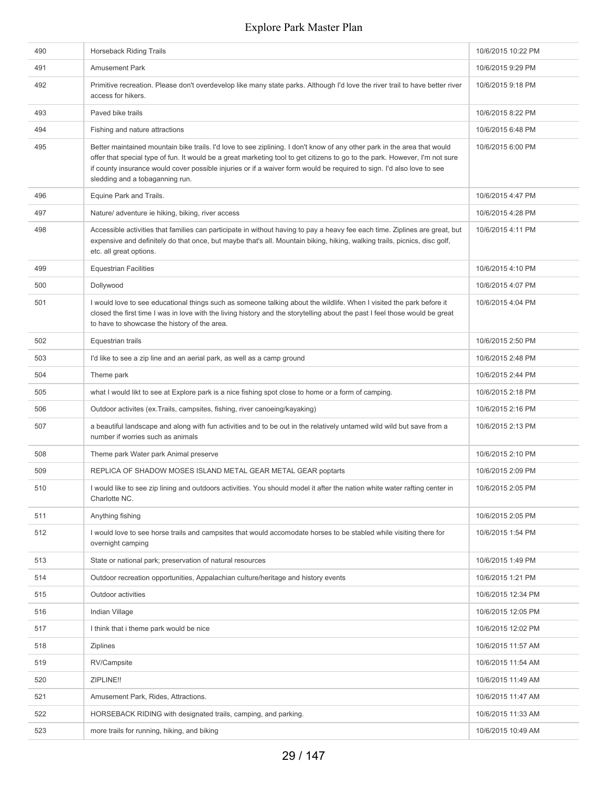| 490 | <b>Horseback Riding Trails</b>                                                                                                                                                                                                                                                                                                                                                                                      | 10/6/2015 10:22 PM |
|-----|---------------------------------------------------------------------------------------------------------------------------------------------------------------------------------------------------------------------------------------------------------------------------------------------------------------------------------------------------------------------------------------------------------------------|--------------------|
| 491 | <b>Amusement Park</b>                                                                                                                                                                                                                                                                                                                                                                                               | 10/6/2015 9:29 PM  |
| 492 | Primitive recreation. Please don't overdevelop like many state parks. Although I'd love the river trail to have better river<br>access for hikers.                                                                                                                                                                                                                                                                  | 10/6/2015 9:18 PM  |
| 493 | Paved bike trails                                                                                                                                                                                                                                                                                                                                                                                                   | 10/6/2015 8:22 PM  |
| 494 | Fishing and nature attractions                                                                                                                                                                                                                                                                                                                                                                                      | 10/6/2015 6:48 PM  |
| 495 | Better maintained mountain bike trails. I'd love to see ziplining. I don't know of any other park in the area that would<br>offer that special type of fun. It would be a great marketing tool to get citizens to go to the park. However, I'm not sure<br>if county insurance would cover possible injuries or if a waiver form would be required to sign. I'd also love to see<br>sledding and a tobaganning run. | 10/6/2015 6:00 PM  |
| 496 | Equine Park and Trails.                                                                                                                                                                                                                                                                                                                                                                                             | 10/6/2015 4:47 PM  |
| 497 | Nature/ adventure ie hiking, biking, river access                                                                                                                                                                                                                                                                                                                                                                   | 10/6/2015 4:28 PM  |
| 498 | Accessible activities that families can participate in without having to pay a heavy fee each time. Ziplines are great, but<br>expensive and definitely do that once, but maybe that's all. Mountain biking, hiking, walking trails, picnics, disc golf,<br>etc. all great options.                                                                                                                                 | 10/6/2015 4:11 PM  |
| 499 | <b>Equestrian Facilities</b>                                                                                                                                                                                                                                                                                                                                                                                        | 10/6/2015 4:10 PM  |
| 500 | Dollywood                                                                                                                                                                                                                                                                                                                                                                                                           | 10/6/2015 4:07 PM  |
| 501 | I would love to see educational things such as someone talking about the wildlife. When I visited the park before it<br>closed the first time I was in love with the living history and the storytelling about the past I feel those would be great<br>to have to showcase the history of the area.                                                                                                                 | 10/6/2015 4:04 PM  |
| 502 | Equestrian trails                                                                                                                                                                                                                                                                                                                                                                                                   | 10/6/2015 2:50 PM  |
| 503 | I'd like to see a zip line and an aerial park, as well as a camp ground                                                                                                                                                                                                                                                                                                                                             | 10/6/2015 2:48 PM  |
| 504 | Theme park                                                                                                                                                                                                                                                                                                                                                                                                          | 10/6/2015 2:44 PM  |
| 505 | what I would likt to see at Explore park is a nice fishing spot close to home or a form of camping.                                                                                                                                                                                                                                                                                                                 | 10/6/2015 2:18 PM  |
| 506 | Outdoor activites (ex. Trails, campsites, fishing, river canoeing/kayaking)                                                                                                                                                                                                                                                                                                                                         | 10/6/2015 2:16 PM  |
| 507 | a beautiful landscape and along with fun activities and to be out in the relatively untamed wild wild but save from a<br>number if worries such as animals                                                                                                                                                                                                                                                          | 10/6/2015 2:13 PM  |
| 508 | Theme park Water park Animal preserve                                                                                                                                                                                                                                                                                                                                                                               | 10/6/2015 2:10 PM  |
| 509 | REPLICA OF SHADOW MOSES ISLAND METAL GEAR METAL GEAR poptarts                                                                                                                                                                                                                                                                                                                                                       | 10/6/2015 2:09 PM  |
| 510 | I would like to see zip lining and outdoors activities. You should model it after the nation white water rafting center in<br>Charlotte NC.                                                                                                                                                                                                                                                                         | 10/6/2015 2:05 PM  |
| 511 | Anything fishing                                                                                                                                                                                                                                                                                                                                                                                                    | 10/6/2015 2:05 PM  |
| 512 | I would love to see horse trails and campsites that would accomodate horses to be stabled while visiting there for<br>overnight camping                                                                                                                                                                                                                                                                             | 10/6/2015 1:54 PM  |
| 513 | State or national park; preservation of natural resources                                                                                                                                                                                                                                                                                                                                                           | 10/6/2015 1:49 PM  |
| 514 | Outdoor recreation opportunities, Appalachian culture/heritage and history events                                                                                                                                                                                                                                                                                                                                   | 10/6/2015 1:21 PM  |
| 515 | Outdoor activities                                                                                                                                                                                                                                                                                                                                                                                                  | 10/6/2015 12:34 PM |
| 516 | Indian Village                                                                                                                                                                                                                                                                                                                                                                                                      | 10/6/2015 12:05 PM |
| 517 | I think that i theme park would be nice                                                                                                                                                                                                                                                                                                                                                                             | 10/6/2015 12:02 PM |
| 518 | Ziplines                                                                                                                                                                                                                                                                                                                                                                                                            | 10/6/2015 11:57 AM |
| 519 | RV/Campsite                                                                                                                                                                                                                                                                                                                                                                                                         | 10/6/2015 11:54 AM |
| 520 | ZIPLINE!!                                                                                                                                                                                                                                                                                                                                                                                                           | 10/6/2015 11:49 AM |
| 521 | Amusement Park, Rides, Attractions.                                                                                                                                                                                                                                                                                                                                                                                 | 10/6/2015 11:47 AM |
| 522 | HORSEBACK RIDING with designated trails, camping, and parking.                                                                                                                                                                                                                                                                                                                                                      | 10/6/2015 11:33 AM |
| 523 | more trails for running, hiking, and biking                                                                                                                                                                                                                                                                                                                                                                         | 10/6/2015 10:49 AM |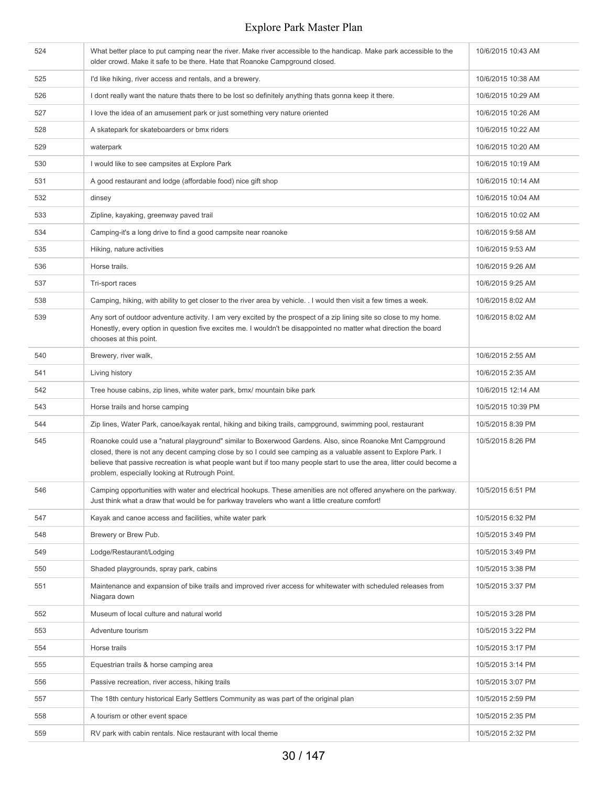| 524 | What better place to put camping near the river. Make river accessible to the handicap. Make park accessible to the<br>older crowd. Make it safe to be there. Hate that Roanoke Campground closed.                                                                                                                                                                                                        | 10/6/2015 10:43 AM |
|-----|-----------------------------------------------------------------------------------------------------------------------------------------------------------------------------------------------------------------------------------------------------------------------------------------------------------------------------------------------------------------------------------------------------------|--------------------|
| 525 | I'd like hiking, river access and rentals, and a brewery.                                                                                                                                                                                                                                                                                                                                                 | 10/6/2015 10:38 AM |
| 526 | I dont really want the nature thats there to be lost so definitely anything thats gonna keep it there.                                                                                                                                                                                                                                                                                                    | 10/6/2015 10:29 AM |
| 527 | I love the idea of an amusement park or just something very nature oriented                                                                                                                                                                                                                                                                                                                               | 10/6/2015 10:26 AM |
| 528 | A skatepark for skateboarders or bmx riders                                                                                                                                                                                                                                                                                                                                                               | 10/6/2015 10:22 AM |
| 529 | waterpark                                                                                                                                                                                                                                                                                                                                                                                                 | 10/6/2015 10:20 AM |
| 530 | I would like to see campsites at Explore Park                                                                                                                                                                                                                                                                                                                                                             | 10/6/2015 10:19 AM |
| 531 | A good restaurant and lodge (affordable food) nice gift shop                                                                                                                                                                                                                                                                                                                                              | 10/6/2015 10:14 AM |
| 532 | dinsey                                                                                                                                                                                                                                                                                                                                                                                                    | 10/6/2015 10:04 AM |
| 533 | Zipline, kayaking, greenway paved trail                                                                                                                                                                                                                                                                                                                                                                   | 10/6/2015 10:02 AM |
| 534 | Camping-it's a long drive to find a good campsite near roanoke                                                                                                                                                                                                                                                                                                                                            | 10/6/2015 9:58 AM  |
| 535 | Hiking, nature activities                                                                                                                                                                                                                                                                                                                                                                                 | 10/6/2015 9:53 AM  |
| 536 | Horse trails.                                                                                                                                                                                                                                                                                                                                                                                             | 10/6/2015 9:26 AM  |
| 537 | Tri-sport races                                                                                                                                                                                                                                                                                                                                                                                           | 10/6/2015 9:25 AM  |
| 538 | Camping, hiking, with ability to get closer to the river area by vehicle. I would then visit a few times a week.                                                                                                                                                                                                                                                                                          | 10/6/2015 8:02 AM  |
| 539 | Any sort of outdoor adventure activity. I am very excited by the prospect of a zip lining site so close to my home.<br>Honestly, every option in question five excites me. I wouldn't be disappointed no matter what direction the board<br>chooses at this point.                                                                                                                                        | 10/6/2015 8:02 AM  |
| 540 | Brewery, river walk,                                                                                                                                                                                                                                                                                                                                                                                      | 10/6/2015 2:55 AM  |
| 541 | Living history                                                                                                                                                                                                                                                                                                                                                                                            | 10/6/2015 2:35 AM  |
| 542 | Tree house cabins, zip lines, white water park, bmx/ mountain bike park                                                                                                                                                                                                                                                                                                                                   | 10/6/2015 12:14 AM |
| 543 | Horse trails and horse camping                                                                                                                                                                                                                                                                                                                                                                            | 10/5/2015 10:39 PM |
| 544 | Zip lines, Water Park, canoe/kayak rental, hiking and biking trails, campground, swimming pool, restaurant                                                                                                                                                                                                                                                                                                | 10/5/2015 8:39 PM  |
| 545 | Roanoke could use a "natural playground" similar to Boxerwood Gardens. Also, since Roanoke Mnt Campground<br>closed, there is not any decent camping close by so I could see camping as a valuable assent to Explore Park. I<br>believe that passive recreation is what people want but if too many people start to use the area, litter could become a<br>problem, especially looking at Rutrough Point. | 10/5/2015 8:26 PM  |
| 546 | Camping opportunities with water and electrical hookups. These amenities are not offered anywhere on the parkway.<br>Just think what a draw that would be for parkway travelers who want a little creature comfort!                                                                                                                                                                                       | 10/5/2015 6:51 PM  |
| 547 | Kayak and canoe access and facilities, white water park                                                                                                                                                                                                                                                                                                                                                   | 10/5/2015 6:32 PM  |
| 548 | Brewery or Brew Pub.                                                                                                                                                                                                                                                                                                                                                                                      | 10/5/2015 3:49 PM  |
| 549 | Lodge/Restaurant/Lodging                                                                                                                                                                                                                                                                                                                                                                                  | 10/5/2015 3:49 PM  |
| 550 | Shaded playgrounds, spray park, cabins                                                                                                                                                                                                                                                                                                                                                                    | 10/5/2015 3:38 PM  |
| 551 | Maintenance and expansion of bike trails and improved river access for whitewater with scheduled releases from<br>Niagara down                                                                                                                                                                                                                                                                            | 10/5/2015 3:37 PM  |
| 552 | Museum of local culture and natural world                                                                                                                                                                                                                                                                                                                                                                 | 10/5/2015 3:28 PM  |
| 553 | Adventure tourism                                                                                                                                                                                                                                                                                                                                                                                         | 10/5/2015 3:22 PM  |
| 554 | Horse trails                                                                                                                                                                                                                                                                                                                                                                                              | 10/5/2015 3:17 PM  |
| 555 | Equestrian trails & horse camping area                                                                                                                                                                                                                                                                                                                                                                    | 10/5/2015 3:14 PM  |
| 556 | Passive recreation, river access, hiking trails                                                                                                                                                                                                                                                                                                                                                           | 10/5/2015 3:07 PM  |
| 557 | The 18th century historical Early Settlers Community as was part of the original plan                                                                                                                                                                                                                                                                                                                     | 10/5/2015 2:59 PM  |
| 558 | A tourism or other event space                                                                                                                                                                                                                                                                                                                                                                            | 10/5/2015 2:35 PM  |
| 559 | RV park with cabin rentals. Nice restaurant with local theme                                                                                                                                                                                                                                                                                                                                              | 10/5/2015 2:32 PM  |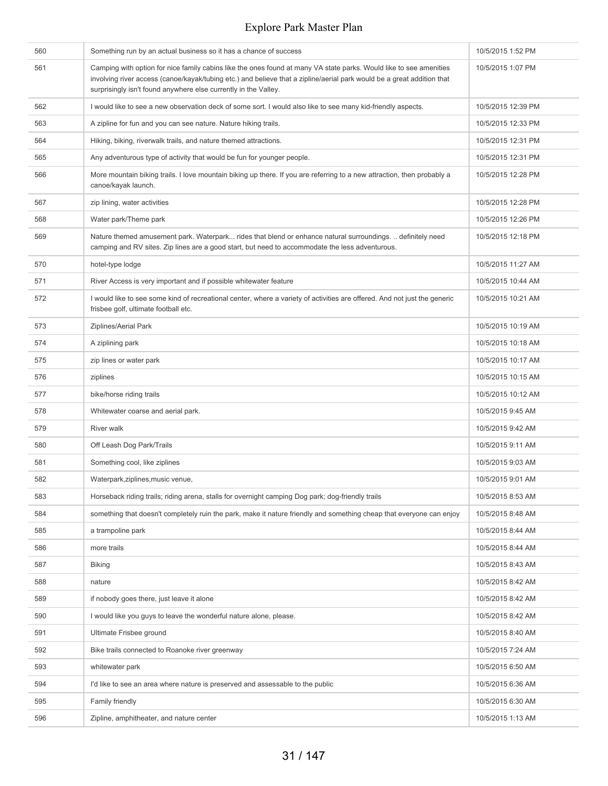| 560 | Something run by an actual business so it has a chance of success                                                                                                                                                                                                                                               | 10/5/2015 1:52 PM  |
|-----|-----------------------------------------------------------------------------------------------------------------------------------------------------------------------------------------------------------------------------------------------------------------------------------------------------------------|--------------------|
| 561 | Camping with option for nice family cabins like the ones found at many VA state parks. Would like to see amenities<br>involving river access (canoe/kayak/tubing etc.) and believe that a zipline/aerial park would be a great addition that<br>surprisingly isn't found anywhere else currently in the Valley. | 10/5/2015 1:07 PM  |
| 562 | I would like to see a new observation deck of some sort. I would also like to see many kid-friendly aspects.                                                                                                                                                                                                    | 10/5/2015 12:39 PM |
| 563 | A zipline for fun and you can see nature. Nature hiking trails.                                                                                                                                                                                                                                                 | 10/5/2015 12:33 PM |
| 564 | Hiking, biking, riverwalk trails, and nature themed attractions.                                                                                                                                                                                                                                                | 10/5/2015 12:31 PM |
| 565 | Any adventurous type of activity that would be fun for younger people.                                                                                                                                                                                                                                          | 10/5/2015 12:31 PM |
| 566 | More mountain biking trails. I love mountain biking up there. If you are referring to a new attraction, then probably a<br>canoe/kayak launch.                                                                                                                                                                  | 10/5/2015 12:28 PM |
| 567 | zip lining, water activities                                                                                                                                                                                                                                                                                    | 10/5/2015 12:28 PM |
| 568 | Water park/Theme park                                                                                                                                                                                                                                                                                           | 10/5/2015 12:26 PM |
| 569 | Nature themed amusement park. Waterpark rides that blend or enhance natural surroundings.  definitely need<br>camping and RV sites. Zip lines are a good start, but need to accommodate the less adventurous.                                                                                                   | 10/5/2015 12:18 PM |
| 570 | hotel-type lodge                                                                                                                                                                                                                                                                                                | 10/5/2015 11:27 AM |
| 571 | River Access is very important and if possible whitewater feature                                                                                                                                                                                                                                               | 10/5/2015 10:44 AM |
| 572 | I would like to see some kind of recreational center, where a variety of activities are offered. And not just the generic<br>frisbee golf, ultimate football etc.                                                                                                                                               | 10/5/2015 10:21 AM |
| 573 | Ziplines/Aerial Park                                                                                                                                                                                                                                                                                            | 10/5/2015 10:19 AM |
| 574 | A ziplining park                                                                                                                                                                                                                                                                                                | 10/5/2015 10:18 AM |
| 575 | zip lines or water park                                                                                                                                                                                                                                                                                         | 10/5/2015 10:17 AM |
| 576 | ziplines                                                                                                                                                                                                                                                                                                        | 10/5/2015 10:15 AM |
| 577 | bike/horse riding trails                                                                                                                                                                                                                                                                                        | 10/5/2015 10:12 AM |
| 578 | Whitewater coarse and aerial park.                                                                                                                                                                                                                                                                              | 10/5/2015 9:45 AM  |
| 579 | <b>River walk</b>                                                                                                                                                                                                                                                                                               | 10/5/2015 9:42 AM  |
| 580 | Off Leash Dog Park/Trails                                                                                                                                                                                                                                                                                       | 10/5/2015 9:11 AM  |
| 581 | Something cool, like ziplines                                                                                                                                                                                                                                                                                   | 10/5/2015 9:03 AM  |
| 582 | Waterpark, ziplines, music venue,                                                                                                                                                                                                                                                                               | 10/5/2015 9:01 AM  |
| 583 | Horseback riding trails; riding arena, stalls for overnight camping Dog park; dog-friendly trails                                                                                                                                                                                                               | 10/5/2015 8:53 AM  |
| 584 | something that doesn't completely ruin the park, make it nature friendly and something cheap that everyone can enjoy                                                                                                                                                                                            | 10/5/2015 8:48 AM  |
| 585 | a trampoline park                                                                                                                                                                                                                                                                                               | 10/5/2015 8:44 AM  |
| 586 | more trails                                                                                                                                                                                                                                                                                                     | 10/5/2015 8:44 AM  |
| 587 | <b>Biking</b>                                                                                                                                                                                                                                                                                                   | 10/5/2015 8:43 AM  |
| 588 | nature                                                                                                                                                                                                                                                                                                          | 10/5/2015 8:42 AM  |
| 589 | if nobody goes there, just leave it alone                                                                                                                                                                                                                                                                       | 10/5/2015 8:42 AM  |
| 590 | I would like you guys to leave the wonderful nature alone, please.                                                                                                                                                                                                                                              | 10/5/2015 8:42 AM  |
| 591 | Ultimate Frisbee ground                                                                                                                                                                                                                                                                                         | 10/5/2015 8:40 AM  |
| 592 | Bike trails connected to Roanoke river greenway                                                                                                                                                                                                                                                                 | 10/5/2015 7:24 AM  |
| 593 | whitewater park                                                                                                                                                                                                                                                                                                 | 10/5/2015 6:50 AM  |
| 594 | I'd like to see an area where nature is preserved and assessable to the public                                                                                                                                                                                                                                  | 10/5/2015 6:36 AM  |
| 595 | Family friendly                                                                                                                                                                                                                                                                                                 | 10/5/2015 6:30 AM  |
| 596 | Zipline, amphitheater, and nature center                                                                                                                                                                                                                                                                        | 10/5/2015 1:13 AM  |
|     |                                                                                                                                                                                                                                                                                                                 |                    |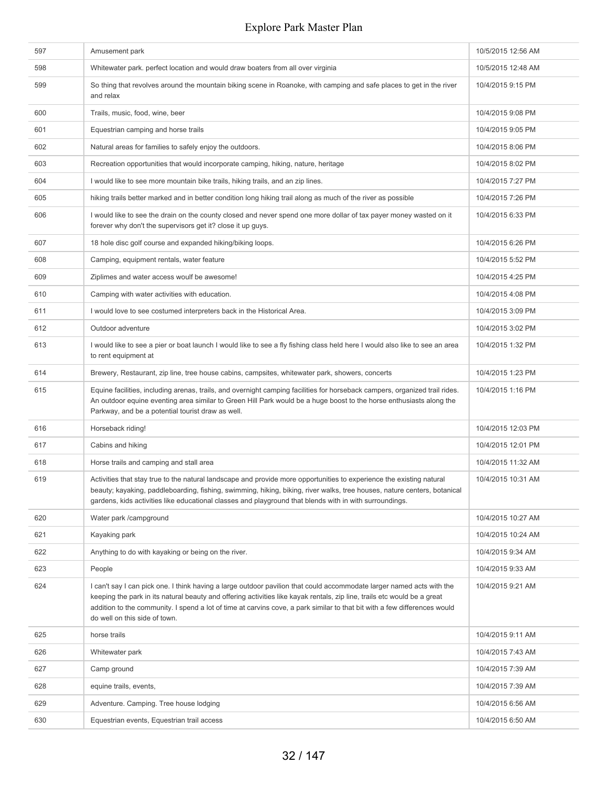| 597 | Amusement park                                                                                                                                                                                                                                                                                                                                                                                                  | 10/5/2015 12:56 AM |
|-----|-----------------------------------------------------------------------------------------------------------------------------------------------------------------------------------------------------------------------------------------------------------------------------------------------------------------------------------------------------------------------------------------------------------------|--------------------|
| 598 | Whitewater park. perfect location and would draw boaters from all over virginia                                                                                                                                                                                                                                                                                                                                 | 10/5/2015 12:48 AM |
| 599 | So thing that revolves around the mountain biking scene in Roanoke, with camping and safe places to get in the river<br>and relax                                                                                                                                                                                                                                                                               | 10/4/2015 9:15 PM  |
| 600 | Trails, music, food, wine, beer                                                                                                                                                                                                                                                                                                                                                                                 | 10/4/2015 9:08 PM  |
| 601 | Equestrian camping and horse trails                                                                                                                                                                                                                                                                                                                                                                             | 10/4/2015 9:05 PM  |
| 602 | Natural areas for families to safely enjoy the outdoors.                                                                                                                                                                                                                                                                                                                                                        | 10/4/2015 8:06 PM  |
| 603 | Recreation opportunities that would incorporate camping, hiking, nature, heritage                                                                                                                                                                                                                                                                                                                               | 10/4/2015 8:02 PM  |
| 604 | I would like to see more mountain bike trails, hiking trails, and an zip lines.                                                                                                                                                                                                                                                                                                                                 | 10/4/2015 7:27 PM  |
| 605 | hiking trails better marked and in better condition long hiking trail along as much of the river as possible                                                                                                                                                                                                                                                                                                    | 10/4/2015 7:26 PM  |
| 606 | I would like to see the drain on the county closed and never spend one more dollar of tax payer money wasted on it<br>forever why don't the supervisors get it? close it up guys.                                                                                                                                                                                                                               | 10/4/2015 6:33 PM  |
| 607 | 18 hole disc golf course and expanded hiking/biking loops.                                                                                                                                                                                                                                                                                                                                                      | 10/4/2015 6:26 PM  |
| 608 | Camping, equipment rentals, water feature                                                                                                                                                                                                                                                                                                                                                                       | 10/4/2015 5:52 PM  |
| 609 | Ziplimes and water access woulf be awesome!                                                                                                                                                                                                                                                                                                                                                                     | 10/4/2015 4:25 PM  |
| 610 | Camping with water activities with education.                                                                                                                                                                                                                                                                                                                                                                   | 10/4/2015 4:08 PM  |
| 611 | I would love to see costumed interpreters back in the Historical Area.                                                                                                                                                                                                                                                                                                                                          | 10/4/2015 3:09 PM  |
| 612 | Outdoor adventure                                                                                                                                                                                                                                                                                                                                                                                               | 10/4/2015 3:02 PM  |
| 613 | I would like to see a pier or boat launch I would like to see a fly fishing class held here I would also like to see an area<br>to rent equipment at                                                                                                                                                                                                                                                            | 10/4/2015 1:32 PM  |
| 614 | Brewery, Restaurant, zip line, tree house cabins, campsites, whitewater park, showers, concerts                                                                                                                                                                                                                                                                                                                 | 10/4/2015 1:23 PM  |
| 615 | Equine facilities, including arenas, trails, and overnight camping facilities for horseback campers, organized trail rides.<br>An outdoor equine eventing area similar to Green Hill Park would be a huge boost to the horse enthusiasts along the<br>Parkway, and be a potential tourist draw as well.                                                                                                         | 10/4/2015 1:16 PM  |
| 616 | Horseback riding!                                                                                                                                                                                                                                                                                                                                                                                               | 10/4/2015 12:03 PM |
| 617 | Cabins and hiking                                                                                                                                                                                                                                                                                                                                                                                               | 10/4/2015 12:01 PM |
| 618 | Horse trails and camping and stall area                                                                                                                                                                                                                                                                                                                                                                         | 10/4/2015 11:32 AM |
| 619 | Activities that stay true to the natural landscape and provide more opportunities to experience the existing natural<br>beauty; kayaking, paddleboarding, fishing, swimming, hiking, biking, river walks, tree houses, nature centers, botanical<br>gardens, kids activities like educational classes and playground that blends with in with surroundings.                                                     | 10/4/2015 10:31 AM |
| 620 | Water park /campground                                                                                                                                                                                                                                                                                                                                                                                          | 10/4/2015 10:27 AM |
| 621 | Kayaking park                                                                                                                                                                                                                                                                                                                                                                                                   | 10/4/2015 10:24 AM |
| 622 | Anything to do with kayaking or being on the river.                                                                                                                                                                                                                                                                                                                                                             | 10/4/2015 9:34 AM  |
| 623 | People                                                                                                                                                                                                                                                                                                                                                                                                          | 10/4/2015 9:33 AM  |
| 624 | I can't say I can pick one. I think having a large outdoor pavilion that could accommodate larger named acts with the<br>keeping the park in its natural beauty and offering activities like kayak rentals, zip line, trails etc would be a great<br>addition to the community. I spend a lot of time at carvins cove, a park similar to that bit with a few differences would<br>do well on this side of town. | 10/4/2015 9:21 AM  |
| 625 | horse trails                                                                                                                                                                                                                                                                                                                                                                                                    | 10/4/2015 9:11 AM  |
| 626 | Whitewater park                                                                                                                                                                                                                                                                                                                                                                                                 | 10/4/2015 7:43 AM  |
| 627 | Camp ground                                                                                                                                                                                                                                                                                                                                                                                                     | 10/4/2015 7:39 AM  |
| 628 | equine trails, events,                                                                                                                                                                                                                                                                                                                                                                                          | 10/4/2015 7:39 AM  |
| 629 | Adventure. Camping. Tree house lodging                                                                                                                                                                                                                                                                                                                                                                          | 10/4/2015 6:56 AM  |
| 630 | Equestrian events, Equestrian trail access                                                                                                                                                                                                                                                                                                                                                                      | 10/4/2015 6:50 AM  |
|     |                                                                                                                                                                                                                                                                                                                                                                                                                 |                    |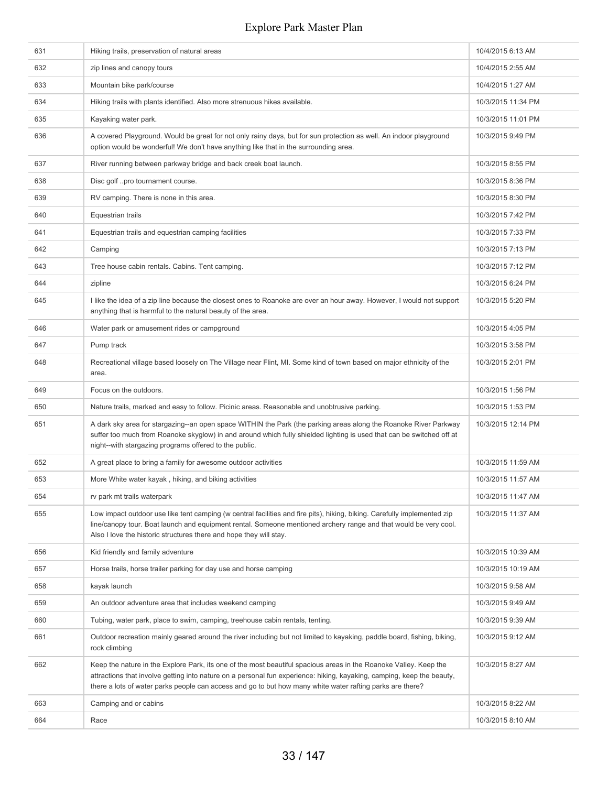| 631 | Hiking trails, preservation of natural areas                                                                                                                                                                                                                                                                                                             | 10/4/2015 6:13 AM  |
|-----|----------------------------------------------------------------------------------------------------------------------------------------------------------------------------------------------------------------------------------------------------------------------------------------------------------------------------------------------------------|--------------------|
| 632 | zip lines and canopy tours                                                                                                                                                                                                                                                                                                                               | 10/4/2015 2:55 AM  |
| 633 | Mountain bike park/course                                                                                                                                                                                                                                                                                                                                | 10/4/2015 1:27 AM  |
| 634 | Hiking trails with plants identified. Also more strenuous hikes available.                                                                                                                                                                                                                                                                               | 10/3/2015 11:34 PM |
| 635 | Kayaking water park.                                                                                                                                                                                                                                                                                                                                     | 10/3/2015 11:01 PM |
| 636 | A covered Playground. Would be great for not only rainy days, but for sun protection as well. An indoor playground<br>option would be wonderful! We don't have anything like that in the surrounding area.                                                                                                                                               | 10/3/2015 9:49 PM  |
| 637 | River running between parkway bridge and back creek boat launch.                                                                                                                                                                                                                                                                                         | 10/3/2015 8:55 PM  |
| 638 | Disc golf pro tournament course.                                                                                                                                                                                                                                                                                                                         | 10/3/2015 8:36 PM  |
| 639 | RV camping. There is none in this area.                                                                                                                                                                                                                                                                                                                  | 10/3/2015 8:30 PM  |
| 640 | Equestrian trails                                                                                                                                                                                                                                                                                                                                        | 10/3/2015 7:42 PM  |
| 641 | Equestrian trails and equestrian camping facilities                                                                                                                                                                                                                                                                                                      | 10/3/2015 7:33 PM  |
| 642 | Camping                                                                                                                                                                                                                                                                                                                                                  | 10/3/2015 7:13 PM  |
| 643 | Tree house cabin rentals. Cabins. Tent camping.                                                                                                                                                                                                                                                                                                          | 10/3/2015 7:12 PM  |
| 644 | zipline                                                                                                                                                                                                                                                                                                                                                  | 10/3/2015 6:24 PM  |
| 645 | I like the idea of a zip line because the closest ones to Roanoke are over an hour away. However, I would not support<br>anything that is harmful to the natural beauty of the area.                                                                                                                                                                     | 10/3/2015 5:20 PM  |
| 646 | Water park or amusement rides or campground                                                                                                                                                                                                                                                                                                              | 10/3/2015 4:05 PM  |
| 647 | Pump track                                                                                                                                                                                                                                                                                                                                               | 10/3/2015 3:58 PM  |
| 648 | Recreational village based loosely on The Village near Flint, MI. Some kind of town based on major ethnicity of the<br>area.                                                                                                                                                                                                                             | 10/3/2015 2:01 PM  |
| 649 | Focus on the outdoors.                                                                                                                                                                                                                                                                                                                                   | 10/3/2015 1:56 PM  |
| 650 | Nature trails, marked and easy to follow. Picinic areas. Reasonable and unobtrusive parking.                                                                                                                                                                                                                                                             | 10/3/2015 1:53 PM  |
| 651 | A dark sky area for stargazing--an open space WITHIN the Park (the parking areas along the Roanoke River Parkway<br>suffer too much from Roanoke skyglow) in and around which fully shielded lighting is used that can be switched off at<br>night--with stargazing programs offered to the public.                                                      | 10/3/2015 12:14 PM |
| 652 | A great place to bring a family for awesome outdoor activities                                                                                                                                                                                                                                                                                           | 10/3/2015 11:59 AM |
| 653 | More White water kayak, hiking, and biking activities                                                                                                                                                                                                                                                                                                    | 10/3/2015 11:57 AM |
| 654 | rv park mt trails waterpark                                                                                                                                                                                                                                                                                                                              | 10/3/2015 11:47 AM |
| 655 | Low impact outdoor use like tent camping (w central facilities and fire pits), hiking, biking. Carefully implemented zip<br>line/canopy tour. Boat launch and equipment rental. Someone mentioned archery range and that would be very cool.<br>Also I love the historic structures there and hope they will stay.                                       | 10/3/2015 11:37 AM |
| 656 | Kid friendly and family adventure                                                                                                                                                                                                                                                                                                                        | 10/3/2015 10:39 AM |
| 657 | Horse trails, horse trailer parking for day use and horse camping                                                                                                                                                                                                                                                                                        | 10/3/2015 10:19 AM |
| 658 | kayak launch                                                                                                                                                                                                                                                                                                                                             | 10/3/2015 9:58 AM  |
| 659 | An outdoor adventure area that includes weekend camping                                                                                                                                                                                                                                                                                                  | 10/3/2015 9:49 AM  |
| 660 | Tubing, water park, place to swim, camping, treehouse cabin rentals, tenting.                                                                                                                                                                                                                                                                            | 10/3/2015 9:39 AM  |
| 661 | Outdoor recreation mainly geared around the river including but not limited to kayaking, paddle board, fishing, biking,<br>rock climbing                                                                                                                                                                                                                 | 10/3/2015 9:12 AM  |
| 662 | Keep the nature in the Explore Park, its one of the most beautiful spacious areas in the Roanoke Valley. Keep the<br>attractions that involve getting into nature on a personal fun experience: hiking, kayaking, camping, keep the beauty,<br>there a lots of water parks people can access and go to but how many white water rafting parks are there? | 10/3/2015 8:27 AM  |
| 663 | Camping and or cabins                                                                                                                                                                                                                                                                                                                                    | 10/3/2015 8:22 AM  |
| 664 | Race                                                                                                                                                                                                                                                                                                                                                     | 10/3/2015 8:10 AM  |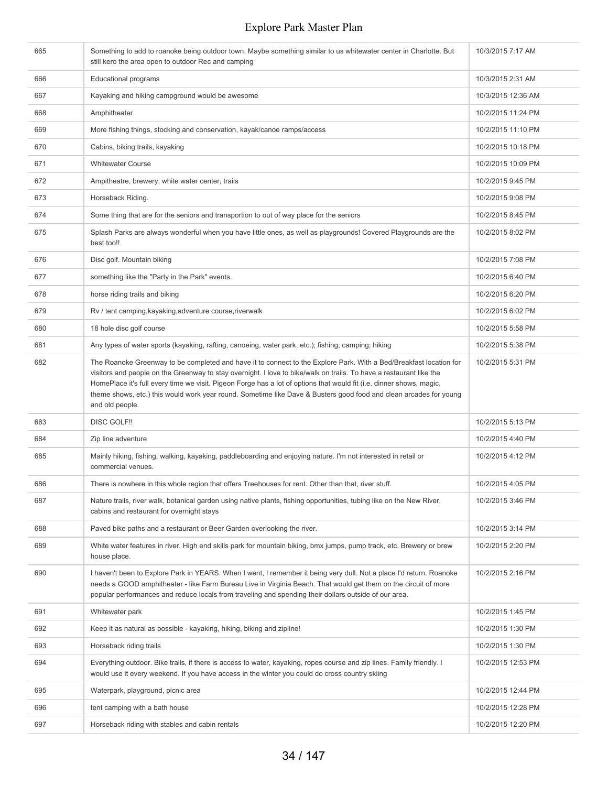| 665 | Something to add to roanoke being outdoor town. Maybe something similar to us whitewater center in Charlotte. But<br>still kero the area open to outdoor Rec and camping                                                                                                                                                                                                                                                                                                                                  | 10/3/2015 7:17 AM  |
|-----|-----------------------------------------------------------------------------------------------------------------------------------------------------------------------------------------------------------------------------------------------------------------------------------------------------------------------------------------------------------------------------------------------------------------------------------------------------------------------------------------------------------|--------------------|
| 666 | <b>Educational programs</b>                                                                                                                                                                                                                                                                                                                                                                                                                                                                               | 10/3/2015 2:31 AM  |
| 667 | Kayaking and hiking campground would be awesome                                                                                                                                                                                                                                                                                                                                                                                                                                                           | 10/3/2015 12:36 AM |
| 668 | Amphitheater                                                                                                                                                                                                                                                                                                                                                                                                                                                                                              | 10/2/2015 11:24 PM |
| 669 | More fishing things, stocking and conservation, kayak/canoe ramps/access                                                                                                                                                                                                                                                                                                                                                                                                                                  | 10/2/2015 11:10 PM |
| 670 | Cabins, biking trails, kayaking                                                                                                                                                                                                                                                                                                                                                                                                                                                                           | 10/2/2015 10:18 PM |
| 671 | <b>Whitewater Course</b>                                                                                                                                                                                                                                                                                                                                                                                                                                                                                  | 10/2/2015 10:09 PM |
| 672 | Ampitheatre, brewery, white water center, trails                                                                                                                                                                                                                                                                                                                                                                                                                                                          | 10/2/2015 9:45 PM  |
| 673 | Horseback Riding.                                                                                                                                                                                                                                                                                                                                                                                                                                                                                         | 10/2/2015 9:08 PM  |
| 674 | Some thing that are for the seniors and transportion to out of way place for the seniors                                                                                                                                                                                                                                                                                                                                                                                                                  | 10/2/2015 8:45 PM  |
| 675 | Splash Parks are always wonderful when you have little ones, as well as playgrounds! Covered Playgrounds are the<br>best too!!                                                                                                                                                                                                                                                                                                                                                                            | 10/2/2015 8:02 PM  |
| 676 | Disc golf. Mountain biking                                                                                                                                                                                                                                                                                                                                                                                                                                                                                | 10/2/2015 7:08 PM  |
| 677 | something like the "Party in the Park" events.                                                                                                                                                                                                                                                                                                                                                                                                                                                            | 10/2/2015 6:40 PM  |
| 678 | horse riding trails and biking                                                                                                                                                                                                                                                                                                                                                                                                                                                                            | 10/2/2015 6:20 PM  |
| 679 | Rv / tent camping, kayaking, adventure course, riverwalk                                                                                                                                                                                                                                                                                                                                                                                                                                                  | 10/2/2015 6:02 PM  |
| 680 | 18 hole disc golf course                                                                                                                                                                                                                                                                                                                                                                                                                                                                                  | 10/2/2015 5:58 PM  |
| 681 | Any types of water sports (kayaking, rafting, canoeing, water park, etc.); fishing; camping; hiking                                                                                                                                                                                                                                                                                                                                                                                                       | 10/2/2015 5:38 PM  |
| 682 | The Roanoke Greenway to be completed and have it to connect to the Explore Park. With a Bed/Breakfast location for<br>visitors and people on the Greenway to stay overnight. I love to bike/walk on trails. To have a restaurant like the<br>HomePlace it's full every time we visit. Pigeon Forge has a lot of options that would fit (i.e. dinner shows, magic,<br>theme shows, etc.) this would work year round. Sometime like Dave & Busters good food and clean arcades for young<br>and old people. | 10/2/2015 5:31 PM  |
| 683 | <b>DISC GOLF!!</b>                                                                                                                                                                                                                                                                                                                                                                                                                                                                                        | 10/2/2015 5:13 PM  |
| 684 | Zip line adventure                                                                                                                                                                                                                                                                                                                                                                                                                                                                                        | 10/2/2015 4:40 PM  |
| 685 | Mainly hiking, fishing, walking, kayaking, paddleboarding and enjoying nature. I'm not interested in retail or<br>commercial venues.                                                                                                                                                                                                                                                                                                                                                                      | 10/2/2015 4:12 PM  |
| 686 | There is nowhere in this whole region that offers Treehouses for rent. Other than that, river stuff.                                                                                                                                                                                                                                                                                                                                                                                                      | 10/2/2015 4:05 PM  |
| 687 | Nature trails, river walk, botanical garden using native plants, fishing opportunities, tubing like on the New River,<br>cabins and restaurant for overnight stays                                                                                                                                                                                                                                                                                                                                        | 10/2/2015 3:46 PM  |
| 688 | Paved bike paths and a restaurant or Beer Garden overlooking the river.                                                                                                                                                                                                                                                                                                                                                                                                                                   | 10/2/2015 3:14 PM  |
| 689 | White water features in river. High end skills park for mountain biking, bmx jumps, pump track, etc. Brewery or brew<br>house place.                                                                                                                                                                                                                                                                                                                                                                      | 10/2/2015 2:20 PM  |
| 690 | I haven't been to Explore Park in YEARS. When I went, I remember it being very dull. Not a place I'd return. Roanoke<br>needs a GOOD amphitheater - like Farm Bureau Live in Virginia Beach. That would get them on the circuit of more<br>popular performances and reduce locals from traveling and spending their dollars outside of our area.                                                                                                                                                          | 10/2/2015 2:16 PM  |
| 691 | Whitewater park                                                                                                                                                                                                                                                                                                                                                                                                                                                                                           | 10/2/2015 1:45 PM  |
| 692 | Keep it as natural as possible - kayaking, hiking, biking and zipline!                                                                                                                                                                                                                                                                                                                                                                                                                                    | 10/2/2015 1:30 PM  |
| 693 | Horseback riding trails                                                                                                                                                                                                                                                                                                                                                                                                                                                                                   | 10/2/2015 1:30 PM  |
| 694 | Everything outdoor. Bike trails, if there is access to water, kayaking, ropes course and zip lines. Family friendly. I<br>would use it every weekend. If you have access in the winter you could do cross country skiing                                                                                                                                                                                                                                                                                  | 10/2/2015 12:53 PM |
| 695 | Waterpark, playground, picnic area                                                                                                                                                                                                                                                                                                                                                                                                                                                                        | 10/2/2015 12:44 PM |
| 696 | tent camping with a bath house                                                                                                                                                                                                                                                                                                                                                                                                                                                                            | 10/2/2015 12:28 PM |
| 697 | Horseback riding with stables and cabin rentals                                                                                                                                                                                                                                                                                                                                                                                                                                                           | 10/2/2015 12:20 PM |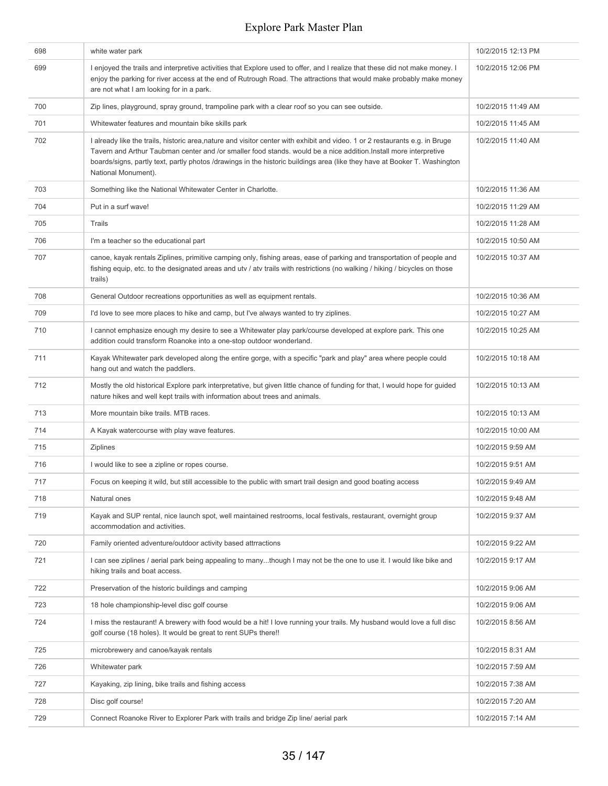| 698 | white water park                                                                                                                                                                                                                                                                                                                                                                                     | 10/2/2015 12:13 PM |
|-----|------------------------------------------------------------------------------------------------------------------------------------------------------------------------------------------------------------------------------------------------------------------------------------------------------------------------------------------------------------------------------------------------------|--------------------|
| 699 | I enjoyed the trails and interpretive activities that Explore used to offer, and I realize that these did not make money. I<br>enjoy the parking for river access at the end of Rutrough Road. The attractions that would make probably make money<br>are not what I am looking for in a park.                                                                                                       | 10/2/2015 12:06 PM |
| 700 | Zip lines, playground, spray ground, trampoline park with a clear roof so you can see outside.                                                                                                                                                                                                                                                                                                       | 10/2/2015 11:49 AM |
| 701 | Whitewater features and mountain bike skills park                                                                                                                                                                                                                                                                                                                                                    | 10/2/2015 11:45 AM |
| 702 | I already like the trails, historic area,nature and visitor center with exhibit and video. 1 or 2 restaurants e.g. in Bruge<br>Tavern and Arthur Taubman center and /or smaller food stands, would be a nice addition. Install more interpretive<br>boards/signs, partly text, partly photos /drawings in the historic buildings area (like they have at Booker T. Washington<br>National Monument). | 10/2/2015 11:40 AM |
| 703 | Something like the National Whitewater Center in Charlotte.                                                                                                                                                                                                                                                                                                                                          | 10/2/2015 11:36 AM |
| 704 | Put in a surf wave!                                                                                                                                                                                                                                                                                                                                                                                  | 10/2/2015 11:29 AM |
| 705 | Trails                                                                                                                                                                                                                                                                                                                                                                                               | 10/2/2015 11:28 AM |
| 706 | I'm a teacher so the educational part                                                                                                                                                                                                                                                                                                                                                                | 10/2/2015 10:50 AM |
| 707 | canoe, kayak rentals Ziplines, primitive camping only, fishing areas, ease of parking and transportation of people and<br>fishing equip, etc. to the designated areas and utv / atv trails with restrictions (no walking / hiking / bicycles on those<br>trails)                                                                                                                                     | 10/2/2015 10:37 AM |
| 708 | General Outdoor recreations opportunities as well as equipment rentals.                                                                                                                                                                                                                                                                                                                              | 10/2/2015 10:36 AM |
| 709 | I'd love to see more places to hike and camp, but I've always wanted to try ziplines.                                                                                                                                                                                                                                                                                                                | 10/2/2015 10:27 AM |
| 710 | I cannot emphasize enough my desire to see a Whitewater play park/course developed at explore park. This one<br>addition could transform Roanoke into a one-stop outdoor wonderland.                                                                                                                                                                                                                 | 10/2/2015 10:25 AM |
| 711 | Kayak Whitewater park developed along the entire gorge, with a specific "park and play" area where people could<br>hang out and watch the paddlers.                                                                                                                                                                                                                                                  | 10/2/2015 10:18 AM |
| 712 | Mostly the old historical Explore park interpretative, but given little chance of funding for that, I would hope for guided<br>nature hikes and well kept trails with information about trees and animals.                                                                                                                                                                                           | 10/2/2015 10:13 AM |
| 713 | More mountain bike trails. MTB races.                                                                                                                                                                                                                                                                                                                                                                | 10/2/2015 10:13 AM |
| 714 | A Kayak watercourse with play wave features.                                                                                                                                                                                                                                                                                                                                                         | 10/2/2015 10:00 AM |
| 715 | <b>Ziplines</b>                                                                                                                                                                                                                                                                                                                                                                                      | 10/2/2015 9:59 AM  |
| 716 | I would like to see a zipline or ropes course.                                                                                                                                                                                                                                                                                                                                                       | 10/2/2015 9:51 AM  |
| 717 | Focus on keeping it wild, but still accessible to the public with smart trail design and good boating access                                                                                                                                                                                                                                                                                         | 10/2/2015 9:49 AM  |
| 718 | Natural ones                                                                                                                                                                                                                                                                                                                                                                                         | 10/2/2015 9:48 AM  |
| 719 | Kayak and SUP rental, nice launch spot, well maintained restrooms, local festivals, restaurant, overnight group<br>accommodation and activities.                                                                                                                                                                                                                                                     | 10/2/2015 9:37 AM  |
| 720 | Family oriented adventure/outdoor activity based attrractions                                                                                                                                                                                                                                                                                                                                        | 10/2/2015 9:22 AM  |
| 721 | I can see ziplines / aerial park being appealing to manythough I may not be the one to use it. I would like bike and<br>hiking trails and boat access.                                                                                                                                                                                                                                               | 10/2/2015 9:17 AM  |
| 722 | Preservation of the historic buildings and camping                                                                                                                                                                                                                                                                                                                                                   | 10/2/2015 9:06 AM  |
| 723 | 18 hole championship-level disc golf course                                                                                                                                                                                                                                                                                                                                                          | 10/2/2015 9:06 AM  |
| 724 | I miss the restaurant! A brewery with food would be a hit! I love running your trails. My husband would love a full disc<br>golf course (18 holes). It would be great to rent SUPs there!!                                                                                                                                                                                                           | 10/2/2015 8:56 AM  |
| 725 | microbrewery and canoe/kayak rentals                                                                                                                                                                                                                                                                                                                                                                 | 10/2/2015 8:31 AM  |
| 726 | Whitewater park                                                                                                                                                                                                                                                                                                                                                                                      | 10/2/2015 7:59 AM  |
| 727 | Kayaking, zip lining, bike trails and fishing access                                                                                                                                                                                                                                                                                                                                                 | 10/2/2015 7:38 AM  |
| 728 | Disc golf course!                                                                                                                                                                                                                                                                                                                                                                                    | 10/2/2015 7:20 AM  |
| 729 | Connect Roanoke River to Explorer Park with trails and bridge Zip line/ aerial park                                                                                                                                                                                                                                                                                                                  | 10/2/2015 7:14 AM  |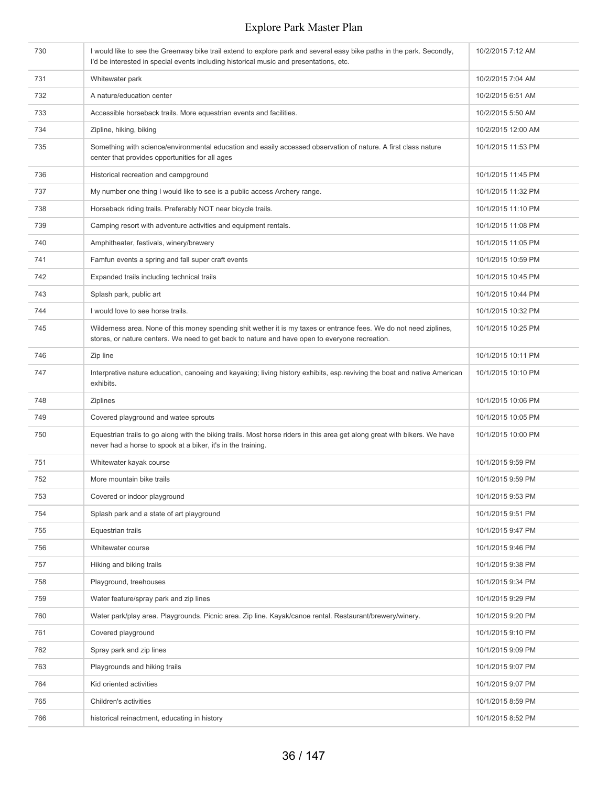| 730 | I would like to see the Greenway bike trail extend to explore park and several easy bike paths in the park. Secondly,<br>I'd be interested in special events including historical music and presentations, etc.      | 10/2/2015 7:12 AM  |
|-----|----------------------------------------------------------------------------------------------------------------------------------------------------------------------------------------------------------------------|--------------------|
| 731 | Whitewater park                                                                                                                                                                                                      | 10/2/2015 7:04 AM  |
| 732 | A nature/education center                                                                                                                                                                                            | 10/2/2015 6:51 AM  |
| 733 | Accessible horseback trails. More equestrian events and facilities.                                                                                                                                                  | 10/2/2015 5:50 AM  |
| 734 | Zipline, hiking, biking                                                                                                                                                                                              | 10/2/2015 12:00 AM |
| 735 | Something with science/environmental education and easily accessed observation of nature. A first class nature<br>center that provides opportunities for all ages                                                    | 10/1/2015 11:53 PM |
| 736 | Historical recreation and campground                                                                                                                                                                                 | 10/1/2015 11:45 PM |
| 737 | My number one thing I would like to see is a public access Archery range.                                                                                                                                            | 10/1/2015 11:32 PM |
| 738 | Horseback riding trails. Preferably NOT near bicycle trails.                                                                                                                                                         | 10/1/2015 11:10 PM |
| 739 | Camping resort with adventure activities and equipment rentals.                                                                                                                                                      | 10/1/2015 11:08 PM |
| 740 | Amphitheater, festivals, winery/brewery                                                                                                                                                                              | 10/1/2015 11:05 PM |
| 741 | Famfun events a spring and fall super craft events                                                                                                                                                                   | 10/1/2015 10:59 PM |
| 742 | Expanded trails including technical trails                                                                                                                                                                           | 10/1/2015 10:45 PM |
| 743 | Splash park, public art                                                                                                                                                                                              | 10/1/2015 10:44 PM |
| 744 | I would love to see horse trails.                                                                                                                                                                                    | 10/1/2015 10:32 PM |
| 745 | Wilderness area. None of this money spending shit wether it is my taxes or entrance fees. We do not need ziplines,<br>stores, or nature centers. We need to get back to nature and have open to everyone recreation. | 10/1/2015 10:25 PM |
| 746 | Zip line                                                                                                                                                                                                             | 10/1/2015 10:11 PM |
| 747 | Interpretive nature education, canoeing and kayaking; living history exhibits, esp.reviving the boat and native American<br>exhibits.                                                                                | 10/1/2015 10:10 PM |
| 748 | <b>Ziplines</b>                                                                                                                                                                                                      | 10/1/2015 10:06 PM |
| 749 | Covered playground and watee sprouts                                                                                                                                                                                 | 10/1/2015 10:05 PM |
| 750 | Equestrian trails to go along with the biking trails. Most horse riders in this area get along great with bikers. We have<br>never had a horse to spook at a biker, it's in the training.                            | 10/1/2015 10:00 PM |
| 751 | Whitewater kayak course                                                                                                                                                                                              | 10/1/2015 9:59 PM  |
| 752 | More mountain bike trails                                                                                                                                                                                            | 10/1/2015 9:59 PM  |
| 753 | Covered or indoor playground                                                                                                                                                                                         | 10/1/2015 9:53 PM  |
| 754 | Splash park and a state of art playground                                                                                                                                                                            | 10/1/2015 9:51 PM  |
| 755 | Equestrian trails                                                                                                                                                                                                    | 10/1/2015 9:47 PM  |
| 756 | Whitewater course                                                                                                                                                                                                    | 10/1/2015 9:46 PM  |
| 757 | Hiking and biking trails                                                                                                                                                                                             | 10/1/2015 9:38 PM  |
| 758 | Playground, treehouses                                                                                                                                                                                               | 10/1/2015 9:34 PM  |
| 759 | Water feature/spray park and zip lines                                                                                                                                                                               | 10/1/2015 9:29 PM  |
| 760 | Water park/play area. Playgrounds. Picnic area. Zip line. Kayak/canoe rental. Restaurant/brewery/winery.                                                                                                             | 10/1/2015 9:20 PM  |
| 761 | Covered playground                                                                                                                                                                                                   | 10/1/2015 9:10 PM  |
| 762 | Spray park and zip lines                                                                                                                                                                                             | 10/1/2015 9:09 PM  |
| 763 | Playgrounds and hiking trails                                                                                                                                                                                        | 10/1/2015 9:07 PM  |
| 764 | Kid oriented activities                                                                                                                                                                                              | 10/1/2015 9:07 PM  |
| 765 | Children's activities                                                                                                                                                                                                | 10/1/2015 8:59 PM  |
| 766 | historical reinactment, educating in history                                                                                                                                                                         | 10/1/2015 8:52 PM  |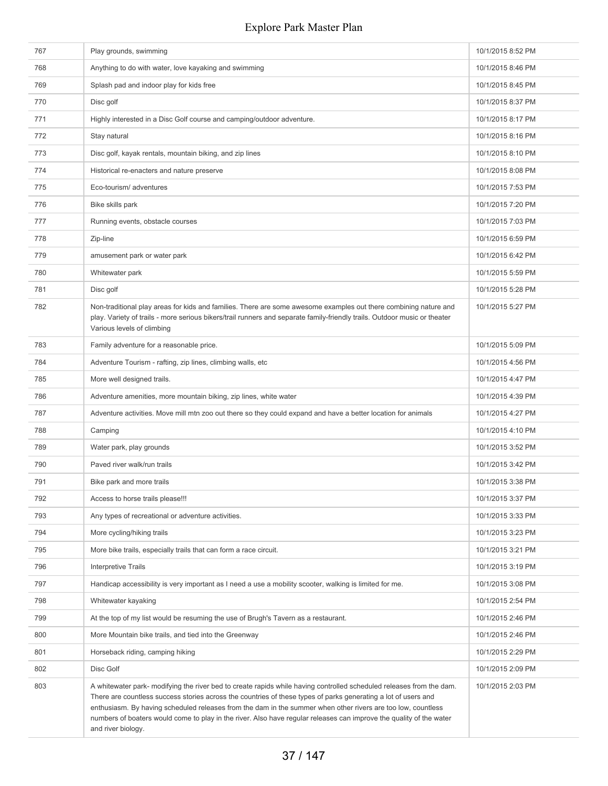| 767 | Play grounds, swimming                                                                                                                                                                                                                                                                                                                                                                                                                                                                              | 10/1/2015 8:52 PM |
|-----|-----------------------------------------------------------------------------------------------------------------------------------------------------------------------------------------------------------------------------------------------------------------------------------------------------------------------------------------------------------------------------------------------------------------------------------------------------------------------------------------------------|-------------------|
| 768 | Anything to do with water, love kayaking and swimming                                                                                                                                                                                                                                                                                                                                                                                                                                               | 10/1/2015 8:46 PM |
| 769 | Splash pad and indoor play for kids free                                                                                                                                                                                                                                                                                                                                                                                                                                                            | 10/1/2015 8:45 PM |
| 770 | Disc golf                                                                                                                                                                                                                                                                                                                                                                                                                                                                                           | 10/1/2015 8:37 PM |
| 771 | Highly interested in a Disc Golf course and camping/outdoor adventure.                                                                                                                                                                                                                                                                                                                                                                                                                              | 10/1/2015 8:17 PM |
| 772 | Stay natural                                                                                                                                                                                                                                                                                                                                                                                                                                                                                        | 10/1/2015 8:16 PM |
| 773 | Disc golf, kayak rentals, mountain biking, and zip lines                                                                                                                                                                                                                                                                                                                                                                                                                                            | 10/1/2015 8:10 PM |
| 774 | Historical re-enacters and nature preserve                                                                                                                                                                                                                                                                                                                                                                                                                                                          | 10/1/2015 8:08 PM |
| 775 | Eco-tourism/adventures                                                                                                                                                                                                                                                                                                                                                                                                                                                                              | 10/1/2015 7:53 PM |
| 776 | Bike skills park                                                                                                                                                                                                                                                                                                                                                                                                                                                                                    | 10/1/2015 7:20 PM |
| 777 | Running events, obstacle courses                                                                                                                                                                                                                                                                                                                                                                                                                                                                    | 10/1/2015 7:03 PM |
| 778 | Zip-line                                                                                                                                                                                                                                                                                                                                                                                                                                                                                            | 10/1/2015 6:59 PM |
| 779 | amusement park or water park                                                                                                                                                                                                                                                                                                                                                                                                                                                                        | 10/1/2015 6:42 PM |
| 780 | Whitewater park                                                                                                                                                                                                                                                                                                                                                                                                                                                                                     | 10/1/2015 5:59 PM |
| 781 | Disc golf                                                                                                                                                                                                                                                                                                                                                                                                                                                                                           | 10/1/2015 5:28 PM |
| 782 | Non-traditional play areas for kids and families. There are some awesome examples out there combining nature and<br>play. Variety of trails - more serious bikers/trail runners and separate family-friendly trails. Outdoor music or theater<br>Various levels of climbing                                                                                                                                                                                                                         | 10/1/2015 5:27 PM |
| 783 | Family adventure for a reasonable price.                                                                                                                                                                                                                                                                                                                                                                                                                                                            | 10/1/2015 5:09 PM |
| 784 | Adventure Tourism - rafting, zip lines, climbing walls, etc                                                                                                                                                                                                                                                                                                                                                                                                                                         | 10/1/2015 4:56 PM |
| 785 | More well designed trails.                                                                                                                                                                                                                                                                                                                                                                                                                                                                          | 10/1/2015 4:47 PM |
| 786 | Adventure amenities, more mountain biking, zip lines, white water                                                                                                                                                                                                                                                                                                                                                                                                                                   | 10/1/2015 4:39 PM |
| 787 | Adventure activities. Move mill mtn zoo out there so they could expand and have a better location for animals                                                                                                                                                                                                                                                                                                                                                                                       | 10/1/2015 4:27 PM |
| 788 | Camping                                                                                                                                                                                                                                                                                                                                                                                                                                                                                             | 10/1/2015 4:10 PM |
| 789 | Water park, play grounds                                                                                                                                                                                                                                                                                                                                                                                                                                                                            | 10/1/2015 3:52 PM |
| 790 | Paved river walk/run trails                                                                                                                                                                                                                                                                                                                                                                                                                                                                         | 10/1/2015 3:42 PM |
| 791 | Bike park and more trails                                                                                                                                                                                                                                                                                                                                                                                                                                                                           | 10/1/2015 3:38 PM |
| 792 | Access to horse trails please!!!                                                                                                                                                                                                                                                                                                                                                                                                                                                                    | 10/1/2015 3:37 PM |
| 793 | Any types of recreational or adventure activities.                                                                                                                                                                                                                                                                                                                                                                                                                                                  | 10/1/2015 3:33 PM |
| 794 | More cycling/hiking trails                                                                                                                                                                                                                                                                                                                                                                                                                                                                          | 10/1/2015 3:23 PM |
| 795 | More bike trails, especially trails that can form a race circuit.                                                                                                                                                                                                                                                                                                                                                                                                                                   | 10/1/2015 3:21 PM |
| 796 | <b>Interpretive Trails</b>                                                                                                                                                                                                                                                                                                                                                                                                                                                                          | 10/1/2015 3:19 PM |
| 797 | Handicap accessibility is very important as I need a use a mobility scooter, walking is limited for me.                                                                                                                                                                                                                                                                                                                                                                                             | 10/1/2015 3:08 PM |
| 798 | Whitewater kayaking                                                                                                                                                                                                                                                                                                                                                                                                                                                                                 | 10/1/2015 2:54 PM |
| 799 | At the top of my list would be resuming the use of Brugh's Tavern as a restaurant.                                                                                                                                                                                                                                                                                                                                                                                                                  | 10/1/2015 2:46 PM |
| 800 | More Mountain bike trails, and tied into the Greenway                                                                                                                                                                                                                                                                                                                                                                                                                                               | 10/1/2015 2:46 PM |
| 801 | Horseback riding, camping hiking                                                                                                                                                                                                                                                                                                                                                                                                                                                                    | 10/1/2015 2:29 PM |
| 802 | Disc Golf                                                                                                                                                                                                                                                                                                                                                                                                                                                                                           | 10/1/2015 2:09 PM |
| 803 | A whitewater park- modifying the river bed to create rapids while having controlled scheduled releases from the dam.<br>There are countless success stories across the countries of these types of parks generating a lot of users and<br>enthusiasm. By having scheduled releases from the dam in the summer when other rivers are too low, countless<br>numbers of boaters would come to play in the river. Also have regular releases can improve the quality of the water<br>and river biology. | 10/1/2015 2:03 PM |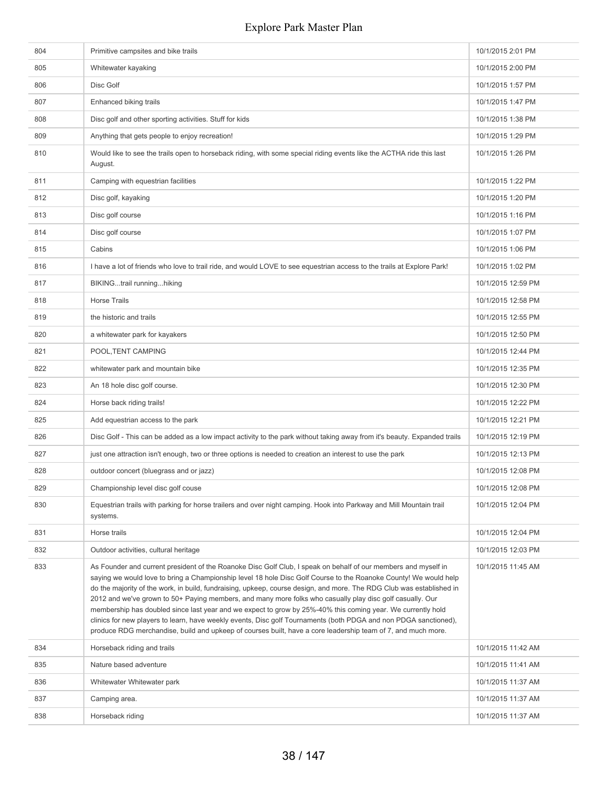| 804 | Primitive campsites and bike trails                                                                                                                                                                                                                                                                                                                                                                                                                                                                                                                                                                                                                                                                                                                                                                                        | 10/1/2015 2:01 PM  |
|-----|----------------------------------------------------------------------------------------------------------------------------------------------------------------------------------------------------------------------------------------------------------------------------------------------------------------------------------------------------------------------------------------------------------------------------------------------------------------------------------------------------------------------------------------------------------------------------------------------------------------------------------------------------------------------------------------------------------------------------------------------------------------------------------------------------------------------------|--------------------|
| 805 | Whitewater kayaking                                                                                                                                                                                                                                                                                                                                                                                                                                                                                                                                                                                                                                                                                                                                                                                                        | 10/1/2015 2:00 PM  |
| 806 | Disc Golf                                                                                                                                                                                                                                                                                                                                                                                                                                                                                                                                                                                                                                                                                                                                                                                                                  | 10/1/2015 1:57 PM  |
| 807 | Enhanced biking trails                                                                                                                                                                                                                                                                                                                                                                                                                                                                                                                                                                                                                                                                                                                                                                                                     | 10/1/2015 1:47 PM  |
| 808 | Disc golf and other sporting activities. Stuff for kids                                                                                                                                                                                                                                                                                                                                                                                                                                                                                                                                                                                                                                                                                                                                                                    | 10/1/2015 1:38 PM  |
| 809 | Anything that gets people to enjoy recreation!                                                                                                                                                                                                                                                                                                                                                                                                                                                                                                                                                                                                                                                                                                                                                                             | 10/1/2015 1:29 PM  |
| 810 | Would like to see the trails open to horseback riding, with some special riding events like the ACTHA ride this last<br>August.                                                                                                                                                                                                                                                                                                                                                                                                                                                                                                                                                                                                                                                                                            | 10/1/2015 1:26 PM  |
| 811 | Camping with equestrian facilities                                                                                                                                                                                                                                                                                                                                                                                                                                                                                                                                                                                                                                                                                                                                                                                         | 10/1/2015 1:22 PM  |
| 812 | Disc golf, kayaking                                                                                                                                                                                                                                                                                                                                                                                                                                                                                                                                                                                                                                                                                                                                                                                                        | 10/1/2015 1:20 PM  |
| 813 | Disc golf course                                                                                                                                                                                                                                                                                                                                                                                                                                                                                                                                                                                                                                                                                                                                                                                                           | 10/1/2015 1:16 PM  |
| 814 | Disc golf course                                                                                                                                                                                                                                                                                                                                                                                                                                                                                                                                                                                                                                                                                                                                                                                                           | 10/1/2015 1:07 PM  |
| 815 | Cabins                                                                                                                                                                                                                                                                                                                                                                                                                                                                                                                                                                                                                                                                                                                                                                                                                     | 10/1/2015 1:06 PM  |
| 816 | I have a lot of friends who love to trail ride, and would LOVE to see equestrian access to the trails at Explore Park!                                                                                                                                                                                                                                                                                                                                                                                                                                                                                                                                                                                                                                                                                                     | 10/1/2015 1:02 PM  |
| 817 | BIKINGtrail runninghiking                                                                                                                                                                                                                                                                                                                                                                                                                                                                                                                                                                                                                                                                                                                                                                                                  | 10/1/2015 12:59 PM |
| 818 | <b>Horse Trails</b>                                                                                                                                                                                                                                                                                                                                                                                                                                                                                                                                                                                                                                                                                                                                                                                                        | 10/1/2015 12:58 PM |
| 819 | the historic and trails                                                                                                                                                                                                                                                                                                                                                                                                                                                                                                                                                                                                                                                                                                                                                                                                    | 10/1/2015 12:55 PM |
| 820 | a whitewater park for kayakers                                                                                                                                                                                                                                                                                                                                                                                                                                                                                                                                                                                                                                                                                                                                                                                             | 10/1/2015 12:50 PM |
| 821 | POOL, TENT CAMPING                                                                                                                                                                                                                                                                                                                                                                                                                                                                                                                                                                                                                                                                                                                                                                                                         | 10/1/2015 12:44 PM |
| 822 | whitewater park and mountain bike                                                                                                                                                                                                                                                                                                                                                                                                                                                                                                                                                                                                                                                                                                                                                                                          | 10/1/2015 12:35 PM |
| 823 | An 18 hole disc golf course.                                                                                                                                                                                                                                                                                                                                                                                                                                                                                                                                                                                                                                                                                                                                                                                               | 10/1/2015 12:30 PM |
| 824 | Horse back riding trails!                                                                                                                                                                                                                                                                                                                                                                                                                                                                                                                                                                                                                                                                                                                                                                                                  | 10/1/2015 12:22 PM |
| 825 | Add equestrian access to the park                                                                                                                                                                                                                                                                                                                                                                                                                                                                                                                                                                                                                                                                                                                                                                                          | 10/1/2015 12:21 PM |
| 826 | Disc Golf - This can be added as a low impact activity to the park without taking away from it's beauty. Expanded trails                                                                                                                                                                                                                                                                                                                                                                                                                                                                                                                                                                                                                                                                                                   | 10/1/2015 12:19 PM |
| 827 | just one attraction isn't enough, two or three options is needed to creation an interest to use the park                                                                                                                                                                                                                                                                                                                                                                                                                                                                                                                                                                                                                                                                                                                   | 10/1/2015 12:13 PM |
| 828 | outdoor concert (bluegrass and or jazz)                                                                                                                                                                                                                                                                                                                                                                                                                                                                                                                                                                                                                                                                                                                                                                                    | 10/1/2015 12:08 PM |
| 829 | Championship level disc golf couse                                                                                                                                                                                                                                                                                                                                                                                                                                                                                                                                                                                                                                                                                                                                                                                         | 10/1/2015 12:08 PM |
| 830 | Equestrian trails with parking for horse trailers and over night camping. Hook into Parkway and Mill Mountain trail<br>systems.                                                                                                                                                                                                                                                                                                                                                                                                                                                                                                                                                                                                                                                                                            | 10/1/2015 12:04 PM |
| 831 | Horse trails                                                                                                                                                                                                                                                                                                                                                                                                                                                                                                                                                                                                                                                                                                                                                                                                               | 10/1/2015 12:04 PM |
| 832 | Outdoor activities, cultural heritage                                                                                                                                                                                                                                                                                                                                                                                                                                                                                                                                                                                                                                                                                                                                                                                      | 10/1/2015 12:03 PM |
| 833 | As Founder and current president of the Roanoke Disc Golf Club, I speak on behalf of our members and myself in<br>saying we would love to bring a Championship level 18 hole Disc Golf Course to the Roanoke County! We would help<br>do the majority of the work, in build, fundraising, upkeep, course design, and more. The RDG Club was established in<br>2012 and we've grown to 50+ Paying members, and many more folks who casually play disc golf casually. Our<br>membership has doubled since last year and we expect to grow by 25%-40% this coming year. We currently hold<br>clinics for new players to learn, have weekly events, Disc golf Tournaments (both PDGA and non PDGA sanctioned),<br>produce RDG merchandise, build and upkeep of courses built, have a core leadership team of 7, and much more. | 10/1/2015 11:45 AM |
| 834 | Horseback riding and trails                                                                                                                                                                                                                                                                                                                                                                                                                                                                                                                                                                                                                                                                                                                                                                                                | 10/1/2015 11:42 AM |
| 835 | Nature based adventure                                                                                                                                                                                                                                                                                                                                                                                                                                                                                                                                                                                                                                                                                                                                                                                                     | 10/1/2015 11:41 AM |
| 836 | Whitewater Whitewater park                                                                                                                                                                                                                                                                                                                                                                                                                                                                                                                                                                                                                                                                                                                                                                                                 | 10/1/2015 11:37 AM |
| 837 | Camping area.                                                                                                                                                                                                                                                                                                                                                                                                                                                                                                                                                                                                                                                                                                                                                                                                              | 10/1/2015 11:37 AM |
| 838 | Horseback riding                                                                                                                                                                                                                                                                                                                                                                                                                                                                                                                                                                                                                                                                                                                                                                                                           | 10/1/2015 11:37 AM |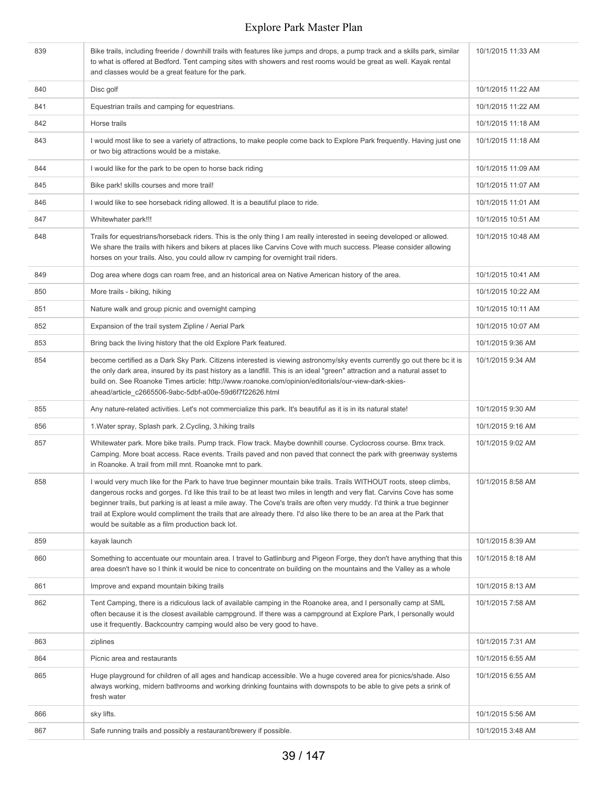| 839 | Bike trails, including freeride / downhill trails with features like jumps and drops, a pump track and a skills park, similar<br>to what is offered at Bedford. Tent camping sites with showers and rest rooms would be great as well. Kayak rental<br>and classes would be a great feature for the park.                                                                                                                                                                                                                                                | 10/1/2015 11:33 AM |
|-----|----------------------------------------------------------------------------------------------------------------------------------------------------------------------------------------------------------------------------------------------------------------------------------------------------------------------------------------------------------------------------------------------------------------------------------------------------------------------------------------------------------------------------------------------------------|--------------------|
| 840 | Disc golf                                                                                                                                                                                                                                                                                                                                                                                                                                                                                                                                                | 10/1/2015 11:22 AM |
| 841 | Equestrian trails and camping for equestrians.                                                                                                                                                                                                                                                                                                                                                                                                                                                                                                           | 10/1/2015 11:22 AM |
| 842 | Horse trails                                                                                                                                                                                                                                                                                                                                                                                                                                                                                                                                             | 10/1/2015 11:18 AM |
| 843 | I would most like to see a variety of attractions, to make people come back to Explore Park frequently. Having just one<br>or two big attractions would be a mistake.                                                                                                                                                                                                                                                                                                                                                                                    | 10/1/2015 11:18 AM |
| 844 | I would like for the park to be open to horse back riding                                                                                                                                                                                                                                                                                                                                                                                                                                                                                                | 10/1/2015 11:09 AM |
| 845 | Bike park! skills courses and more trail!                                                                                                                                                                                                                                                                                                                                                                                                                                                                                                                | 10/1/2015 11:07 AM |
| 846 | I would like to see horseback riding allowed. It is a beautiful place to ride.                                                                                                                                                                                                                                                                                                                                                                                                                                                                           | 10/1/2015 11:01 AM |
| 847 | Whitewhater park!!!                                                                                                                                                                                                                                                                                                                                                                                                                                                                                                                                      | 10/1/2015 10:51 AM |
| 848 | Trails for equestrians/horseback riders. This is the only thing I am really interested in seeing developed or allowed.<br>We share the trails with hikers and bikers at places like Carvins Cove with much success. Please consider allowing<br>horses on your trails. Also, you could allow rv camping for overnight trail riders.                                                                                                                                                                                                                      | 10/1/2015 10:48 AM |
| 849 | Dog area where dogs can roam free, and an historical area on Native American history of the area.                                                                                                                                                                                                                                                                                                                                                                                                                                                        | 10/1/2015 10:41 AM |
| 850 | More trails - biking, hiking                                                                                                                                                                                                                                                                                                                                                                                                                                                                                                                             | 10/1/2015 10:22 AM |
| 851 | Nature walk and group picnic and overnight camping                                                                                                                                                                                                                                                                                                                                                                                                                                                                                                       | 10/1/2015 10:11 AM |
| 852 | Expansion of the trail system Zipline / Aerial Park                                                                                                                                                                                                                                                                                                                                                                                                                                                                                                      | 10/1/2015 10:07 AM |
| 853 | Bring back the living history that the old Explore Park featured.                                                                                                                                                                                                                                                                                                                                                                                                                                                                                        | 10/1/2015 9:36 AM  |
| 854 | become certified as a Dark Sky Park. Citizens interested is viewing astronomy/sky events currently go out there bc it is<br>the only dark area, insured by its past history as a landfill. This is an ideal "green" attraction and a natural asset to<br>build on. See Roanoke Times article: http://www.roanoke.com/opinion/editorials/our-view-dark-skies-<br>ahead/article_c2665506-9abc-5dbf-a00e-59d6f7f22626.html                                                                                                                                  | 10/1/2015 9:34 AM  |
| 855 | Any nature-related activities. Let's not commercialize this park. It's beautiful as it is in its natural state!                                                                                                                                                                                                                                                                                                                                                                                                                                          | 10/1/2015 9:30 AM  |
| 856 | 1. Water spray, Splash park. 2. Cycling, 3. hiking trails                                                                                                                                                                                                                                                                                                                                                                                                                                                                                                | 10/1/2015 9:16 AM  |
| 857 | Whitewater park. More bike trails. Pump track. Flow track. Maybe downhill course. Cyclocross course. Bmx track.<br>Camping. More boat access. Race events. Trails paved and non paved that connect the park with greenway systems<br>in Roanoke. A trail from mill mnt. Roanoke mnt to park.                                                                                                                                                                                                                                                             | 10/1/2015 9:02 AM  |
| 858 | I would very much like for the Park to have true beginner mountain bike trails. Trails WITHOUT roots, steep climbs,<br>dangerous rocks and gorges. I'd like this trail to be at least two miles in length and very flat. Carvins Cove has some<br>beginner trails, but parking is at least a mile away. The Cove's trails are often very muddy. I'd think a true beginner<br>trail at Explore would compliment the trails that are already there. I'd also like there to be an area at the Park that<br>would be suitable as a film production back lot. | 10/1/2015 8:58 AM  |
| 859 | kayak launch                                                                                                                                                                                                                                                                                                                                                                                                                                                                                                                                             | 10/1/2015 8:39 AM  |
| 860 | Something to accentuate our mountain area. I travel to Gatlinburg and Pigeon Forge, they don't have anything that this<br>area doesn't have so I think it would be nice to concentrate on building on the mountains and the Valley as a whole                                                                                                                                                                                                                                                                                                            | 10/1/2015 8:18 AM  |
| 861 | Improve and expand mountain biking trails                                                                                                                                                                                                                                                                                                                                                                                                                                                                                                                | 10/1/2015 8:13 AM  |
| 862 | Tent Camping, there is a ridiculous lack of available camping in the Roanoke area, and I personally camp at SML<br>often because it is the closest available campground. If there was a campground at Explore Park, I personally would<br>use it frequently. Backcountry camping would also be very good to have.                                                                                                                                                                                                                                        | 10/1/2015 7:58 AM  |
| 863 | ziplines                                                                                                                                                                                                                                                                                                                                                                                                                                                                                                                                                 | 10/1/2015 7:31 AM  |
| 864 | Picnic area and restaurants                                                                                                                                                                                                                                                                                                                                                                                                                                                                                                                              | 10/1/2015 6:55 AM  |
| 865 | Huge playground for children of all ages and handicap accessible. We a huge covered area for picnics/shade. Also<br>always working, midern bathrooms and working drinking fountains with downspots to be able to give pets a srink of<br>fresh water                                                                                                                                                                                                                                                                                                     | 10/1/2015 6:55 AM  |
| 866 | sky lifts.                                                                                                                                                                                                                                                                                                                                                                                                                                                                                                                                               | 10/1/2015 5:56 AM  |
| 867 | Safe running trails and possibly a restaurant/brewery if possible.                                                                                                                                                                                                                                                                                                                                                                                                                                                                                       | 10/1/2015 3:48 AM  |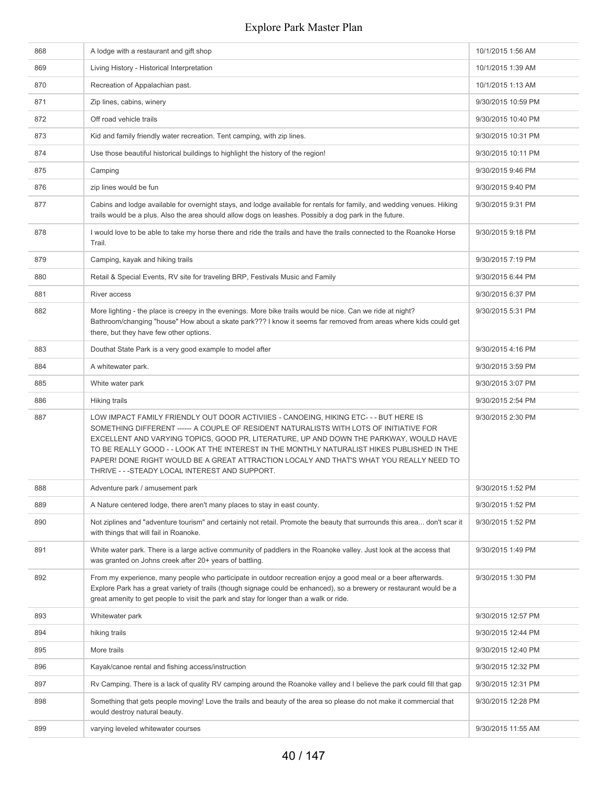| 868 | A lodge with a restaurant and gift shop                                                                                                                                                                                                                                                                                                                                                                                                                                                                                 | 10/1/2015 1:56 AM  |
|-----|-------------------------------------------------------------------------------------------------------------------------------------------------------------------------------------------------------------------------------------------------------------------------------------------------------------------------------------------------------------------------------------------------------------------------------------------------------------------------------------------------------------------------|--------------------|
| 869 | Living History - Historical Interpretation                                                                                                                                                                                                                                                                                                                                                                                                                                                                              | 10/1/2015 1:39 AM  |
| 870 | Recreation of Appalachian past.                                                                                                                                                                                                                                                                                                                                                                                                                                                                                         | 10/1/2015 1:13 AM  |
| 871 | Zip lines, cabins, winery                                                                                                                                                                                                                                                                                                                                                                                                                                                                                               | 9/30/2015 10:59 PM |
| 872 | Off road vehicle trails                                                                                                                                                                                                                                                                                                                                                                                                                                                                                                 | 9/30/2015 10:40 PM |
| 873 | Kid and family friendly water recreation. Tent camping, with zip lines.                                                                                                                                                                                                                                                                                                                                                                                                                                                 | 9/30/2015 10:31 PM |
| 874 | Use those beautiful historical buildings to highlight the history of the region!                                                                                                                                                                                                                                                                                                                                                                                                                                        | 9/30/2015 10:11 PM |
| 875 | Camping                                                                                                                                                                                                                                                                                                                                                                                                                                                                                                                 | 9/30/2015 9:46 PM  |
| 876 | zip lines would be fun                                                                                                                                                                                                                                                                                                                                                                                                                                                                                                  | 9/30/2015 9:40 PM  |
| 877 | Cabins and lodge available for overnight stays, and lodge available for rentals for family, and wedding venues. Hiking<br>trails would be a plus. Also the area should allow dogs on leashes. Possibly a dog park in the future.                                                                                                                                                                                                                                                                                        | 9/30/2015 9:31 PM  |
| 878 | I would love to be able to take my horse there and ride the trails and have the trails connected to the Roanoke Horse<br>Trail.                                                                                                                                                                                                                                                                                                                                                                                         | 9/30/2015 9:18 PM  |
| 879 | Camping, kayak and hiking trails                                                                                                                                                                                                                                                                                                                                                                                                                                                                                        | 9/30/2015 7:19 PM  |
| 880 | Retail & Special Events, RV site for traveling BRP, Festivals Music and Family                                                                                                                                                                                                                                                                                                                                                                                                                                          | 9/30/2015 6:44 PM  |
| 881 | River access                                                                                                                                                                                                                                                                                                                                                                                                                                                                                                            | 9/30/2015 6:37 PM  |
| 882 | More lighting - the place is creepy in the evenings. More bike trails would be nice. Can we ride at night?<br>Bathroom/changing "house" How about a skate park??? I know it seems far removed from areas where kids could get<br>there, but they have few other options.                                                                                                                                                                                                                                                | 9/30/2015 5:31 PM  |
| 883 | Douthat State Park is a very good example to model after                                                                                                                                                                                                                                                                                                                                                                                                                                                                | 9/30/2015 4:16 PM  |
| 884 | A whitewater park.                                                                                                                                                                                                                                                                                                                                                                                                                                                                                                      | 9/30/2015 3:59 PM  |
| 885 | White water park                                                                                                                                                                                                                                                                                                                                                                                                                                                                                                        | 9/30/2015 3:07 PM  |
| 886 | Hiking trails                                                                                                                                                                                                                                                                                                                                                                                                                                                                                                           | 9/30/2015 2:54 PM  |
| 887 | LOW IMPACT FAMILY FRIENDLY OUT DOOR ACTIVIIES - CANOEING, HIKING ETC- - - BUT HERE IS<br>SOMETHING DIFFERENT ------ A COUPLE OF RESIDENT NATURALISTS WITH LOTS OF INITIATIVE FOR<br>EXCELLENT AND VARYING TOPICS, GOOD PR, LITERATURE, UP AND DOWN THE PARKWAY, WOULD HAVE<br>TO BE REALLY GOOD - - LOOK AT THE INTEREST IN THE MONTHLY NATURALIST HIKES PUBLISHED IN THE<br>PAPER! DONE RIGHT WOULD BE A GREAT ATTRACTION LOCALY AND THAT'S WHAT YOU REALLY NEED TO<br>THRIVE - - - STEADY LOCAL INTEREST AND SUPPORT. | 9/30/2015 2:30 PM  |
| 888 | Adventure park / amusement park                                                                                                                                                                                                                                                                                                                                                                                                                                                                                         | 9/30/2015 1:52 PM  |
| 889 | A Nature centered lodge, there aren't many places to stay in east county.                                                                                                                                                                                                                                                                                                                                                                                                                                               | 9/30/2015 1:52 PM  |
| 890 | Not ziplines and "adventure tourism" and certainly not retail. Promote the beauty that surrounds this area don't scar it<br>with things that will fail in Roanoke.                                                                                                                                                                                                                                                                                                                                                      | 9/30/2015 1:52 PM  |
| 891 | White water park. There is a large active community of paddlers in the Roanoke valley. Just look at the access that<br>was granted on Johns creek after 20+ years of battling.                                                                                                                                                                                                                                                                                                                                          | 9/30/2015 1:49 PM  |
| 892 | From my experience, many people who participate in outdoor recreation enjoy a good meal or a beer afterwards.<br>Explore Park has a great variety of trails (though signage could be enhanced), so a brewery or restaurant would be a<br>great amenity to get people to visit the park and stay for longer than a walk or ride.                                                                                                                                                                                         | 9/30/2015 1:30 PM  |
| 893 | Whitewater park                                                                                                                                                                                                                                                                                                                                                                                                                                                                                                         | 9/30/2015 12:57 PM |
| 894 | hiking trails                                                                                                                                                                                                                                                                                                                                                                                                                                                                                                           | 9/30/2015 12:44 PM |
| 895 | More trails                                                                                                                                                                                                                                                                                                                                                                                                                                                                                                             | 9/30/2015 12:40 PM |
| 896 | Kayak/canoe rental and fishing access/instruction                                                                                                                                                                                                                                                                                                                                                                                                                                                                       | 9/30/2015 12:32 PM |
| 897 | Ry Camping. There is a lack of quality RV camping around the Roanoke valley and I believe the park could fill that gap                                                                                                                                                                                                                                                                                                                                                                                                  | 9/30/2015 12:31 PM |
| 898 | Something that gets people moving! Love the trails and beauty of the area so please do not make it commercial that<br>would destroy natural beauty.                                                                                                                                                                                                                                                                                                                                                                     | 9/30/2015 12:28 PM |
| 899 | varying leveled whitewater courses                                                                                                                                                                                                                                                                                                                                                                                                                                                                                      | 9/30/2015 11:55 AM |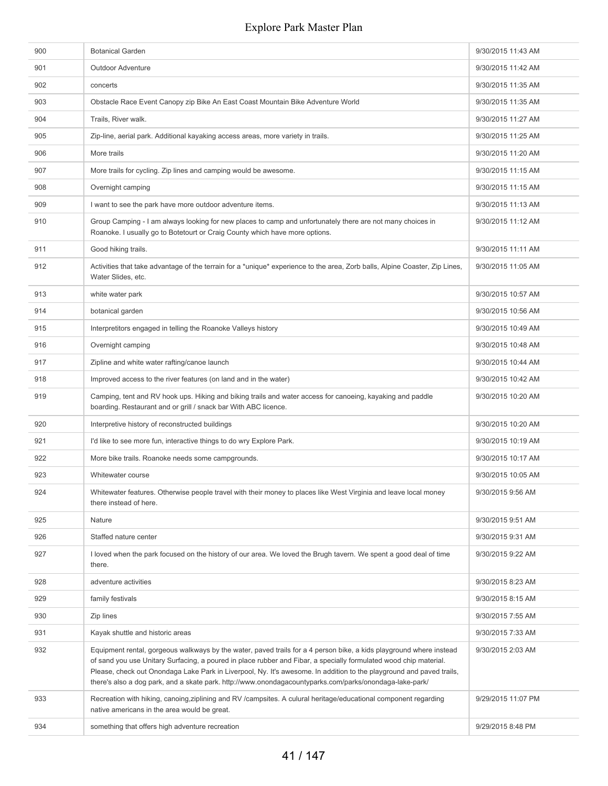| 900 | <b>Botanical Garden</b>                                                                                                                                                                                                                                                                                                                                                                                                                                                     | 9/30/2015 11:43 AM |
|-----|-----------------------------------------------------------------------------------------------------------------------------------------------------------------------------------------------------------------------------------------------------------------------------------------------------------------------------------------------------------------------------------------------------------------------------------------------------------------------------|--------------------|
| 901 | <b>Outdoor Adventure</b>                                                                                                                                                                                                                                                                                                                                                                                                                                                    | 9/30/2015 11:42 AM |
| 902 | concerts                                                                                                                                                                                                                                                                                                                                                                                                                                                                    | 9/30/2015 11:35 AM |
| 903 | Obstacle Race Event Canopy zip Bike An East Coast Mountain Bike Adventure World                                                                                                                                                                                                                                                                                                                                                                                             | 9/30/2015 11:35 AM |
| 904 | Trails, River walk.                                                                                                                                                                                                                                                                                                                                                                                                                                                         | 9/30/2015 11:27 AM |
| 905 | Zip-line, aerial park. Additional kayaking access areas, more variety in trails.                                                                                                                                                                                                                                                                                                                                                                                            | 9/30/2015 11:25 AM |
| 906 | More trails                                                                                                                                                                                                                                                                                                                                                                                                                                                                 | 9/30/2015 11:20 AM |
| 907 | More trails for cycling. Zip lines and camping would be awesome.                                                                                                                                                                                                                                                                                                                                                                                                            | 9/30/2015 11:15 AM |
| 908 | Overnight camping                                                                                                                                                                                                                                                                                                                                                                                                                                                           | 9/30/2015 11:15 AM |
| 909 | I want to see the park have more outdoor adventure items.                                                                                                                                                                                                                                                                                                                                                                                                                   | 9/30/2015 11:13 AM |
| 910 | Group Camping - I am always looking for new places to camp and unfortunately there are not many choices in<br>Roanoke. I usually go to Botetourt or Craig County which have more options.                                                                                                                                                                                                                                                                                   | 9/30/2015 11:12 AM |
| 911 | Good hiking trails.                                                                                                                                                                                                                                                                                                                                                                                                                                                         | 9/30/2015 11:11 AM |
| 912 | Activities that take advantage of the terrain for a *unique* experience to the area, Zorb balls, Alpine Coaster, Zip Lines,<br>Water Slides, etc.                                                                                                                                                                                                                                                                                                                           | 9/30/2015 11:05 AM |
| 913 | white water park                                                                                                                                                                                                                                                                                                                                                                                                                                                            | 9/30/2015 10:57 AM |
| 914 | botanical garden                                                                                                                                                                                                                                                                                                                                                                                                                                                            | 9/30/2015 10:56 AM |
| 915 | Interpretitors engaged in telling the Roanoke Valleys history                                                                                                                                                                                                                                                                                                                                                                                                               | 9/30/2015 10:49 AM |
| 916 | Overnight camping                                                                                                                                                                                                                                                                                                                                                                                                                                                           | 9/30/2015 10:48 AM |
| 917 | Zipline and white water rafting/canoe launch                                                                                                                                                                                                                                                                                                                                                                                                                                | 9/30/2015 10:44 AM |
| 918 | Improved access to the river features (on land and in the water)                                                                                                                                                                                                                                                                                                                                                                                                            | 9/30/2015 10:42 AM |
| 919 | Camping, tent and RV hook ups. Hiking and biking trails and water access for canoeing, kayaking and paddle<br>boarding. Restaurant and or grill / snack bar With ABC licence.                                                                                                                                                                                                                                                                                               | 9/30/2015 10:20 AM |
| 920 | Interpretive history of reconstructed buildings                                                                                                                                                                                                                                                                                                                                                                                                                             | 9/30/2015 10:20 AM |
| 921 | I'd like to see more fun, interactive things to do wry Explore Park.                                                                                                                                                                                                                                                                                                                                                                                                        | 9/30/2015 10:19 AM |
| 922 | More bike trails. Roanoke needs some campgrounds.                                                                                                                                                                                                                                                                                                                                                                                                                           | 9/30/2015 10:17 AM |
| 923 | Whitewater course                                                                                                                                                                                                                                                                                                                                                                                                                                                           | 9/30/2015 10:05 AM |
| 924 | Whitewater features. Otherwise people travel with their money to places like West Virginia and leave local money<br>there instead of here.                                                                                                                                                                                                                                                                                                                                  | 9/30/2015 9:56 AM  |
| 925 | Nature                                                                                                                                                                                                                                                                                                                                                                                                                                                                      | 9/30/2015 9:51 AM  |
| 926 | Staffed nature center                                                                                                                                                                                                                                                                                                                                                                                                                                                       | 9/30/2015 9:31 AM  |
| 927 | I loved when the park focused on the history of our area. We loved the Brugh tavern. We spent a good deal of time<br>there.                                                                                                                                                                                                                                                                                                                                                 | 9/30/2015 9:22 AM  |
| 928 | adventure activities                                                                                                                                                                                                                                                                                                                                                                                                                                                        | 9/30/2015 8:23 AM  |
| 929 | family festivals                                                                                                                                                                                                                                                                                                                                                                                                                                                            | 9/30/2015 8:15 AM  |
| 930 | Zip lines                                                                                                                                                                                                                                                                                                                                                                                                                                                                   | 9/30/2015 7:55 AM  |
| 931 | Kayak shuttle and historic areas                                                                                                                                                                                                                                                                                                                                                                                                                                            | 9/30/2015 7:33 AM  |
| 932 | Equipment rental, gorgeous walkways by the water, paved trails for a 4 person bike, a kids playground where instead<br>of sand you use Unitary Surfacing, a poured in place rubber and Fibar, a specially formulated wood chip material.<br>Please, check out Onondaga Lake Park in Liverpool, Ny. It's awesome. In addition to the playground and paved trails,<br>there's also a dog park, and a skate park. http://www.onondagacountyparks.com/parks/onondaga-lake-park/ | 9/30/2015 2:03 AM  |
| 933 | Recreation with hiking, canoing, ziplining and RV / campsites. A culural heritage/educational component regarding<br>native americans in the area would be great.                                                                                                                                                                                                                                                                                                           | 9/29/2015 11:07 PM |
| 934 | something that offers high adventure recreation                                                                                                                                                                                                                                                                                                                                                                                                                             | 9/29/2015 8:48 PM  |
|     |                                                                                                                                                                                                                                                                                                                                                                                                                                                                             |                    |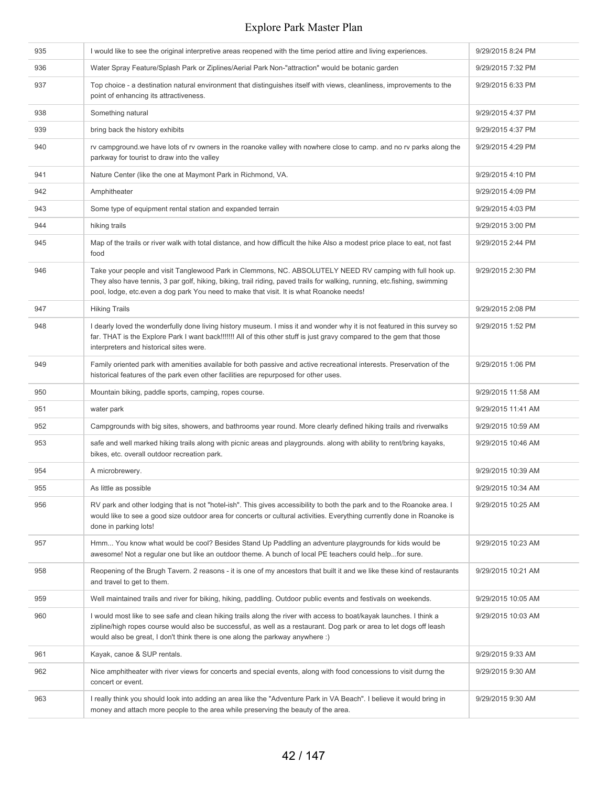| 935 | I would like to see the original interpretive areas reopened with the time period attire and living experiences.                                                                                                                                                                                                                  | 9/29/2015 8:24 PM  |
|-----|-----------------------------------------------------------------------------------------------------------------------------------------------------------------------------------------------------------------------------------------------------------------------------------------------------------------------------------|--------------------|
| 936 | Water Spray Feature/Splash Park or Ziplines/Aerial Park Non-"attraction" would be botanic garden                                                                                                                                                                                                                                  | 9/29/2015 7:32 PM  |
| 937 | Top choice - a destination natural environment that distinguishes itself with views, cleanliness, improvements to the<br>point of enhancing its attractiveness.                                                                                                                                                                   | 9/29/2015 6:33 PM  |
| 938 | Something natural                                                                                                                                                                                                                                                                                                                 | 9/29/2015 4:37 PM  |
| 939 | bring back the history exhibits                                                                                                                                                                                                                                                                                                   | 9/29/2015 4:37 PM  |
| 940 | rv campground we have lots of rv owners in the roanoke valley with nowhere close to camp. and no rv parks along the<br>parkway for tourist to draw into the valley                                                                                                                                                                | 9/29/2015 4:29 PM  |
| 941 | Nature Center (like the one at Maymont Park in Richmond, VA.                                                                                                                                                                                                                                                                      | 9/29/2015 4:10 PM  |
| 942 | Amphitheater                                                                                                                                                                                                                                                                                                                      | 9/29/2015 4:09 PM  |
| 943 | Some type of equipment rental station and expanded terrain                                                                                                                                                                                                                                                                        | 9/29/2015 4:03 PM  |
| 944 | hiking trails                                                                                                                                                                                                                                                                                                                     | 9/29/2015 3:00 PM  |
| 945 | Map of the trails or river walk with total distance, and how difficult the hike Also a modest price place to eat, not fast<br>food                                                                                                                                                                                                | 9/29/2015 2:44 PM  |
| 946 | Take your people and visit Tanglewood Park in Clemmons, NC. ABSOLUTELY NEED RV camping with full hook up.<br>They also have tennis, 3 par golf, hiking, biking, trail riding, paved trails for walking, running, etc.fishing, swimming<br>pool, lodge, etc.even a dog park You need to make that visit. It is what Roanoke needs! | 9/29/2015 2:30 PM  |
| 947 | <b>Hiking Trails</b>                                                                                                                                                                                                                                                                                                              | 9/29/2015 2:08 PM  |
| 948 | I dearly loved the wonderfully done living history museum. I miss it and wonder why it is not featured in this survey so<br>far. THAT is the Explore Park I want back!!!!!!! All of this other stuff is just gravy compared to the gem that those<br>interpreters and historical sites were.                                      | 9/29/2015 1:52 PM  |
| 949 | Family oriented park with amenities available for both passive and active recreational interests. Preservation of the<br>historical features of the park even other facilities are repurposed for other uses.                                                                                                                     | 9/29/2015 1:06 PM  |
| 950 | Mountain biking, paddle sports, camping, ropes course.                                                                                                                                                                                                                                                                            | 9/29/2015 11:58 AM |
| 951 | water park                                                                                                                                                                                                                                                                                                                        | 9/29/2015 11:41 AM |
| 952 | Campgrounds with big sites, showers, and bathrooms year round. More clearly defined hiking trails and riverwalks                                                                                                                                                                                                                  | 9/29/2015 10:59 AM |
| 953 | safe and well marked hiking trails along with picnic areas and playgrounds. along with ability to rent/bring kayaks,<br>bikes, etc. overall outdoor recreation park.                                                                                                                                                              | 9/29/2015 10:46 AM |
| 954 | A microbrewery.                                                                                                                                                                                                                                                                                                                   | 9/29/2015 10:39 AM |
| 955 | As little as possible                                                                                                                                                                                                                                                                                                             | 9/29/2015 10:34 AM |
| 956 | RV park and other lodging that is not "hotel-ish". This gives accessibility to both the park and to the Roanoke area. I<br>would like to see a good size outdoor area for concerts or cultural activities. Everything currently done in Roanoke is<br>done in parking lots!                                                       | 9/29/2015 10:25 AM |
| 957 | Hmm You know what would be cool? Besides Stand Up Paddling an adventure playgrounds for kids would be<br>awesome! Not a regular one but like an outdoor theme. A bunch of local PE teachers could helpfor sure.                                                                                                                   | 9/29/2015 10:23 AM |
| 958 | Reopening of the Brugh Tavern. 2 reasons - it is one of my ancestors that built it and we like these kind of restaurants<br>and travel to get to them.                                                                                                                                                                            | 9/29/2015 10:21 AM |
| 959 | Well maintained trails and river for biking, hiking, paddling. Outdoor public events and festivals on weekends.                                                                                                                                                                                                                   | 9/29/2015 10:05 AM |
| 960 | I would most like to see safe and clean hiking trails along the river with access to boat/kayak launches. I think a<br>zipline/high ropes course would also be successful, as well as a restaurant. Dog park or area to let dogs off leash<br>would also be great, I don't think there is one along the parkway anywhere :)       | 9/29/2015 10:03 AM |
| 961 | Kayak, canoe & SUP rentals.                                                                                                                                                                                                                                                                                                       | 9/29/2015 9:33 AM  |
| 962 | Nice amphitheater with river views for concerts and special events, along with food concessions to visit durng the<br>concert or event.                                                                                                                                                                                           | 9/29/2015 9:30 AM  |
| 963 | I really think you should look into adding an area like the "Adventure Park in VA Beach". I believe it would bring in<br>money and attach more people to the area while preserving the beauty of the area.                                                                                                                        | 9/29/2015 9:30 AM  |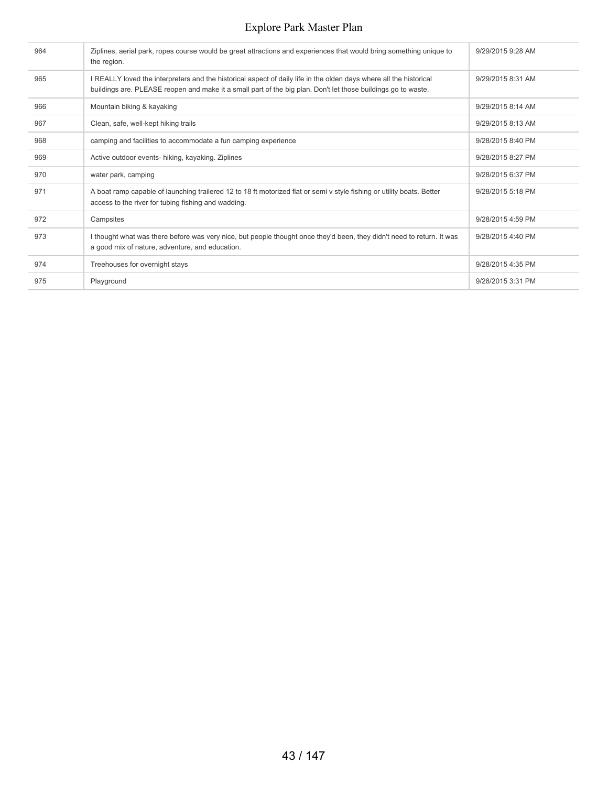| 964 | Ziplines, aerial park, ropes course would be great attractions and experiences that would bring something unique to<br>the region.                                                                                                  | 9/29/2015 9:28 AM |
|-----|-------------------------------------------------------------------------------------------------------------------------------------------------------------------------------------------------------------------------------------|-------------------|
| 965 | I REALLY loved the interpreters and the historical aspect of daily life in the olden days where all the historical<br>buildings are. PLEASE reopen and make it a small part of the big plan. Don't let those buildings go to waste. | 9/29/2015 8:31 AM |
| 966 | Mountain biking & kayaking                                                                                                                                                                                                          | 9/29/2015 8:14 AM |
| 967 | Clean, safe, well-kept hiking trails                                                                                                                                                                                                | 9/29/2015 8:13 AM |
| 968 | camping and facilities to accommodate a fun camping experience                                                                                                                                                                      | 9/28/2015 8:40 PM |
| 969 | Active outdoor events- hiking, kayaking. Ziplines                                                                                                                                                                                   | 9/28/2015 8:27 PM |
| 970 | water park, camping                                                                                                                                                                                                                 | 9/28/2015 6:37 PM |
| 971 | A boat ramp capable of launching trailered 12 to 18 ft motorized flat or semi v style fishing or utility boats. Better<br>access to the river for tubing fishing and wadding.                                                       | 9/28/2015 5:18 PM |
| 972 | Campsites                                                                                                                                                                                                                           | 9/28/2015 4:59 PM |
| 973 | I thought what was there before was very nice, but people thought once they'd been, they didn't need to return. It was<br>a good mix of nature, adventure, and education.                                                           | 9/28/2015 4:40 PM |
| 974 | Treehouses for overnight stays                                                                                                                                                                                                      | 9/28/2015 4:35 PM |
| 975 | Playground                                                                                                                                                                                                                          | 9/28/2015 3:31 PM |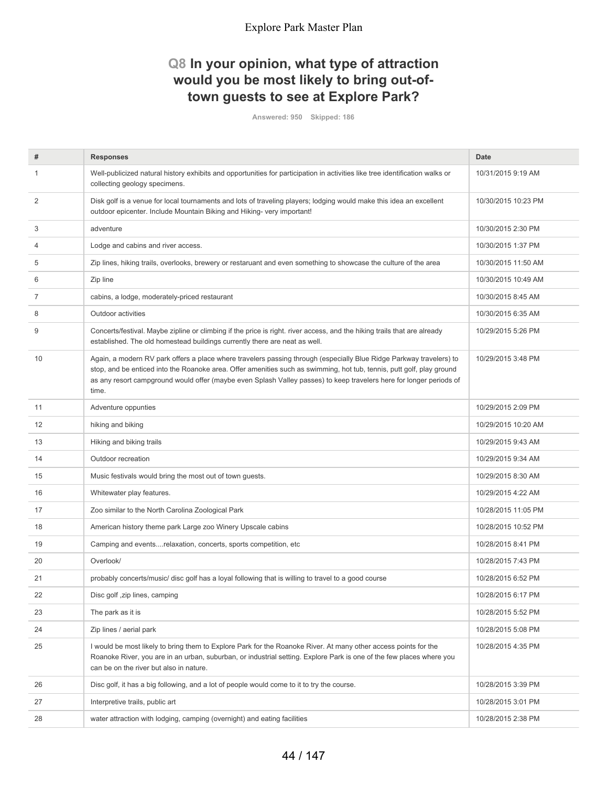# **Q8 In your opinion, what type of attraction would you be most likely to bring out-oftown guests to see at Explore Park?**

**Answered: 950 Skipped: 186**

| #  | <b>Responses</b>                                                                                                                                                                                                                                                                                                                                                             | Date                |
|----|------------------------------------------------------------------------------------------------------------------------------------------------------------------------------------------------------------------------------------------------------------------------------------------------------------------------------------------------------------------------------|---------------------|
| 1  | Well-publicized natural history exhibits and opportunities for participation in activities like tree identification walks or<br>collecting geology specimens.                                                                                                                                                                                                                | 10/31/2015 9:19 AM  |
| 2  | Disk golf is a venue for local tournaments and lots of traveling players; lodging would make this idea an excellent<br>outdoor epicenter. Include Mountain Biking and Hiking- very important!                                                                                                                                                                                | 10/30/2015 10:23 PM |
| 3  | adventure                                                                                                                                                                                                                                                                                                                                                                    | 10/30/2015 2:30 PM  |
| 4  | Lodge and cabins and river access.                                                                                                                                                                                                                                                                                                                                           | 10/30/2015 1:37 PM  |
| 5  | Zip lines, hiking trails, overlooks, brewery or restaruant and even something to showcase the culture of the area                                                                                                                                                                                                                                                            | 10/30/2015 11:50 AM |
| 6  | Zip line                                                                                                                                                                                                                                                                                                                                                                     | 10/30/2015 10:49 AM |
| 7  | cabins, a lodge, moderately-priced restaurant                                                                                                                                                                                                                                                                                                                                | 10/30/2015 8:45 AM  |
| 8  | Outdoor activities                                                                                                                                                                                                                                                                                                                                                           | 10/30/2015 6:35 AM  |
| 9  | Concerts/festival. Maybe zipline or climbing if the price is right. river access, and the hiking trails that are already<br>established. The old homestead buildings currently there are neat as well.                                                                                                                                                                       | 10/29/2015 5:26 PM  |
| 10 | Again, a modern RV park offers a place where travelers passing through (especially Blue Ridge Parkway travelers) to<br>stop, and be enticed into the Roanoke area. Offer amenities such as swimming, hot tub, tennis, putt golf, play ground<br>as any resort campground would offer (maybe even Splash Valley passes) to keep travelers here for longer periods of<br>time. | 10/29/2015 3:48 PM  |
| 11 | Adventure oppunties                                                                                                                                                                                                                                                                                                                                                          | 10/29/2015 2:09 PM  |
| 12 | hiking and biking                                                                                                                                                                                                                                                                                                                                                            | 10/29/2015 10:20 AM |
| 13 | Hiking and biking trails                                                                                                                                                                                                                                                                                                                                                     | 10/29/2015 9:43 AM  |
| 14 | Outdoor recreation                                                                                                                                                                                                                                                                                                                                                           | 10/29/2015 9:34 AM  |
| 15 | Music festivals would bring the most out of town guests.                                                                                                                                                                                                                                                                                                                     | 10/29/2015 8:30 AM  |
| 16 | Whitewater play features.                                                                                                                                                                                                                                                                                                                                                    | 10/29/2015 4:22 AM  |
| 17 | Zoo similar to the North Carolina Zoological Park                                                                                                                                                                                                                                                                                                                            | 10/28/2015 11:05 PM |
| 18 | American history theme park Large zoo Winery Upscale cabins                                                                                                                                                                                                                                                                                                                  | 10/28/2015 10:52 PM |
| 19 | Camping and eventsrelaxation, concerts, sports competition, etc                                                                                                                                                                                                                                                                                                              | 10/28/2015 8:41 PM  |
| 20 | Overlook/                                                                                                                                                                                                                                                                                                                                                                    | 10/28/2015 7:43 PM  |
| 21 | probably concerts/music/ disc golf has a loyal following that is willing to travel to a good course                                                                                                                                                                                                                                                                          | 10/28/2015 6:52 PM  |
| 22 | Disc golf, zip lines, camping                                                                                                                                                                                                                                                                                                                                                | 10/28/2015 6:17 PM  |
| 23 | The park as it is                                                                                                                                                                                                                                                                                                                                                            | 10/28/2015 5:52 PM  |
| 24 | Zip lines / aerial park                                                                                                                                                                                                                                                                                                                                                      | 10/28/2015 5:08 PM  |
| 25 | I would be most likely to bring them to Explore Park for the Roanoke River. At many other access points for the<br>Roanoke River, you are in an urban, suburban, or industrial setting. Explore Park is one of the few places where you<br>can be on the river but also in nature.                                                                                           | 10/28/2015 4:35 PM  |
| 26 | Disc golf, it has a big following, and a lot of people would come to it to try the course.                                                                                                                                                                                                                                                                                   | 10/28/2015 3:39 PM  |
| 27 | Interpretive trails, public art                                                                                                                                                                                                                                                                                                                                              | 10/28/2015 3:01 PM  |
| 28 | water attraction with lodging, camping (overnight) and eating facilities                                                                                                                                                                                                                                                                                                     | 10/28/2015 2:38 PM  |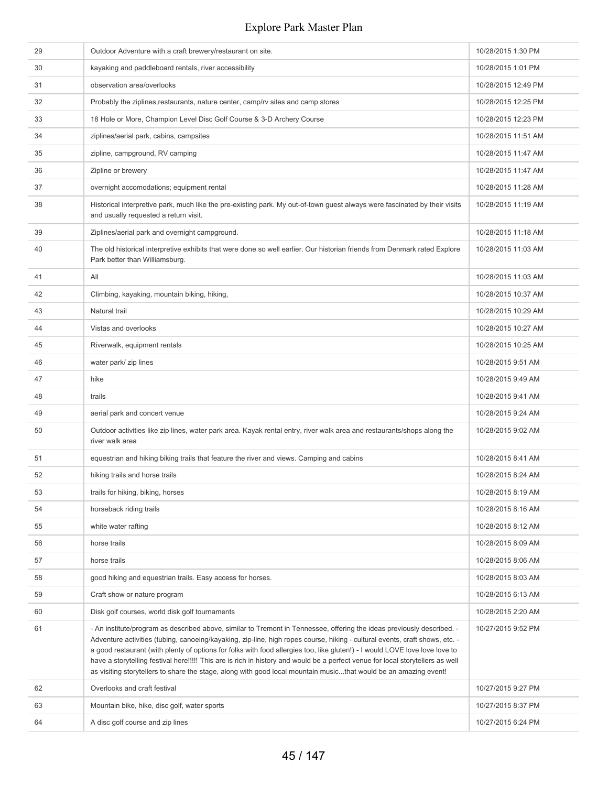| 29 | Outdoor Adventure with a craft brewery/restaurant on site.                                                                                                                                                                                                                                                                                                                                                                                                                                                                                                                                                                                 | 10/28/2015 1:30 PM  |
|----|--------------------------------------------------------------------------------------------------------------------------------------------------------------------------------------------------------------------------------------------------------------------------------------------------------------------------------------------------------------------------------------------------------------------------------------------------------------------------------------------------------------------------------------------------------------------------------------------------------------------------------------------|---------------------|
| 30 | kayaking and paddleboard rentals, river accessibility                                                                                                                                                                                                                                                                                                                                                                                                                                                                                                                                                                                      | 10/28/2015 1:01 PM  |
| 31 | observation area/overlooks                                                                                                                                                                                                                                                                                                                                                                                                                                                                                                                                                                                                                 | 10/28/2015 12:49 PM |
| 32 | Probably the ziplines, restaurants, nature center, camp/rv sites and camp stores                                                                                                                                                                                                                                                                                                                                                                                                                                                                                                                                                           | 10/28/2015 12:25 PM |
| 33 | 18 Hole or More, Champion Level Disc Golf Course & 3-D Archery Course                                                                                                                                                                                                                                                                                                                                                                                                                                                                                                                                                                      | 10/28/2015 12:23 PM |
| 34 | ziplines/aerial park, cabins, campsites                                                                                                                                                                                                                                                                                                                                                                                                                                                                                                                                                                                                    | 10/28/2015 11:51 AM |
| 35 | zipline, campground, RV camping                                                                                                                                                                                                                                                                                                                                                                                                                                                                                                                                                                                                            | 10/28/2015 11:47 AM |
| 36 | Zipline or brewery                                                                                                                                                                                                                                                                                                                                                                                                                                                                                                                                                                                                                         | 10/28/2015 11:47 AM |
| 37 | overnight accomodations; equipment rental                                                                                                                                                                                                                                                                                                                                                                                                                                                                                                                                                                                                  | 10/28/2015 11:28 AM |
| 38 | Historical interpretive park, much like the pre-existing park. My out-of-town guest always were fascinated by their visits<br>and usually requested a return visit.                                                                                                                                                                                                                                                                                                                                                                                                                                                                        | 10/28/2015 11:19 AM |
| 39 | Ziplines/aerial park and overnight campground.                                                                                                                                                                                                                                                                                                                                                                                                                                                                                                                                                                                             | 10/28/2015 11:18 AM |
| 40 | The old historical interpretive exhibits that were done so well earlier. Our historian friends from Denmark rated Explore<br>Park better than Williamsburg.                                                                                                                                                                                                                                                                                                                                                                                                                                                                                | 10/28/2015 11:03 AM |
| 41 | All                                                                                                                                                                                                                                                                                                                                                                                                                                                                                                                                                                                                                                        | 10/28/2015 11:03 AM |
| 42 | Climbing, kayaking, mountain biking, hiking,                                                                                                                                                                                                                                                                                                                                                                                                                                                                                                                                                                                               | 10/28/2015 10:37 AM |
| 43 | Natural trail                                                                                                                                                                                                                                                                                                                                                                                                                                                                                                                                                                                                                              | 10/28/2015 10:29 AM |
| 44 | Vistas and overlooks                                                                                                                                                                                                                                                                                                                                                                                                                                                                                                                                                                                                                       | 10/28/2015 10:27 AM |
| 45 | Riverwalk, equipment rentals                                                                                                                                                                                                                                                                                                                                                                                                                                                                                                                                                                                                               | 10/28/2015 10:25 AM |
| 46 | water park/ zip lines                                                                                                                                                                                                                                                                                                                                                                                                                                                                                                                                                                                                                      | 10/28/2015 9:51 AM  |
| 47 | hike                                                                                                                                                                                                                                                                                                                                                                                                                                                                                                                                                                                                                                       | 10/28/2015 9:49 AM  |
| 48 | trails                                                                                                                                                                                                                                                                                                                                                                                                                                                                                                                                                                                                                                     | 10/28/2015 9:41 AM  |
| 49 | aerial park and concert venue                                                                                                                                                                                                                                                                                                                                                                                                                                                                                                                                                                                                              | 10/28/2015 9:24 AM  |
| 50 | Outdoor activities like zip lines, water park area. Kayak rental entry, river walk area and restaurants/shops along the<br>river walk area                                                                                                                                                                                                                                                                                                                                                                                                                                                                                                 | 10/28/2015 9:02 AM  |
| 51 | equestrian and hiking biking trails that feature the river and views. Camping and cabins                                                                                                                                                                                                                                                                                                                                                                                                                                                                                                                                                   | 10/28/2015 8:41 AM  |
| 52 | hiking trails and horse trails                                                                                                                                                                                                                                                                                                                                                                                                                                                                                                                                                                                                             | 10/28/2015 8:24 AM  |
| 53 | trails for hiking, biking, horses                                                                                                                                                                                                                                                                                                                                                                                                                                                                                                                                                                                                          | 10/28/2015 8:19 AM  |
| 54 | horseback riding trails                                                                                                                                                                                                                                                                                                                                                                                                                                                                                                                                                                                                                    | 10/28/2015 8:16 AM  |
| 55 | white water rafting                                                                                                                                                                                                                                                                                                                                                                                                                                                                                                                                                                                                                        | 10/28/2015 8:12 AM  |
| 56 | horse trails                                                                                                                                                                                                                                                                                                                                                                                                                                                                                                                                                                                                                               | 10/28/2015 8:09 AM  |
| 57 | horse trails                                                                                                                                                                                                                                                                                                                                                                                                                                                                                                                                                                                                                               | 10/28/2015 8:06 AM  |
| 58 | good hiking and equestrian trails. Easy access for horses.                                                                                                                                                                                                                                                                                                                                                                                                                                                                                                                                                                                 | 10/28/2015 8:03 AM  |
| 59 | Craft show or nature program                                                                                                                                                                                                                                                                                                                                                                                                                                                                                                                                                                                                               | 10/28/2015 6:13 AM  |
| 60 | Disk golf courses, world disk golf tournaments                                                                                                                                                                                                                                                                                                                                                                                                                                                                                                                                                                                             | 10/28/2015 2:20 AM  |
| 61 | - An institute/program as described above, similar to Tremont in Tennessee, offering the ideas previously described. -<br>Adventure activities (tubing, canoeing/kayaking, zip-line, high ropes course, hiking - cultural events, craft shows, etc. -<br>a good restaurant (with plenty of options for folks with food allergies too, like gluten!) - I would LOVE love love love to<br>have a storytelling festival here!!!!! This are is rich in history and would be a perfect venue for local storytellers as well<br>as visiting storytellers to share the stage, along with good local mountain musicthat would be an amazing event! | 10/27/2015 9:52 PM  |
| 62 | Overlooks and craft festival                                                                                                                                                                                                                                                                                                                                                                                                                                                                                                                                                                                                               | 10/27/2015 9:27 PM  |
| 63 | Mountain bike, hike, disc golf, water sports                                                                                                                                                                                                                                                                                                                                                                                                                                                                                                                                                                                               | 10/27/2015 8:37 PM  |
| 64 | A disc golf course and zip lines                                                                                                                                                                                                                                                                                                                                                                                                                                                                                                                                                                                                           | 10/27/2015 6:24 PM  |
|    |                                                                                                                                                                                                                                                                                                                                                                                                                                                                                                                                                                                                                                            |                     |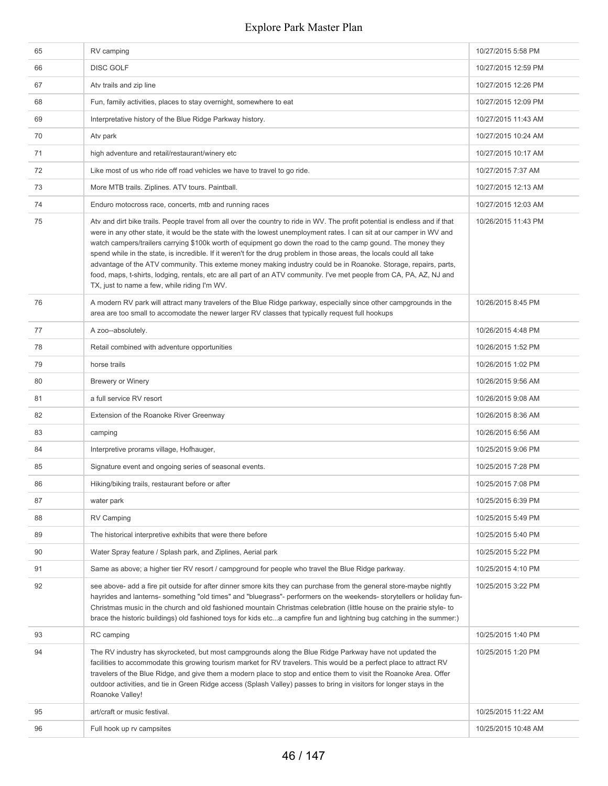| 65 | RV camping                                                                                                                                                                                                                                                                                                                                                                                                                                                                                                                                                                                                                                                                                                                                                                                | 10/27/2015 5:58 PM  |
|----|-------------------------------------------------------------------------------------------------------------------------------------------------------------------------------------------------------------------------------------------------------------------------------------------------------------------------------------------------------------------------------------------------------------------------------------------------------------------------------------------------------------------------------------------------------------------------------------------------------------------------------------------------------------------------------------------------------------------------------------------------------------------------------------------|---------------------|
| 66 | <b>DISC GOLF</b>                                                                                                                                                                                                                                                                                                                                                                                                                                                                                                                                                                                                                                                                                                                                                                          | 10/27/2015 12:59 PM |
| 67 | Atv trails and zip line                                                                                                                                                                                                                                                                                                                                                                                                                                                                                                                                                                                                                                                                                                                                                                   | 10/27/2015 12:26 PM |
| 68 | Fun, family activities, places to stay overnight, somewhere to eat                                                                                                                                                                                                                                                                                                                                                                                                                                                                                                                                                                                                                                                                                                                        | 10/27/2015 12:09 PM |
| 69 | Interpretative history of the Blue Ridge Parkway history.                                                                                                                                                                                                                                                                                                                                                                                                                                                                                                                                                                                                                                                                                                                                 | 10/27/2015 11:43 AM |
| 70 | Atv park                                                                                                                                                                                                                                                                                                                                                                                                                                                                                                                                                                                                                                                                                                                                                                                  | 10/27/2015 10:24 AM |
| 71 | high adventure and retail/restaurant/winery etc                                                                                                                                                                                                                                                                                                                                                                                                                                                                                                                                                                                                                                                                                                                                           | 10/27/2015 10:17 AM |
| 72 | Like most of us who ride off road vehicles we have to travel to go ride.                                                                                                                                                                                                                                                                                                                                                                                                                                                                                                                                                                                                                                                                                                                  | 10/27/2015 7:37 AM  |
| 73 | More MTB trails. Ziplines. ATV tours. Paintball.                                                                                                                                                                                                                                                                                                                                                                                                                                                                                                                                                                                                                                                                                                                                          | 10/27/2015 12:13 AM |
| 74 | Enduro motocross race, concerts, mtb and running races                                                                                                                                                                                                                                                                                                                                                                                                                                                                                                                                                                                                                                                                                                                                    | 10/27/2015 12:03 AM |
| 75 | Atv and dirt bike trails. People travel from all over the country to ride in WV. The profit potential is endless and if that<br>were in any other state, it would be the state with the lowest unemployment rates. I can sit at our camper in WV and<br>watch campers/trailers carrying \$100k worth of equipment go down the road to the camp gound. The money they<br>spend while in the state, is incredible. If it weren't for the drug problem in those areas, the locals could all take<br>advantage of the ATV community. This exteme money making industry could be in Roanoke. Storage, repairs, parts,<br>food, maps, t-shirts, lodging, rentals, etc are all part of an ATV community. I've met people from CA, PA, AZ, NJ and<br>TX, just to name a few, while riding I'm WV. | 10/26/2015 11:43 PM |
| 76 | A modern RV park will attract many travelers of the Blue Ridge parkway, especially since other campgrounds in the<br>area are too small to accomodate the newer larger RV classes that typically request full hookups                                                                                                                                                                                                                                                                                                                                                                                                                                                                                                                                                                     | 10/26/2015 8:45 PM  |
| 77 | A zoo--absolutely.                                                                                                                                                                                                                                                                                                                                                                                                                                                                                                                                                                                                                                                                                                                                                                        | 10/26/2015 4:48 PM  |
| 78 | Retail combined with adventure opportunities                                                                                                                                                                                                                                                                                                                                                                                                                                                                                                                                                                                                                                                                                                                                              | 10/26/2015 1:52 PM  |
| 79 | horse trails                                                                                                                                                                                                                                                                                                                                                                                                                                                                                                                                                                                                                                                                                                                                                                              | 10/26/2015 1:02 PM  |
| 80 | <b>Brewery or Winery</b>                                                                                                                                                                                                                                                                                                                                                                                                                                                                                                                                                                                                                                                                                                                                                                  | 10/26/2015 9:56 AM  |
| 81 | a full service RV resort                                                                                                                                                                                                                                                                                                                                                                                                                                                                                                                                                                                                                                                                                                                                                                  | 10/26/2015 9:08 AM  |
| 82 | Extension of the Roanoke River Greenway                                                                                                                                                                                                                                                                                                                                                                                                                                                                                                                                                                                                                                                                                                                                                   | 10/26/2015 8:36 AM  |
| 83 | camping                                                                                                                                                                                                                                                                                                                                                                                                                                                                                                                                                                                                                                                                                                                                                                                   | 10/26/2015 6:56 AM  |
| 84 | Interpretive prorams village, Hofhauger,                                                                                                                                                                                                                                                                                                                                                                                                                                                                                                                                                                                                                                                                                                                                                  | 10/25/2015 9:06 PM  |
| 85 | Signature event and ongoing series of seasonal events.                                                                                                                                                                                                                                                                                                                                                                                                                                                                                                                                                                                                                                                                                                                                    | 10/25/2015 7:28 PM  |
| 86 | Hiking/biking trails, restaurant before or after                                                                                                                                                                                                                                                                                                                                                                                                                                                                                                                                                                                                                                                                                                                                          | 10/25/2015 7:08 PM  |
| 87 | water park                                                                                                                                                                                                                                                                                                                                                                                                                                                                                                                                                                                                                                                                                                                                                                                | 10/25/2015 6:39 PM  |
| 88 | <b>RV Camping</b>                                                                                                                                                                                                                                                                                                                                                                                                                                                                                                                                                                                                                                                                                                                                                                         | 10/25/2015 5:49 PM  |
| 89 | The historical interpretive exhibits that were there before                                                                                                                                                                                                                                                                                                                                                                                                                                                                                                                                                                                                                                                                                                                               | 10/25/2015 5:40 PM  |
| 90 | Water Spray feature / Splash park, and Ziplines, Aerial park                                                                                                                                                                                                                                                                                                                                                                                                                                                                                                                                                                                                                                                                                                                              | 10/25/2015 5:22 PM  |
| 91 | Same as above; a higher tier RV resort / campground for people who travel the Blue Ridge parkway.                                                                                                                                                                                                                                                                                                                                                                                                                                                                                                                                                                                                                                                                                         | 10/25/2015 4:10 PM  |
| 92 | see above- add a fire pit outside for after dinner smore kits they can purchase from the general store-maybe nightly<br>hayrides and lanterns- something "old times" and "bluegrass"- performers on the weekends- storytellers or holiday fun-<br>Christmas music in the church and old fashioned mountain Christmas celebration (little house on the prairie style- to<br>brace the historic buildings) old fashioned toys for kids etca campfire fun and lightning bug catching in the summer:)                                                                                                                                                                                                                                                                                         | 10/25/2015 3:22 PM  |
| 93 | RC camping                                                                                                                                                                                                                                                                                                                                                                                                                                                                                                                                                                                                                                                                                                                                                                                | 10/25/2015 1:40 PM  |
| 94 | The RV industry has skyrocketed, but most campgrounds along the Blue Ridge Parkway have not updated the<br>facilities to accommodate this growing tourism market for RV travelers. This would be a perfect place to attract RV<br>travelers of the Blue Ridge, and give them a modern place to stop and entice them to visit the Roanoke Area. Offer<br>outdoor activities, and tie in Green Ridge access (Splash Valley) passes to bring in visitors for longer stays in the<br>Roanoke Valley!                                                                                                                                                                                                                                                                                          | 10/25/2015 1:20 PM  |
| 95 | art/craft or music festival.                                                                                                                                                                                                                                                                                                                                                                                                                                                                                                                                                                                                                                                                                                                                                              | 10/25/2015 11:22 AM |
| 96 | Full hook up rv campsites                                                                                                                                                                                                                                                                                                                                                                                                                                                                                                                                                                                                                                                                                                                                                                 | 10/25/2015 10:48 AM |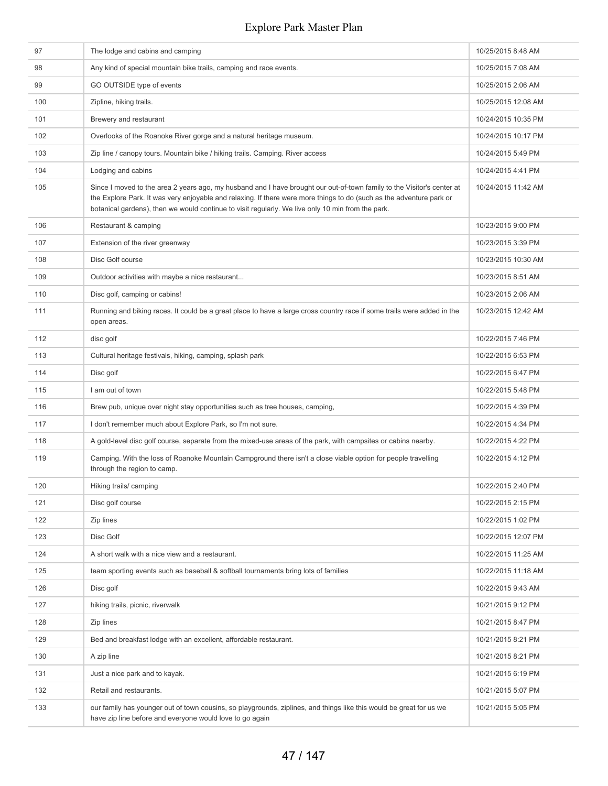| 97  | The lodge and cabins and camping                                                                                                                                                                                                                                                                                                                    | 10/25/2015 8:48 AM  |
|-----|-----------------------------------------------------------------------------------------------------------------------------------------------------------------------------------------------------------------------------------------------------------------------------------------------------------------------------------------------------|---------------------|
| 98  | Any kind of special mountain bike trails, camping and race events.                                                                                                                                                                                                                                                                                  | 10/25/2015 7:08 AM  |
| 99  | GO OUTSIDE type of events                                                                                                                                                                                                                                                                                                                           | 10/25/2015 2:06 AM  |
| 100 | Zipline, hiking trails.                                                                                                                                                                                                                                                                                                                             | 10/25/2015 12:08 AM |
| 101 | Brewery and restaurant                                                                                                                                                                                                                                                                                                                              | 10/24/2015 10:35 PM |
| 102 | Overlooks of the Roanoke River gorge and a natural heritage museum.                                                                                                                                                                                                                                                                                 | 10/24/2015 10:17 PM |
| 103 | Zip line / canopy tours. Mountain bike / hiking trails. Camping. River access                                                                                                                                                                                                                                                                       | 10/24/2015 5:49 PM  |
| 104 | Lodging and cabins                                                                                                                                                                                                                                                                                                                                  | 10/24/2015 4:41 PM  |
| 105 | Since I moved to the area 2 years ago, my husband and I have brought our out-of-town family to the Visitor's center at<br>the Explore Park. It was very enjoyable and relaxing. If there were more things to do (such as the adventure park or<br>botanical gardens), then we would continue to visit regularly. We live only 10 min from the park. | 10/24/2015 11:42 AM |
| 106 | Restaurant & camping                                                                                                                                                                                                                                                                                                                                | 10/23/2015 9:00 PM  |
| 107 | Extension of the river greenway                                                                                                                                                                                                                                                                                                                     | 10/23/2015 3:39 PM  |
| 108 | Disc Golf course                                                                                                                                                                                                                                                                                                                                    | 10/23/2015 10:30 AM |
| 109 | Outdoor activities with maybe a nice restaurant                                                                                                                                                                                                                                                                                                     | 10/23/2015 8:51 AM  |
| 110 | Disc golf, camping or cabins!                                                                                                                                                                                                                                                                                                                       | 10/23/2015 2:06 AM  |
| 111 | Running and biking races. It could be a great place to have a large cross country race if some trails were added in the<br>open areas.                                                                                                                                                                                                              | 10/23/2015 12:42 AM |
| 112 | disc golf                                                                                                                                                                                                                                                                                                                                           | 10/22/2015 7:46 PM  |
| 113 | Cultural heritage festivals, hiking, camping, splash park                                                                                                                                                                                                                                                                                           | 10/22/2015 6:53 PM  |
| 114 | Disc golf                                                                                                                                                                                                                                                                                                                                           | 10/22/2015 6:47 PM  |
| 115 | I am out of town                                                                                                                                                                                                                                                                                                                                    | 10/22/2015 5:48 PM  |
| 116 | Brew pub, unique over night stay opportunities such as tree houses, camping,                                                                                                                                                                                                                                                                        | 10/22/2015 4:39 PM  |
| 117 | I don't remember much about Explore Park, so I'm not sure.                                                                                                                                                                                                                                                                                          | 10/22/2015 4:34 PM  |
| 118 | A gold-level disc golf course, separate from the mixed-use areas of the park, with campsites or cabins nearby.                                                                                                                                                                                                                                      | 10/22/2015 4:22 PM  |
| 119 | Camping. With the loss of Roanoke Mountain Campground there isn't a close viable option for people travelling<br>through the region to camp.                                                                                                                                                                                                        | 10/22/2015 4:12 PM  |
| 120 | Hiking trails/ camping                                                                                                                                                                                                                                                                                                                              | 10/22/2015 2:40 PM  |
| 121 | Disc golf course                                                                                                                                                                                                                                                                                                                                    | 10/22/2015 2:15 PM  |
| 122 | Zip lines                                                                                                                                                                                                                                                                                                                                           | 10/22/2015 1:02 PM  |
| 123 | Disc Golf                                                                                                                                                                                                                                                                                                                                           | 10/22/2015 12:07 PM |
| 124 | A short walk with a nice view and a restaurant.                                                                                                                                                                                                                                                                                                     | 10/22/2015 11:25 AM |
| 125 | team sporting events such as baseball & softball tournaments bring lots of families                                                                                                                                                                                                                                                                 | 10/22/2015 11:18 AM |
| 126 | Disc golf                                                                                                                                                                                                                                                                                                                                           | 10/22/2015 9:43 AM  |
| 127 | hiking trails, picnic, riverwalk                                                                                                                                                                                                                                                                                                                    | 10/21/2015 9:12 PM  |
| 128 | Zip lines                                                                                                                                                                                                                                                                                                                                           | 10/21/2015 8:47 PM  |
| 129 | Bed and breakfast lodge with an excellent, affordable restaurant.                                                                                                                                                                                                                                                                                   | 10/21/2015 8:21 PM  |
| 130 | A zip line                                                                                                                                                                                                                                                                                                                                          | 10/21/2015 8:21 PM  |
| 131 | Just a nice park and to kayak.                                                                                                                                                                                                                                                                                                                      | 10/21/2015 6:19 PM  |
| 132 | Retail and restaurants.                                                                                                                                                                                                                                                                                                                             | 10/21/2015 5:07 PM  |
| 133 | our family has younger out of town cousins, so playgrounds, ziplines, and things like this would be great for us we<br>have zip line before and everyone would love to go again                                                                                                                                                                     | 10/21/2015 5:05 PM  |
|     |                                                                                                                                                                                                                                                                                                                                                     |                     |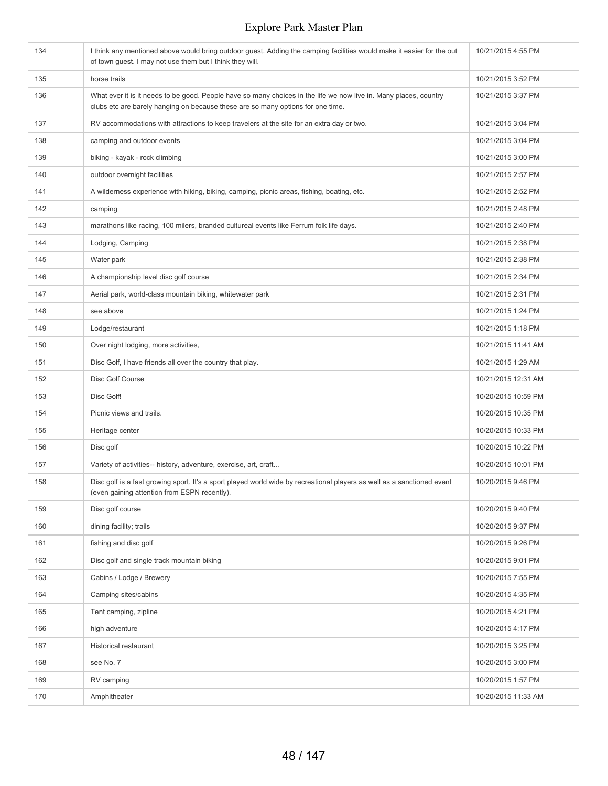| 134 | I think any mentioned above would bring outdoor guest. Adding the camping facilities would make it easier for the out<br>of town guest. I may not use them but I think they will.                    | 10/21/2015 4:55 PM  |
|-----|------------------------------------------------------------------------------------------------------------------------------------------------------------------------------------------------------|---------------------|
| 135 | horse trails                                                                                                                                                                                         | 10/21/2015 3:52 PM  |
| 136 | What ever it is it needs to be good. People have so many choices in the life we now live in. Many places, country<br>clubs etc are barely hanging on because these are so many options for one time. | 10/21/2015 3:37 PM  |
| 137 | RV accommodations with attractions to keep travelers at the site for an extra day or two.                                                                                                            | 10/21/2015 3:04 PM  |
| 138 | camping and outdoor events                                                                                                                                                                           | 10/21/2015 3:04 PM  |
| 139 | biking - kayak - rock climbing                                                                                                                                                                       | 10/21/2015 3:00 PM  |
| 140 | outdoor overnight facilities                                                                                                                                                                         | 10/21/2015 2:57 PM  |
| 141 | A wilderness experience with hiking, biking, camping, picnic areas, fishing, boating, etc.                                                                                                           | 10/21/2015 2:52 PM  |
| 142 | camping                                                                                                                                                                                              | 10/21/2015 2:48 PM  |
| 143 | marathons like racing, 100 milers, branded cultureal events like Ferrum folk life days.                                                                                                              | 10/21/2015 2:40 PM  |
| 144 | Lodging, Camping                                                                                                                                                                                     | 10/21/2015 2:38 PM  |
| 145 | Water park                                                                                                                                                                                           | 10/21/2015 2:38 PM  |
| 146 | A championship level disc golf course                                                                                                                                                                | 10/21/2015 2:34 PM  |
| 147 | Aerial park, world-class mountain biking, whitewater park                                                                                                                                            | 10/21/2015 2:31 PM  |
| 148 | see above                                                                                                                                                                                            | 10/21/2015 1:24 PM  |
| 149 | Lodge/restaurant                                                                                                                                                                                     | 10/21/2015 1:18 PM  |
| 150 | Over night lodging, more activities,                                                                                                                                                                 | 10/21/2015 11:41 AM |
| 151 | Disc Golf, I have friends all over the country that play.                                                                                                                                            | 10/21/2015 1:29 AM  |
| 152 | Disc Golf Course                                                                                                                                                                                     | 10/21/2015 12:31 AM |
| 153 | Disc Golf!                                                                                                                                                                                           | 10/20/2015 10:59 PM |
| 154 | Picnic views and trails.                                                                                                                                                                             | 10/20/2015 10:35 PM |
| 155 | Heritage center                                                                                                                                                                                      | 10/20/2015 10:33 PM |
| 156 | Disc golf                                                                                                                                                                                            | 10/20/2015 10:22 PM |
| 157 | Variety of activities-- history, adventure, exercise, art, craft                                                                                                                                     | 10/20/2015 10:01 PM |
| 158 | Disc golf is a fast growing sport. It's a sport played world wide by recreational players as well as a sanctioned event<br>(even gaining attention from ESPN recently).                              | 10/20/2015 9:46 PM  |
| 159 | Disc golf course                                                                                                                                                                                     | 10/20/2015 9:40 PM  |
| 160 | dining facility; trails                                                                                                                                                                              | 10/20/2015 9:37 PM  |
| 161 | fishing and disc golf                                                                                                                                                                                | 10/20/2015 9:26 PM  |
| 162 | Disc golf and single track mountain biking                                                                                                                                                           | 10/20/2015 9:01 PM  |
| 163 | Cabins / Lodge / Brewery                                                                                                                                                                             | 10/20/2015 7:55 PM  |
| 164 | Camping sites/cabins                                                                                                                                                                                 | 10/20/2015 4:35 PM  |
| 165 | Tent camping, zipline                                                                                                                                                                                | 10/20/2015 4:21 PM  |
| 166 | high adventure                                                                                                                                                                                       | 10/20/2015 4:17 PM  |
| 167 | Historical restaurant                                                                                                                                                                                | 10/20/2015 3:25 PM  |
| 168 | see No. 7                                                                                                                                                                                            | 10/20/2015 3:00 PM  |
| 169 | RV camping                                                                                                                                                                                           | 10/20/2015 1:57 PM  |
| 170 | Amphitheater                                                                                                                                                                                         | 10/20/2015 11:33 AM |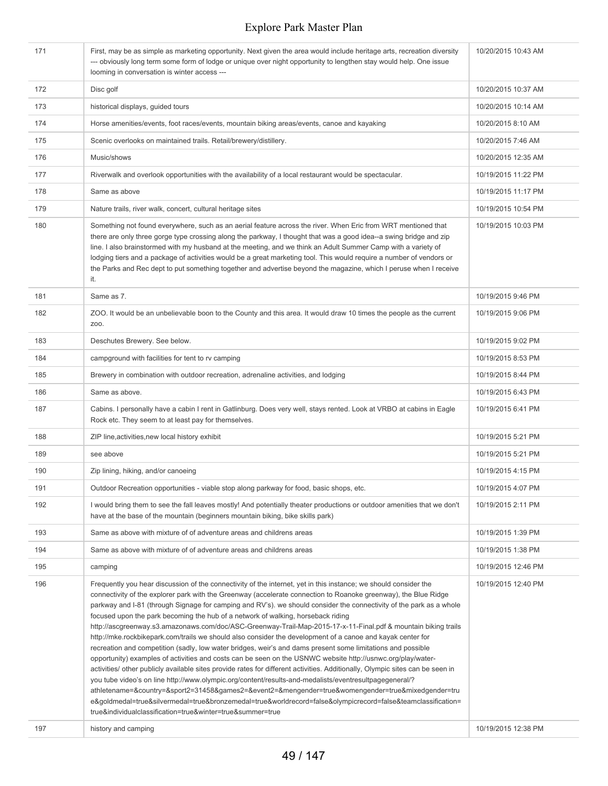| 171 | First, may be as simple as marketing opportunity. Next given the area would include heritage arts, recreation diversity<br>--- obviously long term some form of lodge or unique over night opportunity to lengthen stay would help. One issue<br>looming in conversation is winter access ---                                                                                                                                                                                                                                                                                                                                                                                                                                                                                                                                                                                                                                                                                                                                                                                                                                                                                                                                                                                                                                                                                                                                               | 10/20/2015 10:43 AM |
|-----|---------------------------------------------------------------------------------------------------------------------------------------------------------------------------------------------------------------------------------------------------------------------------------------------------------------------------------------------------------------------------------------------------------------------------------------------------------------------------------------------------------------------------------------------------------------------------------------------------------------------------------------------------------------------------------------------------------------------------------------------------------------------------------------------------------------------------------------------------------------------------------------------------------------------------------------------------------------------------------------------------------------------------------------------------------------------------------------------------------------------------------------------------------------------------------------------------------------------------------------------------------------------------------------------------------------------------------------------------------------------------------------------------------------------------------------------|---------------------|
| 172 | Disc golf                                                                                                                                                                                                                                                                                                                                                                                                                                                                                                                                                                                                                                                                                                                                                                                                                                                                                                                                                                                                                                                                                                                                                                                                                                                                                                                                                                                                                                   | 10/20/2015 10:37 AM |
| 173 | historical displays, guided tours                                                                                                                                                                                                                                                                                                                                                                                                                                                                                                                                                                                                                                                                                                                                                                                                                                                                                                                                                                                                                                                                                                                                                                                                                                                                                                                                                                                                           | 10/20/2015 10:14 AM |
| 174 | Horse amenities/events, foot races/events, mountain biking areas/events, canoe and kayaking                                                                                                                                                                                                                                                                                                                                                                                                                                                                                                                                                                                                                                                                                                                                                                                                                                                                                                                                                                                                                                                                                                                                                                                                                                                                                                                                                 | 10/20/2015 8:10 AM  |
| 175 | Scenic overlooks on maintained trails. Retail/brewery/distillery.                                                                                                                                                                                                                                                                                                                                                                                                                                                                                                                                                                                                                                                                                                                                                                                                                                                                                                                                                                                                                                                                                                                                                                                                                                                                                                                                                                           | 10/20/2015 7:46 AM  |
| 176 | Music/shows                                                                                                                                                                                                                                                                                                                                                                                                                                                                                                                                                                                                                                                                                                                                                                                                                                                                                                                                                                                                                                                                                                                                                                                                                                                                                                                                                                                                                                 | 10/20/2015 12:35 AM |
| 177 | Riverwalk and overlook opportunities with the availability of a local restaurant would be spectacular.                                                                                                                                                                                                                                                                                                                                                                                                                                                                                                                                                                                                                                                                                                                                                                                                                                                                                                                                                                                                                                                                                                                                                                                                                                                                                                                                      | 10/19/2015 11:22 PM |
| 178 | Same as above                                                                                                                                                                                                                                                                                                                                                                                                                                                                                                                                                                                                                                                                                                                                                                                                                                                                                                                                                                                                                                                                                                                                                                                                                                                                                                                                                                                                                               | 10/19/2015 11:17 PM |
| 179 | Nature trails, river walk, concert, cultural heritage sites                                                                                                                                                                                                                                                                                                                                                                                                                                                                                                                                                                                                                                                                                                                                                                                                                                                                                                                                                                                                                                                                                                                                                                                                                                                                                                                                                                                 | 10/19/2015 10:54 PM |
| 180 | Something not found everywhere, such as an aerial feature across the river. When Eric from WRT mentioned that<br>there are only three gorge type crossing along the parkway, I thought that was a good idea--a swing bridge and zip<br>line. I also brainstormed with my husband at the meeting, and we think an Adult Summer Camp with a variety of<br>lodging tiers and a package of activities would be a great marketing tool. This would require a number of vendors or<br>the Parks and Rec dept to put something together and advertise beyond the magazine, which I peruse when I receive<br>it.                                                                                                                                                                                                                                                                                                                                                                                                                                                                                                                                                                                                                                                                                                                                                                                                                                    | 10/19/2015 10:03 PM |
| 181 | Same as 7.                                                                                                                                                                                                                                                                                                                                                                                                                                                                                                                                                                                                                                                                                                                                                                                                                                                                                                                                                                                                                                                                                                                                                                                                                                                                                                                                                                                                                                  | 10/19/2015 9:46 PM  |
| 182 | ZOO. It would be an unbelievable boon to the County and this area. It would draw 10 times the people as the current<br>Z00.                                                                                                                                                                                                                                                                                                                                                                                                                                                                                                                                                                                                                                                                                                                                                                                                                                                                                                                                                                                                                                                                                                                                                                                                                                                                                                                 | 10/19/2015 9:06 PM  |
| 183 | Deschutes Brewery. See below.                                                                                                                                                                                                                                                                                                                                                                                                                                                                                                                                                                                                                                                                                                                                                                                                                                                                                                                                                                                                                                                                                                                                                                                                                                                                                                                                                                                                               | 10/19/2015 9:02 PM  |
| 184 | campground with facilities for tent to rv camping                                                                                                                                                                                                                                                                                                                                                                                                                                                                                                                                                                                                                                                                                                                                                                                                                                                                                                                                                                                                                                                                                                                                                                                                                                                                                                                                                                                           | 10/19/2015 8:53 PM  |
| 185 | Brewery in combination with outdoor recreation, adrenaline activities, and lodging                                                                                                                                                                                                                                                                                                                                                                                                                                                                                                                                                                                                                                                                                                                                                                                                                                                                                                                                                                                                                                                                                                                                                                                                                                                                                                                                                          | 10/19/2015 8:44 PM  |
| 186 | Same as above.                                                                                                                                                                                                                                                                                                                                                                                                                                                                                                                                                                                                                                                                                                                                                                                                                                                                                                                                                                                                                                                                                                                                                                                                                                                                                                                                                                                                                              | 10/19/2015 6:43 PM  |
| 187 | Cabins. I personally have a cabin I rent in Gatlinburg. Does very well, stays rented. Look at VRBO at cabins in Eagle<br>Rock etc. They seem to at least pay for themselves.                                                                                                                                                                                                                                                                                                                                                                                                                                                                                                                                                                                                                                                                                                                                                                                                                                                                                                                                                                                                                                                                                                                                                                                                                                                                | 10/19/2015 6:41 PM  |
| 188 | ZIP line, activities, new local history exhibit                                                                                                                                                                                                                                                                                                                                                                                                                                                                                                                                                                                                                                                                                                                                                                                                                                                                                                                                                                                                                                                                                                                                                                                                                                                                                                                                                                                             | 10/19/2015 5:21 PM  |
| 189 | see above                                                                                                                                                                                                                                                                                                                                                                                                                                                                                                                                                                                                                                                                                                                                                                                                                                                                                                                                                                                                                                                                                                                                                                                                                                                                                                                                                                                                                                   | 10/19/2015 5:21 PM  |
| 190 | Zip lining, hiking, and/or canoeing                                                                                                                                                                                                                                                                                                                                                                                                                                                                                                                                                                                                                                                                                                                                                                                                                                                                                                                                                                                                                                                                                                                                                                                                                                                                                                                                                                                                         | 10/19/2015 4:15 PM  |
| 191 | Outdoor Recreation opportunities - viable stop along parkway for food, basic shops, etc.                                                                                                                                                                                                                                                                                                                                                                                                                                                                                                                                                                                                                                                                                                                                                                                                                                                                                                                                                                                                                                                                                                                                                                                                                                                                                                                                                    | 10/19/2015 4:07 PM  |
| 192 | I would bring them to see the fall leaves mostly! And potentially theater productions or outdoor amenities that we don't<br>have at the base of the mountain (beginners mountain biking, bike skills park)                                                                                                                                                                                                                                                                                                                                                                                                                                                                                                                                                                                                                                                                                                                                                                                                                                                                                                                                                                                                                                                                                                                                                                                                                                  | 10/19/2015 2:11 PM  |
| 193 | Same as above with mixture of of adventure areas and childrens areas                                                                                                                                                                                                                                                                                                                                                                                                                                                                                                                                                                                                                                                                                                                                                                                                                                                                                                                                                                                                                                                                                                                                                                                                                                                                                                                                                                        | 10/19/2015 1:39 PM  |
| 194 | Same as above with mixture of of adventure areas and childrens areas                                                                                                                                                                                                                                                                                                                                                                                                                                                                                                                                                                                                                                                                                                                                                                                                                                                                                                                                                                                                                                                                                                                                                                                                                                                                                                                                                                        | 10/19/2015 1:38 PM  |
| 195 | camping                                                                                                                                                                                                                                                                                                                                                                                                                                                                                                                                                                                                                                                                                                                                                                                                                                                                                                                                                                                                                                                                                                                                                                                                                                                                                                                                                                                                                                     | 10/19/2015 12:46 PM |
| 196 | Frequently you hear discussion of the connectivity of the internet, yet in this instance; we should consider the<br>connectivity of the explorer park with the Greenway (accelerate connection to Roanoke greenway), the Blue Ridge<br>parkway and I-81 (through Signage for camping and RV's). we should consider the connectivity of the park as a whole<br>focused upon the park becoming the hub of a network of walking, horseback riding<br>http://ascgreenway.s3.amazonaws.com/doc/ASC-Greenway-Trail-Map-2015-17-x-11-Final.pdf & mountain biking trails<br>http://mke.rockbikepark.com/trails we should also consider the development of a canoe and kayak center for<br>recreation and competition (sadly, low water bridges, weir's and dams present some limitations and possible<br>opportunity) examples of activities and costs can be seen on the USNWC website http://usnwc.org/play/water-<br>activities/ other publicly available sites provide rates for different activities. Additionally, Olympic sites can be seen in<br>you tube video's on line http://www.olympic.org/content/results-and-medalists/eventresultpagegeneral/?<br>athletename=&country=&sport2=31458&games2=&event2=&mengender=true&womengender=true&mixedgender=tru<br>e&goldmedal=true&silvermedal=true&bronzemedal=true&worldrecord=false&olympicrecord=false&teamclassification=<br>true&individualclassification=true&winter=true&summer=true | 10/19/2015 12:40 PM |
| 197 | history and camping                                                                                                                                                                                                                                                                                                                                                                                                                                                                                                                                                                                                                                                                                                                                                                                                                                                                                                                                                                                                                                                                                                                                                                                                                                                                                                                                                                                                                         | 10/19/2015 12:38 PM |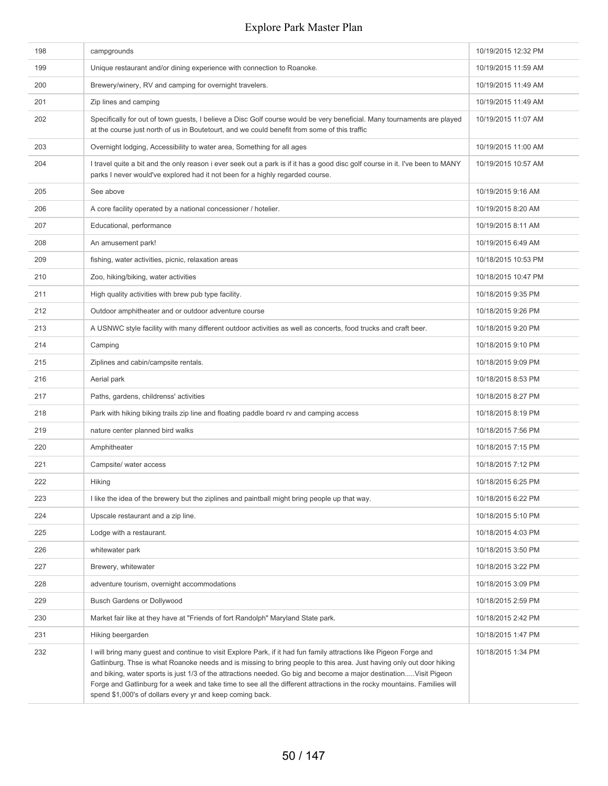| 198 | campgrounds                                                                                                                                                                                                                                                                                                                                                                                                                                                                                                                                              | 10/19/2015 12:32 PM |
|-----|----------------------------------------------------------------------------------------------------------------------------------------------------------------------------------------------------------------------------------------------------------------------------------------------------------------------------------------------------------------------------------------------------------------------------------------------------------------------------------------------------------------------------------------------------------|---------------------|
| 199 | Unique restaurant and/or dining experience with connection to Roanoke.                                                                                                                                                                                                                                                                                                                                                                                                                                                                                   | 10/19/2015 11:59 AM |
| 200 | Brewery/winery, RV and camping for overnight travelers.                                                                                                                                                                                                                                                                                                                                                                                                                                                                                                  | 10/19/2015 11:49 AM |
| 201 | Zip lines and camping                                                                                                                                                                                                                                                                                                                                                                                                                                                                                                                                    | 10/19/2015 11:49 AM |
| 202 | Specifically for out of town guests, I believe a Disc Golf course would be very beneficial. Many tournaments are played<br>at the course just north of us in Boutetourt, and we could benefit from some of this traffic                                                                                                                                                                                                                                                                                                                                  | 10/19/2015 11:07 AM |
| 203 | Overnight lodging, Accessibility to water area, Something for all ages                                                                                                                                                                                                                                                                                                                                                                                                                                                                                   | 10/19/2015 11:00 AM |
| 204 | I travel quite a bit and the only reason i ever seek out a park is if it has a good disc golf course in it. I've been to MANY<br>parks I never would've explored had it not been for a highly regarded course.                                                                                                                                                                                                                                                                                                                                           | 10/19/2015 10:57 AM |
| 205 | See above                                                                                                                                                                                                                                                                                                                                                                                                                                                                                                                                                | 10/19/2015 9:16 AM  |
| 206 | A core facility operated by a national concessioner / hotelier.                                                                                                                                                                                                                                                                                                                                                                                                                                                                                          | 10/19/2015 8:20 AM  |
| 207 | Educational, performance                                                                                                                                                                                                                                                                                                                                                                                                                                                                                                                                 | 10/19/2015 8:11 AM  |
| 208 | An amusement park!                                                                                                                                                                                                                                                                                                                                                                                                                                                                                                                                       | 10/19/2015 6:49 AM  |
| 209 | fishing, water activities, picnic, relaxation areas                                                                                                                                                                                                                                                                                                                                                                                                                                                                                                      | 10/18/2015 10:53 PM |
| 210 | Zoo, hiking/biking, water activities                                                                                                                                                                                                                                                                                                                                                                                                                                                                                                                     | 10/18/2015 10:47 PM |
| 211 | High quality activities with brew pub type facility.                                                                                                                                                                                                                                                                                                                                                                                                                                                                                                     | 10/18/2015 9:35 PM  |
| 212 | Outdoor amphitheater and or outdoor adventure course                                                                                                                                                                                                                                                                                                                                                                                                                                                                                                     | 10/18/2015 9:26 PM  |
| 213 | A USNWC style facility with many different outdoor activities as well as concerts, food trucks and craft beer.                                                                                                                                                                                                                                                                                                                                                                                                                                           | 10/18/2015 9:20 PM  |
| 214 | Camping                                                                                                                                                                                                                                                                                                                                                                                                                                                                                                                                                  | 10/18/2015 9:10 PM  |
| 215 | Ziplines and cabin/campsite rentals.                                                                                                                                                                                                                                                                                                                                                                                                                                                                                                                     | 10/18/2015 9:09 PM  |
| 216 | Aerial park                                                                                                                                                                                                                                                                                                                                                                                                                                                                                                                                              | 10/18/2015 8:53 PM  |
| 217 | Paths, gardens, childrenss' activities                                                                                                                                                                                                                                                                                                                                                                                                                                                                                                                   | 10/18/2015 8:27 PM  |
| 218 | Park with hiking biking trails zip line and floating paddle board rv and camping access                                                                                                                                                                                                                                                                                                                                                                                                                                                                  | 10/18/2015 8:19 PM  |
| 219 | nature center planned bird walks                                                                                                                                                                                                                                                                                                                                                                                                                                                                                                                         | 10/18/2015 7:56 PM  |
| 220 | Amphitheater                                                                                                                                                                                                                                                                                                                                                                                                                                                                                                                                             | 10/18/2015 7:15 PM  |
| 221 | Campsite/ water access                                                                                                                                                                                                                                                                                                                                                                                                                                                                                                                                   | 10/18/2015 7:12 PM  |
| 222 | Hiking                                                                                                                                                                                                                                                                                                                                                                                                                                                                                                                                                   | 10/18/2015 6:25 PM  |
| 223 | I like the idea of the brewery but the ziplines and paintball might bring people up that way.                                                                                                                                                                                                                                                                                                                                                                                                                                                            | 10/18/2015 6:22 PM  |
| 224 | Upscale restaurant and a zip line.                                                                                                                                                                                                                                                                                                                                                                                                                                                                                                                       | 10/18/2015 5:10 PM  |
| 225 | Lodge with a restaurant.                                                                                                                                                                                                                                                                                                                                                                                                                                                                                                                                 | 10/18/2015 4:03 PM  |
| 226 | whitewater park                                                                                                                                                                                                                                                                                                                                                                                                                                                                                                                                          | 10/18/2015 3:50 PM  |
| 227 | Brewery, whitewater                                                                                                                                                                                                                                                                                                                                                                                                                                                                                                                                      | 10/18/2015 3:22 PM  |
| 228 | adventure tourism, overnight accommodations                                                                                                                                                                                                                                                                                                                                                                                                                                                                                                              | 10/18/2015 3:09 PM  |
| 229 | <b>Busch Gardens or Dollywood</b>                                                                                                                                                                                                                                                                                                                                                                                                                                                                                                                        | 10/18/2015 2:59 PM  |
| 230 | Market fair like at they have at "Friends of fort Randolph" Maryland State park.                                                                                                                                                                                                                                                                                                                                                                                                                                                                         | 10/18/2015 2:42 PM  |
| 231 | Hiking beergarden                                                                                                                                                                                                                                                                                                                                                                                                                                                                                                                                        | 10/18/2015 1:47 PM  |
| 232 | I will bring many guest and continue to visit Explore Park, if it had fun family attractions like Pigeon Forge and<br>Gatlinburg. Thse is what Roanoke needs and is missing to bring people to this area. Just having only out door hiking<br>and biking, water sports is just 1/3 of the attractions needed. Go big and become a major destinationVisit Pigeon<br>Forge and Gatlinburg for a week and take time to see all the different attractions in the rocky mountains. Families will<br>spend \$1,000's of dollars every yr and keep coming back. | 10/18/2015 1:34 PM  |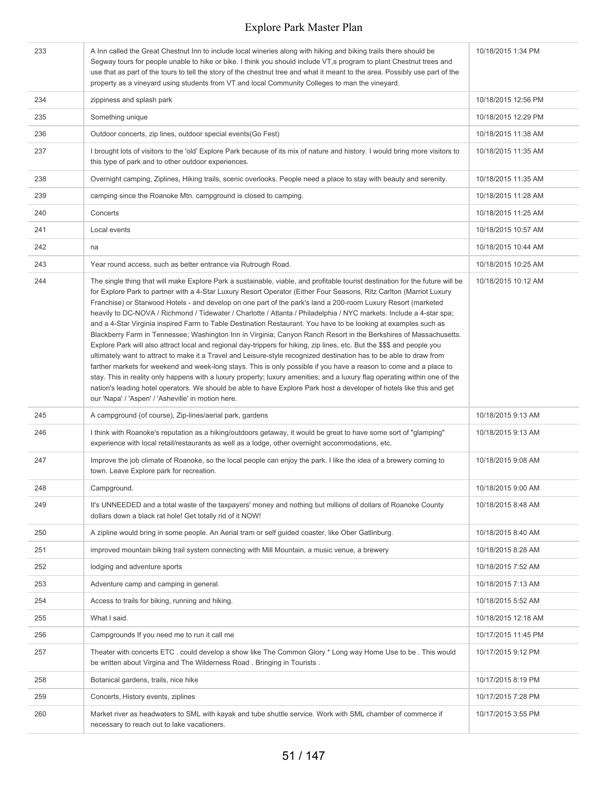| 233 | A Inn called the Great Chestnut Inn to include local wineries along with hiking and biking trails there should be<br>Segway tours for people unable to hike or bike. I think you should include VT,s program to plant Chestnut trees and<br>use that as part of the tours to tell the story of the chestnut tree and what it meant to the area. Possibly use part of the<br>property as a vineyard using students from VT and local Community Colleges to man the vineyard.                                                                                                                                                                                                                                                                                                                                                                                                                                                                                                                                                                                                                                                                                                                                                                                                                                                                                                                                                | 10/18/2015 1:34 PM  |
|-----|----------------------------------------------------------------------------------------------------------------------------------------------------------------------------------------------------------------------------------------------------------------------------------------------------------------------------------------------------------------------------------------------------------------------------------------------------------------------------------------------------------------------------------------------------------------------------------------------------------------------------------------------------------------------------------------------------------------------------------------------------------------------------------------------------------------------------------------------------------------------------------------------------------------------------------------------------------------------------------------------------------------------------------------------------------------------------------------------------------------------------------------------------------------------------------------------------------------------------------------------------------------------------------------------------------------------------------------------------------------------------------------------------------------------------|---------------------|
| 234 | zippiness and splash park                                                                                                                                                                                                                                                                                                                                                                                                                                                                                                                                                                                                                                                                                                                                                                                                                                                                                                                                                                                                                                                                                                                                                                                                                                                                                                                                                                                                  | 10/18/2015 12:56 PM |
| 235 | Something unique                                                                                                                                                                                                                                                                                                                                                                                                                                                                                                                                                                                                                                                                                                                                                                                                                                                                                                                                                                                                                                                                                                                                                                                                                                                                                                                                                                                                           | 10/18/2015 12:29 PM |
| 236 | Outdoor concerts, zip lines, outdoor special events (Go Fest)                                                                                                                                                                                                                                                                                                                                                                                                                                                                                                                                                                                                                                                                                                                                                                                                                                                                                                                                                                                                                                                                                                                                                                                                                                                                                                                                                              | 10/18/2015 11:38 AM |
| 237 | I brought lots of visitors to the 'old' Explore Park because of its mix of nature and history. I would bring more visitors to<br>this type of park and to other outdoor experiences.                                                                                                                                                                                                                                                                                                                                                                                                                                                                                                                                                                                                                                                                                                                                                                                                                                                                                                                                                                                                                                                                                                                                                                                                                                       | 10/18/2015 11:35 AM |
| 238 | Overnight camping, Ziplines, Hiking trails, scenic overlooks. People need a place to stay with beauty and serenity.                                                                                                                                                                                                                                                                                                                                                                                                                                                                                                                                                                                                                                                                                                                                                                                                                                                                                                                                                                                                                                                                                                                                                                                                                                                                                                        | 10/18/2015 11:35 AM |
| 239 | camping since the Roanoke Mtn. campground is closed to camping.                                                                                                                                                                                                                                                                                                                                                                                                                                                                                                                                                                                                                                                                                                                                                                                                                                                                                                                                                                                                                                                                                                                                                                                                                                                                                                                                                            | 10/18/2015 11:28 AM |
| 240 | Concerts                                                                                                                                                                                                                                                                                                                                                                                                                                                                                                                                                                                                                                                                                                                                                                                                                                                                                                                                                                                                                                                                                                                                                                                                                                                                                                                                                                                                                   | 10/18/2015 11:25 AM |
| 241 | Local events                                                                                                                                                                                                                                                                                                                                                                                                                                                                                                                                                                                                                                                                                                                                                                                                                                                                                                                                                                                                                                                                                                                                                                                                                                                                                                                                                                                                               | 10/18/2015 10:57 AM |
| 242 | na                                                                                                                                                                                                                                                                                                                                                                                                                                                                                                                                                                                                                                                                                                                                                                                                                                                                                                                                                                                                                                                                                                                                                                                                                                                                                                                                                                                                                         | 10/18/2015 10:44 AM |
| 243 | Year round access, such as better entrance via Rutrough Road.                                                                                                                                                                                                                                                                                                                                                                                                                                                                                                                                                                                                                                                                                                                                                                                                                                                                                                                                                                                                                                                                                                                                                                                                                                                                                                                                                              | 10/18/2015 10:25 AM |
| 244 | The single thing that will make Explore Park a sustainable, viable, and profitable tourist destination for the future will be<br>for Explore Park to partner with a 4-Star Luxury Resort Operator (Either Four Seasons, Ritz Carlton (Marriot Luxury<br>Franchise) or Starwood Hotels - and develop on one part of the park's land a 200-room Luxury Resort (marketed<br>heavily to DC-NOVA / Richmond / Tidewater / Charlotte / Atlanta / Philadelphia / NYC markets. Include a 4-star spa;<br>and a 4-Star Virginia inspired Farm to Table Destination Restaurant. You have to be looking at examples such as<br>Blackberry Farm in Tennessee; Washington Inn in Virginia; Canyon Ranch Resort in the Berkshires of Massachusetts.<br>Explore Park will also attract local and regional day-trippers for hiking, zip lines, etc. But the \$\$\$ and people you<br>ultimately want to attract to make it a Travel and Leisure-style recognized destination has to be able to draw from<br>farther markets for weekend and week-long stays. This is only possible if you have a reason to come and a place to<br>stay. This in reality only happens with a luxury property; luxury amenities; and a luxury flag operating within one of the<br>nation's leading hotel operators. We should be able to have Explore Park host a developer of hotels like this and get<br>our 'Napa' / 'Aspen' / 'Asheville' in motion here. | 10/18/2015 10:12 AM |
| 245 | A campground (of course), Zip-lines/aerial park, gardens                                                                                                                                                                                                                                                                                                                                                                                                                                                                                                                                                                                                                                                                                                                                                                                                                                                                                                                                                                                                                                                                                                                                                                                                                                                                                                                                                                   | 10/18/2015 9:13 AM  |
| 246 | I think with Roanoke's reputation as a hiking/outdoors getaway, it would be great to have some sort of "glamping"<br>experience with local retail/restaurants as well as a lodge, other overnight accommodations, etc.                                                                                                                                                                                                                                                                                                                                                                                                                                                                                                                                                                                                                                                                                                                                                                                                                                                                                                                                                                                                                                                                                                                                                                                                     | 10/18/2015 9:13 AM  |
| 247 | Improve the job climate of Roanoke, so the local people can enjoy the park. I like the idea of a brewery coming to<br>town. Leave Explore park for recreation.                                                                                                                                                                                                                                                                                                                                                                                                                                                                                                                                                                                                                                                                                                                                                                                                                                                                                                                                                                                                                                                                                                                                                                                                                                                             | 10/18/2015 9:08 AM  |
| 248 | Campground.                                                                                                                                                                                                                                                                                                                                                                                                                                                                                                                                                                                                                                                                                                                                                                                                                                                                                                                                                                                                                                                                                                                                                                                                                                                                                                                                                                                                                | 10/18/2015 9:00 AM  |
| 249 | It's UNNEEDED and a total waste of the taxpayers' money and nothing but millions of dollars of Roanoke County<br>dollars down a black rat hole! Get totally rid of it NOW!                                                                                                                                                                                                                                                                                                                                                                                                                                                                                                                                                                                                                                                                                                                                                                                                                                                                                                                                                                                                                                                                                                                                                                                                                                                 | 10/18/2015 8:48 AM  |
| 250 | A zipline would bring in some people. An Aerial tram or self guided coaster, like Ober Gatlinburg.                                                                                                                                                                                                                                                                                                                                                                                                                                                                                                                                                                                                                                                                                                                                                                                                                                                                                                                                                                                                                                                                                                                                                                                                                                                                                                                         | 10/18/2015 8:40 AM  |
| 251 | improved mountain biking trail system connecting with Mill Mountain, a music venue, a brewery                                                                                                                                                                                                                                                                                                                                                                                                                                                                                                                                                                                                                                                                                                                                                                                                                                                                                                                                                                                                                                                                                                                                                                                                                                                                                                                              | 10/18/2015 8:28 AM  |
| 252 | lodging and adventure sports                                                                                                                                                                                                                                                                                                                                                                                                                                                                                                                                                                                                                                                                                                                                                                                                                                                                                                                                                                                                                                                                                                                                                                                                                                                                                                                                                                                               | 10/18/2015 7:52 AM  |
| 253 | Adventure camp and camping in general.                                                                                                                                                                                                                                                                                                                                                                                                                                                                                                                                                                                                                                                                                                                                                                                                                                                                                                                                                                                                                                                                                                                                                                                                                                                                                                                                                                                     | 10/18/2015 7:13 AM  |
| 254 | Access to trails for biking, running and hiking.                                                                                                                                                                                                                                                                                                                                                                                                                                                                                                                                                                                                                                                                                                                                                                                                                                                                                                                                                                                                                                                                                                                                                                                                                                                                                                                                                                           | 10/18/2015 5:52 AM  |
| 255 | What I said.                                                                                                                                                                                                                                                                                                                                                                                                                                                                                                                                                                                                                                                                                                                                                                                                                                                                                                                                                                                                                                                                                                                                                                                                                                                                                                                                                                                                               | 10/18/2015 12:18 AM |
| 256 | Campgrounds If you need me to run it call me                                                                                                                                                                                                                                                                                                                                                                                                                                                                                                                                                                                                                                                                                                                                                                                                                                                                                                                                                                                                                                                                                                                                                                                                                                                                                                                                                                               | 10/17/2015 11:45 PM |
| 257 | Theater with concerts ETC . could develop a show like The Common Glory * Long way Home Use to be . This would<br>be written about Virgina and The Wilderness Road. Bringing in Tourists.                                                                                                                                                                                                                                                                                                                                                                                                                                                                                                                                                                                                                                                                                                                                                                                                                                                                                                                                                                                                                                                                                                                                                                                                                                   | 10/17/2015 9:12 PM  |
| 258 | Botanical gardens, trails, nice hike                                                                                                                                                                                                                                                                                                                                                                                                                                                                                                                                                                                                                                                                                                                                                                                                                                                                                                                                                                                                                                                                                                                                                                                                                                                                                                                                                                                       | 10/17/2015 8:19 PM  |
| 259 | Concerts, History events, ziplines                                                                                                                                                                                                                                                                                                                                                                                                                                                                                                                                                                                                                                                                                                                                                                                                                                                                                                                                                                                                                                                                                                                                                                                                                                                                                                                                                                                         | 10/17/2015 7:28 PM  |
| 260 | Market river as headwaters to SML with kayak and tube shuttle service. Work with SML chamber of commerce if<br>necessary to reach out to lake vacationers.                                                                                                                                                                                                                                                                                                                                                                                                                                                                                                                                                                                                                                                                                                                                                                                                                                                                                                                                                                                                                                                                                                                                                                                                                                                                 | 10/17/2015 3:55 PM  |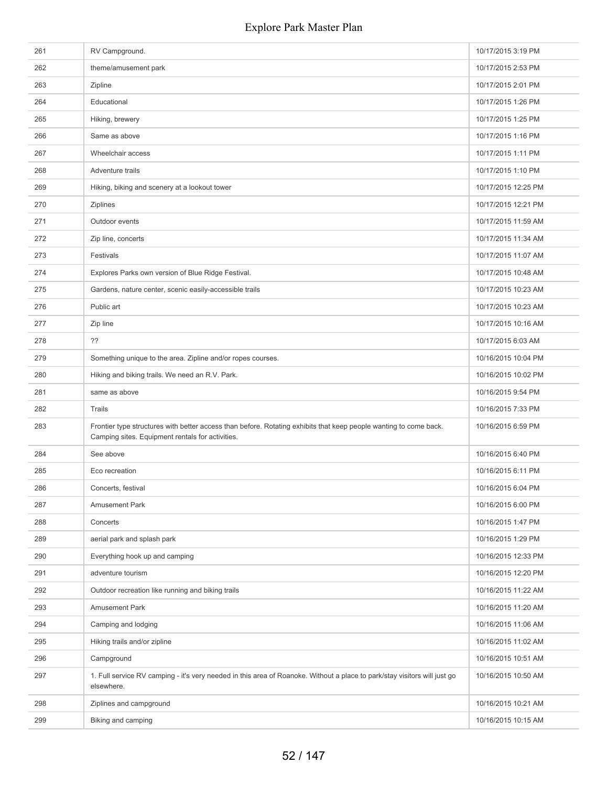| 261 | RV Campground.                                                                                                                                                        | 10/17/2015 3:19 PM  |
|-----|-----------------------------------------------------------------------------------------------------------------------------------------------------------------------|---------------------|
| 262 | theme/amusement park                                                                                                                                                  | 10/17/2015 2:53 PM  |
| 263 | Zipline                                                                                                                                                               | 10/17/2015 2:01 PM  |
| 264 | Educational                                                                                                                                                           | 10/17/2015 1:26 PM  |
| 265 | Hiking, brewery                                                                                                                                                       | 10/17/2015 1:25 PM  |
| 266 | Same as above                                                                                                                                                         | 10/17/2015 1:16 PM  |
| 267 | Wheelchair access                                                                                                                                                     | 10/17/2015 1:11 PM  |
| 268 | Adventure trails                                                                                                                                                      | 10/17/2015 1:10 PM  |
| 269 | Hiking, biking and scenery at a lookout tower                                                                                                                         | 10/17/2015 12:25 PM |
| 270 | <b>Ziplines</b>                                                                                                                                                       | 10/17/2015 12:21 PM |
| 271 | Outdoor events                                                                                                                                                        | 10/17/2015 11:59 AM |
| 272 | Zip line, concerts                                                                                                                                                    | 10/17/2015 11:34 AM |
| 273 | Festivals                                                                                                                                                             | 10/17/2015 11:07 AM |
| 274 | Explores Parks own version of Blue Ridge Festival.                                                                                                                    | 10/17/2015 10:48 AM |
| 275 | Gardens, nature center, scenic easily-accessible trails                                                                                                               | 10/17/2015 10:23 AM |
| 276 | Public art                                                                                                                                                            | 10/17/2015 10:23 AM |
| 277 | Zip line                                                                                                                                                              | 10/17/2015 10:16 AM |
| 278 | ??                                                                                                                                                                    | 10/17/2015 6:03 AM  |
| 279 | Something unique to the area. Zipline and/or ropes courses.                                                                                                           | 10/16/2015 10:04 PM |
| 280 | Hiking and biking trails. We need an R.V. Park.                                                                                                                       | 10/16/2015 10:02 PM |
| 281 | same as above                                                                                                                                                         | 10/16/2015 9:54 PM  |
| 282 | Trails                                                                                                                                                                | 10/16/2015 7:33 PM  |
| 283 | Frontier type structures with better access than before. Rotating exhibits that keep people wanting to come back.<br>Camping sites. Equipment rentals for activities. | 10/16/2015 6:59 PM  |
| 284 | See above                                                                                                                                                             | 10/16/2015 6:40 PM  |
| 285 | Eco recreation                                                                                                                                                        | 10/16/2015 6:11 PM  |
| 286 | Concerts, festival                                                                                                                                                    | 10/16/2015 6:04 PM  |
| 287 | <b>Amusement Park</b>                                                                                                                                                 | 10/16/2015 6:00 PM  |
| 288 | Concerts                                                                                                                                                              | 10/16/2015 1:47 PM  |
| 289 | aerial park and splash park                                                                                                                                           | 10/16/2015 1:29 PM  |
| 290 | Everything hook up and camping                                                                                                                                        | 10/16/2015 12:33 PM |
| 291 | adventure tourism                                                                                                                                                     | 10/16/2015 12:20 PM |
| 292 | Outdoor recreation like running and biking trails                                                                                                                     | 10/16/2015 11:22 AM |
| 293 | Amusement Park                                                                                                                                                        | 10/16/2015 11:20 AM |
| 294 | Camping and lodging                                                                                                                                                   | 10/16/2015 11:06 AM |
| 295 | Hiking trails and/or zipline                                                                                                                                          | 10/16/2015 11:02 AM |
| 296 | Campground                                                                                                                                                            | 10/16/2015 10:51 AM |
| 297 | 1. Full service RV camping - it's very needed in this area of Roanoke. Without a place to park/stay visitors will just go<br>elsewhere.                               | 10/16/2015 10:50 AM |
| 298 | Ziplines and campground                                                                                                                                               | 10/16/2015 10:21 AM |
| 299 | Biking and camping                                                                                                                                                    | 10/16/2015 10:15 AM |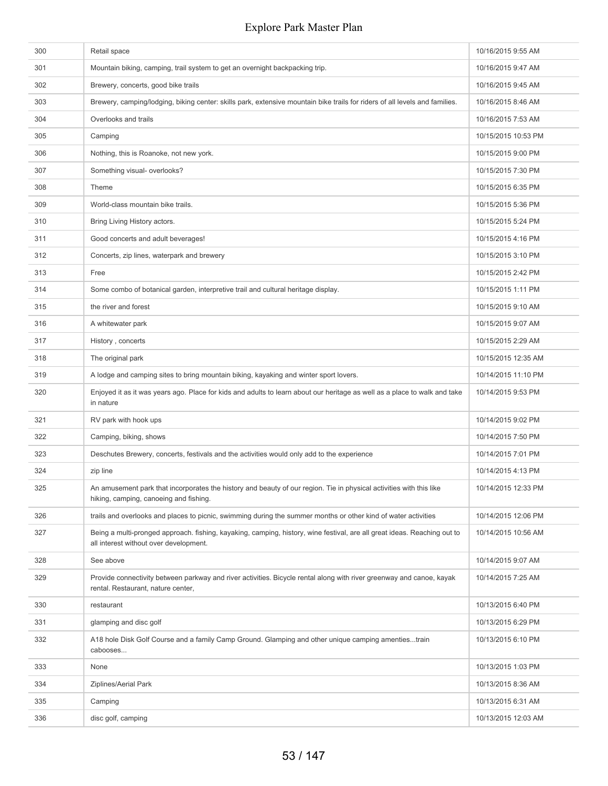| 300 | Retail space                                                                                                                                                       | 10/16/2015 9:55 AM  |
|-----|--------------------------------------------------------------------------------------------------------------------------------------------------------------------|---------------------|
| 301 | Mountain biking, camping, trail system to get an overnight backpacking trip.                                                                                       | 10/16/2015 9:47 AM  |
| 302 | Brewery, concerts, good bike trails                                                                                                                                | 10/16/2015 9:45 AM  |
| 303 | Brewery, camping/lodging, biking center: skills park, extensive mountain bike trails for riders of all levels and families.                                        | 10/16/2015 8:46 AM  |
| 304 | Overlooks and trails                                                                                                                                               | 10/16/2015 7:53 AM  |
| 305 | Camping                                                                                                                                                            | 10/15/2015 10:53 PM |
| 306 | Nothing, this is Roanoke, not new york.                                                                                                                            | 10/15/2015 9:00 PM  |
| 307 | Something visual- overlooks?                                                                                                                                       | 10/15/2015 7:30 PM  |
| 308 | Theme                                                                                                                                                              | 10/15/2015 6:35 PM  |
| 309 | World-class mountain bike trails.                                                                                                                                  | 10/15/2015 5:36 PM  |
| 310 | Bring Living History actors.                                                                                                                                       | 10/15/2015 5:24 PM  |
| 311 | Good concerts and adult beverages!                                                                                                                                 | 10/15/2015 4:16 PM  |
| 312 | Concerts, zip lines, waterpark and brewery                                                                                                                         | 10/15/2015 3:10 PM  |
| 313 | Free                                                                                                                                                               | 10/15/2015 2:42 PM  |
| 314 | Some combo of botanical garden, interpretive trail and cultural heritage display.                                                                                  | 10/15/2015 1:11 PM  |
| 315 | the river and forest                                                                                                                                               | 10/15/2015 9:10 AM  |
| 316 | A whitewater park                                                                                                                                                  | 10/15/2015 9:07 AM  |
| 317 | History, concerts                                                                                                                                                  | 10/15/2015 2:29 AM  |
| 318 | The original park                                                                                                                                                  | 10/15/2015 12:35 AM |
| 319 | A lodge and camping sites to bring mountain biking, kayaking and winter sport lovers.                                                                              | 10/14/2015 11:10 PM |
| 320 | Enjoyed it as it was years ago. Place for kids and adults to learn about our heritage as well as a place to walk and take<br>in nature                             | 10/14/2015 9:53 PM  |
| 321 | RV park with hook ups                                                                                                                                              | 10/14/2015 9:02 PM  |
| 322 | Camping, biking, shows                                                                                                                                             | 10/14/2015 7:50 PM  |
| 323 | Deschutes Brewery, concerts, festivals and the activities would only add to the experience                                                                         | 10/14/2015 7:01 PM  |
| 324 | zip line                                                                                                                                                           | 10/14/2015 4:13 PM  |
| 325 | An amusement park that incorporates the history and beauty of our region. Tie in physical activities with this like<br>hiking, camping, canoeing and fishing.      | 10/14/2015 12:33 PM |
| 326 | trails and overlooks and places to picnic, swimming during the summer months or other kind of water activities                                                     | 10/14/2015 12:06 PM |
| 327 | Being a multi-pronged approach, fishing, kayaking, camping, history, wine festival, are all great ideas. Reaching out to<br>all interest without over development. | 10/14/2015 10:56 AM |
| 328 | See above                                                                                                                                                          | 10/14/2015 9:07 AM  |
| 329 | Provide connectivity between parkway and river activities. Bicycle rental along with river greenway and canoe, kayak<br>rental. Restaurant, nature center,         | 10/14/2015 7:25 AM  |
| 330 | restaurant                                                                                                                                                         | 10/13/2015 6:40 PM  |
| 331 | glamping and disc golf                                                                                                                                             | 10/13/2015 6:29 PM  |
| 332 | A18 hole Disk Golf Course and a family Camp Ground. Glamping and other unique camping amentiestrain<br>cabooses                                                    | 10/13/2015 6:10 PM  |
| 333 | None                                                                                                                                                               | 10/13/2015 1:03 PM  |
| 334 | Ziplines/Aerial Park                                                                                                                                               | 10/13/2015 8:36 AM  |
| 335 | Camping                                                                                                                                                            | 10/13/2015 6:31 AM  |
| 336 | disc golf, camping                                                                                                                                                 | 10/13/2015 12:03 AM |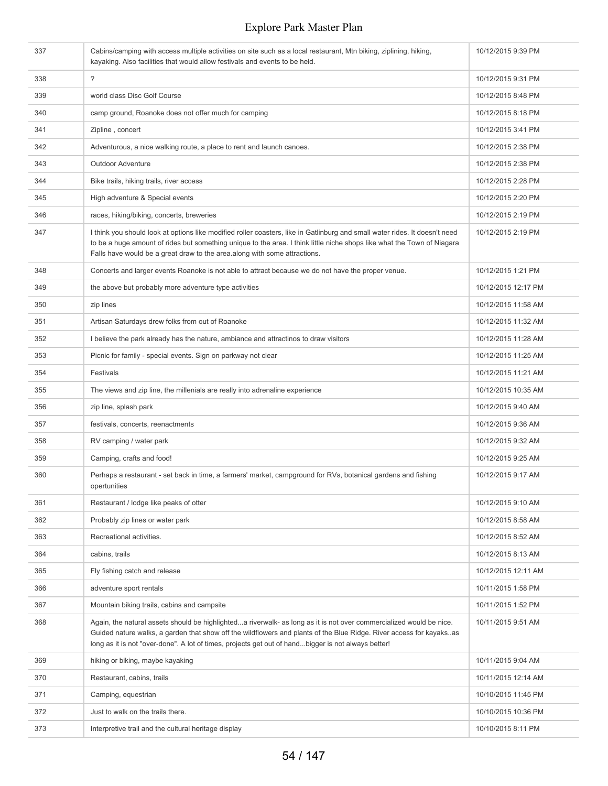| 337 | Cabins/camping with access multiple activities on site such as a local restaurant, Mtn biking, ziplining, hiking,<br>kayaking. Also facilities that would allow festivals and events to be held.                                                                                                                                                  | 10/12/2015 9:39 PM  |
|-----|---------------------------------------------------------------------------------------------------------------------------------------------------------------------------------------------------------------------------------------------------------------------------------------------------------------------------------------------------|---------------------|
| 338 | $\overline{?}$                                                                                                                                                                                                                                                                                                                                    | 10/12/2015 9:31 PM  |
| 339 | world class Disc Golf Course                                                                                                                                                                                                                                                                                                                      | 10/12/2015 8:48 PM  |
| 340 | camp ground, Roanoke does not offer much for camping                                                                                                                                                                                                                                                                                              | 10/12/2015 8:18 PM  |
| 341 | Zipline, concert                                                                                                                                                                                                                                                                                                                                  | 10/12/2015 3:41 PM  |
| 342 | Adventurous, a nice walking route, a place to rent and launch canoes.                                                                                                                                                                                                                                                                             | 10/12/2015 2:38 PM  |
| 343 | <b>Outdoor Adventure</b>                                                                                                                                                                                                                                                                                                                          | 10/12/2015 2:38 PM  |
| 344 | Bike trails, hiking trails, river access                                                                                                                                                                                                                                                                                                          | 10/12/2015 2:28 PM  |
| 345 | High adventure & Special events                                                                                                                                                                                                                                                                                                                   | 10/12/2015 2:20 PM  |
| 346 | races, hiking/biking, concerts, breweries                                                                                                                                                                                                                                                                                                         | 10/12/2015 2:19 PM  |
| 347 | I think you should look at options like modified roller coasters, like in Gatlinburg and small water rides. It doesn't need<br>to be a huge amount of rides but something unique to the area. I think little niche shops like what the Town of Niagara<br>Falls have would be a great draw to the area along with some attractions.               | 10/12/2015 2:19 PM  |
| 348 | Concerts and larger events Roanoke is not able to attract because we do not have the proper venue.                                                                                                                                                                                                                                                | 10/12/2015 1:21 PM  |
| 349 | the above but probably more adventure type activities                                                                                                                                                                                                                                                                                             | 10/12/2015 12:17 PM |
| 350 | zip lines                                                                                                                                                                                                                                                                                                                                         | 10/12/2015 11:58 AM |
| 351 | Artisan Saturdays drew folks from out of Roanoke                                                                                                                                                                                                                                                                                                  | 10/12/2015 11:32 AM |
| 352 | I believe the park already has the nature, ambiance and attractinos to draw visitors                                                                                                                                                                                                                                                              | 10/12/2015 11:28 AM |
| 353 | Picnic for family - special events. Sign on parkway not clear                                                                                                                                                                                                                                                                                     | 10/12/2015 11:25 AM |
| 354 | Festivals                                                                                                                                                                                                                                                                                                                                         | 10/12/2015 11:21 AM |
| 355 | The views and zip line, the millenials are really into adrenaline experience                                                                                                                                                                                                                                                                      | 10/12/2015 10:35 AM |
| 356 | zip line, splash park                                                                                                                                                                                                                                                                                                                             | 10/12/2015 9:40 AM  |
| 357 | festivals, concerts, reenactments                                                                                                                                                                                                                                                                                                                 | 10/12/2015 9:36 AM  |
| 358 | RV camping / water park                                                                                                                                                                                                                                                                                                                           | 10/12/2015 9:32 AM  |
| 359 | Camping, crafts and food!                                                                                                                                                                                                                                                                                                                         | 10/12/2015 9:25 AM  |
| 360 | Perhaps a restaurant - set back in time, a farmers' market, campground for RVs, botanical gardens and fishing<br>opertunities                                                                                                                                                                                                                     | 10/12/2015 9:17 AM  |
| 361 | Restaurant / lodge like peaks of otter                                                                                                                                                                                                                                                                                                            | 10/12/2015 9:10 AM  |
| 362 | Probably zip lines or water park                                                                                                                                                                                                                                                                                                                  | 10/12/2015 8:58 AM  |
| 363 | Recreational activities.                                                                                                                                                                                                                                                                                                                          | 10/12/2015 8:52 AM  |
| 364 | cabins, trails                                                                                                                                                                                                                                                                                                                                    | 10/12/2015 8:13 AM  |
| 365 | Fly fishing catch and release                                                                                                                                                                                                                                                                                                                     | 10/12/2015 12:11 AM |
| 366 | adventure sport rentals                                                                                                                                                                                                                                                                                                                           | 10/11/2015 1:58 PM  |
| 367 | Mountain biking trails, cabins and campsite                                                                                                                                                                                                                                                                                                       | 10/11/2015 1:52 PM  |
| 368 | Again, the natural assets should be highlighteda riverwalk- as long as it is not over commercialized would be nice.<br>Guided nature walks, a garden that show off the wildflowers and plants of the Blue Ridge. River access for kayaksas<br>long as it is not "over-done". A lot of times, projects get out of handbigger is not always better! | 10/11/2015 9:51 AM  |
| 369 | hiking or biking, maybe kayaking                                                                                                                                                                                                                                                                                                                  | 10/11/2015 9:04 AM  |
| 370 | Restaurant, cabins, trails                                                                                                                                                                                                                                                                                                                        | 10/11/2015 12:14 AM |
| 371 | Camping, equestrian                                                                                                                                                                                                                                                                                                                               | 10/10/2015 11:45 PM |
| 372 | Just to walk on the trails there.                                                                                                                                                                                                                                                                                                                 | 10/10/2015 10:36 PM |
| 373 | Interpretive trail and the cultural heritage display                                                                                                                                                                                                                                                                                              | 10/10/2015 8:11 PM  |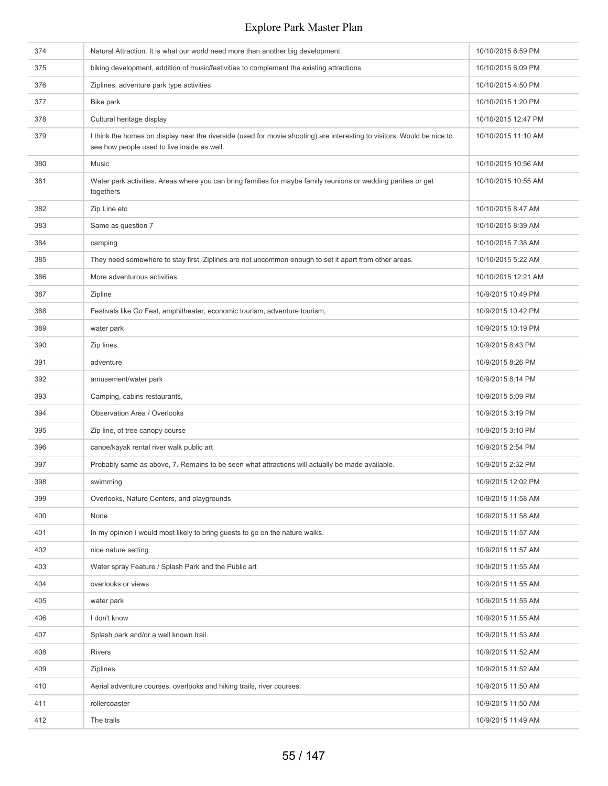| 374 | Natural Attraction. It is what our world need more than another big development.                                                                                       | 10/10/2015 6:59 PM  |
|-----|------------------------------------------------------------------------------------------------------------------------------------------------------------------------|---------------------|
| 375 | biking development, addition of music/festivities to complement the existing attractions                                                                               | 10/10/2015 6:09 PM  |
| 376 | Ziplines, adventure park type activities                                                                                                                               | 10/10/2015 4:50 PM  |
| 377 | Bike park                                                                                                                                                              | 10/10/2015 1:20 PM  |
| 378 | Cultural heritage display                                                                                                                                              | 10/10/2015 12:47 PM |
| 379 | I think the homes on display near the riverside (used for movie shooting) are interesting to visitors. Would be nice to<br>see how people used to live inside as well. | 10/10/2015 11:10 AM |
| 380 | Music                                                                                                                                                                  | 10/10/2015 10:56 AM |
| 381 | Water park activities. Areas where you can bring families for maybe family reunions or wedding parities or get<br>togethers                                            | 10/10/2015 10:55 AM |
| 382 | Zip Line etc                                                                                                                                                           | 10/10/2015 8:47 AM  |
| 383 | Same as question 7                                                                                                                                                     | 10/10/2015 8:39 AM  |
| 384 | camping                                                                                                                                                                | 10/10/2015 7:38 AM  |
| 385 | They need somewhere to stay first. Ziplines are not uncommon enough to set it apart from other areas.                                                                  | 10/10/2015 5:22 AM  |
| 386 | More adventurous activities                                                                                                                                            | 10/10/2015 12:21 AM |
| 387 | Zipline                                                                                                                                                                | 10/9/2015 10:49 PM  |
| 388 | Festivals like Go Fest, amphitheater, economic tourism, adventure tourism,                                                                                             | 10/9/2015 10:42 PM  |
| 389 | water park                                                                                                                                                             | 10/9/2015 10:19 PM  |
| 390 | Zip lines.                                                                                                                                                             | 10/9/2015 8:43 PM   |
| 391 | adventure                                                                                                                                                              | 10/9/2015 8:26 PM   |
| 392 | amusement/water park                                                                                                                                                   | 10/9/2015 8:14 PM   |
| 393 | Camping, cabins restaurants,                                                                                                                                           | 10/9/2015 5:09 PM   |
| 394 | Observation Area / Overlooks                                                                                                                                           | 10/9/2015 3:19 PM   |
| 395 | Zip line, ot tree canopy course                                                                                                                                        | 10/9/2015 3:10 PM   |
| 396 | canoe/kayak rental river walk public art                                                                                                                               | 10/9/2015 2:54 PM   |
| 397 | Probably same as above, 7. Remains to be seen what attractions will actually be made available.                                                                        | 10/9/2015 2:32 PM   |
| 398 | swimming                                                                                                                                                               | 10/9/2015 12:02 PM  |
| 399 | Overlooks, Nature Centers, and playgrounds                                                                                                                             | 10/9/2015 11:58 AM  |
| 400 | None                                                                                                                                                                   | 10/9/2015 11:58 AM  |
| 401 | In my opinion I would most likely to bring guests to go on the nature walks.                                                                                           | 10/9/2015 11:57 AM  |
| 402 | nice nature setting                                                                                                                                                    | 10/9/2015 11:57 AM  |
| 403 | Water spray Feature / Splash Park and the Public art                                                                                                                   | 10/9/2015 11:55 AM  |
| 404 | overlooks or views                                                                                                                                                     | 10/9/2015 11:55 AM  |
| 405 | water park                                                                                                                                                             | 10/9/2015 11:55 AM  |
| 406 | I don't know                                                                                                                                                           | 10/9/2015 11:55 AM  |
| 407 | Splash park and/or a well known trail.                                                                                                                                 | 10/9/2015 11:53 AM  |
| 408 | <b>Rivers</b>                                                                                                                                                          | 10/9/2015 11:52 AM  |
| 409 | <b>Ziplines</b>                                                                                                                                                        | 10/9/2015 11:52 AM  |
| 410 | Aerial adventure courses, overlooks and hiking trails, river courses.                                                                                                  | 10/9/2015 11:50 AM  |
| 411 | rollercoaster                                                                                                                                                          | 10/9/2015 11:50 AM  |
| 412 | The trails                                                                                                                                                             | 10/9/2015 11:49 AM  |
|     |                                                                                                                                                                        |                     |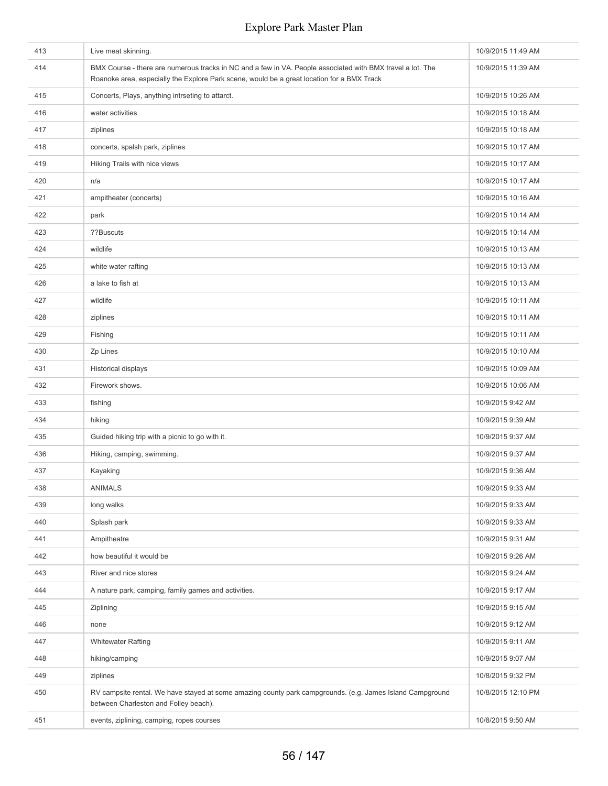| 413 | Live meat skinning.                                                                                                                                                                                      | 10/9/2015 11:49 AM |
|-----|----------------------------------------------------------------------------------------------------------------------------------------------------------------------------------------------------------|--------------------|
| 414 | BMX Course - there are numerous tracks in NC and a few in VA. People associated with BMX travel a lot. The<br>Roanoke area, especially the Explore Park scene, would be a great location for a BMX Track | 10/9/2015 11:39 AM |
| 415 | Concerts, Plays, anything intrseting to attarct.                                                                                                                                                         | 10/9/2015 10:26 AM |
| 416 | water activities                                                                                                                                                                                         | 10/9/2015 10:18 AM |
| 417 | ziplines                                                                                                                                                                                                 | 10/9/2015 10:18 AM |
| 418 | concerts, spalsh park, ziplines                                                                                                                                                                          | 10/9/2015 10:17 AM |
| 419 | Hiking Trails with nice views                                                                                                                                                                            | 10/9/2015 10:17 AM |
| 420 | n/a                                                                                                                                                                                                      | 10/9/2015 10:17 AM |
| 421 | ampitheater (concerts)                                                                                                                                                                                   | 10/9/2015 10:16 AM |
| 422 | park                                                                                                                                                                                                     | 10/9/2015 10:14 AM |
| 423 | ??Buscuts                                                                                                                                                                                                | 10/9/2015 10:14 AM |
| 424 | wildlife                                                                                                                                                                                                 | 10/9/2015 10:13 AM |
| 425 | white water rafting                                                                                                                                                                                      | 10/9/2015 10:13 AM |
| 426 | a lake to fish at                                                                                                                                                                                        | 10/9/2015 10:13 AM |
| 427 | wildlife                                                                                                                                                                                                 | 10/9/2015 10:11 AM |
| 428 | ziplines                                                                                                                                                                                                 | 10/9/2015 10:11 AM |
| 429 | Fishing                                                                                                                                                                                                  | 10/9/2015 10:11 AM |
| 430 | Zp Lines                                                                                                                                                                                                 | 10/9/2015 10:10 AM |
| 431 | Historical displays                                                                                                                                                                                      | 10/9/2015 10:09 AM |
| 432 | Firework shows.                                                                                                                                                                                          | 10/9/2015 10:06 AM |
| 433 | fishing                                                                                                                                                                                                  | 10/9/2015 9:42 AM  |
| 434 | hiking                                                                                                                                                                                                   | 10/9/2015 9:39 AM  |
| 435 | Guided hiking trip with a picnic to go with it.                                                                                                                                                          | 10/9/2015 9:37 AM  |
| 436 | Hiking, camping, swimming.                                                                                                                                                                               | 10/9/2015 9:37 AM  |
| 437 | Kayaking                                                                                                                                                                                                 | 10/9/2015 9:36 AM  |
| 438 | <b>ANIMALS</b>                                                                                                                                                                                           | 10/9/2015 9:33 AM  |
| 439 | long walks                                                                                                                                                                                               | 10/9/2015 9:33 AM  |
| 440 | Splash park                                                                                                                                                                                              | 10/9/2015 9:33 AM  |
| 441 | Ampitheatre                                                                                                                                                                                              | 10/9/2015 9:31 AM  |
| 442 | how beautiful it would be                                                                                                                                                                                | 10/9/2015 9:26 AM  |
| 443 | River and nice stores                                                                                                                                                                                    | 10/9/2015 9:24 AM  |
| 444 | A nature park, camping, family games and activities.                                                                                                                                                     | 10/9/2015 9:17 AM  |
| 445 | Ziplining                                                                                                                                                                                                | 10/9/2015 9:15 AM  |
| 446 | none                                                                                                                                                                                                     | 10/9/2015 9:12 AM  |
| 447 | <b>Whitewater Rafting</b>                                                                                                                                                                                | 10/9/2015 9:11 AM  |
| 448 | hiking/camping                                                                                                                                                                                           | 10/9/2015 9:07 AM  |
| 449 | ziplines                                                                                                                                                                                                 | 10/8/2015 9:32 PM  |
| 450 | RV campsite rental. We have stayed at some amazing county park campgrounds. (e.g. James Island Campground<br>between Charleston and Folley beach).                                                       | 10/8/2015 12:10 PM |
| 451 | events, ziplining, camping, ropes courses                                                                                                                                                                | 10/8/2015 9:50 AM  |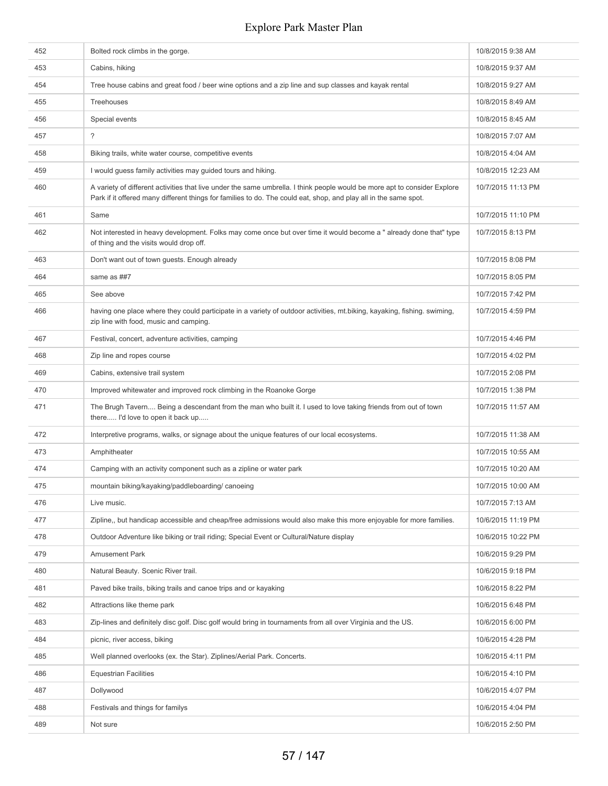| 452 | Bolted rock climbs in the gorge.                                                                                                                                                                                                              | 10/8/2015 9:38 AM  |
|-----|-----------------------------------------------------------------------------------------------------------------------------------------------------------------------------------------------------------------------------------------------|--------------------|
| 453 | Cabins, hiking                                                                                                                                                                                                                                | 10/8/2015 9:37 AM  |
| 454 | Tree house cabins and great food / beer wine options and a zip line and sup classes and kayak rental                                                                                                                                          | 10/8/2015 9:27 AM  |
| 455 | Treehouses                                                                                                                                                                                                                                    | 10/8/2015 8:49 AM  |
| 456 | Special events                                                                                                                                                                                                                                | 10/8/2015 8:45 AM  |
| 457 | $\ddot{?}$                                                                                                                                                                                                                                    | 10/8/2015 7:07 AM  |
| 458 | Biking trails, white water course, competitive events                                                                                                                                                                                         | 10/8/2015 4:04 AM  |
| 459 | I would guess family activities may guided tours and hiking.                                                                                                                                                                                  | 10/8/2015 12:23 AM |
| 460 | A variety of different activities that live under the same umbrella. I think people would be more apt to consider Explore<br>Park if it offered many different things for families to do. The could eat, shop, and play all in the same spot. | 10/7/2015 11:13 PM |
| 461 | Same                                                                                                                                                                                                                                          | 10/7/2015 11:10 PM |
| 462 | Not interested in heavy development. Folks may come once but over time it would become a "already done that" type<br>of thing and the visits would drop off.                                                                                  | 10/7/2015 8:13 PM  |
| 463 | Don't want out of town guests. Enough already                                                                                                                                                                                                 | 10/7/2015 8:08 PM  |
| 464 | same as ##7                                                                                                                                                                                                                                   | 10/7/2015 8:05 PM  |
| 465 | See above                                                                                                                                                                                                                                     | 10/7/2015 7:42 PM  |
| 466 | having one place where they could participate in a variety of outdoor activities, mt.biking, kayaking, fishing. swiming,<br>zip line with food, music and camping.                                                                            | 10/7/2015 4:59 PM  |
| 467 | Festival, concert, adventure activities, camping                                                                                                                                                                                              | 10/7/2015 4:46 PM  |
| 468 | Zip line and ropes course                                                                                                                                                                                                                     | 10/7/2015 4:02 PM  |
| 469 | Cabins, extensive trail system                                                                                                                                                                                                                | 10/7/2015 2:08 PM  |
| 470 | Improved whitewater and improved rock climbing in the Roanoke Gorge                                                                                                                                                                           | 10/7/2015 1:38 PM  |
| 471 | The Brugh Tavern Being a descendant from the man who built it. I used to love taking friends from out of town<br>there I'd love to open it back up                                                                                            | 10/7/2015 11:57 AM |
| 472 | Interpretive programs, walks, or signage about the unique features of our local ecosystems.                                                                                                                                                   | 10/7/2015 11:38 AM |
| 473 | Amphitheater                                                                                                                                                                                                                                  | 10/7/2015 10:55 AM |
| 474 | Camping with an activity component such as a zipline or water park                                                                                                                                                                            | 10/7/2015 10:20 AM |
| 475 | mountain biking/kayaking/paddleboarding/ canoeing                                                                                                                                                                                             | 10/7/2015 10:00 AM |
| 476 | Live music.                                                                                                                                                                                                                                   | 10/7/2015 7:13 AM  |
| 477 | Zipline,, but handicap accessible and cheap/free admissions would also make this more enjoyable for more families.                                                                                                                            | 10/6/2015 11:19 PM |
| 478 | Outdoor Adventure like biking or trail riding; Special Event or Cultural/Nature display                                                                                                                                                       | 10/6/2015 10:22 PM |
| 479 | <b>Amusement Park</b>                                                                                                                                                                                                                         | 10/6/2015 9:29 PM  |
| 480 | Natural Beauty. Scenic River trail.                                                                                                                                                                                                           | 10/6/2015 9:18 PM  |
| 481 | Paved bike trails, biking trails and canoe trips and or kayaking                                                                                                                                                                              | 10/6/2015 8:22 PM  |
| 482 | Attractions like theme park                                                                                                                                                                                                                   | 10/6/2015 6:48 PM  |
| 483 | Zip-lines and definitely disc golf. Disc golf would bring in tournaments from all over Virginia and the US.                                                                                                                                   | 10/6/2015 6:00 PM  |
| 484 | picnic, river access, biking                                                                                                                                                                                                                  | 10/6/2015 4:28 PM  |
| 485 | Well planned overlooks (ex. the Star). Ziplines/Aerial Park. Concerts.                                                                                                                                                                        | 10/6/2015 4:11 PM  |
| 486 | <b>Equestrian Facilities</b>                                                                                                                                                                                                                  | 10/6/2015 4:10 PM  |
| 487 | Dollywood                                                                                                                                                                                                                                     | 10/6/2015 4:07 PM  |
| 488 | Festivals and things for familys                                                                                                                                                                                                              | 10/6/2015 4:04 PM  |
| 489 | Not sure                                                                                                                                                                                                                                      | 10/6/2015 2:50 PM  |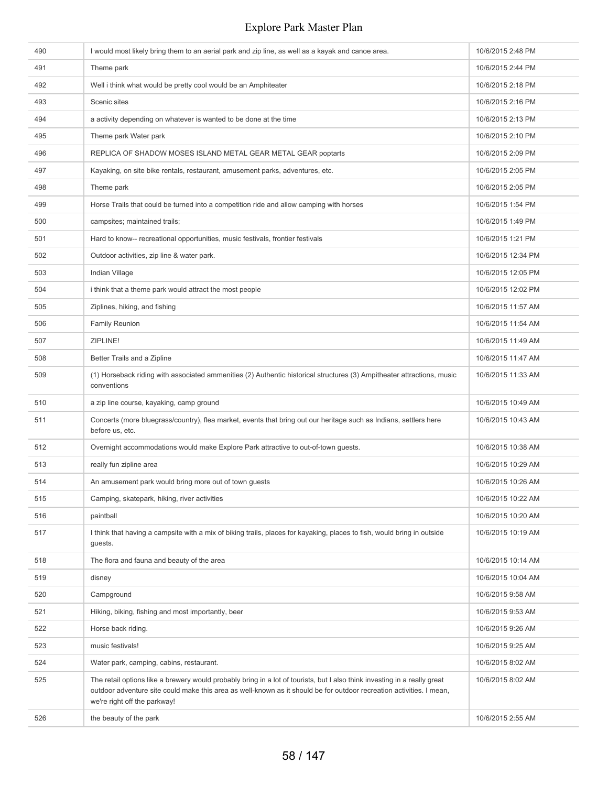| 526 | the beauty of the park                                                                                                                                                                                                                                                            | 10/6/2015 2:55 AM  |
|-----|-----------------------------------------------------------------------------------------------------------------------------------------------------------------------------------------------------------------------------------------------------------------------------------|--------------------|
| 525 | The retail options like a brewery would probably bring in a lot of tourists, but I also think investing in a really great<br>outdoor adventure site could make this area as well-known as it should be for outdoor recreation activities. I mean,<br>we're right off the parkway! | 10/6/2015 8:02 AM  |
| 524 | Water park, camping, cabins, restaurant.                                                                                                                                                                                                                                          | 10/6/2015 8:02 AM  |
| 523 | music festivals!                                                                                                                                                                                                                                                                  | 10/6/2015 9:25 AM  |
| 522 | Horse back riding.                                                                                                                                                                                                                                                                | 10/6/2015 9:26 AM  |
| 521 | Hiking, biking, fishing and most importantly, beer                                                                                                                                                                                                                                | 10/6/2015 9:53 AM  |
| 520 | Campground                                                                                                                                                                                                                                                                        | 10/6/2015 9:58 AM  |
| 519 | disney                                                                                                                                                                                                                                                                            | 10/6/2015 10:04 AM |
| 518 | The flora and fauna and beauty of the area                                                                                                                                                                                                                                        | 10/6/2015 10:14 AM |
| 517 | I think that having a campsite with a mix of biking trails, places for kayaking, places to fish, would bring in outside<br>guests.                                                                                                                                                | 10/6/2015 10:19 AM |
| 516 | paintball                                                                                                                                                                                                                                                                         | 10/6/2015 10:20 AM |
| 515 | Camping, skatepark, hiking, river activities                                                                                                                                                                                                                                      | 10/6/2015 10:22 AM |
| 514 | An amusement park would bring more out of town guests                                                                                                                                                                                                                             | 10/6/2015 10:26 AM |
| 513 | really fun zipline area                                                                                                                                                                                                                                                           | 10/6/2015 10:29 AM |
| 512 | Overnight accommodations would make Explore Park attractive to out-of-town guests.                                                                                                                                                                                                | 10/6/2015 10:38 AM |
| 511 | Concerts (more bluegrass/country), flea market, events that bring out our heritage such as Indians, settlers here<br>before us, etc.                                                                                                                                              | 10/6/2015 10:43 AM |
| 510 | a zip line course, kayaking, camp ground                                                                                                                                                                                                                                          | 10/6/2015 10:49 AM |
| 509 | (1) Horseback riding with associated ammenities (2) Authentic historical structures (3) Ampitheater attractions, music<br>conventions                                                                                                                                             | 10/6/2015 11:33 AM |
| 508 | Better Trails and a Zipline                                                                                                                                                                                                                                                       | 10/6/2015 11:47 AM |
| 507 | ZIPLINE!                                                                                                                                                                                                                                                                          | 10/6/2015 11:49 AM |
| 506 | <b>Family Reunion</b>                                                                                                                                                                                                                                                             | 10/6/2015 11:54 AM |
| 505 | Ziplines, hiking, and fishing                                                                                                                                                                                                                                                     | 10/6/2015 11:57 AM |
| 504 | i think that a theme park would attract the most people                                                                                                                                                                                                                           | 10/6/2015 12:02 PM |
| 503 | Indian Village                                                                                                                                                                                                                                                                    | 10/6/2015 12:05 PM |
| 502 | Outdoor activities, zip line & water park.                                                                                                                                                                                                                                        | 10/6/2015 12:34 PM |
| 501 | Hard to know-- recreational opportunities, music festivals, frontier festivals                                                                                                                                                                                                    | 10/6/2015 1:21 PM  |
| 500 | campsites; maintained trails;                                                                                                                                                                                                                                                     | 10/6/2015 1:49 PM  |
| 499 | Horse Trails that could be turned into a competition ride and allow camping with horses                                                                                                                                                                                           | 10/6/2015 1:54 PM  |
| 498 | Theme park                                                                                                                                                                                                                                                                        | 10/6/2015 2:05 PM  |
| 497 | Kayaking, on site bike rentals, restaurant, amusement parks, adventures, etc.                                                                                                                                                                                                     | 10/6/2015 2:05 PM  |
| 496 | REPLICA OF SHADOW MOSES ISLAND METAL GEAR METAL GEAR poptarts                                                                                                                                                                                                                     | 10/6/2015 2:09 PM  |
| 495 | Theme park Water park                                                                                                                                                                                                                                                             | 10/6/2015 2:10 PM  |
| 494 | a activity depending on whatever is wanted to be done at the time                                                                                                                                                                                                                 | 10/6/2015 2:13 PM  |
| 493 | Scenic sites                                                                                                                                                                                                                                                                      | 10/6/2015 2:16 PM  |
| 492 | Well i think what would be pretty cool would be an Amphiteater                                                                                                                                                                                                                    | 10/6/2015 2:18 PM  |
| 491 | Theme park                                                                                                                                                                                                                                                                        | 10/6/2015 2:44 PM  |
| 490 | I would most likely bring them to an aerial park and zip line, as well as a kayak and canoe area.                                                                                                                                                                                 | 10/6/2015 2:48 PM  |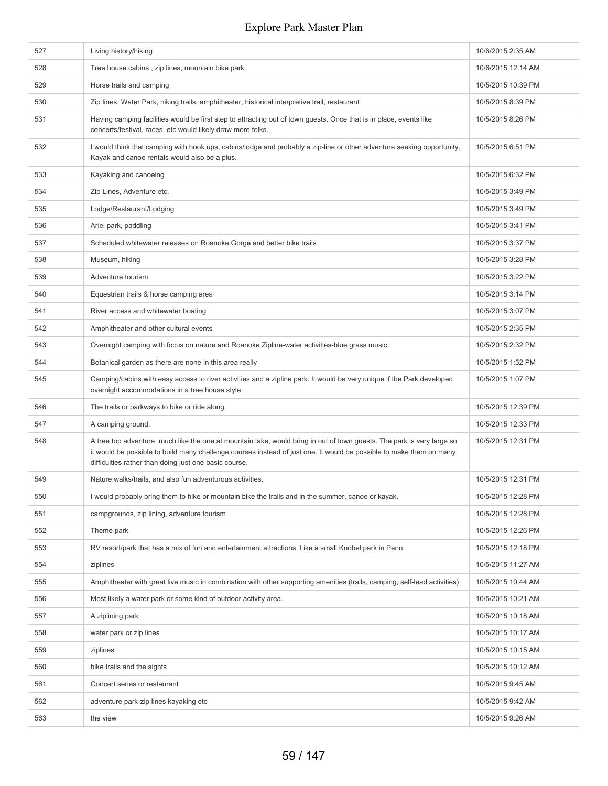| 527 | Living history/hiking                                                                                                                                                                                                                                                                                  | 10/6/2015 2:35 AM  |
|-----|--------------------------------------------------------------------------------------------------------------------------------------------------------------------------------------------------------------------------------------------------------------------------------------------------------|--------------------|
| 528 | Tree house cabins, zip lines, mountain bike park                                                                                                                                                                                                                                                       | 10/6/2015 12:14 AM |
| 529 | Horse trails and camping                                                                                                                                                                                                                                                                               | 10/5/2015 10:39 PM |
| 530 | Zip lines, Water Park, hiking trails, amphitheater, historical interpretive trail, restaurant                                                                                                                                                                                                          | 10/5/2015 8:39 PM  |
| 531 | Having camping facilities would be first step to attracting out of town guests. Once that is in place, events like<br>concerts/festival, races, etc would likely draw more folks.                                                                                                                      | 10/5/2015 8:26 PM  |
| 532 | I would think that camping with hook ups, cabins/lodge and probably a zip-line or other adventure seeking opportunity.<br>Kayak and canoe rentals would also be a plus.                                                                                                                                | 10/5/2015 6:51 PM  |
| 533 | Kayaking and canoeing                                                                                                                                                                                                                                                                                  | 10/5/2015 6:32 PM  |
| 534 | Zip Lines, Adventure etc.                                                                                                                                                                                                                                                                              | 10/5/2015 3:49 PM  |
| 535 | Lodge/Restaurant/Lodging                                                                                                                                                                                                                                                                               | 10/5/2015 3:49 PM  |
| 536 | Ariel park, paddling                                                                                                                                                                                                                                                                                   | 10/5/2015 3:41 PM  |
| 537 | Scheduled whitewater releases on Roanoke Gorge and better bike trails                                                                                                                                                                                                                                  | 10/5/2015 3:37 PM  |
| 538 | Museum, hiking                                                                                                                                                                                                                                                                                         | 10/5/2015 3:28 PM  |
| 539 | Adventure tourism                                                                                                                                                                                                                                                                                      | 10/5/2015 3:22 PM  |
| 540 | Equestrian trails & horse camping area                                                                                                                                                                                                                                                                 | 10/5/2015 3:14 PM  |
| 541 | River access and whitewater boating                                                                                                                                                                                                                                                                    | 10/5/2015 3:07 PM  |
| 542 | Amphitheater and other cultural events                                                                                                                                                                                                                                                                 | 10/5/2015 2:35 PM  |
| 543 | Overnight camping with focus on nature and Roanoke Zipline-water activities-blue grass music                                                                                                                                                                                                           | 10/5/2015 2:32 PM  |
| 544 | Botanical garden as there are none in this area really                                                                                                                                                                                                                                                 | 10/5/2015 1:52 PM  |
| 545 | Camping/cabins with easy access to river activities and a zipline park. It would be very unique if the Park developed<br>overnight accommodations in a tree house style.                                                                                                                               | 10/5/2015 1:07 PM  |
| 546 | The trails or parkways to bike or ride along.                                                                                                                                                                                                                                                          | 10/5/2015 12:39 PM |
| 547 | A camping ground.                                                                                                                                                                                                                                                                                      | 10/5/2015 12:33 PM |
| 548 | A tree top adventure, much like the one at mountain lake, would bring in out of town guests. The park is very large so<br>it would be possible to build many challenge courses instead of just one. It would be possible to make them on many<br>difficulties rather than doing just one basic course. | 10/5/2015 12:31 PM |
| 549 | Nature walks/trails, and also fun adventurous activities.                                                                                                                                                                                                                                              | 10/5/2015 12:31 PM |
| 550 | I would probably bring them to hike or mountain bike the trails and in the summer, canoe or kayak.                                                                                                                                                                                                     | 10/5/2015 12:28 PM |
| 551 | campgrounds, zip lining, adventure tourism                                                                                                                                                                                                                                                             | 10/5/2015 12:28 PM |
| 552 | Theme park                                                                                                                                                                                                                                                                                             | 10/5/2015 12:26 PM |
| 553 | RV resort/park that has a mix of fun and entertainment attractions. Like a small Knobel park in Penn.                                                                                                                                                                                                  | 10/5/2015 12:18 PM |
| 554 | ziplines                                                                                                                                                                                                                                                                                               | 10/5/2015 11:27 AM |
| 555 | Amphitheater with great live music in combination with other supporting amenities (trails, camping, self-lead activities)                                                                                                                                                                              | 10/5/2015 10:44 AM |
| 556 | Most likely a water park or some kind of outdoor activity area.                                                                                                                                                                                                                                        | 10/5/2015 10:21 AM |
| 557 | A ziplining park                                                                                                                                                                                                                                                                                       | 10/5/2015 10:18 AM |
| 558 | water park or zip lines                                                                                                                                                                                                                                                                                | 10/5/2015 10:17 AM |
| 559 | ziplines                                                                                                                                                                                                                                                                                               | 10/5/2015 10:15 AM |
| 560 | bike trails and the sights                                                                                                                                                                                                                                                                             | 10/5/2015 10:12 AM |
| 561 | Concert series or restaurant                                                                                                                                                                                                                                                                           | 10/5/2015 9:45 AM  |
| 562 | adventure park-zip lines kayaking etc                                                                                                                                                                                                                                                                  | 10/5/2015 9:42 AM  |
| 563 | the view                                                                                                                                                                                                                                                                                               | 10/5/2015 9:26 AM  |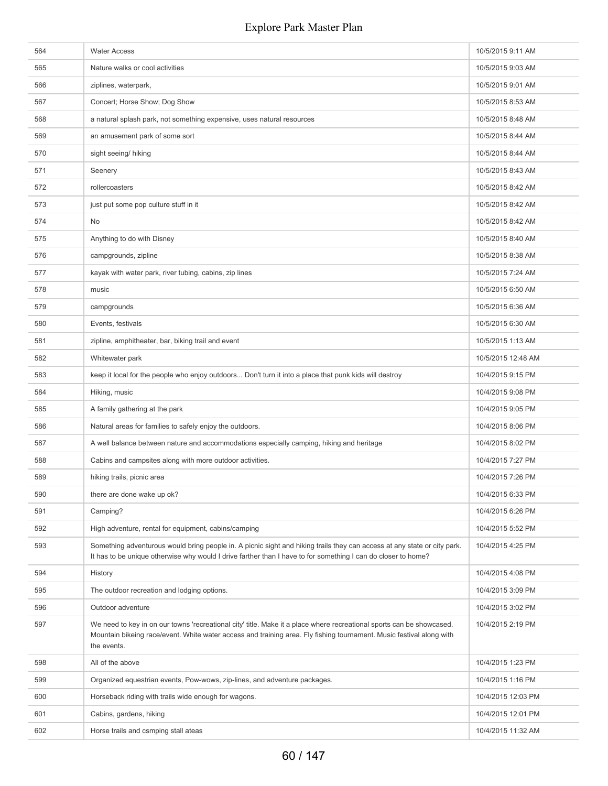| 564 | <b>Water Access</b>                                                                                                                                                                                                                                          | 10/5/2015 9:11 AM  |
|-----|--------------------------------------------------------------------------------------------------------------------------------------------------------------------------------------------------------------------------------------------------------------|--------------------|
| 565 | Nature walks or cool activities                                                                                                                                                                                                                              | 10/5/2015 9:03 AM  |
| 566 | ziplines, waterpark,                                                                                                                                                                                                                                         | 10/5/2015 9:01 AM  |
| 567 | Concert; Horse Show; Dog Show                                                                                                                                                                                                                                | 10/5/2015 8:53 AM  |
| 568 | a natural splash park, not something expensive, uses natural resources                                                                                                                                                                                       | 10/5/2015 8:48 AM  |
| 569 | an amusement park of some sort                                                                                                                                                                                                                               | 10/5/2015 8:44 AM  |
| 570 | sight seeing/ hiking                                                                                                                                                                                                                                         | 10/5/2015 8:44 AM  |
| 571 | Seenery                                                                                                                                                                                                                                                      | 10/5/2015 8:43 AM  |
| 572 | rollercoasters                                                                                                                                                                                                                                               | 10/5/2015 8:42 AM  |
| 573 | just put some pop culture stuff in it                                                                                                                                                                                                                        | 10/5/2015 8:42 AM  |
| 574 | No                                                                                                                                                                                                                                                           | 10/5/2015 8:42 AM  |
| 575 | Anything to do with Disney                                                                                                                                                                                                                                   | 10/5/2015 8:40 AM  |
| 576 | campgrounds, zipline                                                                                                                                                                                                                                         | 10/5/2015 8:38 AM  |
| 577 | kayak with water park, river tubing, cabins, zip lines                                                                                                                                                                                                       | 10/5/2015 7:24 AM  |
| 578 | music                                                                                                                                                                                                                                                        | 10/5/2015 6:50 AM  |
| 579 | campgrounds                                                                                                                                                                                                                                                  | 10/5/2015 6:36 AM  |
| 580 | Events, festivals                                                                                                                                                                                                                                            | 10/5/2015 6:30 AM  |
| 581 | zipline, amphitheater, bar, biking trail and event                                                                                                                                                                                                           | 10/5/2015 1:13 AM  |
| 582 | Whitewater park                                                                                                                                                                                                                                              | 10/5/2015 12:48 AM |
| 583 | keep it local for the people who enjoy outdoors Don't turn it into a place that punk kids will destroy                                                                                                                                                       | 10/4/2015 9:15 PM  |
| 584 | Hiking, music                                                                                                                                                                                                                                                | 10/4/2015 9:08 PM  |
| 585 | A family gathering at the park                                                                                                                                                                                                                               | 10/4/2015 9:05 PM  |
| 586 | Natural areas for families to safely enjoy the outdoors.                                                                                                                                                                                                     | 10/4/2015 8:06 PM  |
| 587 | A well balance between nature and accommodations especially camping, hiking and heritage                                                                                                                                                                     | 10/4/2015 8:02 PM  |
| 588 | Cabins and campsites along with more outdoor activities.                                                                                                                                                                                                     | 10/4/2015 7:27 PM  |
| 589 | hiking trails, picnic area                                                                                                                                                                                                                                   | 10/4/2015 7:26 PM  |
| 590 | there are done wake up ok?                                                                                                                                                                                                                                   | 10/4/2015 6:33 PM  |
| 591 | Camping?                                                                                                                                                                                                                                                     | 10/4/2015 6:26 PM  |
| 592 | High adventure, rental for equipment, cabins/camping                                                                                                                                                                                                         | 10/4/2015 5:52 PM  |
| 593 | Something adventurous would bring people in. A picnic sight and hiking trails they can access at any state or city park.<br>It has to be unique otherwise why would I drive farther than I have to for something I can do closer to home?                    | 10/4/2015 4:25 PM  |
| 594 | History                                                                                                                                                                                                                                                      | 10/4/2015 4:08 PM  |
| 595 | The outdoor recreation and lodging options.                                                                                                                                                                                                                  | 10/4/2015 3:09 PM  |
| 596 | Outdoor adventure                                                                                                                                                                                                                                            | 10/4/2015 3:02 PM  |
| 597 | We need to key in on our towns 'recreational city' title. Make it a place where recreational sports can be showcased.<br>Mountain bikeing race/event. White water access and training area. Fly fishing tournament. Music festival along with<br>the events. | 10/4/2015 2:19 PM  |
| 598 | All of the above                                                                                                                                                                                                                                             | 10/4/2015 1:23 PM  |
| 599 | Organized equestrian events, Pow-wows, zip-lines, and adventure packages.                                                                                                                                                                                    | 10/4/2015 1:16 PM  |
| 600 | Horseback riding with trails wide enough for wagons.                                                                                                                                                                                                         | 10/4/2015 12:03 PM |
| 601 | Cabins, gardens, hiking                                                                                                                                                                                                                                      | 10/4/2015 12:01 PM |
| 602 | Horse trails and csmping stall ateas                                                                                                                                                                                                                         | 10/4/2015 11:32 AM |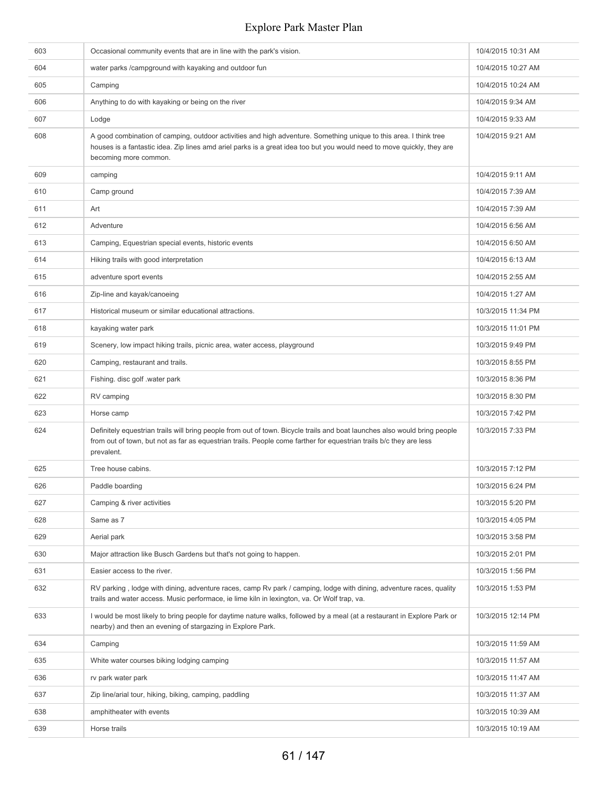| 603 | Occasional community events that are in line with the park's vision.                                                                                                                                                                                                 | 10/4/2015 10:31 AM |
|-----|----------------------------------------------------------------------------------------------------------------------------------------------------------------------------------------------------------------------------------------------------------------------|--------------------|
| 604 | water parks / campground with kayaking and outdoor fun                                                                                                                                                                                                               | 10/4/2015 10:27 AM |
| 605 | Camping                                                                                                                                                                                                                                                              | 10/4/2015 10:24 AM |
| 606 | Anything to do with kayaking or being on the river                                                                                                                                                                                                                   | 10/4/2015 9:34 AM  |
| 607 | Lodge                                                                                                                                                                                                                                                                | 10/4/2015 9:33 AM  |
| 608 | A good combination of camping, outdoor activities and high adventure. Something unique to this area. I think tree<br>houses is a fantastic idea. Zip lines amd ariel parks is a great idea too but you would need to move quickly, they are<br>becoming more common. | 10/4/2015 9:21 AM  |
| 609 | camping                                                                                                                                                                                                                                                              | 10/4/2015 9:11 AM  |
| 610 | Camp ground                                                                                                                                                                                                                                                          | 10/4/2015 7:39 AM  |
| 611 | Art                                                                                                                                                                                                                                                                  | 10/4/2015 7:39 AM  |
| 612 | Adventure                                                                                                                                                                                                                                                            | 10/4/2015 6:56 AM  |
| 613 | Camping, Equestrian special events, historic events                                                                                                                                                                                                                  | 10/4/2015 6:50 AM  |
| 614 | Hiking trails with good interpretation                                                                                                                                                                                                                               | 10/4/2015 6:13 AM  |
| 615 | adventure sport events                                                                                                                                                                                                                                               | 10/4/2015 2:55 AM  |
| 616 | Zip-line and kayak/canoeing                                                                                                                                                                                                                                          | 10/4/2015 1:27 AM  |
| 617 | Historical museum or similar educational attractions.                                                                                                                                                                                                                | 10/3/2015 11:34 PM |
| 618 | kayaking water park                                                                                                                                                                                                                                                  | 10/3/2015 11:01 PM |
| 619 | Scenery, low impact hiking trails, picnic area, water access, playground                                                                                                                                                                                             | 10/3/2015 9:49 PM  |
| 620 | Camping, restaurant and trails.                                                                                                                                                                                                                                      | 10/3/2015 8:55 PM  |
| 621 | Fishing. disc golf .water park                                                                                                                                                                                                                                       | 10/3/2015 8:36 PM  |
| 622 | RV camping                                                                                                                                                                                                                                                           | 10/3/2015 8:30 PM  |
| 623 | Horse camp                                                                                                                                                                                                                                                           | 10/3/2015 7:42 PM  |
| 624 | Definitely equestrian trails will bring people from out of town. Bicycle trails and boat launches also would bring people<br>from out of town, but not as far as equestrian trails. People come farther for equestrian trails b/c they are less<br>prevalent.        | 10/3/2015 7:33 PM  |
| 625 | Tree house cabins.                                                                                                                                                                                                                                                   | 10/3/2015 7:12 PM  |
| 626 | Paddle boarding                                                                                                                                                                                                                                                      | 10/3/2015 6:24 PM  |
| 627 | Camping & river activities                                                                                                                                                                                                                                           | 10/3/2015 5:20 PM  |
| 628 | Same as 7                                                                                                                                                                                                                                                            | 10/3/2015 4:05 PM  |
| 629 | Aerial park                                                                                                                                                                                                                                                          | 10/3/2015 3:58 PM  |
| 630 | Major attraction like Busch Gardens but that's not going to happen.                                                                                                                                                                                                  | 10/3/2015 2:01 PM  |
| 631 | Easier access to the river.                                                                                                                                                                                                                                          | 10/3/2015 1:56 PM  |
| 632 | RV parking, lodge with dining, adventure races, camp Rv park / camping, lodge with dining, adventure races, quality<br>trails and water access. Music performace, ie lime kiln in lexington, va. Or Wolf trap, va.                                                   | 10/3/2015 1:53 PM  |
| 633 | I would be most likely to bring people for daytime nature walks, followed by a meal (at a restaurant in Explore Park or<br>nearby) and then an evening of stargazing in Explore Park.                                                                                | 10/3/2015 12:14 PM |
| 634 | Camping                                                                                                                                                                                                                                                              | 10/3/2015 11:59 AM |
| 635 | White water courses biking lodging camping                                                                                                                                                                                                                           | 10/3/2015 11:57 AM |
| 636 | rv park water park                                                                                                                                                                                                                                                   | 10/3/2015 11:47 AM |
| 637 | Zip line/arial tour, hiking, biking, camping, paddling                                                                                                                                                                                                               | 10/3/2015 11:37 AM |
| 638 | amphitheater with events                                                                                                                                                                                                                                             | 10/3/2015 10:39 AM |
| 639 | Horse trails                                                                                                                                                                                                                                                         | 10/3/2015 10:19 AM |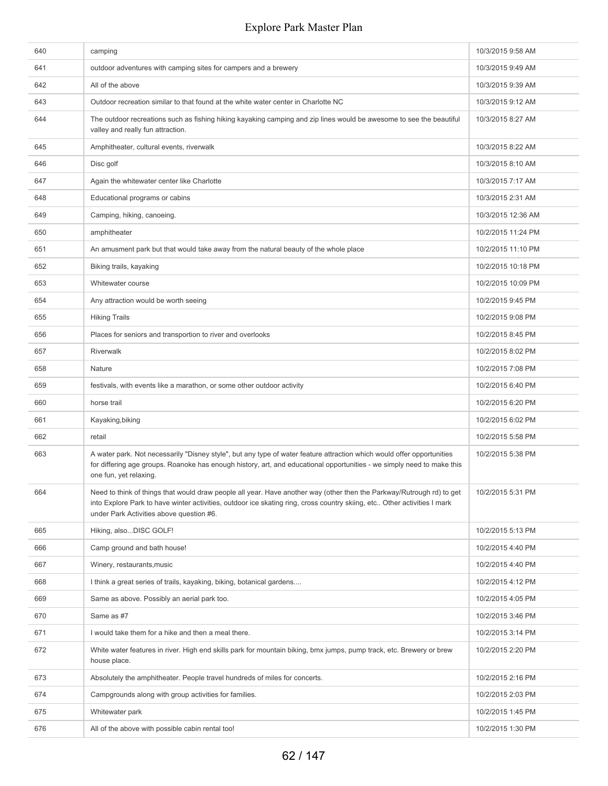| 640 | camping                                                                                                                                                                                                                                                                                       | 10/3/2015 9:58 AM  |
|-----|-----------------------------------------------------------------------------------------------------------------------------------------------------------------------------------------------------------------------------------------------------------------------------------------------|--------------------|
| 641 | outdoor adventures with camping sites for campers and a brewery                                                                                                                                                                                                                               | 10/3/2015 9:49 AM  |
| 642 | All of the above                                                                                                                                                                                                                                                                              | 10/3/2015 9:39 AM  |
| 643 | Outdoor recreation similar to that found at the white water center in Charlotte NC                                                                                                                                                                                                            | 10/3/2015 9:12 AM  |
| 644 | The outdoor recreations such as fishing hiking kayaking camping and zip lines would be awesome to see the beautiful<br>valley and really fun attraction.                                                                                                                                      | 10/3/2015 8:27 AM  |
| 645 | Amphitheater, cultural events, riverwalk                                                                                                                                                                                                                                                      | 10/3/2015 8:22 AM  |
| 646 | Disc golf                                                                                                                                                                                                                                                                                     | 10/3/2015 8:10 AM  |
| 647 | Again the whitewater center like Charlotte                                                                                                                                                                                                                                                    | 10/3/2015 7:17 AM  |
| 648 | Educational programs or cabins                                                                                                                                                                                                                                                                | 10/3/2015 2:31 AM  |
| 649 | Camping, hiking, canoeing.                                                                                                                                                                                                                                                                    | 10/3/2015 12:36 AM |
| 650 | amphitheater                                                                                                                                                                                                                                                                                  | 10/2/2015 11:24 PM |
| 651 | An amusment park but that would take away from the natural beauty of the whole place                                                                                                                                                                                                          | 10/2/2015 11:10 PM |
| 652 | Biking trails, kayaking                                                                                                                                                                                                                                                                       | 10/2/2015 10:18 PM |
| 653 | Whitewater course                                                                                                                                                                                                                                                                             | 10/2/2015 10:09 PM |
| 654 | Any attraction would be worth seeing                                                                                                                                                                                                                                                          | 10/2/2015 9:45 PM  |
| 655 | <b>Hiking Trails</b>                                                                                                                                                                                                                                                                          | 10/2/2015 9:08 PM  |
| 656 | Places for seniors and transportion to river and overlooks                                                                                                                                                                                                                                    | 10/2/2015 8:45 PM  |
| 657 | Riverwalk                                                                                                                                                                                                                                                                                     | 10/2/2015 8:02 PM  |
| 658 | Nature                                                                                                                                                                                                                                                                                        | 10/2/2015 7:08 PM  |
| 659 | festivals, with events like a marathon, or some other outdoor activity                                                                                                                                                                                                                        | 10/2/2015 6:40 PM  |
| 660 | horse trail                                                                                                                                                                                                                                                                                   | 10/2/2015 6:20 PM  |
| 661 | Kayaking, biking                                                                                                                                                                                                                                                                              | 10/2/2015 6:02 PM  |
| 662 | retail                                                                                                                                                                                                                                                                                        | 10/2/2015 5:58 PM  |
| 663 | A water park. Not necessarily "Disney style", but any type of water feature attraction which would offer opportunities<br>for differing age groups. Roanoke has enough history, art, and educational opportunities - we simply need to make this<br>one fun, yet relaxing.                    | 10/2/2015 5:38 PM  |
| 664 | Need to think of things that would draw people all year. Have another way (other then the Parkway/Rutrough rd) to get<br>into Explore Park to have winter activities, outdoor ice skating ring, cross country skiing, etc Other activities I mark<br>under Park Activities above question #6. | 10/2/2015 5:31 PM  |
| 665 | Hiking, alsoDISC GOLF!                                                                                                                                                                                                                                                                        | 10/2/2015 5:13 PM  |
| 666 | Camp ground and bath house!                                                                                                                                                                                                                                                                   | 10/2/2015 4:40 PM  |
| 667 | Winery, restaurants, music                                                                                                                                                                                                                                                                    | 10/2/2015 4:40 PM  |
| 668 | I think a great series of trails, kayaking, biking, botanical gardens                                                                                                                                                                                                                         | 10/2/2015 4:12 PM  |
| 669 | Same as above. Possibly an aerial park too.                                                                                                                                                                                                                                                   | 10/2/2015 4:05 PM  |
| 670 | Same as #7                                                                                                                                                                                                                                                                                    | 10/2/2015 3:46 PM  |
| 671 | I would take them for a hike and then a meal there.                                                                                                                                                                                                                                           | 10/2/2015 3:14 PM  |
| 672 | White water features in river. High end skills park for mountain biking, bmx jumps, pump track, etc. Brewery or brew<br>house place.                                                                                                                                                          | 10/2/2015 2:20 PM  |
| 673 | Absolutely the amphitheater. People travel hundreds of miles for concerts.                                                                                                                                                                                                                    | 10/2/2015 2:16 PM  |
| 674 | Campgrounds along with group activities for families.                                                                                                                                                                                                                                         | 10/2/2015 2:03 PM  |
| 675 | Whitewater park                                                                                                                                                                                                                                                                               | 10/2/2015 1:45 PM  |
| 676 | All of the above with possible cabin rental too!                                                                                                                                                                                                                                              | 10/2/2015 1:30 PM  |
|     |                                                                                                                                                                                                                                                                                               |                    |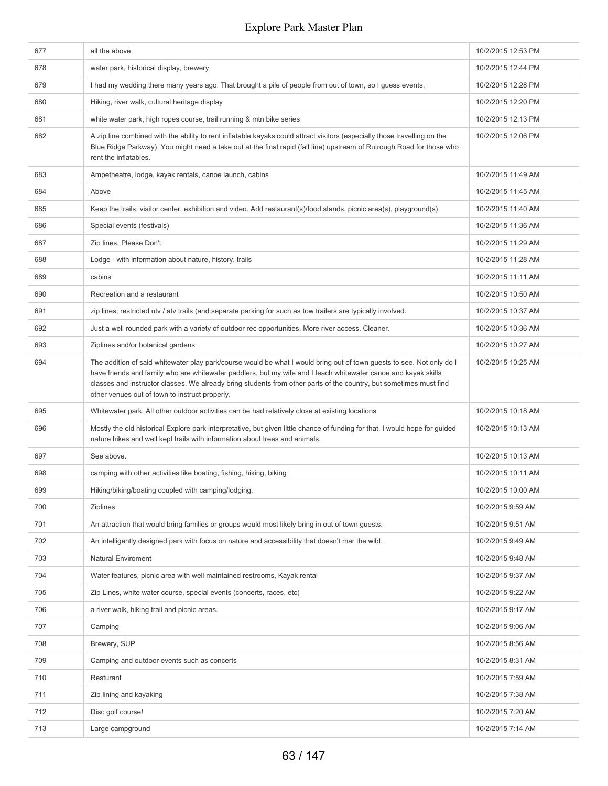| 677 | all the above                                                                                                                                                                                                                                                                                                                                                                                                   | 10/2/2015 12:53 PM |
|-----|-----------------------------------------------------------------------------------------------------------------------------------------------------------------------------------------------------------------------------------------------------------------------------------------------------------------------------------------------------------------------------------------------------------------|--------------------|
| 678 | water park, historical display, brewery                                                                                                                                                                                                                                                                                                                                                                         | 10/2/2015 12:44 PM |
| 679 | I had my wedding there many years ago. That brought a pile of people from out of town, so I guess events,                                                                                                                                                                                                                                                                                                       | 10/2/2015 12:28 PM |
| 680 | Hiking, river walk, cultural heritage display                                                                                                                                                                                                                                                                                                                                                                   | 10/2/2015 12:20 PM |
| 681 | white water park, high ropes course, trail running & mtn bike series                                                                                                                                                                                                                                                                                                                                            | 10/2/2015 12:13 PM |
| 682 | A zip line combined with the ability to rent inflatable kayaks could attract visitors (especially those travelling on the<br>Blue Ridge Parkway). You might need a take out at the final rapid (fall line) upstream of Rutrough Road for those who<br>rent the inflatables.                                                                                                                                     | 10/2/2015 12:06 PM |
| 683 | Ampetheatre, lodge, kayak rentals, canoe launch, cabins                                                                                                                                                                                                                                                                                                                                                         | 10/2/2015 11:49 AM |
| 684 | Above                                                                                                                                                                                                                                                                                                                                                                                                           | 10/2/2015 11:45 AM |
| 685 | Keep the trails, visitor center, exhibition and video. Add restaurant(s)/food stands, picnic area(s), playground(s)                                                                                                                                                                                                                                                                                             | 10/2/2015 11:40 AM |
| 686 | Special events (festivals)                                                                                                                                                                                                                                                                                                                                                                                      | 10/2/2015 11:36 AM |
| 687 | Zip lines. Please Don't.                                                                                                                                                                                                                                                                                                                                                                                        | 10/2/2015 11:29 AM |
| 688 | Lodge - with information about nature, history, trails                                                                                                                                                                                                                                                                                                                                                          | 10/2/2015 11:28 AM |
| 689 | cabins                                                                                                                                                                                                                                                                                                                                                                                                          | 10/2/2015 11:11 AM |
| 690 | Recreation and a restaurant                                                                                                                                                                                                                                                                                                                                                                                     | 10/2/2015 10:50 AM |
| 691 | zip lines, restricted utv / atv trails (and separate parking for such as tow trailers are typically involved.                                                                                                                                                                                                                                                                                                   | 10/2/2015 10:37 AM |
| 692 | Just a well rounded park with a variety of outdoor rec opportunities. More river access. Cleaner.                                                                                                                                                                                                                                                                                                               | 10/2/2015 10:36 AM |
| 693 | Ziplines and/or botanical gardens                                                                                                                                                                                                                                                                                                                                                                               | 10/2/2015 10:27 AM |
| 694 | The addition of said whitewater play park/course would be what I would bring out of town guests to see. Not only do I<br>have friends and family who are whitewater paddlers, but my wife and I teach whitewater canoe and kayak skills<br>classes and instructor classes. We already bring students from other parts of the country, but sometimes must find<br>other venues out of town to instruct properly. | 10/2/2015 10:25 AM |
| 695 | Whitewater park. All other outdoor activities can be had relatively close at existing locations                                                                                                                                                                                                                                                                                                                 | 10/2/2015 10:18 AM |
| 696 | Mostly the old historical Explore park interpretative, but given little chance of funding for that, I would hope for guided<br>nature hikes and well kept trails with information about trees and animals.                                                                                                                                                                                                      | 10/2/2015 10:13 AM |
| 697 | See above.                                                                                                                                                                                                                                                                                                                                                                                                      | 10/2/2015 10:13 AM |
| 698 | camping with other activities like boating, fishing, hiking, biking                                                                                                                                                                                                                                                                                                                                             | 10/2/2015 10:11 AM |
| 699 | Hiking/biking/boating coupled with camping/lodging.                                                                                                                                                                                                                                                                                                                                                             | 10/2/2015 10:00 AM |
| 700 | Ziplines                                                                                                                                                                                                                                                                                                                                                                                                        | 10/2/2015 9:59 AM  |
| 701 | An attraction that would bring families or groups would most likely bring in out of town guests.                                                                                                                                                                                                                                                                                                                | 10/2/2015 9:51 AM  |
| 702 | An intelligently designed park with focus on nature and accessibility that doesn't mar the wild.                                                                                                                                                                                                                                                                                                                | 10/2/2015 9:49 AM  |
| 703 | <b>Natural Enviroment</b>                                                                                                                                                                                                                                                                                                                                                                                       | 10/2/2015 9:48 AM  |
| 704 | Water features, picnic area with well maintained restrooms, Kayak rental                                                                                                                                                                                                                                                                                                                                        | 10/2/2015 9:37 AM  |
| 705 | Zip Lines, white water course, special events (concerts, races, etc)                                                                                                                                                                                                                                                                                                                                            | 10/2/2015 9:22 AM  |
| 706 | a river walk, hiking trail and picnic areas.                                                                                                                                                                                                                                                                                                                                                                    | 10/2/2015 9:17 AM  |
| 707 | Camping                                                                                                                                                                                                                                                                                                                                                                                                         | 10/2/2015 9:06 AM  |
| 708 | Brewery, SUP                                                                                                                                                                                                                                                                                                                                                                                                    | 10/2/2015 8:56 AM  |
| 709 | Camping and outdoor events such as concerts                                                                                                                                                                                                                                                                                                                                                                     | 10/2/2015 8:31 AM  |
| 710 | Resturant                                                                                                                                                                                                                                                                                                                                                                                                       | 10/2/2015 7:59 AM  |
| 711 | Zip lining and kayaking                                                                                                                                                                                                                                                                                                                                                                                         | 10/2/2015 7:38 AM  |
| 712 | Disc golf course!                                                                                                                                                                                                                                                                                                                                                                                               | 10/2/2015 7:20 AM  |
| 713 | Large campground                                                                                                                                                                                                                                                                                                                                                                                                | 10/2/2015 7:14 AM  |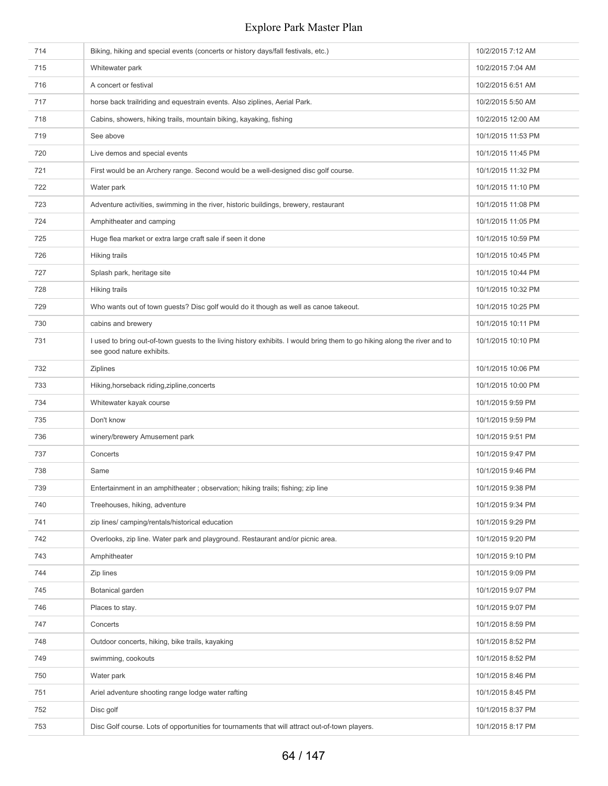| 714 | Biking, hiking and special events (concerts or history days/fall festivals, etc.)                                                                      | 10/2/2015 7:12 AM  |
|-----|--------------------------------------------------------------------------------------------------------------------------------------------------------|--------------------|
| 715 | Whitewater park                                                                                                                                        | 10/2/2015 7:04 AM  |
| 716 | A concert or festival                                                                                                                                  | 10/2/2015 6:51 AM  |
| 717 | horse back trailriding and equestrain events. Also ziplines, Aerial Park.                                                                              | 10/2/2015 5:50 AM  |
| 718 | Cabins, showers, hiking trails, mountain biking, kayaking, fishing                                                                                     | 10/2/2015 12:00 AM |
| 719 | See above                                                                                                                                              | 10/1/2015 11:53 PM |
| 720 | Live demos and special events                                                                                                                          | 10/1/2015 11:45 PM |
| 721 | First would be an Archery range. Second would be a well-designed disc golf course.                                                                     | 10/1/2015 11:32 PM |
| 722 | Water park                                                                                                                                             | 10/1/2015 11:10 PM |
| 723 | Adventure activities, swimming in the river, historic buildings, brewery, restaurant                                                                   | 10/1/2015 11:08 PM |
| 724 | Amphitheater and camping                                                                                                                               | 10/1/2015 11:05 PM |
| 725 | Huge flea market or extra large craft sale if seen it done                                                                                             | 10/1/2015 10:59 PM |
| 726 | Hiking trails                                                                                                                                          | 10/1/2015 10:45 PM |
| 727 | Splash park, heritage site                                                                                                                             | 10/1/2015 10:44 PM |
| 728 | <b>Hiking trails</b>                                                                                                                                   | 10/1/2015 10:32 PM |
| 729 | Who wants out of town guests? Disc golf would do it though as well as canoe takeout.                                                                   | 10/1/2015 10:25 PM |
| 730 | cabins and brewery                                                                                                                                     | 10/1/2015 10:11 PM |
| 731 | I used to bring out-of-town guests to the living history exhibits. I would bring them to go hiking along the river and to<br>see good nature exhibits. | 10/1/2015 10:10 PM |
| 732 | <b>Ziplines</b>                                                                                                                                        | 10/1/2015 10:06 PM |
| 733 | Hiking, horseback riding, zipline, concerts                                                                                                            | 10/1/2015 10:00 PM |
| 734 | Whitewater kayak course                                                                                                                                | 10/1/2015 9:59 PM  |
| 735 | Don't know                                                                                                                                             | 10/1/2015 9:59 PM  |
| 736 | winery/brewery Amusement park                                                                                                                          | 10/1/2015 9:51 PM  |
| 737 | Concerts                                                                                                                                               | 10/1/2015 9:47 PM  |
| 738 | Same                                                                                                                                                   | 10/1/2015 9:46 PM  |
| 739 | Entertainment in an amphitheater; observation; hiking trails; fishing; zip line                                                                        | 10/1/2015 9:38 PM  |
| 740 | Treehouses, hiking, adventure                                                                                                                          | 10/1/2015 9:34 PM  |
| 741 | zip lines/ camping/rentals/historical education                                                                                                        | 10/1/2015 9:29 PM  |
| 742 | Overlooks, zip line. Water park and playground. Restaurant and/or picnic area.                                                                         | 10/1/2015 9:20 PM  |
| 743 | Amphitheater                                                                                                                                           | 10/1/2015 9:10 PM  |
| 744 | Zip lines                                                                                                                                              | 10/1/2015 9:09 PM  |
| 745 | Botanical garden                                                                                                                                       | 10/1/2015 9:07 PM  |
| 746 | Places to stay.                                                                                                                                        | 10/1/2015 9:07 PM  |
| 747 | Concerts                                                                                                                                               | 10/1/2015 8:59 PM  |
| 748 | Outdoor concerts, hiking, bike trails, kayaking                                                                                                        | 10/1/2015 8:52 PM  |
| 749 | swimming, cookouts                                                                                                                                     | 10/1/2015 8:52 PM  |
| 750 | Water park                                                                                                                                             | 10/1/2015 8:46 PM  |
| 751 | Ariel adventure shooting range lodge water rafting                                                                                                     | 10/1/2015 8:45 PM  |
| 752 | Disc golf                                                                                                                                              | 10/1/2015 8:37 PM  |
| 753 | Disc Golf course. Lots of opportunities for tournaments that will attract out-of-town players.                                                         | 10/1/2015 8:17 PM  |
|     |                                                                                                                                                        |                    |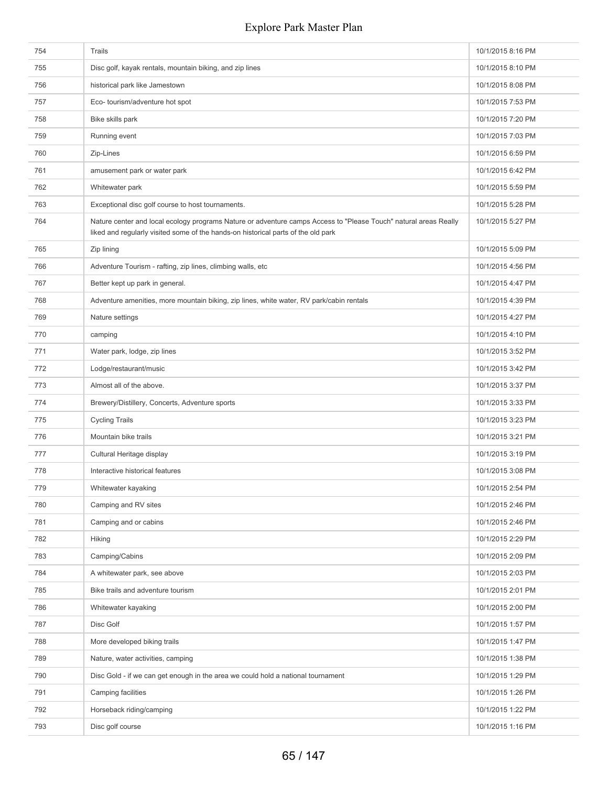| 754 | Trails                                                                                                                                                                                                | 10/1/2015 8:16 PM |
|-----|-------------------------------------------------------------------------------------------------------------------------------------------------------------------------------------------------------|-------------------|
| 755 | Disc golf, kayak rentals, mountain biking, and zip lines                                                                                                                                              | 10/1/2015 8:10 PM |
| 756 | historical park like Jamestown                                                                                                                                                                        | 10/1/2015 8:08 PM |
| 757 | Eco- tourism/adventure hot spot                                                                                                                                                                       | 10/1/2015 7:53 PM |
| 758 | Bike skills park                                                                                                                                                                                      | 10/1/2015 7:20 PM |
| 759 | Running event                                                                                                                                                                                         | 10/1/2015 7:03 PM |
| 760 | Zip-Lines                                                                                                                                                                                             | 10/1/2015 6:59 PM |
| 761 | amusement park or water park                                                                                                                                                                          | 10/1/2015 6:42 PM |
| 762 | Whitewater park                                                                                                                                                                                       | 10/1/2015 5:59 PM |
| 763 | Exceptional disc golf course to host tournaments.                                                                                                                                                     | 10/1/2015 5:28 PM |
| 764 | Nature center and local ecology programs Nature or adventure camps Access to "Please Touch" natural areas Really<br>liked and regularly visited some of the hands-on historical parts of the old park | 10/1/2015 5:27 PM |
| 765 | Zip lining                                                                                                                                                                                            | 10/1/2015 5:09 PM |
| 766 | Adventure Tourism - rafting, zip lines, climbing walls, etc                                                                                                                                           | 10/1/2015 4:56 PM |
| 767 | Better kept up park in general.                                                                                                                                                                       | 10/1/2015 4:47 PM |
| 768 | Adventure amenities, more mountain biking, zip lines, white water, RV park/cabin rentals                                                                                                              | 10/1/2015 4:39 PM |
| 769 | Nature settings                                                                                                                                                                                       | 10/1/2015 4:27 PM |
| 770 | camping                                                                                                                                                                                               | 10/1/2015 4:10 PM |
| 771 | Water park, lodge, zip lines                                                                                                                                                                          | 10/1/2015 3:52 PM |
| 772 | Lodge/restaurant/music                                                                                                                                                                                | 10/1/2015 3:42 PM |
| 773 | Almost all of the above.                                                                                                                                                                              | 10/1/2015 3:37 PM |
| 774 | Brewery/Distillery, Concerts, Adventure sports                                                                                                                                                        | 10/1/2015 3:33 PM |
| 775 | <b>Cycling Trails</b>                                                                                                                                                                                 | 10/1/2015 3:23 PM |
| 776 | Mountain bike trails                                                                                                                                                                                  | 10/1/2015 3:21 PM |
| 777 | Cultural Heritage display                                                                                                                                                                             | 10/1/2015 3:19 PM |
| 778 | Interactive historical features                                                                                                                                                                       | 10/1/2015 3:08 PM |
| 779 | Whitewater kayaking                                                                                                                                                                                   | 10/1/2015 2:54 PM |
| 780 | Camping and RV sites                                                                                                                                                                                  | 10/1/2015 2:46 PM |
| 781 | Camping and or cabins                                                                                                                                                                                 | 10/1/2015 2:46 PM |
| 782 | Hiking                                                                                                                                                                                                | 10/1/2015 2:29 PM |
| 783 | Camping/Cabins                                                                                                                                                                                        | 10/1/2015 2:09 PM |
| 784 | A whitewater park, see above                                                                                                                                                                          | 10/1/2015 2:03 PM |
| 785 | Bike trails and adventure tourism                                                                                                                                                                     | 10/1/2015 2:01 PM |
| 786 | Whitewater kayaking                                                                                                                                                                                   | 10/1/2015 2:00 PM |
| 787 | Disc Golf                                                                                                                                                                                             | 10/1/2015 1:57 PM |
| 788 | More developed biking trails                                                                                                                                                                          | 10/1/2015 1:47 PM |
| 789 | Nature, water activities, camping                                                                                                                                                                     | 10/1/2015 1:38 PM |
| 790 | Disc Gold - if we can get enough in the area we could hold a national tournament                                                                                                                      | 10/1/2015 1:29 PM |
| 791 | Camping facilities                                                                                                                                                                                    | 10/1/2015 1:26 PM |
| 792 | Horseback riding/camping                                                                                                                                                                              | 10/1/2015 1:22 PM |
| 793 | Disc golf course                                                                                                                                                                                      | 10/1/2015 1:16 PM |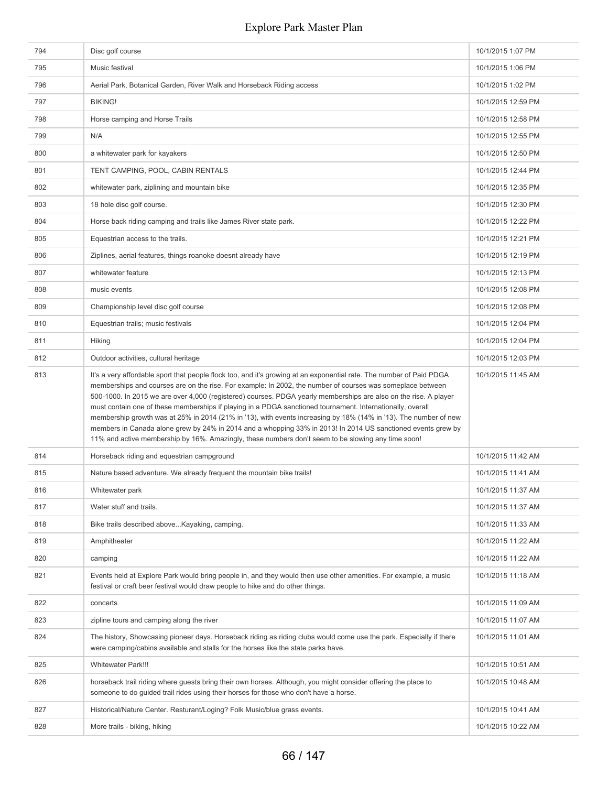| 794 | Disc golf course                                                                                                                                                                                                                                                                                                                                                                                                                                                                                                                                                                                                                                                                                                                                                                                               | 10/1/2015 1:07 PM  |
|-----|----------------------------------------------------------------------------------------------------------------------------------------------------------------------------------------------------------------------------------------------------------------------------------------------------------------------------------------------------------------------------------------------------------------------------------------------------------------------------------------------------------------------------------------------------------------------------------------------------------------------------------------------------------------------------------------------------------------------------------------------------------------------------------------------------------------|--------------------|
| 795 | Music festival                                                                                                                                                                                                                                                                                                                                                                                                                                                                                                                                                                                                                                                                                                                                                                                                 | 10/1/2015 1:06 PM  |
| 796 | Aerial Park, Botanical Garden, River Walk and Horseback Riding access                                                                                                                                                                                                                                                                                                                                                                                                                                                                                                                                                                                                                                                                                                                                          | 10/1/2015 1:02 PM  |
| 797 | <b>BIKING!</b>                                                                                                                                                                                                                                                                                                                                                                                                                                                                                                                                                                                                                                                                                                                                                                                                 | 10/1/2015 12:59 PM |
| 798 | Horse camping and Horse Trails                                                                                                                                                                                                                                                                                                                                                                                                                                                                                                                                                                                                                                                                                                                                                                                 | 10/1/2015 12:58 PM |
| 799 | N/A                                                                                                                                                                                                                                                                                                                                                                                                                                                                                                                                                                                                                                                                                                                                                                                                            | 10/1/2015 12:55 PM |
| 800 | a whitewater park for kayakers                                                                                                                                                                                                                                                                                                                                                                                                                                                                                                                                                                                                                                                                                                                                                                                 | 10/1/2015 12:50 PM |
| 801 | TENT CAMPING, POOL, CABIN RENTALS                                                                                                                                                                                                                                                                                                                                                                                                                                                                                                                                                                                                                                                                                                                                                                              | 10/1/2015 12:44 PM |
| 802 | whitewater park, ziplining and mountain bike                                                                                                                                                                                                                                                                                                                                                                                                                                                                                                                                                                                                                                                                                                                                                                   | 10/1/2015 12:35 PM |
| 803 | 18 hole disc golf course.                                                                                                                                                                                                                                                                                                                                                                                                                                                                                                                                                                                                                                                                                                                                                                                      | 10/1/2015 12:30 PM |
| 804 | Horse back riding camping and trails like James River state park.                                                                                                                                                                                                                                                                                                                                                                                                                                                                                                                                                                                                                                                                                                                                              | 10/1/2015 12:22 PM |
| 805 | Equestrian access to the trails.                                                                                                                                                                                                                                                                                                                                                                                                                                                                                                                                                                                                                                                                                                                                                                               | 10/1/2015 12:21 PM |
| 806 | Ziplines, aerial features, things roanoke doesnt already have                                                                                                                                                                                                                                                                                                                                                                                                                                                                                                                                                                                                                                                                                                                                                  | 10/1/2015 12:19 PM |
| 807 | whitewater feature                                                                                                                                                                                                                                                                                                                                                                                                                                                                                                                                                                                                                                                                                                                                                                                             | 10/1/2015 12:13 PM |
| 808 | music events                                                                                                                                                                                                                                                                                                                                                                                                                                                                                                                                                                                                                                                                                                                                                                                                   | 10/1/2015 12:08 PM |
| 809 | Championship level disc golf course                                                                                                                                                                                                                                                                                                                                                                                                                                                                                                                                                                                                                                                                                                                                                                            | 10/1/2015 12:08 PM |
| 810 | Equestrian trails; music festivals                                                                                                                                                                                                                                                                                                                                                                                                                                                                                                                                                                                                                                                                                                                                                                             | 10/1/2015 12:04 PM |
| 811 | <b>Hiking</b>                                                                                                                                                                                                                                                                                                                                                                                                                                                                                                                                                                                                                                                                                                                                                                                                  | 10/1/2015 12:04 PM |
| 812 | Outdoor activities, cultural heritage                                                                                                                                                                                                                                                                                                                                                                                                                                                                                                                                                                                                                                                                                                                                                                          | 10/1/2015 12:03 PM |
| 813 | It's a very affordable sport that people flock too, and it's growing at an exponential rate. The number of Paid PDGA<br>memberships and courses are on the rise. For example: In 2002, the number of courses was someplace between<br>500-1000. In 2015 we are over 4,000 (registered) courses. PDGA yearly memberships are also on the rise. A player<br>must contain one of these memberships if playing in a PDGA sanctioned tournament. Internationally, overall<br>membership growth was at 25% in 2014 (21% in '13), with events increasing by 18% (14% in '13). The number of new<br>members in Canada alone grew by 24% in 2014 and a whopping 33% in 2013! In 2014 US sanctioned events grew by<br>11% and active membership by 16%. Amazingly, these numbers don't seem to be slowing any time soon! | 10/1/2015 11:45 AM |
| 814 | Horseback riding and equestrian campground                                                                                                                                                                                                                                                                                                                                                                                                                                                                                                                                                                                                                                                                                                                                                                     | 10/1/2015 11:42 AM |
| 815 | Nature based adventure. We already frequent the mountain bike trails!                                                                                                                                                                                                                                                                                                                                                                                                                                                                                                                                                                                                                                                                                                                                          | 10/1/2015 11:41 AM |
| 816 |                                                                                                                                                                                                                                                                                                                                                                                                                                                                                                                                                                                                                                                                                                                                                                                                                |                    |
| 817 | Whitewater park                                                                                                                                                                                                                                                                                                                                                                                                                                                                                                                                                                                                                                                                                                                                                                                                | 10/1/2015 11:37 AM |
|     | Water stuff and trails.                                                                                                                                                                                                                                                                                                                                                                                                                                                                                                                                                                                                                                                                                                                                                                                        | 10/1/2015 11:37 AM |
| 818 | Bike trails described above Kayaking, camping.                                                                                                                                                                                                                                                                                                                                                                                                                                                                                                                                                                                                                                                                                                                                                                 | 10/1/2015 11:33 AM |
| 819 | Amphitheater                                                                                                                                                                                                                                                                                                                                                                                                                                                                                                                                                                                                                                                                                                                                                                                                   | 10/1/2015 11:22 AM |
| 820 | camping                                                                                                                                                                                                                                                                                                                                                                                                                                                                                                                                                                                                                                                                                                                                                                                                        | 10/1/2015 11:22 AM |
| 821 | Events held at Explore Park would bring people in, and they would then use other amenities. For example, a music<br>festival or craft beer festival would draw people to hike and do other things.                                                                                                                                                                                                                                                                                                                                                                                                                                                                                                                                                                                                             | 10/1/2015 11:18 AM |
| 822 | concerts                                                                                                                                                                                                                                                                                                                                                                                                                                                                                                                                                                                                                                                                                                                                                                                                       | 10/1/2015 11:09 AM |
| 823 | zipline tours and camping along the river                                                                                                                                                                                                                                                                                                                                                                                                                                                                                                                                                                                                                                                                                                                                                                      | 10/1/2015 11:07 AM |
| 824 | The history, Showcasing pioneer days. Horseback riding as riding clubs would come use the park. Especially if there<br>were camping/cabins available and stalls for the horses like the state parks have.                                                                                                                                                                                                                                                                                                                                                                                                                                                                                                                                                                                                      | 10/1/2015 11:01 AM |
| 825 | <b>Whitewater Park!!!</b>                                                                                                                                                                                                                                                                                                                                                                                                                                                                                                                                                                                                                                                                                                                                                                                      | 10/1/2015 10:51 AM |
| 826 | horseback trail riding where guests bring their own horses. Although, you might consider offering the place to<br>someone to do guided trail rides using their horses for those who don't have a horse.                                                                                                                                                                                                                                                                                                                                                                                                                                                                                                                                                                                                        | 10/1/2015 10:48 AM |
| 827 | Historical/Nature Center. Resturant/Loging? Folk Music/blue grass events.                                                                                                                                                                                                                                                                                                                                                                                                                                                                                                                                                                                                                                                                                                                                      | 10/1/2015 10:41 AM |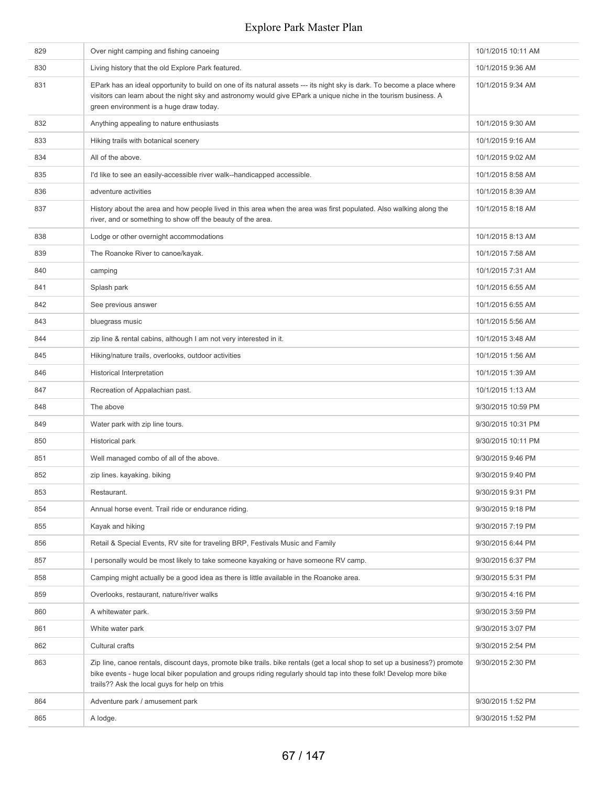| 829 | Over night camping and fishing canoeing                                                                                                                                                                                                                                                            | 10/1/2015 10:11 AM |
|-----|----------------------------------------------------------------------------------------------------------------------------------------------------------------------------------------------------------------------------------------------------------------------------------------------------|--------------------|
| 830 | Living history that the old Explore Park featured.                                                                                                                                                                                                                                                 | 10/1/2015 9:36 AM  |
| 831 | EPark has an ideal opportunity to build on one of its natural assets --- its night sky is dark. To become a place where<br>visitors can learn about the night sky and astronomy would give EPark a unique niche in the tourism business. A<br>green environment is a huge draw today.              | 10/1/2015 9:34 AM  |
| 832 | Anything appealing to nature enthusiasts                                                                                                                                                                                                                                                           | 10/1/2015 9:30 AM  |
| 833 | Hiking trails with botanical scenery                                                                                                                                                                                                                                                               | 10/1/2015 9:16 AM  |
| 834 | All of the above.                                                                                                                                                                                                                                                                                  | 10/1/2015 9:02 AM  |
| 835 | I'd like to see an easily-accessible river walk--handicapped accessible.                                                                                                                                                                                                                           | 10/1/2015 8:58 AM  |
| 836 | adventure activities                                                                                                                                                                                                                                                                               | 10/1/2015 8:39 AM  |
| 837 | History about the area and how people lived in this area when the area was first populated. Also walking along the<br>river, and or something to show off the beauty of the area.                                                                                                                  | 10/1/2015 8:18 AM  |
| 838 | Lodge or other overnight accommodations                                                                                                                                                                                                                                                            | 10/1/2015 8:13 AM  |
| 839 | The Roanoke River to canoe/kayak.                                                                                                                                                                                                                                                                  | 10/1/2015 7:58 AM  |
| 840 | camping                                                                                                                                                                                                                                                                                            | 10/1/2015 7:31 AM  |
| 841 | Splash park                                                                                                                                                                                                                                                                                        | 10/1/2015 6:55 AM  |
| 842 | See previous answer                                                                                                                                                                                                                                                                                | 10/1/2015 6:55 AM  |
| 843 | bluegrass music                                                                                                                                                                                                                                                                                    | 10/1/2015 5:56 AM  |
| 844 | zip line & rental cabins, although I am not very interested in it.                                                                                                                                                                                                                                 | 10/1/2015 3:48 AM  |
| 845 | Hiking/nature trails, overlooks, outdoor activities                                                                                                                                                                                                                                                | 10/1/2015 1:56 AM  |
| 846 | <b>Historical Interpretation</b>                                                                                                                                                                                                                                                                   | 10/1/2015 1:39 AM  |
| 847 | Recreation of Appalachian past.                                                                                                                                                                                                                                                                    | 10/1/2015 1:13 AM  |
| 848 | The above                                                                                                                                                                                                                                                                                          | 9/30/2015 10:59 PM |
| 849 | Water park with zip line tours.                                                                                                                                                                                                                                                                    | 9/30/2015 10:31 PM |
| 850 | Historical park                                                                                                                                                                                                                                                                                    | 9/30/2015 10:11 PM |
| 851 | Well managed combo of all of the above.                                                                                                                                                                                                                                                            | 9/30/2015 9:46 PM  |
| 852 | zip lines. kayaking. biking                                                                                                                                                                                                                                                                        | 9/30/2015 9:40 PM  |
| 853 | Restaurant.                                                                                                                                                                                                                                                                                        | 9/30/2015 9:31 PM  |
| 854 | Annual horse event. Trail ride or endurance riding.                                                                                                                                                                                                                                                | 9/30/2015 9:18 PM  |
| 855 | Kayak and hiking                                                                                                                                                                                                                                                                                   | 9/30/2015 7:19 PM  |
| 856 | Retail & Special Events, RV site for traveling BRP, Festivals Music and Family                                                                                                                                                                                                                     | 9/30/2015 6:44 PM  |
| 857 | I personally would be most likely to take someone kayaking or have someone RV camp.                                                                                                                                                                                                                | 9/30/2015 6:37 PM  |
| 858 | Camping might actually be a good idea as there is little available in the Roanoke area.                                                                                                                                                                                                            | 9/30/2015 5:31 PM  |
| 859 | Overlooks, restaurant, nature/river walks                                                                                                                                                                                                                                                          | 9/30/2015 4:16 PM  |
| 860 | A whitewater park.                                                                                                                                                                                                                                                                                 | 9/30/2015 3:59 PM  |
| 861 | White water park                                                                                                                                                                                                                                                                                   | 9/30/2015 3:07 PM  |
| 862 | Cultural crafts                                                                                                                                                                                                                                                                                    | 9/30/2015 2:54 PM  |
| 863 | Zip line, canoe rentals, discount days, promote bike trails. bike rentals (get a local shop to set up a business?) promote<br>bike events - huge local biker population and groups riding regularly should tap into these folk! Develop more bike<br>trails?? Ask the local guys for help on trhis | 9/30/2015 2:30 PM  |
| 864 | Adventure park / amusement park                                                                                                                                                                                                                                                                    | 9/30/2015 1:52 PM  |
| 865 | A lodge.                                                                                                                                                                                                                                                                                           | 9/30/2015 1:52 PM  |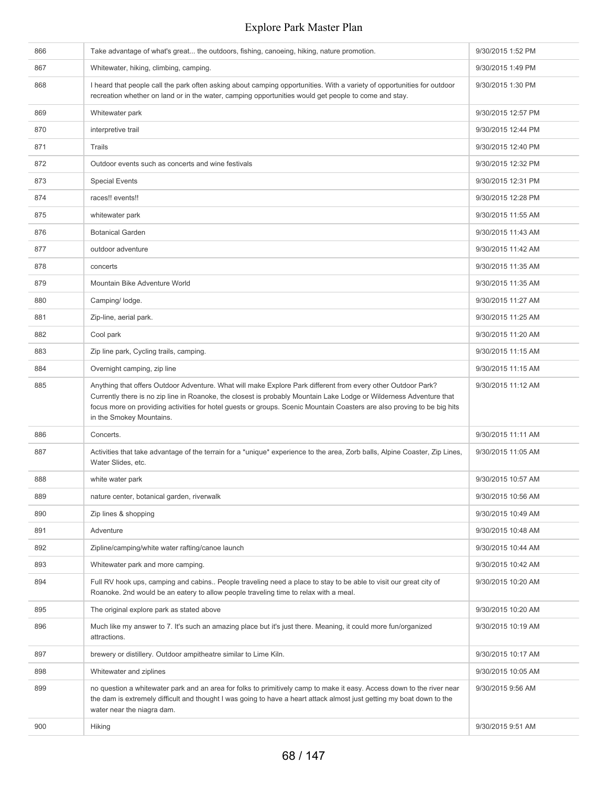| 866 | Take advantage of what's great the outdoors, fishing, canoeing, hiking, nature promotion.                                                                                                                                                                                                                                                                                                  | 9/30/2015 1:52 PM  |
|-----|--------------------------------------------------------------------------------------------------------------------------------------------------------------------------------------------------------------------------------------------------------------------------------------------------------------------------------------------------------------------------------------------|--------------------|
| 867 | Whitewater, hiking, climbing, camping.                                                                                                                                                                                                                                                                                                                                                     | 9/30/2015 1:49 PM  |
| 868 | I heard that people call the park often asking about camping opportunities. With a variety of opportunities for outdoor<br>9/30/2015 1:30 PM<br>recreation whether on land or in the water, camping opportunities would get people to come and stay.                                                                                                                                       |                    |
| 869 | Whitewater park                                                                                                                                                                                                                                                                                                                                                                            | 9/30/2015 12:57 PM |
| 870 | interpretive trail                                                                                                                                                                                                                                                                                                                                                                         | 9/30/2015 12:44 PM |
| 871 | Trails                                                                                                                                                                                                                                                                                                                                                                                     | 9/30/2015 12:40 PM |
| 872 | Outdoor events such as concerts and wine festivals                                                                                                                                                                                                                                                                                                                                         | 9/30/2015 12:32 PM |
| 873 | <b>Special Events</b>                                                                                                                                                                                                                                                                                                                                                                      | 9/30/2015 12:31 PM |
| 874 | races!! events!!                                                                                                                                                                                                                                                                                                                                                                           | 9/30/2015 12:28 PM |
| 875 | whitewater park                                                                                                                                                                                                                                                                                                                                                                            | 9/30/2015 11:55 AM |
| 876 | <b>Botanical Garden</b>                                                                                                                                                                                                                                                                                                                                                                    | 9/30/2015 11:43 AM |
| 877 | outdoor adventure                                                                                                                                                                                                                                                                                                                                                                          | 9/30/2015 11:42 AM |
| 878 | concerts                                                                                                                                                                                                                                                                                                                                                                                   | 9/30/2015 11:35 AM |
| 879 | Mountain Bike Adventure World                                                                                                                                                                                                                                                                                                                                                              | 9/30/2015 11:35 AM |
| 880 | Camping/ lodge.                                                                                                                                                                                                                                                                                                                                                                            | 9/30/2015 11:27 AM |
| 881 | Zip-line, aerial park.                                                                                                                                                                                                                                                                                                                                                                     | 9/30/2015 11:25 AM |
| 882 | Cool park                                                                                                                                                                                                                                                                                                                                                                                  | 9/30/2015 11:20 AM |
| 883 | Zip line park, Cycling trails, camping.                                                                                                                                                                                                                                                                                                                                                    | 9/30/2015 11:15 AM |
| 884 | Overnight camping, zip line                                                                                                                                                                                                                                                                                                                                                                | 9/30/2015 11:15 AM |
| 885 | Anything that offers Outdoor Adventure. What will make Explore Park different from every other Outdoor Park?<br>Currently there is no zip line in Roanoke, the closest is probably Mountain Lake Lodge or Wilderness Adventure that<br>focus more on providing activities for hotel guests or groups. Scenic Mountain Coasters are also proving to be big hits<br>in the Smokey Mountains. | 9/30/2015 11:12 AM |
| 886 | Concerts.                                                                                                                                                                                                                                                                                                                                                                                  | 9/30/2015 11:11 AM |
| 887 | Activities that take advantage of the terrain for a *unique* experience to the area, Zorb balls, Alpine Coaster, Zip Lines,<br>Water Slides, etc.                                                                                                                                                                                                                                          | 9/30/2015 11:05 AM |
| 888 | white water park                                                                                                                                                                                                                                                                                                                                                                           | 9/30/2015 10:57 AM |
| 889 | nature center, botanical garden, riverwalk                                                                                                                                                                                                                                                                                                                                                 | 9/30/2015 10:56 AM |
| 890 | Zip lines & shopping                                                                                                                                                                                                                                                                                                                                                                       | 9/30/2015 10:49 AM |
| 891 | Adventure                                                                                                                                                                                                                                                                                                                                                                                  | 9/30/2015 10:48 AM |
| 892 | Zipline/camping/white water rafting/canoe launch                                                                                                                                                                                                                                                                                                                                           | 9/30/2015 10:44 AM |
| 893 | Whitewater park and more camping.                                                                                                                                                                                                                                                                                                                                                          | 9/30/2015 10:42 AM |
| 894 | Full RV hook ups, camping and cabins People traveling need a place to stay to be able to visit our great city of<br>Roanoke. 2nd would be an eatery to allow people traveling time to relax with a meal.                                                                                                                                                                                   | 9/30/2015 10:20 AM |
| 895 | The original explore park as stated above                                                                                                                                                                                                                                                                                                                                                  | 9/30/2015 10:20 AM |
| 896 | Much like my answer to 7. It's such an amazing place but it's just there. Meaning, it could more fun/organized<br>attractions.                                                                                                                                                                                                                                                             | 9/30/2015 10:19 AM |
| 897 | brewery or distillery. Outdoor ampitheatre similar to Lime Kiln.                                                                                                                                                                                                                                                                                                                           | 9/30/2015 10:17 AM |
| 898 | Whitewater and ziplines                                                                                                                                                                                                                                                                                                                                                                    | 9/30/2015 10:05 AM |
| 899 | no question a whitewater park and an area for folks to primitively camp to make it easy. Access down to the river near<br>the dam is extremely difficult and thought I was going to have a heart attack almost just getting my boat down to the<br>water near the niagra dam.                                                                                                              | 9/30/2015 9:56 AM  |
| 900 | Hiking                                                                                                                                                                                                                                                                                                                                                                                     | 9/30/2015 9:51 AM  |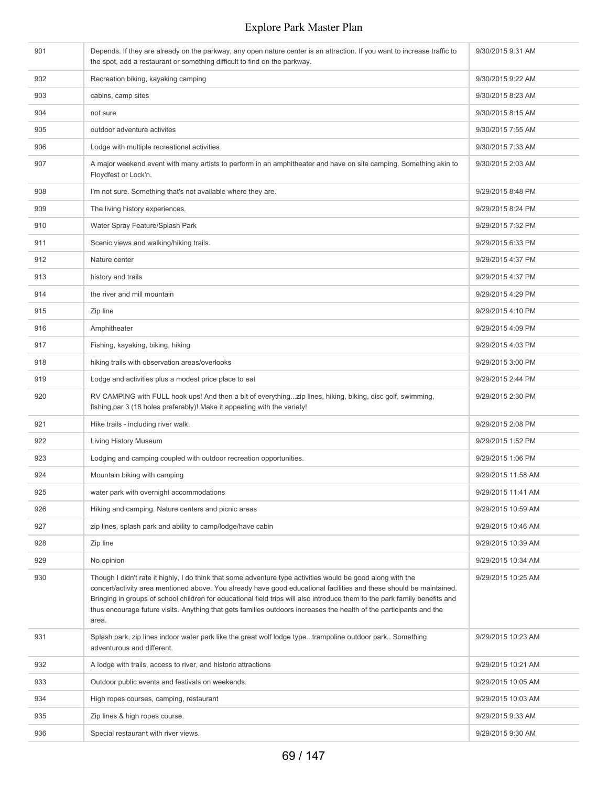| 901 | Depends. If they are already on the parkway, any open nature center is an attraction. If you want to increase traffic to<br>the spot, add a restaurant or something difficult to find on the parkway.                                                                                                                                                                                                                                                                                            | 9/30/2015 9:31 AM  |
|-----|--------------------------------------------------------------------------------------------------------------------------------------------------------------------------------------------------------------------------------------------------------------------------------------------------------------------------------------------------------------------------------------------------------------------------------------------------------------------------------------------------|--------------------|
| 902 | Recreation biking, kayaking camping                                                                                                                                                                                                                                                                                                                                                                                                                                                              | 9/30/2015 9:22 AM  |
| 903 | cabins, camp sites                                                                                                                                                                                                                                                                                                                                                                                                                                                                               | 9/30/2015 8:23 AM  |
| 904 | not sure                                                                                                                                                                                                                                                                                                                                                                                                                                                                                         | 9/30/2015 8:15 AM  |
| 905 | outdoor adventure activites                                                                                                                                                                                                                                                                                                                                                                                                                                                                      | 9/30/2015 7:55 AM  |
| 906 | Lodge with multiple recreational activities                                                                                                                                                                                                                                                                                                                                                                                                                                                      | 9/30/2015 7:33 AM  |
| 907 | A major weekend event with many artists to perform in an amphitheater and have on site camping. Something akin to<br>Floydfest or Lock'n.                                                                                                                                                                                                                                                                                                                                                        | 9/30/2015 2:03 AM  |
| 908 | I'm not sure. Something that's not available where they are.                                                                                                                                                                                                                                                                                                                                                                                                                                     | 9/29/2015 8:48 PM  |
| 909 | The living history experiences.                                                                                                                                                                                                                                                                                                                                                                                                                                                                  | 9/29/2015 8:24 PM  |
| 910 | Water Spray Feature/Splash Park                                                                                                                                                                                                                                                                                                                                                                                                                                                                  | 9/29/2015 7:32 PM  |
| 911 | Scenic views and walking/hiking trails.                                                                                                                                                                                                                                                                                                                                                                                                                                                          | 9/29/2015 6:33 PM  |
| 912 | Nature center                                                                                                                                                                                                                                                                                                                                                                                                                                                                                    | 9/29/2015 4:37 PM  |
| 913 | history and trails                                                                                                                                                                                                                                                                                                                                                                                                                                                                               | 9/29/2015 4:37 PM  |
| 914 | the river and mill mountain                                                                                                                                                                                                                                                                                                                                                                                                                                                                      | 9/29/2015 4:29 PM  |
| 915 | Zip line                                                                                                                                                                                                                                                                                                                                                                                                                                                                                         | 9/29/2015 4:10 PM  |
| 916 | Amphitheater                                                                                                                                                                                                                                                                                                                                                                                                                                                                                     | 9/29/2015 4:09 PM  |
| 917 | Fishing, kayaking, biking, hiking                                                                                                                                                                                                                                                                                                                                                                                                                                                                | 9/29/2015 4:03 PM  |
| 918 | hiking trails with observation areas/overlooks                                                                                                                                                                                                                                                                                                                                                                                                                                                   | 9/29/2015 3:00 PM  |
| 919 | Lodge and activities plus a modest price place to eat                                                                                                                                                                                                                                                                                                                                                                                                                                            | 9/29/2015 2:44 PM  |
| 920 | RV CAMPING with FULL hook ups! And then a bit of everythingzip lines, hiking, biking, disc golf, swimming,<br>fishing, par 3 (18 holes preferably)! Make it appealing with the variety!                                                                                                                                                                                                                                                                                                          | 9/29/2015 2:30 PM  |
| 921 | Hike trails - including river walk.                                                                                                                                                                                                                                                                                                                                                                                                                                                              | 9/29/2015 2:08 PM  |
| 922 | Living History Museum                                                                                                                                                                                                                                                                                                                                                                                                                                                                            | 9/29/2015 1:52 PM  |
| 923 | Lodging and camping coupled with outdoor recreation opportunities.                                                                                                                                                                                                                                                                                                                                                                                                                               | 9/29/2015 1:06 PM  |
| 924 | Mountain biking with camping                                                                                                                                                                                                                                                                                                                                                                                                                                                                     | 9/29/2015 11:58 AM |
| 925 | water park with overnight accommodations                                                                                                                                                                                                                                                                                                                                                                                                                                                         | 9/29/2015 11:41 AM |
| 926 | Hiking and camping. Nature centers and picnic areas                                                                                                                                                                                                                                                                                                                                                                                                                                              | 9/29/2015 10:59 AM |
| 927 | zip lines, splash park and ability to camp/lodge/have cabin                                                                                                                                                                                                                                                                                                                                                                                                                                      | 9/29/2015 10:46 AM |
| 928 | Zip line                                                                                                                                                                                                                                                                                                                                                                                                                                                                                         | 9/29/2015 10:39 AM |
| 929 | No opinion                                                                                                                                                                                                                                                                                                                                                                                                                                                                                       | 9/29/2015 10:34 AM |
| 930 | Though I didn't rate it highly, I do think that some adventure type activities would be good along with the<br>concert/activity area mentioned above. You already have good educational facilities and these should be maintained.<br>Bringing in groups of school children for educational field trips will also introduce them to the park family benefits and<br>thus encourage future visits. Anything that gets families outdoors increases the health of the participants and the<br>area. | 9/29/2015 10:25 AM |
| 931 | Splash park, zip lines indoor water park like the great wolf lodge typetrampoline outdoor park Something<br>adventurous and different.                                                                                                                                                                                                                                                                                                                                                           | 9/29/2015 10:23 AM |
| 932 | A lodge with trails, access to river, and historic attractions                                                                                                                                                                                                                                                                                                                                                                                                                                   | 9/29/2015 10:21 AM |
| 933 | Outdoor public events and festivals on weekends.                                                                                                                                                                                                                                                                                                                                                                                                                                                 | 9/29/2015 10:05 AM |
| 934 | High ropes courses, camping, restaurant                                                                                                                                                                                                                                                                                                                                                                                                                                                          | 9/29/2015 10:03 AM |
| 935 | Zip lines & high ropes course.                                                                                                                                                                                                                                                                                                                                                                                                                                                                   | 9/29/2015 9:33 AM  |
| 936 | Special restaurant with river views.                                                                                                                                                                                                                                                                                                                                                                                                                                                             | 9/29/2015 9:30 AM  |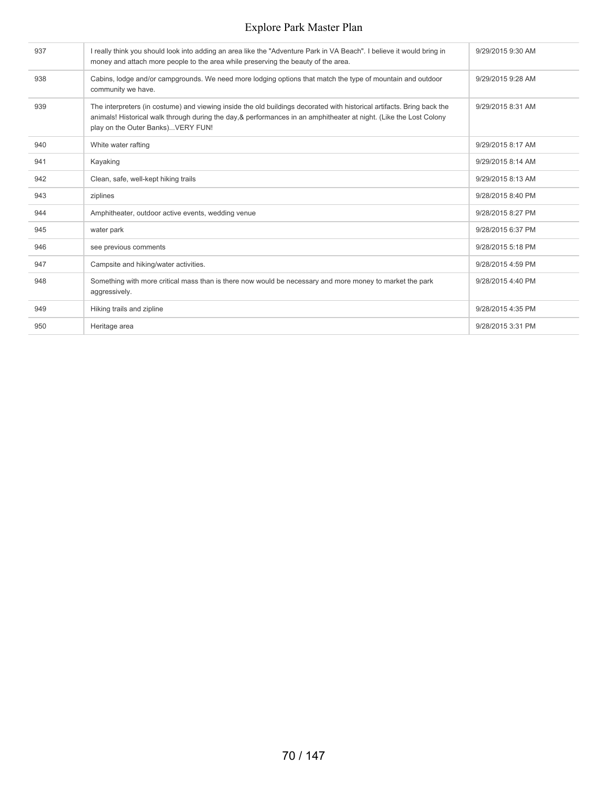| 937 | I really think you should look into adding an area like the "Adventure Park in VA Beach". I believe it would bring in<br>money and attach more people to the area while preserving the beauty of the area.                                                                        | 9/29/2015 9:30 AM |
|-----|-----------------------------------------------------------------------------------------------------------------------------------------------------------------------------------------------------------------------------------------------------------------------------------|-------------------|
| 938 | Cabins, lodge and/or campgrounds. We need more lodging options that match the type of mountain and outdoor<br>community we have.                                                                                                                                                  | 9/29/2015 9:28 AM |
| 939 | The interpreters (in costume) and viewing inside the old buildings decorated with historical artifacts. Bring back the<br>animals! Historical walk through during the day, & performances in an amphitheater at night. (Like the Lost Colony<br>play on the Outer Banks)VERY FUN! | 9/29/2015 8:31 AM |
| 940 | White water rafting                                                                                                                                                                                                                                                               | 9/29/2015 8:17 AM |
| 941 | Kayaking                                                                                                                                                                                                                                                                          | 9/29/2015 8:14 AM |
| 942 | Clean, safe, well-kept hiking trails                                                                                                                                                                                                                                              | 9/29/2015 8:13 AM |
| 943 | ziplines                                                                                                                                                                                                                                                                          | 9/28/2015 8:40 PM |
| 944 | Amphitheater, outdoor active events, wedding venue                                                                                                                                                                                                                                | 9/28/2015 8:27 PM |
| 945 | water park                                                                                                                                                                                                                                                                        | 9/28/2015 6:37 PM |
| 946 | see previous comments                                                                                                                                                                                                                                                             | 9/28/2015 5:18 PM |
| 947 | Campsite and hiking/water activities.                                                                                                                                                                                                                                             | 9/28/2015 4:59 PM |
| 948 | Something with more critical mass than is there now would be necessary and more money to market the park<br>aggressively.                                                                                                                                                         | 9/28/2015 4:40 PM |
| 949 | Hiking trails and zipline                                                                                                                                                                                                                                                         | 9/28/2015 4:35 PM |
| 950 | Heritage area                                                                                                                                                                                                                                                                     | 9/28/2015 3:31 PM |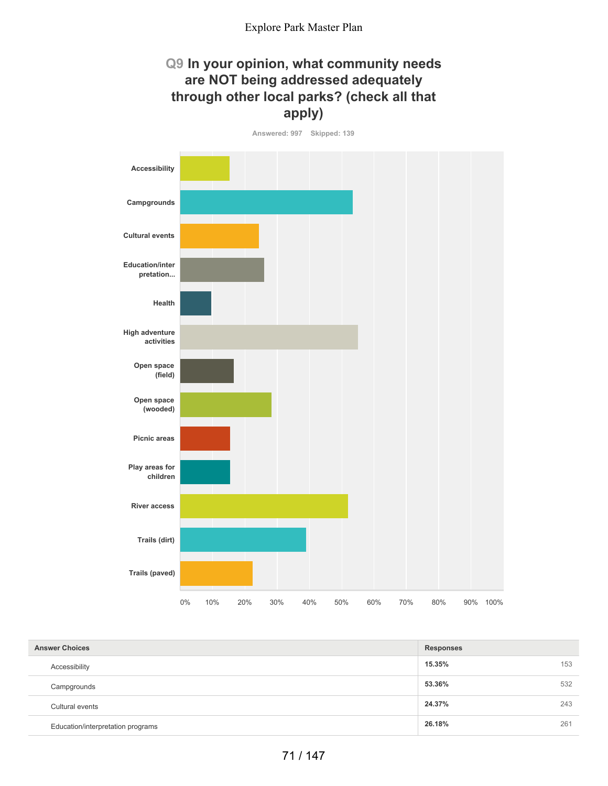## **Q9 In your opinion, what community needs are NOT being addressed adequately through other local parks? (check all that apply)**

**Answered: 997 Skipped: 139 Accessibility Campgrounds Cultural events Education/inter pretation... Health High adventure activities Open space (field) Open space (wooded) Picnic areas Play areas for children River access Trails (dirt) Trails (paved)** 0% 10% 20% 30% 40% 50% 60% 70% 80% 90% 100%

| <b>Answer Choices</b> |                                   | <b>Responses</b> |     |
|-----------------------|-----------------------------------|------------------|-----|
|                       | Accessibility                     | 15.35%           | 153 |
|                       | Campgrounds                       | 53.36%           | 532 |
|                       | Cultural events                   | 24.37%           | 243 |
|                       | Education/interpretation programs | 26.18%           | 261 |
|                       |                                   |                  |     |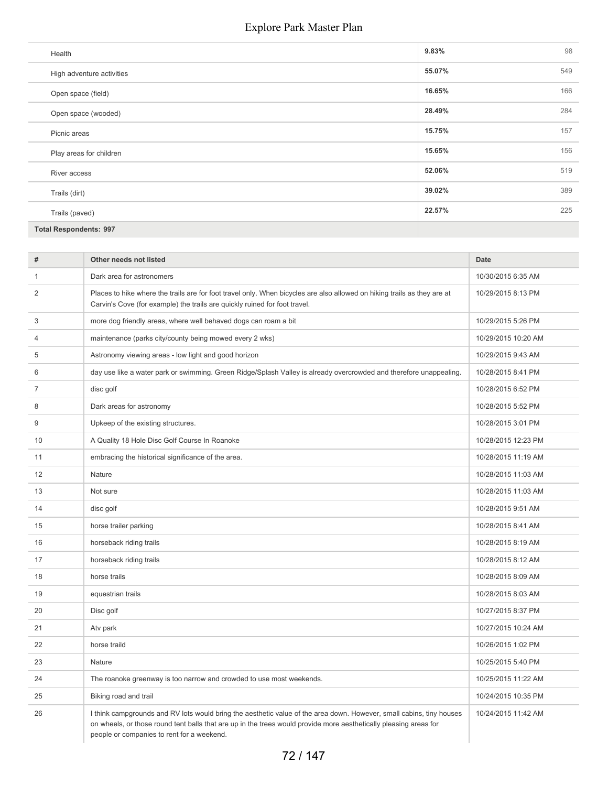| Health                        | 9.83%  | 98  |
|-------------------------------|--------|-----|
| High adventure activities     | 55.07% | 549 |
| Open space (field)            | 16.65% | 166 |
| Open space (wooded)           | 28.49% | 284 |
| Picnic areas                  | 15.75% | 157 |
| Play areas for children       | 15.65% | 156 |
| River access                  | 52.06% | 519 |
| Trails (dirt)                 | 39.02% | 389 |
| Trails (paved)                | 22.57% | 225 |
| <b>Total Respondents: 997</b> |        |     |

| #  | Other needs not listed                                                                                                                                                                                                                                                                  | <b>Date</b>         |
|----|-----------------------------------------------------------------------------------------------------------------------------------------------------------------------------------------------------------------------------------------------------------------------------------------|---------------------|
| 1  | Dark area for astronomers                                                                                                                                                                                                                                                               | 10/30/2015 6:35 AM  |
| 2  | Places to hike where the trails are for foot travel only. When bicycles are also allowed on hiking trails as they are at<br>Carvin's Cove (for example) the trails are quickly ruined for foot travel.                                                                                  | 10/29/2015 8:13 PM  |
| 3  | more dog friendly areas, where well behaved dogs can roam a bit                                                                                                                                                                                                                         | 10/29/2015 5:26 PM  |
| 4  | maintenance (parks city/county being mowed every 2 wks)                                                                                                                                                                                                                                 | 10/29/2015 10:20 AM |
| 5  | Astronomy viewing areas - low light and good horizon                                                                                                                                                                                                                                    | 10/29/2015 9:43 AM  |
| 6  | day use like a water park or swimming. Green Ridge/Splash Valley is already overcrowded and therefore unappealing.                                                                                                                                                                      | 10/28/2015 8:41 PM  |
| 7  | disc golf                                                                                                                                                                                                                                                                               | 10/28/2015 6:52 PM  |
| 8  | Dark areas for astronomy                                                                                                                                                                                                                                                                | 10/28/2015 5:52 PM  |
| 9  | Upkeep of the existing structures.                                                                                                                                                                                                                                                      | 10/28/2015 3:01 PM  |
| 10 | A Quality 18 Hole Disc Golf Course In Roanoke                                                                                                                                                                                                                                           | 10/28/2015 12:23 PM |
| 11 | embracing the historical significance of the area.                                                                                                                                                                                                                                      | 10/28/2015 11:19 AM |
| 12 | Nature                                                                                                                                                                                                                                                                                  | 10/28/2015 11:03 AM |
| 13 | Not sure                                                                                                                                                                                                                                                                                | 10/28/2015 11:03 AM |
| 14 | disc golf                                                                                                                                                                                                                                                                               | 10/28/2015 9:51 AM  |
| 15 | horse trailer parking                                                                                                                                                                                                                                                                   | 10/28/2015 8:41 AM  |
| 16 | horseback riding trails                                                                                                                                                                                                                                                                 | 10/28/2015 8:19 AM  |
| 17 | horseback riding trails                                                                                                                                                                                                                                                                 | 10/28/2015 8:12 AM  |
| 18 | horse trails                                                                                                                                                                                                                                                                            | 10/28/2015 8:09 AM  |
| 19 | equestrian trails                                                                                                                                                                                                                                                                       | 10/28/2015 8:03 AM  |
| 20 | Disc golf                                                                                                                                                                                                                                                                               | 10/27/2015 8:37 PM  |
| 21 | Atv park                                                                                                                                                                                                                                                                                | 10/27/2015 10:24 AM |
| 22 | horse traild                                                                                                                                                                                                                                                                            | 10/26/2015 1:02 PM  |
| 23 | Nature                                                                                                                                                                                                                                                                                  | 10/25/2015 5:40 PM  |
| 24 | The roanoke greenway is too narrow and crowded to use most weekends.                                                                                                                                                                                                                    | 10/25/2015 11:22 AM |
| 25 | Biking road and trail                                                                                                                                                                                                                                                                   | 10/24/2015 10:35 PM |
| 26 | I think campgrounds and RV lots would bring the aesthetic value of the area down. However, small cabins, tiny houses<br>on wheels, or those round tent balls that are up in the trees would provide more aesthetically pleasing areas for<br>people or companies to rent for a weekend. | 10/24/2015 11:42 AM |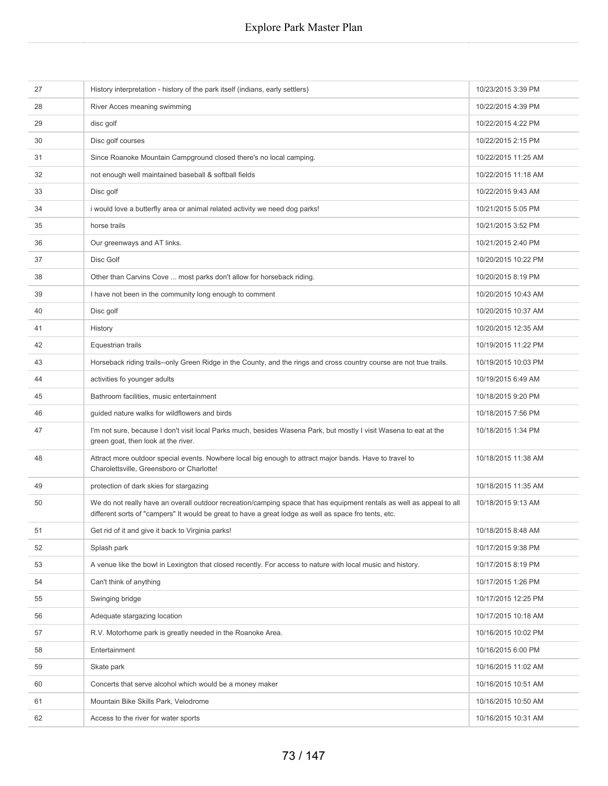| 27 | History interpretation - history of the park itself (indians, early settlers)                                                                                                                                                  | 10/23/2015 3:39 PM  |
|----|--------------------------------------------------------------------------------------------------------------------------------------------------------------------------------------------------------------------------------|---------------------|
| 28 | River Acces meaning swimming                                                                                                                                                                                                   | 10/22/2015 4:39 PM  |
| 29 | disc golf                                                                                                                                                                                                                      | 10/22/2015 4:22 PM  |
| 30 | Disc golf courses                                                                                                                                                                                                              | 10/22/2015 2:15 PM  |
| 31 | Since Roanoke Mountain Campground closed there's no local camping.                                                                                                                                                             | 10/22/2015 11:25 AM |
| 32 | not enough well maintained baseball & softball fields                                                                                                                                                                          | 10/22/2015 11:18 AM |
| 33 | Disc golf                                                                                                                                                                                                                      | 10/22/2015 9:43 AM  |
| 34 | i would love a butterfly area or animal related activity we need dog parks!                                                                                                                                                    | 10/21/2015 5:05 PM  |
| 35 | horse trails                                                                                                                                                                                                                   | 10/21/2015 3:52 PM  |
| 36 | Our greenways and AT links.                                                                                                                                                                                                    | 10/21/2015 2:40 PM  |
| 37 | Disc Golf                                                                                                                                                                                                                      | 10/20/2015 10:22 PM |
| 38 | Other than Carvins Cove  most parks don't allow for horseback riding.                                                                                                                                                          | 10/20/2015 8:19 PM  |
| 39 | I have not been in the community long enough to comment                                                                                                                                                                        | 10/20/2015 10:43 AM |
| 40 | Disc golf                                                                                                                                                                                                                      | 10/20/2015 10:37 AM |
| 41 | History                                                                                                                                                                                                                        | 10/20/2015 12:35 AM |
| 42 | Equestrian trails                                                                                                                                                                                                              | 10/19/2015 11:22 PM |
| 43 | Horseback riding trails--only Green Ridge in the County, and the rings and cross country course are not true trails.                                                                                                           | 10/19/2015 10:03 PM |
| 44 | activities fo younger adults                                                                                                                                                                                                   | 10/19/2015 6:49 AM  |
| 45 | Bathroom facilities, music entertainment                                                                                                                                                                                       | 10/18/2015 9:20 PM  |
| 46 | guided nature walks for wildflowers and birds                                                                                                                                                                                  | 10/18/2015 7:56 PM  |
| 47 | I'm not sure, because I don't visit local Parks much, besides Wasena Park, but mostly I visit Wasena to eat at the<br>green goat, then look at the river.                                                                      | 10/18/2015 1:34 PM  |
| 48 | Attract more outdoor special events. Nowhere local big enough to attract major bands. Have to travel to<br>Charolettsville, Greensboro or Charlotte!                                                                           | 10/18/2015 11:38 AM |
| 49 | protection of dark skies for stargazing                                                                                                                                                                                        | 10/18/2015 11:35 AM |
| 50 | We do not really have an overall outdoor recreation/camping space that has equipment rentals as well as appeal to all<br>different sorts of "campers" It would be great to have a great lodge as well as space fro tents, etc. | 10/18/2015 9:13 AM  |
| 51 | Get rid of it and give it back to Virginia parks!                                                                                                                                                                              | 10/18/2015 8:48 AM  |
| 52 | Splash park                                                                                                                                                                                                                    | 10/17/2015 9:38 PM  |
| 53 | A venue like the bowl in Lexington that closed recently. For access to nature with local music and history.                                                                                                                    | 10/17/2015 8:19 PM  |
| 54 | Can't think of anything                                                                                                                                                                                                        | 10/17/2015 1:26 PM  |
| 55 | Swinging bridge                                                                                                                                                                                                                | 10/17/2015 12:25 PM |
| 56 | Adequate stargazing location                                                                                                                                                                                                   | 10/17/2015 10:18 AM |
| 57 | R.V. Motorhome park is greatly needed in the Roanoke Area.                                                                                                                                                                     | 10/16/2015 10:02 PM |
| 58 | Entertainment                                                                                                                                                                                                                  | 10/16/2015 6:00 PM  |
| 59 | Skate park                                                                                                                                                                                                                     | 10/16/2015 11:02 AM |
| 60 | Concerts that serve alcohol which would be a money maker                                                                                                                                                                       | 10/16/2015 10:51 AM |
| 61 | Mountain Bike Skills Park, Velodrome                                                                                                                                                                                           | 10/16/2015 10:50 AM |
| 62 | Access to the river for water sports                                                                                                                                                                                           | 10/16/2015 10:31 AM |
|    |                                                                                                                                                                                                                                |                     |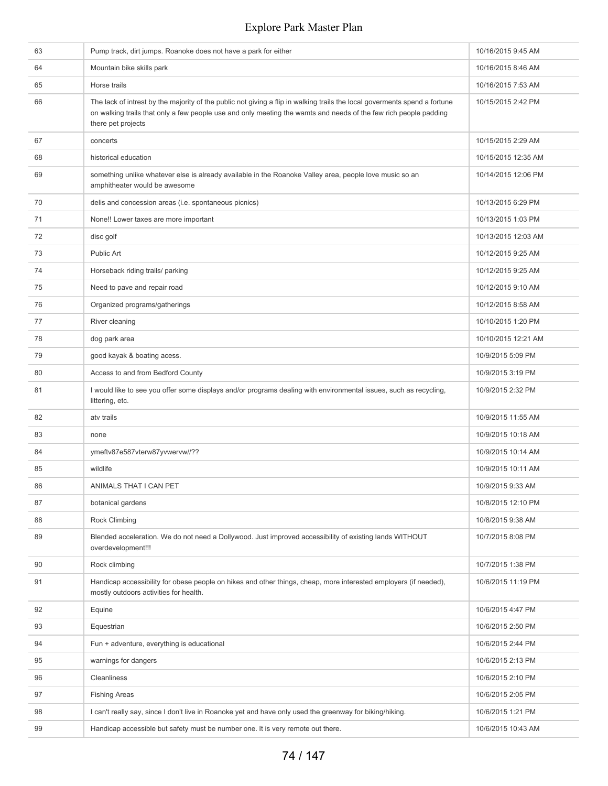| 63 | Pump track, dirt jumps. Roanoke does not have a park for either                                                                                                                                                                                                      | 10/16/2015 9:45 AM  |
|----|----------------------------------------------------------------------------------------------------------------------------------------------------------------------------------------------------------------------------------------------------------------------|---------------------|
| 64 | Mountain bike skills park                                                                                                                                                                                                                                            | 10/16/2015 8:46 AM  |
| 65 | Horse trails                                                                                                                                                                                                                                                         | 10/16/2015 7:53 AM  |
| 66 | The lack of intrest by the majority of the public not giving a flip in walking trails the local goverments spend a fortune<br>on walking trails that only a few people use and only meeting the wamts and needs of the few rich people padding<br>there pet projects | 10/15/2015 2:42 PM  |
| 67 | concerts                                                                                                                                                                                                                                                             | 10/15/2015 2:29 AM  |
| 68 | historical education                                                                                                                                                                                                                                                 | 10/15/2015 12:35 AM |
| 69 | something unlike whatever else is already available in the Roanoke Valley area, people love music so an<br>amphitheater would be awesome                                                                                                                             | 10/14/2015 12:06 PM |
| 70 | delis and concession areas (i.e. spontaneous picnics)                                                                                                                                                                                                                | 10/13/2015 6:29 PM  |
| 71 | None!! Lower taxes are more important                                                                                                                                                                                                                                | 10/13/2015 1:03 PM  |
| 72 | disc golf                                                                                                                                                                                                                                                            | 10/13/2015 12:03 AM |
| 73 | Public Art                                                                                                                                                                                                                                                           | 10/12/2015 9:25 AM  |
| 74 | Horseback riding trails/ parking                                                                                                                                                                                                                                     | 10/12/2015 9:25 AM  |
| 75 | Need to pave and repair road                                                                                                                                                                                                                                         | 10/12/2015 9:10 AM  |
| 76 | Organized programs/gatherings                                                                                                                                                                                                                                        | 10/12/2015 8:58 AM  |
| 77 | River cleaning                                                                                                                                                                                                                                                       | 10/10/2015 1:20 PM  |
| 78 | dog park area                                                                                                                                                                                                                                                        | 10/10/2015 12:21 AM |
| 79 | good kayak & boating acess.                                                                                                                                                                                                                                          | 10/9/2015 5:09 PM   |
| 80 | Access to and from Bedford County                                                                                                                                                                                                                                    | 10/9/2015 3:19 PM   |
| 81 | I would like to see you offer some displays and/or programs dealing with environmental issues, such as recycling,<br>littering, etc.                                                                                                                                 | 10/9/2015 2:32 PM   |
| 82 | atv trails                                                                                                                                                                                                                                                           | 10/9/2015 11:55 AM  |
| 83 | none                                                                                                                                                                                                                                                                 | 10/9/2015 10:18 AM  |
| 84 | ymeftv87e587vterw87yvwervw//??                                                                                                                                                                                                                                       | 10/9/2015 10:14 AM  |
| 85 | wildlife                                                                                                                                                                                                                                                             | 10/9/2015 10:11 AM  |
| 86 | ANIMALS THAT I CAN PET                                                                                                                                                                                                                                               | 10/9/2015 9:33 AM   |
| 87 | botanical gardens                                                                                                                                                                                                                                                    | 10/8/2015 12:10 PM  |
| 88 | Rock Climbing                                                                                                                                                                                                                                                        | 10/8/2015 9:38 AM   |
| 89 | Blended acceleration. We do not need a Dollywood. Just improved accessibility of existing lands WITHOUT<br>overdevelopment!!!                                                                                                                                        | 10/7/2015 8:08 PM   |
| 90 | Rock climbing                                                                                                                                                                                                                                                        | 10/7/2015 1:38 PM   |
| 91 | Handicap accessibility for obese people on hikes and other things, cheap, more interested employers (if needed),<br>mostly outdoors activities for health.                                                                                                           | 10/6/2015 11:19 PM  |
| 92 | Equine                                                                                                                                                                                                                                                               | 10/6/2015 4:47 PM   |
| 93 | Equestrian                                                                                                                                                                                                                                                           | 10/6/2015 2:50 PM   |
| 94 | Fun + adventure, everything is educational                                                                                                                                                                                                                           | 10/6/2015 2:44 PM   |
| 95 | warnings for dangers                                                                                                                                                                                                                                                 | 10/6/2015 2:13 PM   |
| 96 | Cleanliness                                                                                                                                                                                                                                                          | 10/6/2015 2:10 PM   |
| 97 | <b>Fishing Areas</b>                                                                                                                                                                                                                                                 | 10/6/2015 2:05 PM   |
| 98 | I can't really say, since I don't live in Roanoke yet and have only used the greenway for biking/hiking.                                                                                                                                                             | 10/6/2015 1:21 PM   |
| 99 | Handicap accessible but safety must be number one. It is very remote out there.                                                                                                                                                                                      | 10/6/2015 10:43 AM  |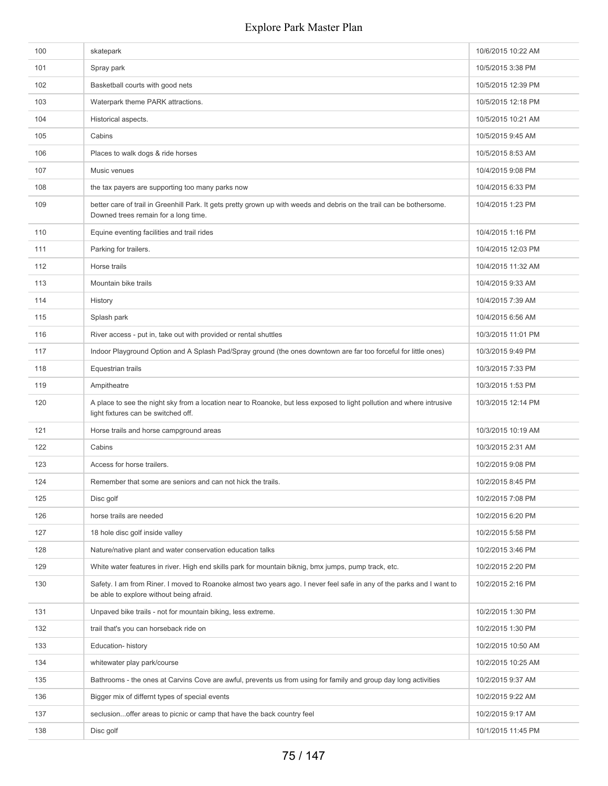| 100 | skatepark                                                                                                                                                         | 10/6/2015 10:22 AM |
|-----|-------------------------------------------------------------------------------------------------------------------------------------------------------------------|--------------------|
| 101 | Spray park                                                                                                                                                        | 10/5/2015 3:38 PM  |
| 102 | Basketball courts with good nets                                                                                                                                  | 10/5/2015 12:39 PM |
| 103 | Waterpark theme PARK attractions.                                                                                                                                 | 10/5/2015 12:18 PM |
| 104 | Historical aspects.                                                                                                                                               | 10/5/2015 10:21 AM |
| 105 | Cabins                                                                                                                                                            | 10/5/2015 9:45 AM  |
| 106 | Places to walk dogs & ride horses                                                                                                                                 | 10/5/2015 8:53 AM  |
| 107 | Music venues                                                                                                                                                      | 10/4/2015 9:08 PM  |
| 108 | the tax payers are supporting too many parks now                                                                                                                  | 10/4/2015 6:33 PM  |
| 109 | better care of trail in Greenhill Park. It gets pretty grown up with weeds and debris on the trail can be bothersome.<br>Downed trees remain for a long time.     | 10/4/2015 1:23 PM  |
| 110 | Equine eventing facilities and trail rides                                                                                                                        | 10/4/2015 1:16 PM  |
| 111 | Parking for trailers.                                                                                                                                             | 10/4/2015 12:03 PM |
| 112 | Horse trails                                                                                                                                                      | 10/4/2015 11:32 AM |
| 113 | Mountain bike trails                                                                                                                                              | 10/4/2015 9:33 AM  |
| 114 | History                                                                                                                                                           | 10/4/2015 7:39 AM  |
| 115 | Splash park                                                                                                                                                       | 10/4/2015 6:56 AM  |
| 116 | River access - put in, take out with provided or rental shuttles                                                                                                  | 10/3/2015 11:01 PM |
| 117 | Indoor Playground Option and A Splash Pad/Spray ground (the ones downtown are far too forceful for little ones)                                                   | 10/3/2015 9:49 PM  |
| 118 | Equestrian trails                                                                                                                                                 | 10/3/2015 7:33 PM  |
| 119 | Ampitheatre                                                                                                                                                       | 10/3/2015 1:53 PM  |
| 120 | A place to see the night sky from a location near to Roanoke, but less exposed to light pollution and where intrusive<br>light fixtures can be switched off.      | 10/3/2015 12:14 PM |
| 121 | Horse trails and horse campground areas                                                                                                                           | 10/3/2015 10:19 AM |
| 122 | Cabins                                                                                                                                                            | 10/3/2015 2:31 AM  |
| 123 | Access for horse trailers.                                                                                                                                        | 10/2/2015 9:08 PM  |
| 124 | Remember that some are seniors and can not hick the trails.                                                                                                       | 10/2/2015 8:45 PM  |
| 125 | Disc golf                                                                                                                                                         | 10/2/2015 7:08 PM  |
| 126 | horse trails are needed                                                                                                                                           | 10/2/2015 6:20 PM  |
| 127 | 18 hole disc golf inside valley                                                                                                                                   | 10/2/2015 5:58 PM  |
| 128 | Nature/native plant and water conservation education talks                                                                                                        | 10/2/2015 3:46 PM  |
| 129 | White water features in river. High end skills park for mountain biknig, bmx jumps, pump track, etc.                                                              | 10/2/2015 2:20 PM  |
| 130 | Safety. I am from Riner. I moved to Roanoke almost two years ago. I never feel safe in any of the parks and I want to<br>be able to explore without being afraid. | 10/2/2015 2:16 PM  |
| 131 | Unpaved bike trails - not for mountain biking, less extreme.                                                                                                      | 10/2/2015 1:30 PM  |
| 132 | trail that's you can horseback ride on                                                                                                                            | 10/2/2015 1:30 PM  |
| 133 | Education-history                                                                                                                                                 | 10/2/2015 10:50 AM |
| 134 | whitewater play park/course                                                                                                                                       | 10/2/2015 10:25 AM |
| 135 | Bathrooms - the ones at Carvins Cove are awful, prevents us from using for family and group day long activities                                                   | 10/2/2015 9:37 AM  |
| 136 | Bigger mix of differnt types of special events                                                                                                                    | 10/2/2015 9:22 AM  |
| 137 | seclusionoffer areas to picnic or camp that have the back country feel                                                                                            | 10/2/2015 9:17 AM  |
| 138 | Disc golf                                                                                                                                                         | 10/1/2015 11:45 PM |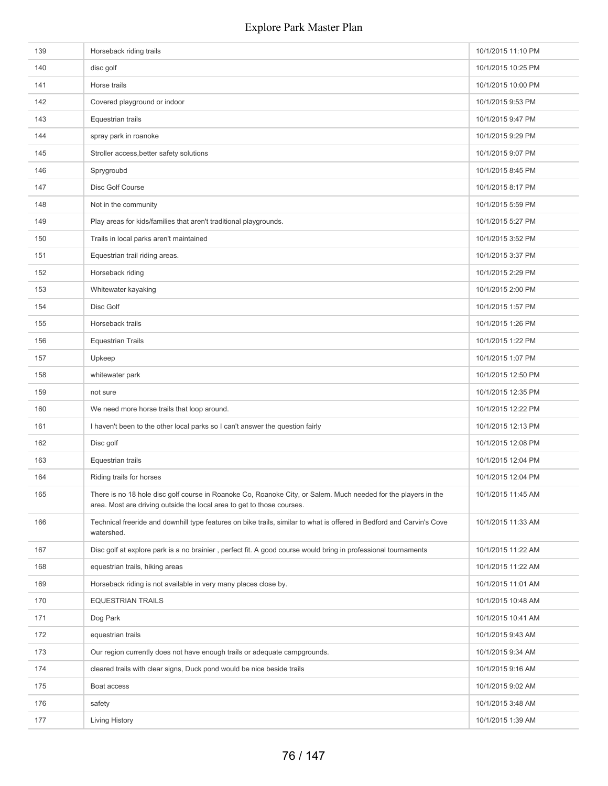| 139 | Horseback riding trails                                                                                                                                                                  | 10/1/2015 11:10 PM |
|-----|------------------------------------------------------------------------------------------------------------------------------------------------------------------------------------------|--------------------|
| 140 | disc golf                                                                                                                                                                                | 10/1/2015 10:25 PM |
| 141 | Horse trails                                                                                                                                                                             | 10/1/2015 10:00 PM |
| 142 | Covered playground or indoor                                                                                                                                                             | 10/1/2015 9:53 PM  |
| 143 | Equestrian trails                                                                                                                                                                        | 10/1/2015 9:47 PM  |
| 144 | spray park in roanoke                                                                                                                                                                    | 10/1/2015 9:29 PM  |
| 145 | Stroller access, better safety solutions                                                                                                                                                 | 10/1/2015 9:07 PM  |
| 146 | Sprygroubd                                                                                                                                                                               | 10/1/2015 8:45 PM  |
| 147 | Disc Golf Course                                                                                                                                                                         | 10/1/2015 8:17 PM  |
| 148 | Not in the community                                                                                                                                                                     | 10/1/2015 5:59 PM  |
| 149 | Play areas for kids/families that aren't traditional playgrounds.                                                                                                                        | 10/1/2015 5:27 PM  |
| 150 | Trails in local parks aren't maintained                                                                                                                                                  | 10/1/2015 3:52 PM  |
| 151 | Equestrian trail riding areas.                                                                                                                                                           | 10/1/2015 3:37 PM  |
| 152 | Horseback riding                                                                                                                                                                         | 10/1/2015 2:29 PM  |
| 153 | Whitewater kayaking                                                                                                                                                                      | 10/1/2015 2:00 PM  |
| 154 | Disc Golf                                                                                                                                                                                | 10/1/2015 1:57 PM  |
| 155 | Horseback trails                                                                                                                                                                         | 10/1/2015 1:26 PM  |
| 156 | <b>Equestrian Trails</b>                                                                                                                                                                 | 10/1/2015 1:22 PM  |
| 157 | Upkeep                                                                                                                                                                                   | 10/1/2015 1:07 PM  |
| 158 | whitewater park                                                                                                                                                                          | 10/1/2015 12:50 PM |
| 159 | not sure                                                                                                                                                                                 | 10/1/2015 12:35 PM |
| 160 | We need more horse trails that loop around.                                                                                                                                              | 10/1/2015 12:22 PM |
| 161 | I haven't been to the other local parks so I can't answer the question fairly                                                                                                            | 10/1/2015 12:13 PM |
| 162 | Disc golf                                                                                                                                                                                | 10/1/2015 12:08 PM |
| 163 | Equestrian trails                                                                                                                                                                        | 10/1/2015 12:04 PM |
| 164 | Riding trails for horses                                                                                                                                                                 | 10/1/2015 12:04 PM |
| 165 | There is no 18 hole disc golf course in Roanoke Co, Roanoke City, or Salem. Much needed for the players in the<br>area. Most are driving outside the local area to get to those courses. | 10/1/2015 11:45 AM |
| 166 | Technical freeride and downhill type features on bike trails, similar to what is offered in Bedford and Carvin's Cove<br>watershed.                                                      | 10/1/2015 11:33 AM |
| 167 | Disc golf at explore park is a no brainier, perfect fit. A good course would bring in professional tournaments                                                                           | 10/1/2015 11:22 AM |
| 168 | equestrian trails, hiking areas                                                                                                                                                          | 10/1/2015 11:22 AM |
| 169 | Horseback riding is not available in very many places close by.                                                                                                                          | 10/1/2015 11:01 AM |
| 170 | <b>EQUESTRIAN TRAILS</b>                                                                                                                                                                 | 10/1/2015 10:48 AM |
| 171 | Dog Park                                                                                                                                                                                 | 10/1/2015 10:41 AM |
| 172 | equestrian trails                                                                                                                                                                        | 10/1/2015 9:43 AM  |
| 173 | Our region currently does not have enough trails or adequate campgrounds.                                                                                                                | 10/1/2015 9:34 AM  |
| 174 | cleared trails with clear signs, Duck pond would be nice beside trails                                                                                                                   | 10/1/2015 9:16 AM  |
| 175 | Boat access                                                                                                                                                                              | 10/1/2015 9:02 AM  |
| 176 | safety                                                                                                                                                                                   | 10/1/2015 3:48 AM  |
| 177 | Living History                                                                                                                                                                           | 10/1/2015 1:39 AM  |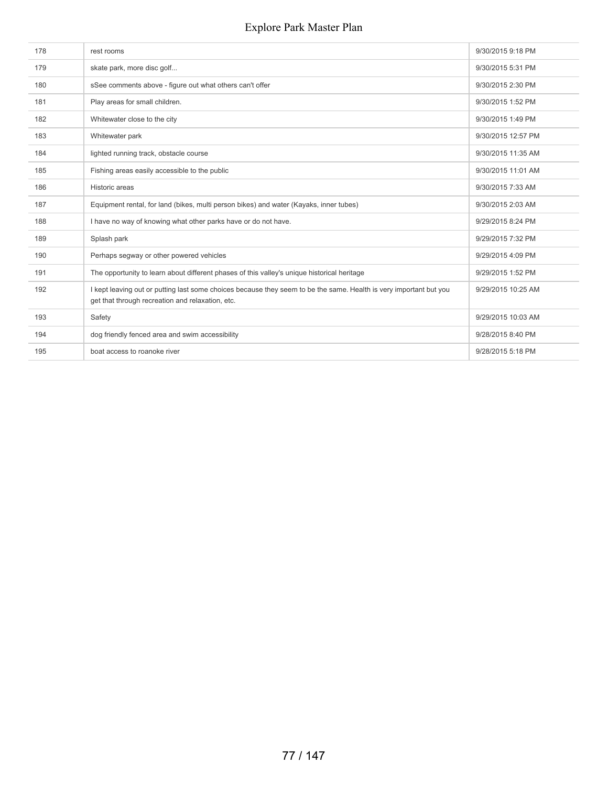| 178 | rest rooms                                                                                                                                                             | 9/30/2015 9:18 PM  |
|-----|------------------------------------------------------------------------------------------------------------------------------------------------------------------------|--------------------|
| 179 | skate park, more disc golf                                                                                                                                             | 9/30/2015 5:31 PM  |
| 180 | sSee comments above - figure out what others can't offer                                                                                                               | 9/30/2015 2:30 PM  |
| 181 | Play areas for small children.                                                                                                                                         | 9/30/2015 1:52 PM  |
| 182 | Whitewater close to the city                                                                                                                                           | 9/30/2015 1:49 PM  |
| 183 | Whitewater park                                                                                                                                                        | 9/30/2015 12:57 PM |
| 184 | lighted running track, obstacle course                                                                                                                                 | 9/30/2015 11:35 AM |
| 185 | Fishing areas easily accessible to the public                                                                                                                          | 9/30/2015 11:01 AM |
| 186 | Historic areas                                                                                                                                                         | 9/30/2015 7:33 AM  |
| 187 | Equipment rental, for land (bikes, multi person bikes) and water (Kayaks, inner tubes)                                                                                 | 9/30/2015 2:03 AM  |
| 188 | I have no way of knowing what other parks have or do not have.                                                                                                         | 9/29/2015 8:24 PM  |
| 189 | Splash park                                                                                                                                                            | 9/29/2015 7:32 PM  |
| 190 | Perhaps segway or other powered vehicles                                                                                                                               | 9/29/2015 4:09 PM  |
| 191 | The opportunity to learn about different phases of this valley's unique historical heritage                                                                            | 9/29/2015 1:52 PM  |
| 192 | I kept leaving out or putting last some choices because they seem to be the same. Health is very important but you<br>get that through recreation and relaxation, etc. | 9/29/2015 10:25 AM |
| 193 | Safety                                                                                                                                                                 | 9/29/2015 10:03 AM |
| 194 | dog friendly fenced area and swim accessibility                                                                                                                        | 9/28/2015 8:40 PM  |
| 195 | boat access to roanoke river                                                                                                                                           | 9/28/2015 5:18 PM  |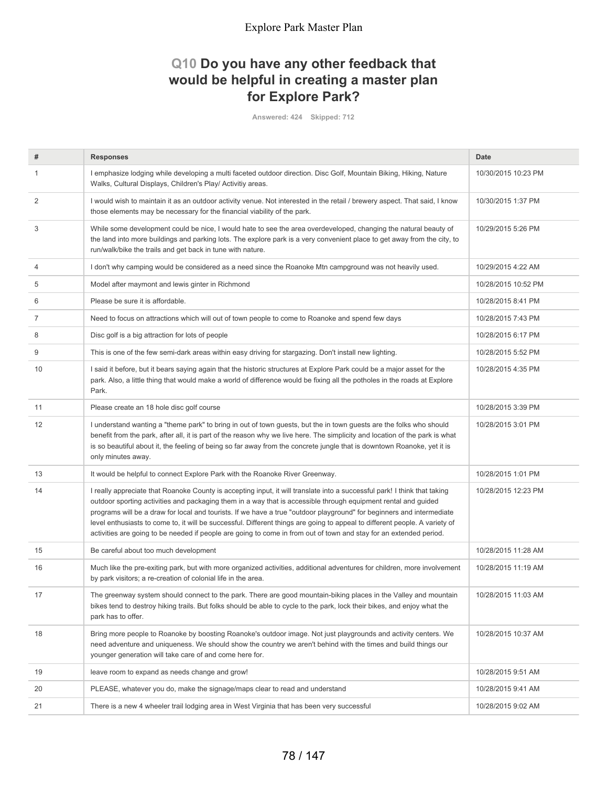# **Q10 Do you have any other feedback that would be helpful in creating a master plan for Explore Park?**

**Answered: 424 Skipped: 712**

| #              | <b>Responses</b>                                                                                                                                                                                                                                                                                                                                                                                                                                                                                                                                                                                                          | Date                |
|----------------|---------------------------------------------------------------------------------------------------------------------------------------------------------------------------------------------------------------------------------------------------------------------------------------------------------------------------------------------------------------------------------------------------------------------------------------------------------------------------------------------------------------------------------------------------------------------------------------------------------------------------|---------------------|
| $\mathbf{1}$   | I emphasize lodging while developing a multi faceted outdoor direction. Disc Golf, Mountain Biking, Hiking, Nature<br>Walks, Cultural Displays, Children's Play/ Activitiy areas.                                                                                                                                                                                                                                                                                                                                                                                                                                         | 10/30/2015 10:23 PM |
| 2              | I would wish to maintain it as an outdoor activity venue. Not interested in the retail / brewery aspect. That said, I know<br>those elements may be necessary for the financial viability of the park.                                                                                                                                                                                                                                                                                                                                                                                                                    | 10/30/2015 1:37 PM  |
| 3              | While some development could be nice, I would hate to see the area overdeveloped, changing the natural beauty of<br>the land into more buildings and parking lots. The explore park is a very convenient place to get away from the city, to<br>run/walk/bike the trails and get back in tune with nature.                                                                                                                                                                                                                                                                                                                | 10/29/2015 5:26 PM  |
| $\overline{4}$ | I don't why camping would be considered as a need since the Roanoke Mtn campground was not heavily used.                                                                                                                                                                                                                                                                                                                                                                                                                                                                                                                  | 10/29/2015 4:22 AM  |
| 5              | Model after maymont and lewis ginter in Richmond                                                                                                                                                                                                                                                                                                                                                                                                                                                                                                                                                                          | 10/28/2015 10:52 PM |
| 6              | Please be sure it is affordable.                                                                                                                                                                                                                                                                                                                                                                                                                                                                                                                                                                                          | 10/28/2015 8:41 PM  |
| 7              | Need to focus on attractions which will out of town people to come to Roanoke and spend few days                                                                                                                                                                                                                                                                                                                                                                                                                                                                                                                          | 10/28/2015 7:43 PM  |
| 8              | Disc golf is a big attraction for lots of people                                                                                                                                                                                                                                                                                                                                                                                                                                                                                                                                                                          | 10/28/2015 6:17 PM  |
| 9              | This is one of the few semi-dark areas within easy driving for stargazing. Don't install new lighting.                                                                                                                                                                                                                                                                                                                                                                                                                                                                                                                    | 10/28/2015 5:52 PM  |
| 10             | I said it before, but it bears saying again that the historic structures at Explore Park could be a major asset for the<br>park. Also, a little thing that would make a world of difference would be fixing all the potholes in the roads at Explore<br>Park.                                                                                                                                                                                                                                                                                                                                                             | 10/28/2015 4:35 PM  |
| 11             | Please create an 18 hole disc golf course                                                                                                                                                                                                                                                                                                                                                                                                                                                                                                                                                                                 | 10/28/2015 3:39 PM  |
| 12             | I understand wanting a "theme park" to bring in out of town guests, but the in town guests are the folks who should<br>benefit from the park, after all, it is part of the reason why we live here. The simplicity and location of the park is what<br>is so beautiful about it, the feeling of being so far away from the concrete jungle that is downtown Roanoke, yet it is<br>only minutes away.                                                                                                                                                                                                                      | 10/28/2015 3:01 PM  |
| 13             | It would be helpful to connect Explore Park with the Roanoke River Greenway.                                                                                                                                                                                                                                                                                                                                                                                                                                                                                                                                              | 10/28/2015 1:01 PM  |
| 14             | I really appreciate that Roanoke County is accepting input, it will translate into a successful park! I think that taking<br>outdoor sporting activities and packaging them in a way that is accessible through equipment rental and guided<br>programs will be a draw for local and tourists. If we have a true "outdoor playground" for beginners and intermediate<br>level enthusiasts to come to, it will be successful. Different things are going to appeal to different people. A variety of<br>activities are going to be needed if people are going to come in from out of town and stay for an extended period. | 10/28/2015 12:23 PM |
| 15             | Be careful about too much development                                                                                                                                                                                                                                                                                                                                                                                                                                                                                                                                                                                     | 10/28/2015 11:28 AM |
| 16             | Much like the pre-exiting park, but with more organized activities, additional adventures for children, more involvement<br>by park visitors; a re-creation of colonial life in the area.                                                                                                                                                                                                                                                                                                                                                                                                                                 | 10/28/2015 11:19 AM |
| 17             | The greenway system should connect to the park. There are good mountain-biking places in the Valley and mountain<br>bikes tend to destroy hiking trails. But folks should be able to cycle to the park, lock their bikes, and enjoy what the<br>park has to offer.                                                                                                                                                                                                                                                                                                                                                        | 10/28/2015 11:03 AM |
| 18             | Bring more people to Roanoke by boosting Roanoke's outdoor image. Not just playgrounds and activity centers. We<br>need adventure and uniqueness. We should show the country we aren't behind with the times and build things our<br>younger generation will take care of and come here for.                                                                                                                                                                                                                                                                                                                              | 10/28/2015 10:37 AM |
| 19             | leave room to expand as needs change and grow!                                                                                                                                                                                                                                                                                                                                                                                                                                                                                                                                                                            | 10/28/2015 9:51 AM  |
| 20             | PLEASE, whatever you do, make the signage/maps clear to read and understand                                                                                                                                                                                                                                                                                                                                                                                                                                                                                                                                               | 10/28/2015 9:41 AM  |
| 21             | There is a new 4 wheeler trail lodging area in West Virginia that has been very successful                                                                                                                                                                                                                                                                                                                                                                                                                                                                                                                                | 10/28/2015 9:02 AM  |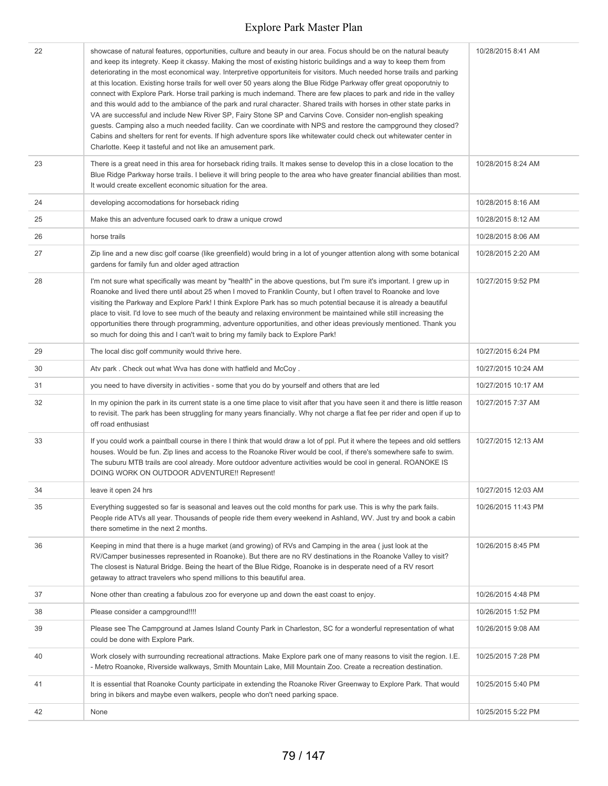| 22 | showcase of natural features, opportunities, culture and beauty in our area. Focus should be on the natural beauty<br>and keep its integrety. Keep it ckassy. Making the most of existing historic buildings and a way to keep them from<br>deteriorating in the most economical way. Interpretive opportuniteis for visitors. Much needed horse trails and parking<br>at this location. Existing horse trails for well over 50 years along the Blue Ridge Parkway offer great opoporutniy to<br>connect with Explore Park. Horse trail parking is much indemand. There are few places to park and ride in the valley<br>and this would add to the ambiance of the park and rural character. Shared trails with horses in other state parks in<br>VA are successful and include New River SP, Fairy Stone SP and Carvins Cove. Consider non-english speaking<br>guests. Camping also a much needed facility. Can we coordinate with NPS and restore the campground they closed?<br>Cabins and shelters for rent for events. If high adventure spors like whitewater could check out whitewater center in<br>Charlotte. Keep it tasteful and not like an amusement park. | 10/28/2015 8:41 AM  |
|----|-------------------------------------------------------------------------------------------------------------------------------------------------------------------------------------------------------------------------------------------------------------------------------------------------------------------------------------------------------------------------------------------------------------------------------------------------------------------------------------------------------------------------------------------------------------------------------------------------------------------------------------------------------------------------------------------------------------------------------------------------------------------------------------------------------------------------------------------------------------------------------------------------------------------------------------------------------------------------------------------------------------------------------------------------------------------------------------------------------------------------------------------------------------------------|---------------------|
| 23 | There is a great need in this area for horseback riding trails. It makes sense to develop this in a close location to the<br>Blue Ridge Parkway horse trails. I believe it will bring people to the area who have greater financial abilities than most.<br>It would create excellent economic situation for the area.                                                                                                                                                                                                                                                                                                                                                                                                                                                                                                                                                                                                                                                                                                                                                                                                                                                  | 10/28/2015 8:24 AM  |
| 24 | developing accomodations for horseback riding                                                                                                                                                                                                                                                                                                                                                                                                                                                                                                                                                                                                                                                                                                                                                                                                                                                                                                                                                                                                                                                                                                                           | 10/28/2015 8:16 AM  |
| 25 | Make this an adventure focused oark to draw a unique crowd                                                                                                                                                                                                                                                                                                                                                                                                                                                                                                                                                                                                                                                                                                                                                                                                                                                                                                                                                                                                                                                                                                              | 10/28/2015 8:12 AM  |
| 26 | horse trails                                                                                                                                                                                                                                                                                                                                                                                                                                                                                                                                                                                                                                                                                                                                                                                                                                                                                                                                                                                                                                                                                                                                                            | 10/28/2015 8:06 AM  |
| 27 | Zip line and a new disc golf coarse (like greenfield) would bring in a lot of younger attention along with some botanical<br>gardens for family fun and older aged attraction                                                                                                                                                                                                                                                                                                                                                                                                                                                                                                                                                                                                                                                                                                                                                                                                                                                                                                                                                                                           | 10/28/2015 2:20 AM  |
| 28 | I'm not sure what specifically was meant by "health" in the above questions, but I'm sure it's important. I grew up in<br>Roanoke and lived there until about 25 when I moved to Franklin County, but I often travel to Roanoke and love<br>visiting the Parkway and Explore Park! I think Explore Park has so much potential because it is already a beautiful<br>place to visit. I'd love to see much of the beauty and relaxing environment be maintained while still increasing the<br>opportunities there through programming, adventure opportunities, and other ideas previously mentioned. Thank you<br>so much for doing this and I can't wait to bring my family back to Explore Park!                                                                                                                                                                                                                                                                                                                                                                                                                                                                        | 10/27/2015 9:52 PM  |
| 29 | The local disc golf community would thrive here.                                                                                                                                                                                                                                                                                                                                                                                                                                                                                                                                                                                                                                                                                                                                                                                                                                                                                                                                                                                                                                                                                                                        | 10/27/2015 6:24 PM  |
| 30 | Atv park. Check out what Wva has done with hatfield and McCoy.                                                                                                                                                                                                                                                                                                                                                                                                                                                                                                                                                                                                                                                                                                                                                                                                                                                                                                                                                                                                                                                                                                          | 10/27/2015 10:24 AM |
| 31 | you need to have diversity in activities - some that you do by yourself and others that are led                                                                                                                                                                                                                                                                                                                                                                                                                                                                                                                                                                                                                                                                                                                                                                                                                                                                                                                                                                                                                                                                         | 10/27/2015 10:17 AM |
| 32 | In my opinion the park in its current state is a one time place to visit after that you have seen it and there is little reason<br>to revisit. The park has been struggling for many years financially. Why not charge a flat fee per rider and open if up to<br>off road enthusiast                                                                                                                                                                                                                                                                                                                                                                                                                                                                                                                                                                                                                                                                                                                                                                                                                                                                                    | 10/27/2015 7:37 AM  |
| 33 | If you could work a paintball course in there I think that would draw a lot of ppl. Put it where the tepees and old settlers<br>houses. Would be fun. Zip lines and access to the Roanoke River would be cool, if there's somewhere safe to swim.<br>The suburu MTB trails are cool already. More outdoor adventure activities would be cool in general. ROANOKE IS<br>DOING WORK ON OUTDOOR ADVENTURE!! Represent!                                                                                                                                                                                                                                                                                                                                                                                                                                                                                                                                                                                                                                                                                                                                                     | 10/27/2015 12:13 AM |
| 34 | leave it open 24 hrs                                                                                                                                                                                                                                                                                                                                                                                                                                                                                                                                                                                                                                                                                                                                                                                                                                                                                                                                                                                                                                                                                                                                                    | 10/27/2015 12:03 AM |
| 35 | Everything suggested so far is seasonal and leaves out the cold months for park use. This is why the park fails.<br>People ride ATVs all year. Thousands of people ride them every weekend in Ashland, WV. Just try and book a cabin<br>there sometime in the next 2 months.                                                                                                                                                                                                                                                                                                                                                                                                                                                                                                                                                                                                                                                                                                                                                                                                                                                                                            | 10/26/2015 11:43 PM |
| 36 | Keeping in mind that there is a huge market (and growing) of RVs and Camping in the area (just look at the<br>RV/Camper businesses represented in Roanoke). But there are no RV destinations in the Roanoke Valley to visit?<br>The closest is Natural Bridge. Being the heart of the Blue Ridge, Roanoke is in desperate need of a RV resort<br>getaway to attract travelers who spend millions to this beautiful area.                                                                                                                                                                                                                                                                                                                                                                                                                                                                                                                                                                                                                                                                                                                                                | 10/26/2015 8:45 PM  |
| 37 | None other than creating a fabulous zoo for everyone up and down the east coast to enjoy.                                                                                                                                                                                                                                                                                                                                                                                                                                                                                                                                                                                                                                                                                                                                                                                                                                                                                                                                                                                                                                                                               | 10/26/2015 4:48 PM  |
| 38 | Please consider a campground!!!!                                                                                                                                                                                                                                                                                                                                                                                                                                                                                                                                                                                                                                                                                                                                                                                                                                                                                                                                                                                                                                                                                                                                        | 10/26/2015 1:52 PM  |
| 39 | Please see The Campground at James Island County Park in Charleston, SC for a wonderful representation of what<br>could be done with Explore Park.                                                                                                                                                                                                                                                                                                                                                                                                                                                                                                                                                                                                                                                                                                                                                                                                                                                                                                                                                                                                                      | 10/26/2015 9:08 AM  |
| 40 | Work closely with surrounding recreational attractions. Make Explore park one of many reasons to visit the region. I.E.<br>- Metro Roanoke, Riverside walkways, Smith Mountain Lake, Mill Mountain Zoo. Create a recreation destination.                                                                                                                                                                                                                                                                                                                                                                                                                                                                                                                                                                                                                                                                                                                                                                                                                                                                                                                                | 10/25/2015 7:28 PM  |
| 41 | It is essential that Roanoke County participate in extending the Roanoke River Greenway to Explore Park. That would<br>bring in bikers and maybe even walkers, people who don't need parking space.                                                                                                                                                                                                                                                                                                                                                                                                                                                                                                                                                                                                                                                                                                                                                                                                                                                                                                                                                                     | 10/25/2015 5:40 PM  |
| 42 | None                                                                                                                                                                                                                                                                                                                                                                                                                                                                                                                                                                                                                                                                                                                                                                                                                                                                                                                                                                                                                                                                                                                                                                    | 10/25/2015 5:22 PM  |
|    |                                                                                                                                                                                                                                                                                                                                                                                                                                                                                                                                                                                                                                                                                                                                                                                                                                                                                                                                                                                                                                                                                                                                                                         |                     |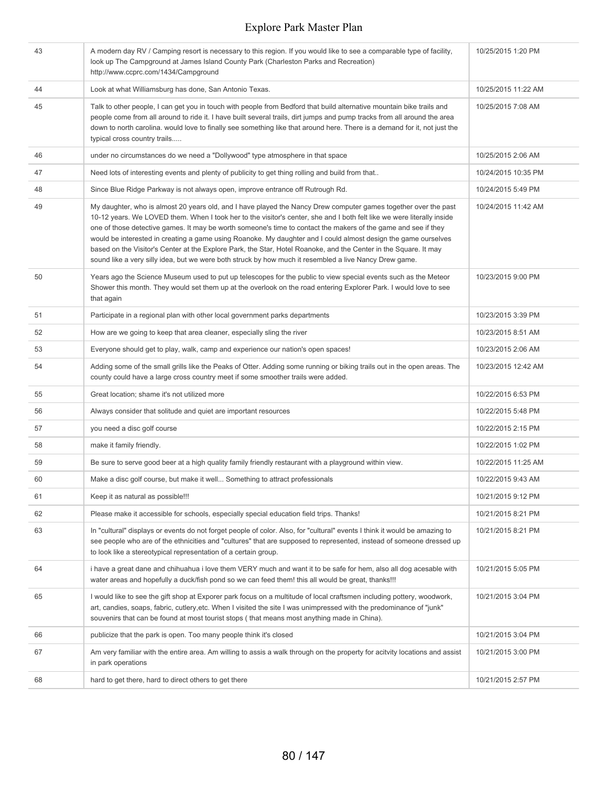| 43 | A modern day RV / Camping resort is necessary to this region. If you would like to see a comparable type of facility,<br>look up The Campground at James Island County Park (Charleston Parks and Recreation)<br>http://www.ccprc.com/1434/Campground                                                                                                                                                                                                                                                                                                                                                                                                                                                       | 10/25/2015 1:20 PM  |
|----|-------------------------------------------------------------------------------------------------------------------------------------------------------------------------------------------------------------------------------------------------------------------------------------------------------------------------------------------------------------------------------------------------------------------------------------------------------------------------------------------------------------------------------------------------------------------------------------------------------------------------------------------------------------------------------------------------------------|---------------------|
| 44 | Look at what Williamsburg has done, San Antonio Texas.                                                                                                                                                                                                                                                                                                                                                                                                                                                                                                                                                                                                                                                      | 10/25/2015 11:22 AM |
| 45 | Talk to other people, I can get you in touch with people from Bedford that build alternative mountain bike trails and<br>people come from all around to ride it. I have built several trails, dirt jumps and pump tracks from all around the area<br>down to north carolina. would love to finally see something like that around here. There is a demand for it, not just the<br>typical cross country trails                                                                                                                                                                                                                                                                                              | 10/25/2015 7:08 AM  |
| 46 | under no circumstances do we need a "Dollywood" type atmosphere in that space                                                                                                                                                                                                                                                                                                                                                                                                                                                                                                                                                                                                                               | 10/25/2015 2:06 AM  |
| 47 | Need lots of interesting events and plenty of publicity to get thing rolling and build from that                                                                                                                                                                                                                                                                                                                                                                                                                                                                                                                                                                                                            | 10/24/2015 10:35 PM |
| 48 | Since Blue Ridge Parkway is not always open, improve entrance off Rutrough Rd.                                                                                                                                                                                                                                                                                                                                                                                                                                                                                                                                                                                                                              | 10/24/2015 5:49 PM  |
| 49 | My daughter, who is almost 20 years old, and I have played the Nancy Drew computer games together over the past<br>10-12 years. We LOVED them. When I took her to the visitor's center, she and I both felt like we were literally inside<br>one of those detective games. It may be worth someone's time to contact the makers of the game and see if they<br>would be interested in creating a game using Roanoke. My daughter and I could almost design the game ourselves<br>based on the Visitor's Center at the Explore Park, the Star, Hotel Roanoke, and the Center in the Square. It may<br>sound like a very silly idea, but we were both struck by how much it resembled a live Nancy Drew game. | 10/24/2015 11:42 AM |
| 50 | Years ago the Science Museum used to put up telescopes for the public to view special events such as the Meteor<br>Shower this month. They would set them up at the overlook on the road entering Explorer Park. I would love to see<br>that again                                                                                                                                                                                                                                                                                                                                                                                                                                                          | 10/23/2015 9:00 PM  |
| 51 | Participate in a regional plan with other local government parks departments                                                                                                                                                                                                                                                                                                                                                                                                                                                                                                                                                                                                                                | 10/23/2015 3:39 PM  |
| 52 | How are we going to keep that area cleaner, especially sling the river                                                                                                                                                                                                                                                                                                                                                                                                                                                                                                                                                                                                                                      | 10/23/2015 8:51 AM  |
| 53 | Everyone should get to play, walk, camp and experience our nation's open spaces!                                                                                                                                                                                                                                                                                                                                                                                                                                                                                                                                                                                                                            | 10/23/2015 2:06 AM  |
| 54 | Adding some of the small grills like the Peaks of Otter. Adding some running or biking trails out in the open areas. The<br>county could have a large cross country meet if some smoother trails were added.                                                                                                                                                                                                                                                                                                                                                                                                                                                                                                | 10/23/2015 12:42 AM |
| 55 | Great location; shame it's not utilized more                                                                                                                                                                                                                                                                                                                                                                                                                                                                                                                                                                                                                                                                | 10/22/2015 6:53 PM  |
| 56 | Always consider that solitude and quiet are important resources                                                                                                                                                                                                                                                                                                                                                                                                                                                                                                                                                                                                                                             | 10/22/2015 5:48 PM  |
| 57 | you need a disc golf course                                                                                                                                                                                                                                                                                                                                                                                                                                                                                                                                                                                                                                                                                 | 10/22/2015 2:15 PM  |
| 58 | make it family friendly.                                                                                                                                                                                                                                                                                                                                                                                                                                                                                                                                                                                                                                                                                    | 10/22/2015 1:02 PM  |
| 59 | Be sure to serve good beer at a high quality family friendly restaurant with a playground within view.                                                                                                                                                                                                                                                                                                                                                                                                                                                                                                                                                                                                      | 10/22/2015 11:25 AM |
| 60 | Make a disc golf course, but make it well Something to attract professionals                                                                                                                                                                                                                                                                                                                                                                                                                                                                                                                                                                                                                                | 10/22/2015 9:43 AM  |
| 61 | Keep it as natural as possible!!!                                                                                                                                                                                                                                                                                                                                                                                                                                                                                                                                                                                                                                                                           | 10/21/2015 9:12 PM  |
| 62 | Please make it accessible for schools, especially special education field trips. Thanks!                                                                                                                                                                                                                                                                                                                                                                                                                                                                                                                                                                                                                    | 10/21/2015 8:21 PM  |
| 63 | In "cultural" displays or events do not forget people of color. Also, for "cultural" events I think it would be amazing to<br>see people who are of the ethnicities and "cultures" that are supposed to represented, instead of someone dressed up<br>to look like a stereotypical representation of a certain group.                                                                                                                                                                                                                                                                                                                                                                                       | 10/21/2015 8:21 PM  |
| 64 | i have a great dane and chihuahua i love them VERY much and want it to be safe for hem, also all dog acesable with<br>water areas and hopefully a duck/fish pond so we can feed them! this all would be great, thanks!!!                                                                                                                                                                                                                                                                                                                                                                                                                                                                                    | 10/21/2015 5:05 PM  |
| 65 | I would like to see the gift shop at Exporer park focus on a multitude of local craftsmen including pottery, woodwork,<br>art, candies, soaps, fabric, cutlery, etc. When I visited the site I was unimpressed with the predominance of "junk"<br>souvenirs that can be found at most tourist stops (that means most anything made in China).                                                                                                                                                                                                                                                                                                                                                               | 10/21/2015 3:04 PM  |
| 66 | publicize that the park is open. Too many people think it's closed                                                                                                                                                                                                                                                                                                                                                                                                                                                                                                                                                                                                                                          | 10/21/2015 3:04 PM  |
| 67 | Am very familiar with the entire area. Am willing to assis a walk through on the property for acitvity locations and assist<br>in park operations                                                                                                                                                                                                                                                                                                                                                                                                                                                                                                                                                           | 10/21/2015 3:00 PM  |
| 68 | hard to get there, hard to direct others to get there                                                                                                                                                                                                                                                                                                                                                                                                                                                                                                                                                                                                                                                       | 10/21/2015 2:57 PM  |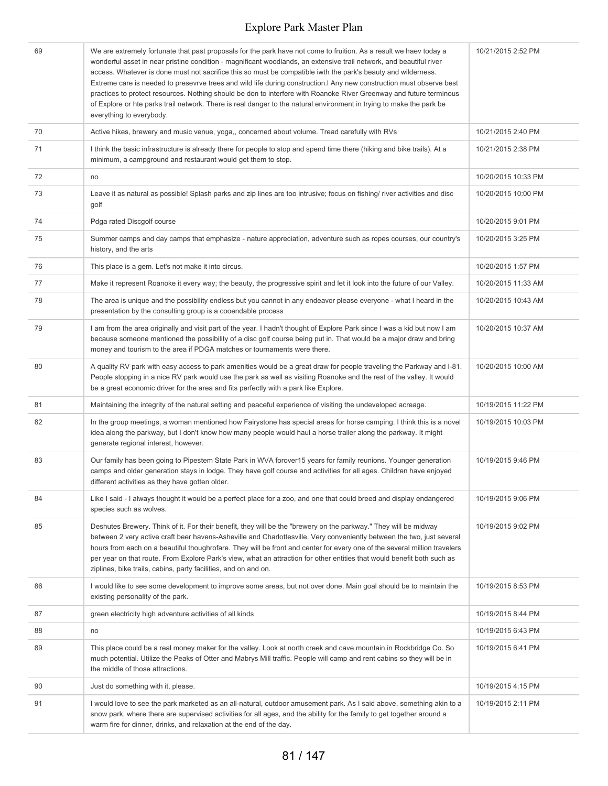| 69 | We are extremely fortunate that past proposals for the park have not come to fruition. As a result we haev today a<br>wonderful asset in near pristine condition - magnificant woodlands, an extensive trail network, and beautiful river<br>access. Whatever is done must not sacrifice this so must be compatible iwth the park's beauty and wilderness.<br>Extreme care is needed to presevrve trees and wild life during construction. Any new construction must observe best<br>practices to protect resources. Nothing should be don to interfere with Roanoke River Greenway and future terminous<br>of Explore or hte parks trail network. There is real danger to the natural environment in trying to make the park be<br>everything to everybody. | 10/21/2015 2:52 PM  |
|----|--------------------------------------------------------------------------------------------------------------------------------------------------------------------------------------------------------------------------------------------------------------------------------------------------------------------------------------------------------------------------------------------------------------------------------------------------------------------------------------------------------------------------------------------------------------------------------------------------------------------------------------------------------------------------------------------------------------------------------------------------------------|---------------------|
| 70 | Active hikes, brewery and music venue, yoga,, concerned about volume. Tread carefully with RVs                                                                                                                                                                                                                                                                                                                                                                                                                                                                                                                                                                                                                                                               | 10/21/2015 2:40 PM  |
| 71 | I think the basic infrastructure is already there for people to stop and spend time there (hiking and bike trails). At a<br>minimum, a campground and restaurant would get them to stop.                                                                                                                                                                                                                                                                                                                                                                                                                                                                                                                                                                     | 10/21/2015 2:38 PM  |
| 72 | no                                                                                                                                                                                                                                                                                                                                                                                                                                                                                                                                                                                                                                                                                                                                                           | 10/20/2015 10:33 PM |
| 73 | Leave it as natural as possible! Splash parks and zip lines are too intrusive; focus on fishing/ river activities and disc<br>golf                                                                                                                                                                                                                                                                                                                                                                                                                                                                                                                                                                                                                           | 10/20/2015 10:00 PM |
| 74 | Pdga rated Discgolf course                                                                                                                                                                                                                                                                                                                                                                                                                                                                                                                                                                                                                                                                                                                                   | 10/20/2015 9:01 PM  |
| 75 | Summer camps and day camps that emphasize - nature appreciation, adventure such as ropes courses, our country's<br>history, and the arts                                                                                                                                                                                                                                                                                                                                                                                                                                                                                                                                                                                                                     | 10/20/2015 3:25 PM  |
| 76 | This place is a gem. Let's not make it into circus.                                                                                                                                                                                                                                                                                                                                                                                                                                                                                                                                                                                                                                                                                                          | 10/20/2015 1:57 PM  |
| 77 | Make it represent Roanoke it every way; the beauty, the progressive spirit and let it look into the future of our Valley.                                                                                                                                                                                                                                                                                                                                                                                                                                                                                                                                                                                                                                    | 10/20/2015 11:33 AM |
| 78 | The area is unique and the possibility endless but you cannot in any endeavor please everyone - what I heard in the<br>presentation by the consulting group is a cooendable process                                                                                                                                                                                                                                                                                                                                                                                                                                                                                                                                                                          | 10/20/2015 10:43 AM |
| 79 | I am from the area originally and visit part of the year. I hadn't thought of Explore Park since I was a kid but now I am<br>because someone mentioned the possibility of a disc golf course being put in. That would be a major draw and bring<br>money and tourism to the area if PDGA matches or tournaments were there.                                                                                                                                                                                                                                                                                                                                                                                                                                  | 10/20/2015 10:37 AM |
| 80 | A quality RV park with easy access to park amenities would be a great draw for people traveling the Parkway and I-81.<br>People stopping in a nice RV park would use the park as well as visiting Roanoke and the rest of the valley. It would<br>be a great economic driver for the area and fits perfectly with a park like Explore.                                                                                                                                                                                                                                                                                                                                                                                                                       | 10/20/2015 10:00 AM |
| 81 | Maintaining the integrity of the natural setting and peaceful experience of visiting the undeveloped acreage.                                                                                                                                                                                                                                                                                                                                                                                                                                                                                                                                                                                                                                                | 10/19/2015 11:22 PM |
| 82 | In the group meetings, a woman mentioned how Fairystone has special areas for horse camping. I think this is a novel<br>idea along the parkway, but I don't know how many people would haul a horse trailer along the parkway. It might<br>generate regional interest, however.                                                                                                                                                                                                                                                                                                                                                                                                                                                                              | 10/19/2015 10:03 PM |
| 83 | Our family has been going to Pipestem State Park in WVA forover15 years for family reunions. Younger generation<br>camps and older generation stays in lodge. They have golf course and activities for all ages. Children have enjoyed<br>different activities as they have gotten older.                                                                                                                                                                                                                                                                                                                                                                                                                                                                    | 10/19/2015 9:46 PM  |
| 84 | Like I said - I always thought it would be a perfect place for a zoo, and one that could breed and display endangered<br>species such as wolves.                                                                                                                                                                                                                                                                                                                                                                                                                                                                                                                                                                                                             | 10/19/2015 9:06 PM  |
| 85 | Deshutes Brewery. Think of it. For their benefit, they will be the "brewery on the parkway." They will be midway<br>between 2 very active craft beer havens-Asheville and Charlottesville. Very conveniently between the two, just several<br>hours from each on a beautiful thoughrofare. They will be front and center for every one of the several million travelers<br>per year on that route. From Explore Park's view, what an attraction for other entities that would benefit both such as<br>ziplines, bike trails, cabins, party facilities, and on and on.                                                                                                                                                                                        | 10/19/2015 9:02 PM  |
| 86 | I would like to see some development to improve some areas, but not over done. Main goal should be to maintain the<br>existing personality of the park.                                                                                                                                                                                                                                                                                                                                                                                                                                                                                                                                                                                                      | 10/19/2015 8:53 PM  |
| 87 | green electricity high adventure activities of all kinds                                                                                                                                                                                                                                                                                                                                                                                                                                                                                                                                                                                                                                                                                                     | 10/19/2015 8:44 PM  |
| 88 | no                                                                                                                                                                                                                                                                                                                                                                                                                                                                                                                                                                                                                                                                                                                                                           | 10/19/2015 6:43 PM  |
| 89 | This place could be a real money maker for the valley. Look at north creek and cave mountain in Rockbridge Co. So<br>much potential. Utilize the Peaks of Otter and Mabrys Mill traffic. People will camp and rent cabins so they will be in<br>the middle of those attractions.                                                                                                                                                                                                                                                                                                                                                                                                                                                                             | 10/19/2015 6:41 PM  |
| 90 | Just do something with it, please.                                                                                                                                                                                                                                                                                                                                                                                                                                                                                                                                                                                                                                                                                                                           | 10/19/2015 4:15 PM  |
| 91 | I would love to see the park marketed as an all-natural, outdoor amusement park. As I said above, something akin to a<br>snow park, where there are supervised activities for all ages, and the ability for the family to get together around a<br>warm fire for dinner, drinks, and relaxation at the end of the day.                                                                                                                                                                                                                                                                                                                                                                                                                                       | 10/19/2015 2:11 PM  |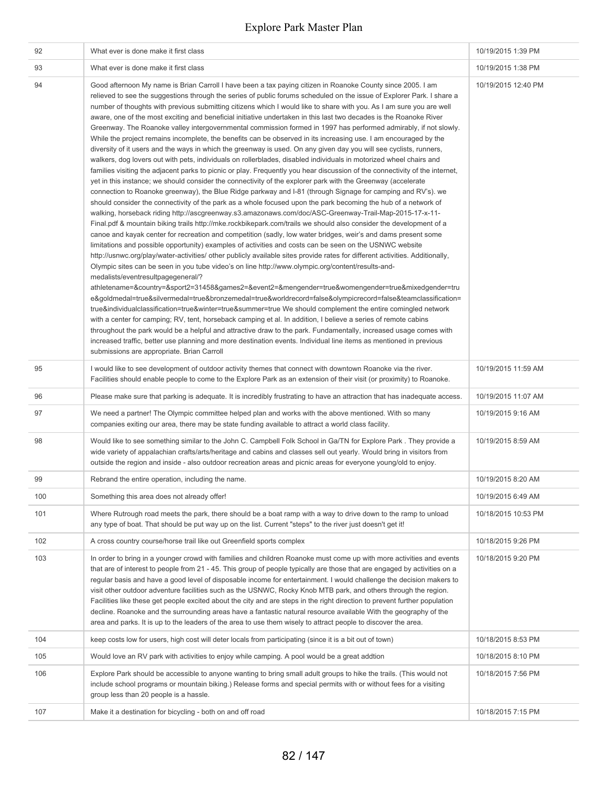| 92  | What ever is done make it first class                                                                                                                                                                                                                                                                                                                                                                                                                                                                                                                                                                                                                                                                                                                                                                                                                                                                                                                                                                                                                                                                                                                                                                                                                                                                                                                                                                                                                                                                                                                                                                                                                                                                                                                                                                                                                                                                                                                                                                                                                                                                                                                                                                                                                                                                                                                                                                                                                                                                                                                                                                                                                                                                                                                                                                                                                                                                                                           | 10/19/2015 1:39 PM  |
|-----|-------------------------------------------------------------------------------------------------------------------------------------------------------------------------------------------------------------------------------------------------------------------------------------------------------------------------------------------------------------------------------------------------------------------------------------------------------------------------------------------------------------------------------------------------------------------------------------------------------------------------------------------------------------------------------------------------------------------------------------------------------------------------------------------------------------------------------------------------------------------------------------------------------------------------------------------------------------------------------------------------------------------------------------------------------------------------------------------------------------------------------------------------------------------------------------------------------------------------------------------------------------------------------------------------------------------------------------------------------------------------------------------------------------------------------------------------------------------------------------------------------------------------------------------------------------------------------------------------------------------------------------------------------------------------------------------------------------------------------------------------------------------------------------------------------------------------------------------------------------------------------------------------------------------------------------------------------------------------------------------------------------------------------------------------------------------------------------------------------------------------------------------------------------------------------------------------------------------------------------------------------------------------------------------------------------------------------------------------------------------------------------------------------------------------------------------------------------------------------------------------------------------------------------------------------------------------------------------------------------------------------------------------------------------------------------------------------------------------------------------------------------------------------------------------------------------------------------------------------------------------------------------------------------------------------------------------|---------------------|
| 93  | What ever is done make it first class                                                                                                                                                                                                                                                                                                                                                                                                                                                                                                                                                                                                                                                                                                                                                                                                                                                                                                                                                                                                                                                                                                                                                                                                                                                                                                                                                                                                                                                                                                                                                                                                                                                                                                                                                                                                                                                                                                                                                                                                                                                                                                                                                                                                                                                                                                                                                                                                                                                                                                                                                                                                                                                                                                                                                                                                                                                                                                           | 10/19/2015 1:38 PM  |
| 94  | Good afternoon My name is Brian Carroll I have been a tax paying citizen in Roanoke County since 2005. I am<br>relieved to see the suggestions through the series of public forums scheduled on the issue of Explorer Park. I share a<br>number of thoughts with previous submitting citizens which I would like to share with you. As I am sure you are well<br>aware, one of the most exciting and beneficial initiative undertaken in this last two decades is the Roanoke River<br>Greenway. The Roanoke valley intergovernmental commission formed in 1997 has performed admirably, if not slowly.<br>While the project remains incomplete, the benefits can be observed in its increasing use. I am encouraged by the<br>diversity of it users and the ways in which the greenway is used. On any given day you will see cyclists, runners,<br>walkers, dog lovers out with pets, individuals on rollerblades, disabled individuals in motorized wheel chairs and<br>families visiting the adjacent parks to picnic or play. Frequently you hear discussion of the connectivity of the internet,<br>yet in this instance; we should consider the connectivity of the explorer park with the Greenway (accelerate<br>connection to Roanoke greenway), the Blue Ridge parkway and I-81 (through Signage for camping and RV's). we<br>should consider the connectivity of the park as a whole focused upon the park becoming the hub of a network of<br>walking, horseback riding http://ascgreenway.s3.amazonaws.com/doc/ASC-Greenway-Trail-Map-2015-17-x-11-<br>Final.pdf & mountain biking trails http://mke.rockbikepark.com/trails we should also consider the development of a<br>canoe and kayak center for recreation and competition (sadly, low water bridges, weir's and dams present some<br>limitations and possible opportunity) examples of activities and costs can be seen on the USNWC website<br>http://usnwc.org/play/water-activities/ other publicly available sites provide rates for different activities. Additionally,<br>Olympic sites can be seen in you tube video's on line http://www.olympic.org/content/results-and-<br>medalists/eventresultpagegeneral/?<br>athletename=&country=&sport2=31458&games2=&event2=&mengender=true&womengender=true&mixedgender=tru<br>e&goldmedal=true&silvermedal=true&bronzemedal=true&worldrecord=false&olympicrecord=false&teamclassification=<br>true&individualclassification=true&winter=true&summer=true We should complement the entire comingled network<br>with a center for camping; RV, tent, horseback camping et al. In addition, I believe a series of remote cabins<br>throughout the park would be a helpful and attractive draw to the park. Fundamentally, increased usage comes with<br>increased traffic, better use planning and more destination events. Individual line items as mentioned in previous<br>submissions are appropriate. Brian Carroll | 10/19/2015 12:40 PM |
| 95  | I would like to see development of outdoor activity themes that connect with downtown Roanoke via the river.<br>Facilities should enable people to come to the Explore Park as an extension of their visit (or proximity) to Roanoke.                                                                                                                                                                                                                                                                                                                                                                                                                                                                                                                                                                                                                                                                                                                                                                                                                                                                                                                                                                                                                                                                                                                                                                                                                                                                                                                                                                                                                                                                                                                                                                                                                                                                                                                                                                                                                                                                                                                                                                                                                                                                                                                                                                                                                                                                                                                                                                                                                                                                                                                                                                                                                                                                                                           | 10/19/2015 11:59 AM |
| 96  | Please make sure that parking is adequate. It is incredibly frustrating to have an attraction that has inadequate access.                                                                                                                                                                                                                                                                                                                                                                                                                                                                                                                                                                                                                                                                                                                                                                                                                                                                                                                                                                                                                                                                                                                                                                                                                                                                                                                                                                                                                                                                                                                                                                                                                                                                                                                                                                                                                                                                                                                                                                                                                                                                                                                                                                                                                                                                                                                                                                                                                                                                                                                                                                                                                                                                                                                                                                                                                       | 10/19/2015 11:07 AM |
| 97  | We need a partner! The Olympic committee helped plan and works with the above mentioned. With so many<br>companies exiting our area, there may be state funding available to attract a world class facility.                                                                                                                                                                                                                                                                                                                                                                                                                                                                                                                                                                                                                                                                                                                                                                                                                                                                                                                                                                                                                                                                                                                                                                                                                                                                                                                                                                                                                                                                                                                                                                                                                                                                                                                                                                                                                                                                                                                                                                                                                                                                                                                                                                                                                                                                                                                                                                                                                                                                                                                                                                                                                                                                                                                                    | 10/19/2015 9:16 AM  |
| 98  | Would like to see something similar to the John C. Campbell Folk School in Ga/TN for Explore Park. They provide a<br>wide variety of appalachian crafts/arts/heritage and cabins and classes sell out yearly. Would bring in visitors from<br>outside the region and inside - also outdoor recreation areas and picnic areas for everyone young/old to enjoy.                                                                                                                                                                                                                                                                                                                                                                                                                                                                                                                                                                                                                                                                                                                                                                                                                                                                                                                                                                                                                                                                                                                                                                                                                                                                                                                                                                                                                                                                                                                                                                                                                                                                                                                                                                                                                                                                                                                                                                                                                                                                                                                                                                                                                                                                                                                                                                                                                                                                                                                                                                                   | 10/19/2015 8:59 AM  |
| 99  | Rebrand the entire operation, including the name.                                                                                                                                                                                                                                                                                                                                                                                                                                                                                                                                                                                                                                                                                                                                                                                                                                                                                                                                                                                                                                                                                                                                                                                                                                                                                                                                                                                                                                                                                                                                                                                                                                                                                                                                                                                                                                                                                                                                                                                                                                                                                                                                                                                                                                                                                                                                                                                                                                                                                                                                                                                                                                                                                                                                                                                                                                                                                               | 10/19/2015 8:20 AM  |
| 100 | Something this area does not already offer!                                                                                                                                                                                                                                                                                                                                                                                                                                                                                                                                                                                                                                                                                                                                                                                                                                                                                                                                                                                                                                                                                                                                                                                                                                                                                                                                                                                                                                                                                                                                                                                                                                                                                                                                                                                                                                                                                                                                                                                                                                                                                                                                                                                                                                                                                                                                                                                                                                                                                                                                                                                                                                                                                                                                                                                                                                                                                                     | 10/19/2015 6:49 AM  |
| 101 | Where Rutrough road meets the park, there should be a boat ramp with a way to drive down to the ramp to unload<br>any type of boat. That should be put way up on the list. Current "steps" to the river just doesn't get it!                                                                                                                                                                                                                                                                                                                                                                                                                                                                                                                                                                                                                                                                                                                                                                                                                                                                                                                                                                                                                                                                                                                                                                                                                                                                                                                                                                                                                                                                                                                                                                                                                                                                                                                                                                                                                                                                                                                                                                                                                                                                                                                                                                                                                                                                                                                                                                                                                                                                                                                                                                                                                                                                                                                    | 10/18/2015 10:53 PM |
| 102 | A cross country course/horse trail like out Greenfield sports complex                                                                                                                                                                                                                                                                                                                                                                                                                                                                                                                                                                                                                                                                                                                                                                                                                                                                                                                                                                                                                                                                                                                                                                                                                                                                                                                                                                                                                                                                                                                                                                                                                                                                                                                                                                                                                                                                                                                                                                                                                                                                                                                                                                                                                                                                                                                                                                                                                                                                                                                                                                                                                                                                                                                                                                                                                                                                           | 10/18/2015 9:26 PM  |
| 103 | In order to bring in a younger crowd with families and children Roanoke must come up with more activities and events<br>that are of interest to people from 21 - 45. This group of people typically are those that are engaged by activities on a<br>regular basis and have a good level of disposable income for entertainment. I would challenge the decision makers to<br>visit other outdoor adventure facilities such as the USNWC, Rocky Knob MTB park, and others through the region.<br>Facilities like these get people excited about the city and are steps in the right direction to prevent further population<br>decline. Roanoke and the surrounding areas have a fantastic natural resource available With the geography of the<br>area and parks. It is up to the leaders of the area to use them wisely to attract people to discover the area.                                                                                                                                                                                                                                                                                                                                                                                                                                                                                                                                                                                                                                                                                                                                                                                                                                                                                                                                                                                                                                                                                                                                                                                                                                                                                                                                                                                                                                                                                                                                                                                                                                                                                                                                                                                                                                                                                                                                                                                                                                                                                | 10/18/2015 9:20 PM  |
| 104 | keep costs low for users, high cost will deter locals from participating (since it is a bit out of town)                                                                                                                                                                                                                                                                                                                                                                                                                                                                                                                                                                                                                                                                                                                                                                                                                                                                                                                                                                                                                                                                                                                                                                                                                                                                                                                                                                                                                                                                                                                                                                                                                                                                                                                                                                                                                                                                                                                                                                                                                                                                                                                                                                                                                                                                                                                                                                                                                                                                                                                                                                                                                                                                                                                                                                                                                                        | 10/18/2015 8:53 PM  |
| 105 | Would love an RV park with activities to enjoy while camping. A pool would be a great addtion                                                                                                                                                                                                                                                                                                                                                                                                                                                                                                                                                                                                                                                                                                                                                                                                                                                                                                                                                                                                                                                                                                                                                                                                                                                                                                                                                                                                                                                                                                                                                                                                                                                                                                                                                                                                                                                                                                                                                                                                                                                                                                                                                                                                                                                                                                                                                                                                                                                                                                                                                                                                                                                                                                                                                                                                                                                   | 10/18/2015 8:10 PM  |
| 106 | Explore Park should be accessible to anyone wanting to bring small adult groups to hike the trails. (This would not<br>include school programs or mountain biking.) Release forms and special permits with or without fees for a visiting<br>group less than 20 people is a hassle.                                                                                                                                                                                                                                                                                                                                                                                                                                                                                                                                                                                                                                                                                                                                                                                                                                                                                                                                                                                                                                                                                                                                                                                                                                                                                                                                                                                                                                                                                                                                                                                                                                                                                                                                                                                                                                                                                                                                                                                                                                                                                                                                                                                                                                                                                                                                                                                                                                                                                                                                                                                                                                                             | 10/18/2015 7:56 PM  |
| 107 | Make it a destination for bicycling - both on and off road                                                                                                                                                                                                                                                                                                                                                                                                                                                                                                                                                                                                                                                                                                                                                                                                                                                                                                                                                                                                                                                                                                                                                                                                                                                                                                                                                                                                                                                                                                                                                                                                                                                                                                                                                                                                                                                                                                                                                                                                                                                                                                                                                                                                                                                                                                                                                                                                                                                                                                                                                                                                                                                                                                                                                                                                                                                                                      | 10/18/2015 7:15 PM  |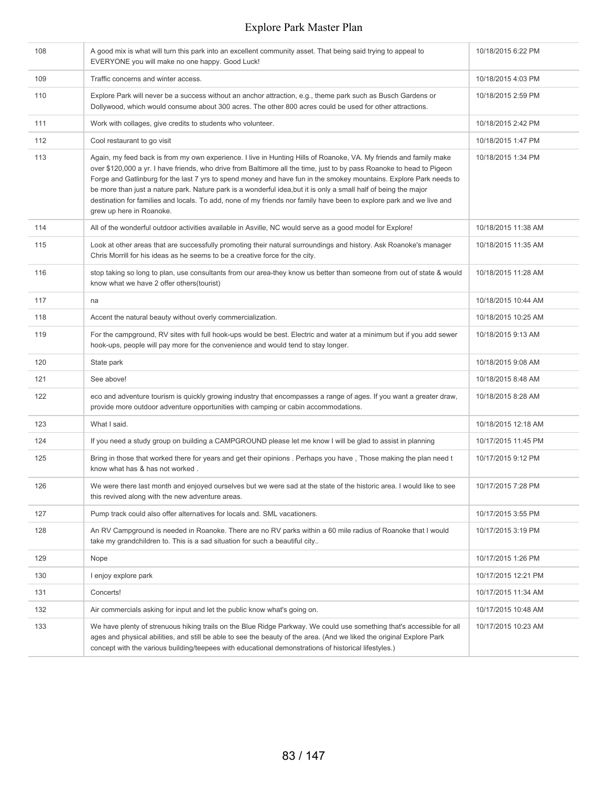| 108 | A good mix is what will turn this park into an excellent community asset. That being said trying to appeal to<br>EVERYONE you will make no one happy. Good Luck!                                                                                                                                                                                                                                                                                                                                                                                                                                                                         | 10/18/2015 6:22 PM  |
|-----|------------------------------------------------------------------------------------------------------------------------------------------------------------------------------------------------------------------------------------------------------------------------------------------------------------------------------------------------------------------------------------------------------------------------------------------------------------------------------------------------------------------------------------------------------------------------------------------------------------------------------------------|---------------------|
| 109 | Traffic concerns and winter access.                                                                                                                                                                                                                                                                                                                                                                                                                                                                                                                                                                                                      | 10/18/2015 4:03 PM  |
| 110 | Explore Park will never be a success without an anchor attraction, e.g., theme park such as Busch Gardens or<br>Dollywood, which would consume about 300 acres. The other 800 acres could be used for other attractions.                                                                                                                                                                                                                                                                                                                                                                                                                 | 10/18/2015 2:59 PM  |
| 111 | Work with collages, give credits to students who volunteer.                                                                                                                                                                                                                                                                                                                                                                                                                                                                                                                                                                              | 10/18/2015 2:42 PM  |
| 112 | Cool restaurant to go visit                                                                                                                                                                                                                                                                                                                                                                                                                                                                                                                                                                                                              | 10/18/2015 1:47 PM  |
| 113 | Again, my feed back is from my own experience. I live in Hunting Hills of Roanoke, VA. My friends and family make<br>over \$120,000 a yr. I have friends, who drive from Baltimore all the time, just to by pass Roanoke to head to Pigeon<br>Forge and Gatlinburg for the last 7 yrs to spend money and have fun in the smokey mountains. Explore Park needs to<br>be more than just a nature park. Nature park is a wonderful idea, but it is only a small half of being the major<br>destination for families and locals. To add, none of my friends nor family have been to explore park and we live and<br>grew up here in Roanoke. | 10/18/2015 1:34 PM  |
| 114 | All of the wonderful outdoor activities available in Asville, NC would serve as a good model for Explore!                                                                                                                                                                                                                                                                                                                                                                                                                                                                                                                                | 10/18/2015 11:38 AM |
| 115 | Look at other areas that are successfully promoting their natural surroundings and history. Ask Roanoke's manager<br>Chris Morrill for his ideas as he seems to be a creative force for the city.                                                                                                                                                                                                                                                                                                                                                                                                                                        | 10/18/2015 11:35 AM |
| 116 | stop taking so long to plan, use consultants from our area-they know us better than someone from out of state & would<br>know what we have 2 offer others(tourist)                                                                                                                                                                                                                                                                                                                                                                                                                                                                       | 10/18/2015 11:28 AM |
| 117 | na                                                                                                                                                                                                                                                                                                                                                                                                                                                                                                                                                                                                                                       | 10/18/2015 10:44 AM |
| 118 | Accent the natural beauty without overly commercialization.                                                                                                                                                                                                                                                                                                                                                                                                                                                                                                                                                                              | 10/18/2015 10:25 AM |
| 119 | For the campground, RV sites with full hook-ups would be best. Electric and water at a minimum but if you add sewer<br>hook-ups, people will pay more for the convenience and would tend to stay longer.                                                                                                                                                                                                                                                                                                                                                                                                                                 | 10/18/2015 9:13 AM  |
| 120 | State park                                                                                                                                                                                                                                                                                                                                                                                                                                                                                                                                                                                                                               | 10/18/2015 9:08 AM  |
| 121 | See above!                                                                                                                                                                                                                                                                                                                                                                                                                                                                                                                                                                                                                               | 10/18/2015 8:48 AM  |
| 122 | eco and adventure tourism is quickly growing industry that encompasses a range of ages. If you want a greater draw,<br>provide more outdoor adventure opportunities with camping or cabin accommodations.                                                                                                                                                                                                                                                                                                                                                                                                                                | 10/18/2015 8:28 AM  |
| 123 | What I said.                                                                                                                                                                                                                                                                                                                                                                                                                                                                                                                                                                                                                             | 10/18/2015 12:18 AM |
| 124 | If you need a study group on building a CAMPGROUND please let me know I will be glad to assist in planning                                                                                                                                                                                                                                                                                                                                                                                                                                                                                                                               | 10/17/2015 11:45 PM |
| 125 | Bring in those that worked there for years and get their opinions . Perhaps you have, Those making the plan need t<br>know what has & has not worked.                                                                                                                                                                                                                                                                                                                                                                                                                                                                                    | 10/17/2015 9:12 PM  |
| 126 | We were there last month and enjoyed ourselves but we were sad at the state of the historic area. I would like to see<br>this revived along with the new adventure areas.                                                                                                                                                                                                                                                                                                                                                                                                                                                                | 10/17/2015 7:28 PM  |
| 127 | Pump track could also offer alternatives for locals and. SML vacationers.                                                                                                                                                                                                                                                                                                                                                                                                                                                                                                                                                                | 10/17/2015 3:55 PM  |
| 128 | An RV Campground is needed in Roanoke. There are no RV parks within a 60 mile radius of Roanoke that I would<br>take my grandchildren to. This is a sad situation for such a beautiful city                                                                                                                                                                                                                                                                                                                                                                                                                                              | 10/17/2015 3:19 PM  |
| 129 | Nope                                                                                                                                                                                                                                                                                                                                                                                                                                                                                                                                                                                                                                     | 10/17/2015 1:26 PM  |
| 130 | I enjoy explore park                                                                                                                                                                                                                                                                                                                                                                                                                                                                                                                                                                                                                     | 10/17/2015 12:21 PM |
| 131 | Concerts!                                                                                                                                                                                                                                                                                                                                                                                                                                                                                                                                                                                                                                | 10/17/2015 11:34 AM |
| 132 | Air commercials asking for input and let the public know what's going on.                                                                                                                                                                                                                                                                                                                                                                                                                                                                                                                                                                | 10/17/2015 10:48 AM |
| 133 | We have plenty of strenuous hiking trails on the Blue Ridge Parkway. We could use something that's accessible for all<br>ages and physical abilities, and still be able to see the beauty of the area. (And we liked the original Explore Park<br>concept with the various building/teepees with educational demonstrations of historical lifestyles.)                                                                                                                                                                                                                                                                                   | 10/17/2015 10:23 AM |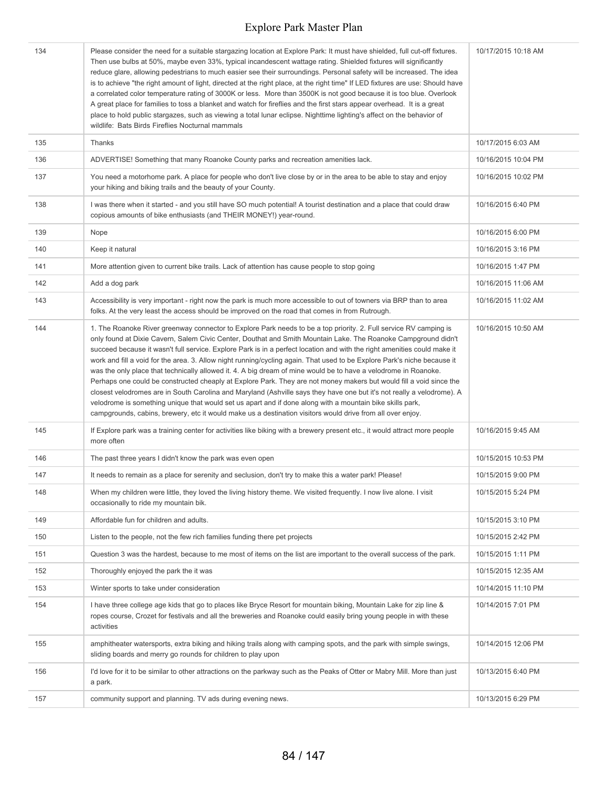| 134 | Please consider the need for a suitable stargazing location at Explore Park: It must have shielded, full cut-off fixtures.<br>Then use bulbs at 50%, maybe even 33%, typical incandescent wattage rating. Shielded fixtures will significantly<br>reduce glare, allowing pedestrians to much easier see their surroundings. Personal safety will be increased. The idea<br>is to achieve "the right amount of light, directed at the right place, at the right time" If LED fixtures are use: Should have<br>a correlated color temperature rating of 3000K or less. More than 3500K is not good because it is too blue. Overlook<br>A great place for families to toss a blanket and watch for fireflies and the first stars appear overhead. It is a great<br>place to hold public stargazes, such as viewing a total lunar eclipse. Nighttime lighting's affect on the behavior of<br>wildlife: Bats Birds Fireflies Nocturnal mammals                                                                                                                                                  | 10/17/2015 10:18 AM |
|-----|--------------------------------------------------------------------------------------------------------------------------------------------------------------------------------------------------------------------------------------------------------------------------------------------------------------------------------------------------------------------------------------------------------------------------------------------------------------------------------------------------------------------------------------------------------------------------------------------------------------------------------------------------------------------------------------------------------------------------------------------------------------------------------------------------------------------------------------------------------------------------------------------------------------------------------------------------------------------------------------------------------------------------------------------------------------------------------------------|---------------------|
| 135 | Thanks                                                                                                                                                                                                                                                                                                                                                                                                                                                                                                                                                                                                                                                                                                                                                                                                                                                                                                                                                                                                                                                                                     | 10/17/2015 6:03 AM  |
| 136 | ADVERTISE! Something that many Roanoke County parks and recreation amenities lack.                                                                                                                                                                                                                                                                                                                                                                                                                                                                                                                                                                                                                                                                                                                                                                                                                                                                                                                                                                                                         | 10/16/2015 10:04 PM |
| 137 | You need a motorhome park. A place for people who don't live close by or in the area to be able to stay and enjoy<br>your hiking and biking trails and the beauty of your County.                                                                                                                                                                                                                                                                                                                                                                                                                                                                                                                                                                                                                                                                                                                                                                                                                                                                                                          | 10/16/2015 10:02 PM |
| 138 | I was there when it started - and you still have SO much potential! A tourist destination and a place that could draw<br>copious amounts of bike enthusiasts (and THEIR MONEY!) year-round.                                                                                                                                                                                                                                                                                                                                                                                                                                                                                                                                                                                                                                                                                                                                                                                                                                                                                                | 10/16/2015 6:40 PM  |
| 139 | Nope                                                                                                                                                                                                                                                                                                                                                                                                                                                                                                                                                                                                                                                                                                                                                                                                                                                                                                                                                                                                                                                                                       | 10/16/2015 6:00 PM  |
| 140 | Keep it natural                                                                                                                                                                                                                                                                                                                                                                                                                                                                                                                                                                                                                                                                                                                                                                                                                                                                                                                                                                                                                                                                            | 10/16/2015 3:16 PM  |
| 141 | More attention given to current bike trails. Lack of attention has cause people to stop going                                                                                                                                                                                                                                                                                                                                                                                                                                                                                                                                                                                                                                                                                                                                                                                                                                                                                                                                                                                              | 10/16/2015 1:47 PM  |
| 142 | Add a dog park                                                                                                                                                                                                                                                                                                                                                                                                                                                                                                                                                                                                                                                                                                                                                                                                                                                                                                                                                                                                                                                                             | 10/16/2015 11:06 AM |
| 143 | Accessibility is very important - right now the park is much more accessible to out of towners via BRP than to area<br>folks. At the very least the access should be improved on the road that comes in from Rutrough.                                                                                                                                                                                                                                                                                                                                                                                                                                                                                                                                                                                                                                                                                                                                                                                                                                                                     | 10/16/2015 11:02 AM |
| 144 | 1. The Roanoke River greenway connector to Explore Park needs to be a top priority. 2. Full service RV camping is<br>only found at Dixie Cavern, Salem Civic Center, Douthat and Smith Mountain Lake. The Roanoke Campground didn't<br>succeed because it wasn't full service. Explore Park is in a perfect location and with the right amenities could make it<br>work and fill a void for the area. 3. Allow night running/cycling again. That used to be Explore Park's niche because it<br>was the only place that technically allowed it. 4. A big dream of mine would be to have a velodrome in Roanoke.<br>Perhaps one could be constructed cheaply at Explore Park. They are not money makers but would fill a void since the<br>closest velodromes are in South Carolina and Maryland (Ashville says they have one but it's not really a velodrome). A<br>velodrome is something unique that would set us apart and if done along with a mountain bike skills park,<br>campgrounds, cabins, brewery, etc it would make us a destination visitors would drive from all over enjoy. | 10/16/2015 10:50 AM |
| 145 | If Explore park was a training center for activities like biking with a brewery present etc., it would attract more people<br>more often                                                                                                                                                                                                                                                                                                                                                                                                                                                                                                                                                                                                                                                                                                                                                                                                                                                                                                                                                   | 10/16/2015 9:45 AM  |
| 146 | The past three years I didn't know the park was even open                                                                                                                                                                                                                                                                                                                                                                                                                                                                                                                                                                                                                                                                                                                                                                                                                                                                                                                                                                                                                                  | 10/15/2015 10:53 PM |
| 147 | It needs to remain as a place for serenity and seclusion, don't try to make this a water park! Please!                                                                                                                                                                                                                                                                                                                                                                                                                                                                                                                                                                                                                                                                                                                                                                                                                                                                                                                                                                                     | 10/15/2015 9:00 PM  |
| 148 | When my children were little, they loved the living history theme. We visited frequently. I now live alone. I visit<br>occasionally to ride my mountain bik.                                                                                                                                                                                                                                                                                                                                                                                                                                                                                                                                                                                                                                                                                                                                                                                                                                                                                                                               | 10/15/2015 5:24 PM  |
| 149 | Affordable fun for children and adults.                                                                                                                                                                                                                                                                                                                                                                                                                                                                                                                                                                                                                                                                                                                                                                                                                                                                                                                                                                                                                                                    | 10/15/2015 3:10 PM  |
| 150 | Listen to the people, not the few rich families funding there pet projects                                                                                                                                                                                                                                                                                                                                                                                                                                                                                                                                                                                                                                                                                                                                                                                                                                                                                                                                                                                                                 | 10/15/2015 2:42 PM  |
| 151 | Question 3 was the hardest, because to me most of items on the list are important to the overall success of the park.                                                                                                                                                                                                                                                                                                                                                                                                                                                                                                                                                                                                                                                                                                                                                                                                                                                                                                                                                                      | 10/15/2015 1:11 PM  |
| 152 | Thoroughly enjoyed the park the it was                                                                                                                                                                                                                                                                                                                                                                                                                                                                                                                                                                                                                                                                                                                                                                                                                                                                                                                                                                                                                                                     | 10/15/2015 12:35 AM |
| 153 | Winter sports to take under consideration                                                                                                                                                                                                                                                                                                                                                                                                                                                                                                                                                                                                                                                                                                                                                                                                                                                                                                                                                                                                                                                  | 10/14/2015 11:10 PM |
| 154 | I have three college age kids that go to places like Bryce Resort for mountain biking, Mountain Lake for zip line &<br>ropes course, Crozet for festivals and all the breweries and Roanoke could easily bring young people in with these<br>activities                                                                                                                                                                                                                                                                                                                                                                                                                                                                                                                                                                                                                                                                                                                                                                                                                                    | 10/14/2015 7:01 PM  |
| 155 | amphitheater watersports, extra biking and hiking trails along with camping spots, and the park with simple swings,<br>sliding boards and merry go rounds for children to play upon                                                                                                                                                                                                                                                                                                                                                                                                                                                                                                                                                                                                                                                                                                                                                                                                                                                                                                        | 10/14/2015 12:06 PM |
| 156 | I'd love for it to be similar to other attractions on the parkway such as the Peaks of Otter or Mabry Mill. More than just<br>a park.                                                                                                                                                                                                                                                                                                                                                                                                                                                                                                                                                                                                                                                                                                                                                                                                                                                                                                                                                      | 10/13/2015 6:40 PM  |
| 157 | community support and planning. TV ads during evening news.                                                                                                                                                                                                                                                                                                                                                                                                                                                                                                                                                                                                                                                                                                                                                                                                                                                                                                                                                                                                                                | 10/13/2015 6:29 PM  |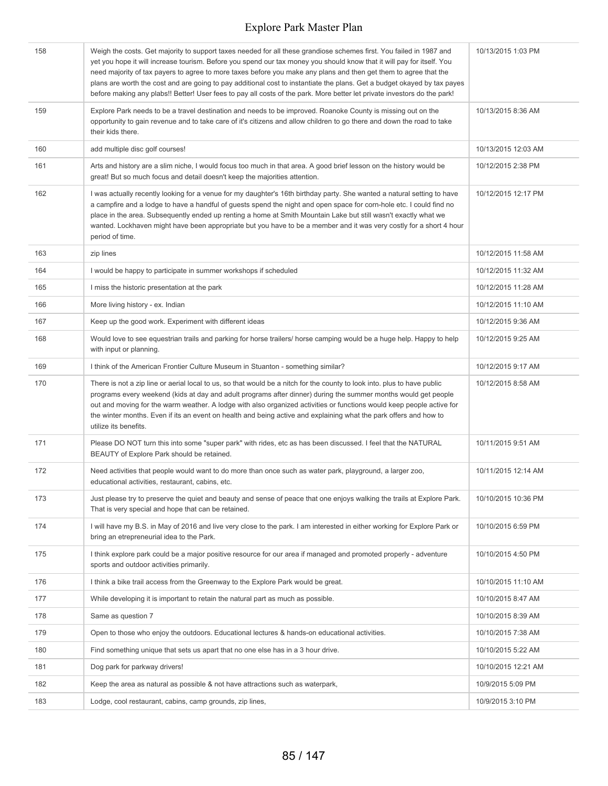| 158 | Weigh the costs. Get majority to support taxes needed for all these grandiose schemes first. You failed in 1987 and<br>yet you hope it will increase tourism. Before you spend our tax money you should know that it will pay for itself. You<br>need majority of tax payers to agree to more taxes before you make any plans and then get them to agree that the<br>plans are worth the cost and are going to pay additional cost to instantiate the plans. Get a budget okayed by tax payes<br>before making any plabs!! Better! User fees to pay all costs of the park. More better let private investors do the park! | 10/13/2015 1:03 PM  |
|-----|---------------------------------------------------------------------------------------------------------------------------------------------------------------------------------------------------------------------------------------------------------------------------------------------------------------------------------------------------------------------------------------------------------------------------------------------------------------------------------------------------------------------------------------------------------------------------------------------------------------------------|---------------------|
| 159 | Explore Park needs to be a travel destination and needs to be improved. Roanoke County is missing out on the<br>opportunity to gain revenue and to take care of it's citizens and allow children to go there and down the road to take<br>their kids there.                                                                                                                                                                                                                                                                                                                                                               | 10/13/2015 8:36 AM  |
| 160 | add multiple disc golf courses!                                                                                                                                                                                                                                                                                                                                                                                                                                                                                                                                                                                           | 10/13/2015 12:03 AM |
| 161 | Arts and history are a slim niche, I would focus too much in that area. A good brief lesson on the history would be<br>great! But so much focus and detail doesn't keep the majorities attention.                                                                                                                                                                                                                                                                                                                                                                                                                         | 10/12/2015 2:38 PM  |
| 162 | I was actually recently looking for a venue for my daughter's 16th birthday party. She wanted a natural setting to have<br>a campfire and a lodge to have a handful of guests spend the night and open space for corn-hole etc. I could find no<br>place in the area. Subsequently ended up renting a home at Smith Mountain Lake but still wasn't exactly what we<br>wanted. Lockhaven might have been appropriate but you have to be a member and it was very costly for a short 4 hour<br>period of time.                                                                                                              | 10/12/2015 12:17 PM |
| 163 | zip lines                                                                                                                                                                                                                                                                                                                                                                                                                                                                                                                                                                                                                 | 10/12/2015 11:58 AM |
| 164 | I would be happy to participate in summer workshops if scheduled                                                                                                                                                                                                                                                                                                                                                                                                                                                                                                                                                          | 10/12/2015 11:32 AM |
| 165 | I miss the historic presentation at the park                                                                                                                                                                                                                                                                                                                                                                                                                                                                                                                                                                              | 10/12/2015 11:28 AM |
| 166 | More living history - ex. Indian                                                                                                                                                                                                                                                                                                                                                                                                                                                                                                                                                                                          | 10/12/2015 11:10 AM |
| 167 | Keep up the good work. Experiment with different ideas                                                                                                                                                                                                                                                                                                                                                                                                                                                                                                                                                                    | 10/12/2015 9:36 AM  |
| 168 | Would love to see equestrian trails and parking for horse trailers/ horse camping would be a huge help. Happy to help<br>with input or planning.                                                                                                                                                                                                                                                                                                                                                                                                                                                                          | 10/12/2015 9:25 AM  |
| 169 | I think of the American Frontier Culture Museum in Stuanton - something similar?                                                                                                                                                                                                                                                                                                                                                                                                                                                                                                                                          | 10/12/2015 9:17 AM  |
| 170 | There is not a zip line or aerial local to us, so that would be a nitch for the county to look into. plus to have public<br>programs every weekend (kids at day and adult programs after dinner) during the summer months would get people<br>out and moving for the warm weather. A lodge with also organized activities or functions would keep people active for<br>the winter months. Even if its an event on health and being active and explaining what the park offers and how to<br>utilize its benefits.                                                                                                         | 10/12/2015 8:58 AM  |
| 171 | Please DO NOT turn this into some "super park" with rides, etc as has been discussed. I feel that the NATURAL<br>BEAUTY of Explore Park should be retained.                                                                                                                                                                                                                                                                                                                                                                                                                                                               | 10/11/2015 9:51 AM  |
| 172 | Need activities that people would want to do more than once such as water park, playground, a larger zoo,<br>educational activities, restaurant, cabins, etc.                                                                                                                                                                                                                                                                                                                                                                                                                                                             | 10/11/2015 12:14 AM |
| 173 | Just please try to preserve the quiet and beauty and sense of peace that one enjoys walking the trails at Explore Park.<br>That is very special and hope that can be retained.                                                                                                                                                                                                                                                                                                                                                                                                                                            | 10/10/2015 10:36 PM |
| 174 | I will have my B.S. in May of 2016 and live very close to the park. I am interested in either working for Explore Park or<br>bring an etrepreneurial idea to the Park.                                                                                                                                                                                                                                                                                                                                                                                                                                                    | 10/10/2015 6:59 PM  |
| 175 | I think explore park could be a major positive resource for our area if managed and promoted properly - adventure<br>sports and outdoor activities primarily.                                                                                                                                                                                                                                                                                                                                                                                                                                                             | 10/10/2015 4:50 PM  |
| 176 | I think a bike trail access from the Greenway to the Explore Park would be great.                                                                                                                                                                                                                                                                                                                                                                                                                                                                                                                                         | 10/10/2015 11:10 AM |
| 177 | While developing it is important to retain the natural part as much as possible.                                                                                                                                                                                                                                                                                                                                                                                                                                                                                                                                          | 10/10/2015 8:47 AM  |
| 178 | Same as question 7                                                                                                                                                                                                                                                                                                                                                                                                                                                                                                                                                                                                        | 10/10/2015 8:39 AM  |
| 179 | Open to those who enjoy the outdoors. Educational lectures & hands-on educational activities.                                                                                                                                                                                                                                                                                                                                                                                                                                                                                                                             | 10/10/2015 7:38 AM  |
| 180 | Find something unique that sets us apart that no one else has in a 3 hour drive.                                                                                                                                                                                                                                                                                                                                                                                                                                                                                                                                          | 10/10/2015 5:22 AM  |
| 181 | Dog park for parkway drivers!                                                                                                                                                                                                                                                                                                                                                                                                                                                                                                                                                                                             | 10/10/2015 12:21 AM |
| 182 | Keep the area as natural as possible & not have attractions such as waterpark,                                                                                                                                                                                                                                                                                                                                                                                                                                                                                                                                            | 10/9/2015 5:09 PM   |
| 183 | Lodge, cool restaurant, cabins, camp grounds, zip lines,                                                                                                                                                                                                                                                                                                                                                                                                                                                                                                                                                                  | 10/9/2015 3:10 PM   |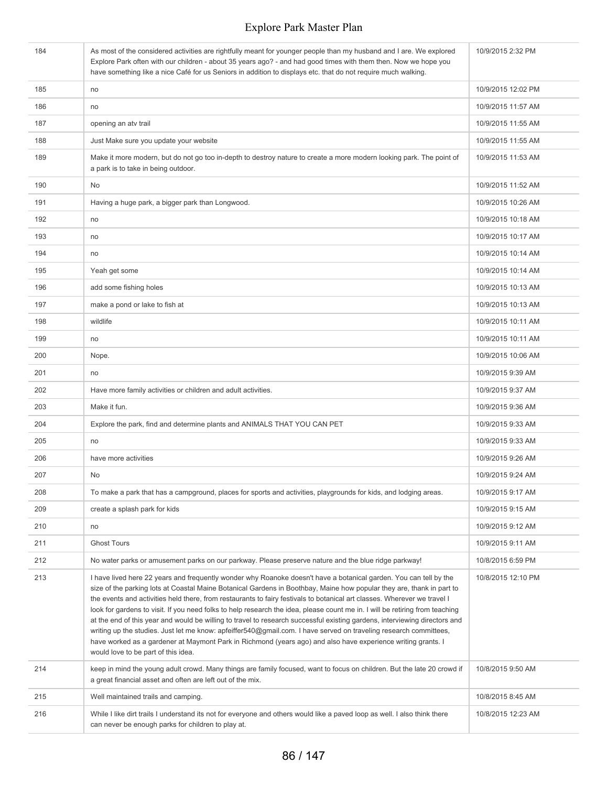| 184 | As most of the considered activities are rightfully meant for younger people than my husband and I are. We explored<br>Explore Park often with our children - about 35 years ago? - and had good times with them then. Now we hope you<br>have something like a nice Café for us Seniors in addition to displays etc. that do not require much walking.                                                                                                                                                                                                                                                                                                                                                                                                                                                                                                                                                          | 10/9/2015 2:32 PM  |
|-----|------------------------------------------------------------------------------------------------------------------------------------------------------------------------------------------------------------------------------------------------------------------------------------------------------------------------------------------------------------------------------------------------------------------------------------------------------------------------------------------------------------------------------------------------------------------------------------------------------------------------------------------------------------------------------------------------------------------------------------------------------------------------------------------------------------------------------------------------------------------------------------------------------------------|--------------------|
| 185 | no                                                                                                                                                                                                                                                                                                                                                                                                                                                                                                                                                                                                                                                                                                                                                                                                                                                                                                               | 10/9/2015 12:02 PM |
| 186 | no                                                                                                                                                                                                                                                                                                                                                                                                                                                                                                                                                                                                                                                                                                                                                                                                                                                                                                               | 10/9/2015 11:57 AM |
| 187 | opening an atv trail                                                                                                                                                                                                                                                                                                                                                                                                                                                                                                                                                                                                                                                                                                                                                                                                                                                                                             | 10/9/2015 11:55 AM |
| 188 | Just Make sure you update your website                                                                                                                                                                                                                                                                                                                                                                                                                                                                                                                                                                                                                                                                                                                                                                                                                                                                           | 10/9/2015 11:55 AM |
| 189 | Make it more modern, but do not go too in-depth to destroy nature to create a more modern looking park. The point of<br>a park is to take in being outdoor.                                                                                                                                                                                                                                                                                                                                                                                                                                                                                                                                                                                                                                                                                                                                                      | 10/9/2015 11:53 AM |
| 190 | No                                                                                                                                                                                                                                                                                                                                                                                                                                                                                                                                                                                                                                                                                                                                                                                                                                                                                                               | 10/9/2015 11:52 AM |
| 191 | Having a huge park, a bigger park than Longwood.                                                                                                                                                                                                                                                                                                                                                                                                                                                                                                                                                                                                                                                                                                                                                                                                                                                                 | 10/9/2015 10:26 AM |
| 192 | no                                                                                                                                                                                                                                                                                                                                                                                                                                                                                                                                                                                                                                                                                                                                                                                                                                                                                                               | 10/9/2015 10:18 AM |
| 193 | no                                                                                                                                                                                                                                                                                                                                                                                                                                                                                                                                                                                                                                                                                                                                                                                                                                                                                                               | 10/9/2015 10:17 AM |
| 194 | no                                                                                                                                                                                                                                                                                                                                                                                                                                                                                                                                                                                                                                                                                                                                                                                                                                                                                                               | 10/9/2015 10:14 AM |
| 195 | Yeah get some                                                                                                                                                                                                                                                                                                                                                                                                                                                                                                                                                                                                                                                                                                                                                                                                                                                                                                    | 10/9/2015 10:14 AM |
| 196 | add some fishing holes                                                                                                                                                                                                                                                                                                                                                                                                                                                                                                                                                                                                                                                                                                                                                                                                                                                                                           | 10/9/2015 10:13 AM |
| 197 | make a pond or lake to fish at                                                                                                                                                                                                                                                                                                                                                                                                                                                                                                                                                                                                                                                                                                                                                                                                                                                                                   | 10/9/2015 10:13 AM |
| 198 | wildlife                                                                                                                                                                                                                                                                                                                                                                                                                                                                                                                                                                                                                                                                                                                                                                                                                                                                                                         | 10/9/2015 10:11 AM |
| 199 | no                                                                                                                                                                                                                                                                                                                                                                                                                                                                                                                                                                                                                                                                                                                                                                                                                                                                                                               | 10/9/2015 10:11 AM |
| 200 | Nope.                                                                                                                                                                                                                                                                                                                                                                                                                                                                                                                                                                                                                                                                                                                                                                                                                                                                                                            | 10/9/2015 10:06 AM |
| 201 | no                                                                                                                                                                                                                                                                                                                                                                                                                                                                                                                                                                                                                                                                                                                                                                                                                                                                                                               | 10/9/2015 9:39 AM  |
| 202 | Have more family activities or children and adult activities.                                                                                                                                                                                                                                                                                                                                                                                                                                                                                                                                                                                                                                                                                                                                                                                                                                                    | 10/9/2015 9:37 AM  |
| 203 | Make it fun.                                                                                                                                                                                                                                                                                                                                                                                                                                                                                                                                                                                                                                                                                                                                                                                                                                                                                                     | 10/9/2015 9:36 AM  |
| 204 | Explore the park, find and determine plants and ANIMALS THAT YOU CAN PET                                                                                                                                                                                                                                                                                                                                                                                                                                                                                                                                                                                                                                                                                                                                                                                                                                         | 10/9/2015 9:33 AM  |
| 205 | no                                                                                                                                                                                                                                                                                                                                                                                                                                                                                                                                                                                                                                                                                                                                                                                                                                                                                                               | 10/9/2015 9:33 AM  |
| 206 | have more activities                                                                                                                                                                                                                                                                                                                                                                                                                                                                                                                                                                                                                                                                                                                                                                                                                                                                                             | 10/9/2015 9:26 AM  |
| 207 | <b>No</b>                                                                                                                                                                                                                                                                                                                                                                                                                                                                                                                                                                                                                                                                                                                                                                                                                                                                                                        | 10/9/2015 9:24 AM  |
| 208 | To make a park that has a campground, places for sports and activities, playgrounds for kids, and lodging areas.                                                                                                                                                                                                                                                                                                                                                                                                                                                                                                                                                                                                                                                                                                                                                                                                 | 10/9/2015 9:17 AM  |
| 209 | create a splash park for kids                                                                                                                                                                                                                                                                                                                                                                                                                                                                                                                                                                                                                                                                                                                                                                                                                                                                                    | 10/9/2015 9:15 AM  |
| 210 | no                                                                                                                                                                                                                                                                                                                                                                                                                                                                                                                                                                                                                                                                                                                                                                                                                                                                                                               | 10/9/2015 9:12 AM  |
| 211 | <b>Ghost Tours</b>                                                                                                                                                                                                                                                                                                                                                                                                                                                                                                                                                                                                                                                                                                                                                                                                                                                                                               | 10/9/2015 9:11 AM  |
| 212 | No water parks or amusement parks on our parkway. Please preserve nature and the blue ridge parkway!                                                                                                                                                                                                                                                                                                                                                                                                                                                                                                                                                                                                                                                                                                                                                                                                             | 10/8/2015 6:59 PM  |
| 213 | I have lived here 22 years and frequently wonder why Roanoke doesn't have a botanical garden. You can tell by the<br>size of the parking lots at Coastal Maine Botanical Gardens in Boothbay, Maine how popular they are, thank in part to<br>the events and activities held there, from restaurants to fairy festivals to botanical art classes. Wherever we travel I<br>look for gardens to visit. If you need folks to help research the idea, please count me in. I will be retiring from teaching<br>at the end of this year and would be willing to travel to research successful existing gardens, interviewing directors and<br>writing up the studies. Just let me know: apfeiffer540@gmail.com. I have served on traveling research committees,<br>have worked as a gardener at Maymont Park in Richmond (years ago) and also have experience writing grants. I<br>would love to be part of this idea. | 10/8/2015 12:10 PM |
| 214 | keep in mind the young adult crowd. Many things are family focused, want to focus on children. But the late 20 crowd if<br>a great financial asset and often are left out of the mix.                                                                                                                                                                                                                                                                                                                                                                                                                                                                                                                                                                                                                                                                                                                            | 10/8/2015 9:50 AM  |
| 215 | Well maintained trails and camping.                                                                                                                                                                                                                                                                                                                                                                                                                                                                                                                                                                                                                                                                                                                                                                                                                                                                              | 10/8/2015 8:45 AM  |
| 216 | While I like dirt trails I understand its not for everyone and others would like a paved loop as well. I also think there<br>can never be enough parks for children to play at.                                                                                                                                                                                                                                                                                                                                                                                                                                                                                                                                                                                                                                                                                                                                  | 10/8/2015 12:23 AM |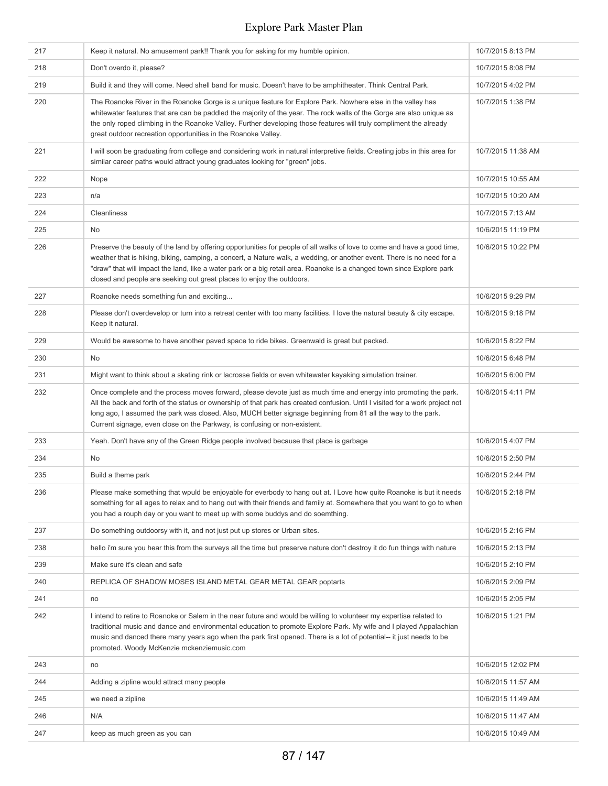| 217 | Keep it natural. No amusement park!! Thank you for asking for my humble opinion.                                                                                                                                                                                                                                                                                                                                                                     | 10/7/2015 8:13 PM  |
|-----|------------------------------------------------------------------------------------------------------------------------------------------------------------------------------------------------------------------------------------------------------------------------------------------------------------------------------------------------------------------------------------------------------------------------------------------------------|--------------------|
| 218 | Don't overdo it, please?                                                                                                                                                                                                                                                                                                                                                                                                                             | 10/7/2015 8:08 PM  |
| 219 | Build it and they will come. Need shell band for music. Doesn't have to be amphitheater. Think Central Park.                                                                                                                                                                                                                                                                                                                                         | 10/7/2015 4:02 PM  |
| 220 | The Roanoke River in the Roanoke Gorge is a unique feature for Explore Park. Nowhere else in the valley has<br>whitewater features that are can be paddled the majority of the year. The rock walls of the Gorge are also unique as<br>the only roped climbing in the Roanoke Valley. Further developing those features will truly compliment the already<br>great outdoor recreation opportunities in the Roanoke Valley.                           | 10/7/2015 1:38 PM  |
| 221 | I will soon be graduating from college and considering work in natural interpretive fields. Creating jobs in this area for<br>similar career paths would attract young graduates looking for "green" jobs.                                                                                                                                                                                                                                           | 10/7/2015 11:38 AM |
| 222 | Nope                                                                                                                                                                                                                                                                                                                                                                                                                                                 | 10/7/2015 10:55 AM |
| 223 | n/a                                                                                                                                                                                                                                                                                                                                                                                                                                                  | 10/7/2015 10:20 AM |
| 224 | Cleanliness                                                                                                                                                                                                                                                                                                                                                                                                                                          | 10/7/2015 7:13 AM  |
| 225 | No                                                                                                                                                                                                                                                                                                                                                                                                                                                   | 10/6/2015 11:19 PM |
| 226 | Preserve the beauty of the land by offering opportunities for people of all walks of love to come and have a good time,<br>weather that is hiking, biking, camping, a concert, a Nature walk, a wedding, or another event. There is no need for a<br>"draw" that will impact the land, like a water park or a big retail area. Roanoke is a changed town since Explore park<br>closed and people are seeking out great places to enjoy the outdoors. | 10/6/2015 10:22 PM |
| 227 | Roanoke needs something fun and exciting                                                                                                                                                                                                                                                                                                                                                                                                             | 10/6/2015 9:29 PM  |
| 228 | Please don't overdevelop or turn into a retreat center with too many facilities. I love the natural beauty & city escape.<br>Keep it natural.                                                                                                                                                                                                                                                                                                        | 10/6/2015 9:18 PM  |
| 229 | Would be awesome to have another paved space to ride bikes. Greenwald is great but packed.                                                                                                                                                                                                                                                                                                                                                           | 10/6/2015 8:22 PM  |
| 230 | No                                                                                                                                                                                                                                                                                                                                                                                                                                                   | 10/6/2015 6:48 PM  |
| 231 | Might want to think about a skating rink or lacrosse fields or even whitewater kayaking simulation trainer.                                                                                                                                                                                                                                                                                                                                          | 10/6/2015 6:00 PM  |
| 232 | Once complete and the process moves forward, please devote just as much time and energy into promoting the park.<br>All the back and forth of the status or ownership of that park has created confusion. Until I visited for a work project not<br>long ago, I assumed the park was closed. Also, MUCH better signage beginning from 81 all the way to the park.<br>Current signage, even close on the Parkway, is confusing or non-existent.       | 10/6/2015 4:11 PM  |
| 233 | Yeah. Don't have any of the Green Ridge people involved because that place is garbage                                                                                                                                                                                                                                                                                                                                                                | 10/6/2015 4:07 PM  |
| 234 | No                                                                                                                                                                                                                                                                                                                                                                                                                                                   | 10/6/2015 2:50 PM  |
| 235 | Build a theme park                                                                                                                                                                                                                                                                                                                                                                                                                                   | 10/6/2015 2:44 PM  |
| 236 | Please make something that wpuld be enjoyable for everbody to hang out at. I Love how quite Roanoke is but it needs<br>something for all ages to relax and to hang out with their friends and family at. Somewhere that you want to go to when<br>you had a rouph day or you want to meet up with some buddys and do soemthing.                                                                                                                      | 10/6/2015 2:18 PM  |
| 237 | Do something outdoorsy with it, and not just put up stores or Urban sites.                                                                                                                                                                                                                                                                                                                                                                           | 10/6/2015 2:16 PM  |
| 238 | hello i'm sure you hear this from the surveys all the time but preserve nature don't destroy it do fun things with nature                                                                                                                                                                                                                                                                                                                            | 10/6/2015 2:13 PM  |
| 239 | Make sure it's clean and safe                                                                                                                                                                                                                                                                                                                                                                                                                        | 10/6/2015 2:10 PM  |
| 240 | REPLICA OF SHADOW MOSES ISLAND METAL GEAR METAL GEAR poptarts                                                                                                                                                                                                                                                                                                                                                                                        | 10/6/2015 2:09 PM  |
| 241 | no                                                                                                                                                                                                                                                                                                                                                                                                                                                   | 10/6/2015 2:05 PM  |
| 242 | I intend to retire to Roanoke or Salem in the near future and would be willing to volunteer my expertise related to<br>traditional music and dance and environmental education to promote Explore Park. My wife and I played Appalachian<br>music and danced there many years ago when the park first opened. There is a lot of potential-- it just needs to be<br>promoted. Woody McKenzie mckenziemusic.com                                        | 10/6/2015 1:21 PM  |
| 243 | no                                                                                                                                                                                                                                                                                                                                                                                                                                                   | 10/6/2015 12:02 PM |
| 244 | Adding a zipline would attract many people                                                                                                                                                                                                                                                                                                                                                                                                           | 10/6/2015 11:57 AM |
| 245 | we need a zipline                                                                                                                                                                                                                                                                                                                                                                                                                                    | 10/6/2015 11:49 AM |
| 246 | N/A                                                                                                                                                                                                                                                                                                                                                                                                                                                  | 10/6/2015 11:47 AM |
| 247 | keep as much green as you can                                                                                                                                                                                                                                                                                                                                                                                                                        | 10/6/2015 10:49 AM |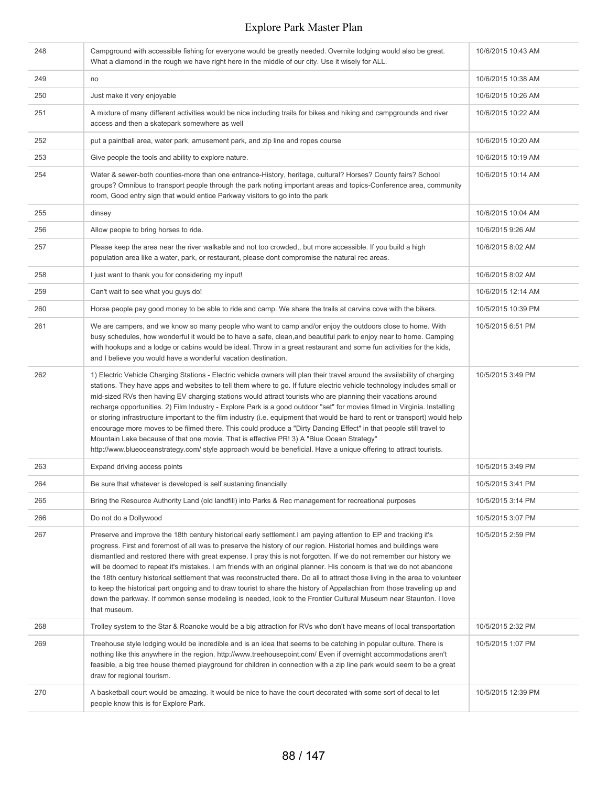| 248 | Campground with accessible fishing for everyone would be greatly needed. Overnite lodging would also be great.<br>What a diamond in the rough we have right here in the middle of our city. Use it wisely for ALL.                                                                                                                                                                                                                                                                                                                                                                                                                                                                                                                                                                                                                                                                                                                                                           | 10/6/2015 10:43 AM |
|-----|------------------------------------------------------------------------------------------------------------------------------------------------------------------------------------------------------------------------------------------------------------------------------------------------------------------------------------------------------------------------------------------------------------------------------------------------------------------------------------------------------------------------------------------------------------------------------------------------------------------------------------------------------------------------------------------------------------------------------------------------------------------------------------------------------------------------------------------------------------------------------------------------------------------------------------------------------------------------------|--------------------|
| 249 | no                                                                                                                                                                                                                                                                                                                                                                                                                                                                                                                                                                                                                                                                                                                                                                                                                                                                                                                                                                           | 10/6/2015 10:38 AM |
| 250 | Just make it very enjoyable                                                                                                                                                                                                                                                                                                                                                                                                                                                                                                                                                                                                                                                                                                                                                                                                                                                                                                                                                  | 10/6/2015 10:26 AM |
| 251 | A mixture of many different activities would be nice including trails for bikes and hiking and campgrounds and river<br>access and then a skatepark somewhere as well                                                                                                                                                                                                                                                                                                                                                                                                                                                                                                                                                                                                                                                                                                                                                                                                        | 10/6/2015 10:22 AM |
| 252 | put a paintball area, water park, amusement park, and zip line and ropes course                                                                                                                                                                                                                                                                                                                                                                                                                                                                                                                                                                                                                                                                                                                                                                                                                                                                                              | 10/6/2015 10:20 AM |
| 253 | Give people the tools and ability to explore nature.                                                                                                                                                                                                                                                                                                                                                                                                                                                                                                                                                                                                                                                                                                                                                                                                                                                                                                                         | 10/6/2015 10:19 AM |
| 254 | Water & sewer-both counties-more than one entrance-History, heritage, cultural? Horses? County fairs? School<br>groups? Omnibus to transport people through the park noting important areas and topics-Conference area, community<br>room, Good entry sign that would entice Parkway visitors to go into the park                                                                                                                                                                                                                                                                                                                                                                                                                                                                                                                                                                                                                                                            | 10/6/2015 10:14 AM |
| 255 | dinsey                                                                                                                                                                                                                                                                                                                                                                                                                                                                                                                                                                                                                                                                                                                                                                                                                                                                                                                                                                       | 10/6/2015 10:04 AM |
| 256 | Allow people to bring horses to ride.                                                                                                                                                                                                                                                                                                                                                                                                                                                                                                                                                                                                                                                                                                                                                                                                                                                                                                                                        | 10/6/2015 9:26 AM  |
| 257 | Please keep the area near the river walkable and not too crowded,, but more accessible. If you build a high<br>population area like a water, park, or restaurant, please dont compromise the natural rec areas.                                                                                                                                                                                                                                                                                                                                                                                                                                                                                                                                                                                                                                                                                                                                                              | 10/6/2015 8:02 AM  |
| 258 | I just want to thank you for considering my input!                                                                                                                                                                                                                                                                                                                                                                                                                                                                                                                                                                                                                                                                                                                                                                                                                                                                                                                           | 10/6/2015 8:02 AM  |
| 259 | Can't wait to see what you guys do!                                                                                                                                                                                                                                                                                                                                                                                                                                                                                                                                                                                                                                                                                                                                                                                                                                                                                                                                          | 10/6/2015 12:14 AM |
| 260 | Horse people pay good money to be able to ride and camp. We share the trails at carvins cove with the bikers.                                                                                                                                                                                                                                                                                                                                                                                                                                                                                                                                                                                                                                                                                                                                                                                                                                                                | 10/5/2015 10:39 PM |
| 261 | We are campers, and we know so many people who want to camp and/or enjoy the outdoors close to home. With<br>busy schedules, how wonderful it would be to have a safe, clean, and beautiful park to enjoy near to home. Camping<br>with hookups and a lodge or cabins would be ideal. Throw in a great restaurant and some fun activities for the kids,<br>and I believe you would have a wonderful vacation destination.                                                                                                                                                                                                                                                                                                                                                                                                                                                                                                                                                    | 10/5/2015 6:51 PM  |
| 262 | 1) Electric Vehicle Charging Stations - Electric vehicle owners will plan their travel around the availability of charging<br>stations. They have apps and websites to tell them where to go. If future electric vehicle technology includes small or<br>mid-sized RVs then having EV charging stations would attract tourists who are planning their vacations around<br>recharge opportunities. 2) Film Industry - Explore Park is a good outdoor "set" for movies filmed in Virginia. Installing<br>or storing infrastructure important to the film industry (i.e. equipment that would be hard to rent or transport) would help<br>encourage more moves to be filmed there. This could produce a "Dirty Dancing Effect" in that people still travel to<br>Mountain Lake because of that one movie. That is effective PR! 3) A "Blue Ocean Strategy"<br>http://www.blueoceanstrategy.com/ style approach would be beneficial. Have a unique offering to attract tourists. | 10/5/2015 3:49 PM  |
| 263 | Expand driving access points                                                                                                                                                                                                                                                                                                                                                                                                                                                                                                                                                                                                                                                                                                                                                                                                                                                                                                                                                 | 10/5/2015 3:49 PM  |
| 264 | Be sure that whatever is developed is self sustaning financially                                                                                                                                                                                                                                                                                                                                                                                                                                                                                                                                                                                                                                                                                                                                                                                                                                                                                                             | 10/5/2015 3:41 PM  |
| 265 | Bring the Resource Authority Land (old landfill) into Parks & Rec management for recreational purposes                                                                                                                                                                                                                                                                                                                                                                                                                                                                                                                                                                                                                                                                                                                                                                                                                                                                       | 10/5/2015 3:14 PM  |
| 266 | Do not do a Dollywood                                                                                                                                                                                                                                                                                                                                                                                                                                                                                                                                                                                                                                                                                                                                                                                                                                                                                                                                                        | 10/5/2015 3:07 PM  |
| 267 | Preserve and improve the 18th century historical early settlement. I am paying attention to EP and tracking it's<br>progress. First and foremost of all was to preserve the history of our region. Historial homes and buildings were<br>dismantled and restored there with great expense. I pray this is not forgotten. If we do not remember our history we<br>will be doomed to repeat it's mistakes. I am friends with an original planner. His concern is that we do not abandone<br>the 18th century historical settlement that was reconstructed there. Do all to attract those living in the area to volunteer<br>to keep the historical part ongoing and to draw tourist to share the history of Appalachian from those traveling up and<br>down the parkway. If common sense modeling is needed, look to the Frontier Cultural Museum near Staunton. I love<br>that museum.                                                                                        | 10/5/2015 2:59 PM  |
| 268 | Trolley system to the Star & Roanoke would be a big attraction for RVs who don't have means of local transportation                                                                                                                                                                                                                                                                                                                                                                                                                                                                                                                                                                                                                                                                                                                                                                                                                                                          | 10/5/2015 2:32 PM  |
| 269 | Treehouse style lodging would be incredible and is an idea that seems to be catching in popular culture. There is<br>nothing like this anywhere in the region. http://www.treehousepoint.com/ Even if overnight accommodations aren't<br>feasible, a big tree house themed playground for children in connection with a zip line park would seem to be a great<br>draw for regional tourism.                                                                                                                                                                                                                                                                                                                                                                                                                                                                                                                                                                                 | 10/5/2015 1:07 PM  |
| 270 | A basketball court would be amazing. It would be nice to have the court decorated with some sort of decal to let<br>people know this is for Explore Park.                                                                                                                                                                                                                                                                                                                                                                                                                                                                                                                                                                                                                                                                                                                                                                                                                    | 10/5/2015 12:39 PM |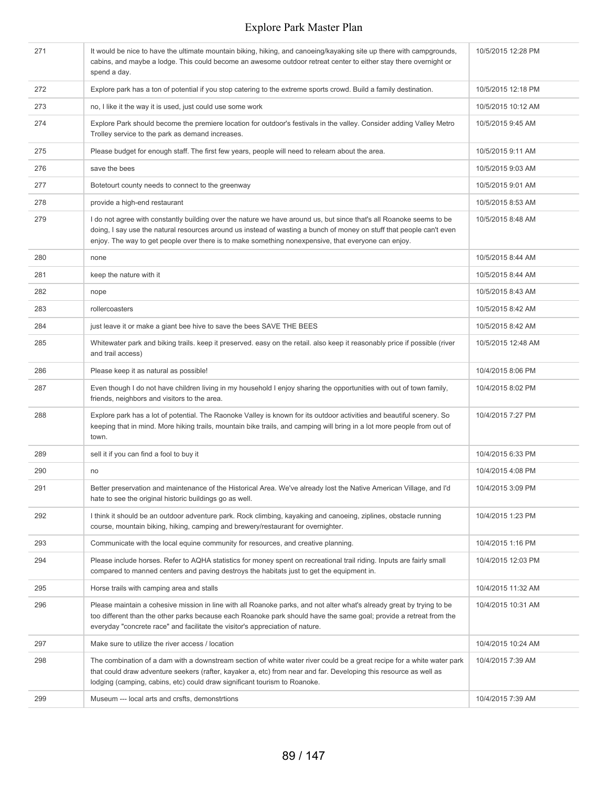| 271 | It would be nice to have the ultimate mountain biking, hiking, and canoeing/kayaking site up there with campgrounds,<br>cabins, and maybe a lodge. This could become an awesome outdoor retreat center to either stay there overnight or<br>spend a day.                                                                                           | 10/5/2015 12:28 PM |
|-----|----------------------------------------------------------------------------------------------------------------------------------------------------------------------------------------------------------------------------------------------------------------------------------------------------------------------------------------------------|--------------------|
| 272 | Explore park has a ton of potential if you stop catering to the extreme sports crowd. Build a family destination.                                                                                                                                                                                                                                  | 10/5/2015 12:18 PM |
| 273 | no, I like it the way it is used, just could use some work                                                                                                                                                                                                                                                                                         | 10/5/2015 10:12 AM |
| 274 | Explore Park should become the premiere location for outdoor's festivals in the valley. Consider adding Valley Metro<br>Trolley service to the park as demand increases.                                                                                                                                                                           | 10/5/2015 9:45 AM  |
| 275 | Please budget for enough staff. The first few years, people will need to relearn about the area.                                                                                                                                                                                                                                                   | 10/5/2015 9:11 AM  |
| 276 | save the bees                                                                                                                                                                                                                                                                                                                                      | 10/5/2015 9:03 AM  |
| 277 | Botetourt county needs to connect to the greenway                                                                                                                                                                                                                                                                                                  | 10/5/2015 9:01 AM  |
| 278 | provide a high-end restaurant                                                                                                                                                                                                                                                                                                                      | 10/5/2015 8:53 AM  |
| 279 | I do not agree with constantly building over the nature we have around us, but since that's all Roanoke seems to be<br>doing, I say use the natural resources around us instead of wasting a bunch of money on stuff that people can't even<br>enjoy. The way to get people over there is to make something nonexpensive, that everyone can enjoy. | 10/5/2015 8:48 AM  |
| 280 | none                                                                                                                                                                                                                                                                                                                                               | 10/5/2015 8:44 AM  |
| 281 | keep the nature with it                                                                                                                                                                                                                                                                                                                            | 10/5/2015 8:44 AM  |
| 282 | nope                                                                                                                                                                                                                                                                                                                                               | 10/5/2015 8:43 AM  |
| 283 | rollercoasters                                                                                                                                                                                                                                                                                                                                     | 10/5/2015 8:42 AM  |
| 284 | just leave it or make a giant bee hive to save the bees SAVE THE BEES                                                                                                                                                                                                                                                                              | 10/5/2015 8:42 AM  |
| 285 | Whitewater park and biking trails, keep it preserved, easy on the retail, also keep it reasonably price if possible (river<br>and trail access)                                                                                                                                                                                                    | 10/5/2015 12:48 AM |
| 286 | Please keep it as natural as possible!                                                                                                                                                                                                                                                                                                             | 10/4/2015 8:06 PM  |
| 287 | Even though I do not have children living in my household I enjoy sharing the opportunities with out of town family,<br>friends, neighbors and visitors to the area.                                                                                                                                                                               | 10/4/2015 8:02 PM  |
| 288 | Explore park has a lot of potential. The Raonoke Valley is known for its outdoor activities and beautiful scenery. So<br>keeping that in mind. More hiking trails, mountain bike trails, and camping will bring in a lot more people from out of<br>town.                                                                                          | 10/4/2015 7:27 PM  |
| 289 | sell it if you can find a fool to buy it                                                                                                                                                                                                                                                                                                           | 10/4/2015 6:33 PM  |
| 290 | no                                                                                                                                                                                                                                                                                                                                                 | 10/4/2015 4:08 PM  |
| 291 | Better preservation and maintenance of the Historical Area. We've already lost the Native American Village, and I'd<br>hate to see the original historic buildings go as well.                                                                                                                                                                     | 10/4/2015 3:09 PM  |
| 292 | I think it should be an outdoor adventure park. Rock climbing, kayaking and canoeing, ziplines, obstacle running<br>course, mountain biking, hiking, camping and brewery/restaurant for overnighter.                                                                                                                                               | 10/4/2015 1:23 PM  |
| 293 | Communicate with the local equine community for resources, and creative planning.                                                                                                                                                                                                                                                                  | 10/4/2015 1:16 PM  |
| 294 | Please include horses. Refer to AQHA statistics for money spent on recreational trail riding. Inputs are fairly small<br>compared to manned centers and paving destroys the habitats just to get the equipment in.                                                                                                                                 | 10/4/2015 12:03 PM |
| 295 | Horse trails with camping area and stalls                                                                                                                                                                                                                                                                                                          | 10/4/2015 11:32 AM |
| 296 | Please maintain a cohesive mission in line with all Roanoke parks, and not alter what's already great by trying to be<br>too different than the other parks because each Roanoke park should have the same goal; provide a retreat from the<br>everyday "concrete race" and facilitate the visitor's appreciation of nature.                       | 10/4/2015 10:31 AM |
| 297 | Make sure to utilize the river access / location                                                                                                                                                                                                                                                                                                   | 10/4/2015 10:24 AM |
| 298 | The combination of a dam with a downstream section of white water river could be a great recipe for a white water park<br>that could draw adventure seekers (rafter, kayaker a, etc) from near and far. Developing this resource as well as<br>lodging (camping, cabins, etc) could draw significant tourism to Roanoke.                           | 10/4/2015 7:39 AM  |
| 299 | Museum --- local arts and crsfts, demonstrtions                                                                                                                                                                                                                                                                                                    | 10/4/2015 7:39 AM  |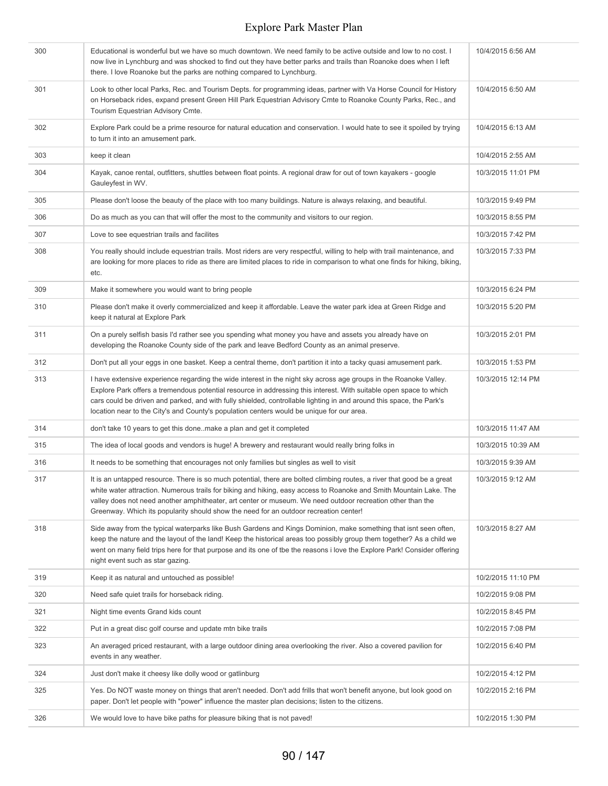| 300 | Educational is wonderful but we have so much downtown. We need family to be active outside and low to no cost. I<br>now live in Lynchburg and was shocked to find out they have better parks and trails than Roanoke does when I left<br>there. I love Roanoke but the parks are nothing compared to Lynchburg.                                                                                                                                              | 10/4/2015 6:56 AM  |
|-----|--------------------------------------------------------------------------------------------------------------------------------------------------------------------------------------------------------------------------------------------------------------------------------------------------------------------------------------------------------------------------------------------------------------------------------------------------------------|--------------------|
| 301 | Look to other local Parks, Rec. and Tourism Depts. for programming ideas, partner with Va Horse Council for History<br>on Horseback rides, expand present Green Hill Park Equestrian Advisory Cmte to Roanoke County Parks, Rec., and<br>Tourism Equestrian Advisory Cmte.                                                                                                                                                                                   | 10/4/2015 6:50 AM  |
| 302 | Explore Park could be a prime resource for natural education and conservation. I would hate to see it spoiled by trying<br>to turn it into an amusement park.                                                                                                                                                                                                                                                                                                | 10/4/2015 6:13 AM  |
| 303 | keep it clean                                                                                                                                                                                                                                                                                                                                                                                                                                                | 10/4/2015 2:55 AM  |
| 304 | Kayak, canoe rental, outfitters, shuttles between float points. A regional draw for out of town kayakers - google<br>Gauleyfest in WV.                                                                                                                                                                                                                                                                                                                       | 10/3/2015 11:01 PM |
| 305 | Please don't loose the beauty of the place with too many buildings. Nature is always relaxing, and beautiful.                                                                                                                                                                                                                                                                                                                                                | 10/3/2015 9:49 PM  |
| 306 | Do as much as you can that will offer the most to the community and visitors to our region.                                                                                                                                                                                                                                                                                                                                                                  | 10/3/2015 8:55 PM  |
| 307 | Love to see equestrian trails and facilites                                                                                                                                                                                                                                                                                                                                                                                                                  | 10/3/2015 7:42 PM  |
| 308 | You really should include equestrian trails. Most riders are very respectful, willing to help with trail maintenance, and<br>are looking for more places to ride as there are limited places to ride in comparison to what one finds for hiking, biking,<br>etc.                                                                                                                                                                                             | 10/3/2015 7:33 PM  |
| 309 | Make it somewhere you would want to bring people                                                                                                                                                                                                                                                                                                                                                                                                             | 10/3/2015 6:24 PM  |
| 310 | Please don't make it overly commercialized and keep it affordable. Leave the water park idea at Green Ridge and<br>keep it natural at Explore Park                                                                                                                                                                                                                                                                                                           | 10/3/2015 5:20 PM  |
| 311 | On a purely selfish basis I'd rather see you spending what money you have and assets you already have on<br>developing the Roanoke County side of the park and leave Bedford County as an animal preserve.                                                                                                                                                                                                                                                   | 10/3/2015 2:01 PM  |
| 312 | Don't put all your eggs in one basket. Keep a central theme, don't partition it into a tacky quasi amusement park.                                                                                                                                                                                                                                                                                                                                           | 10/3/2015 1:53 PM  |
| 313 | I have extensive experience regarding the wide interest in the night sky across age groups in the Roanoke Valley.<br>Explore Park offers a tremendous potential resource in addressing this interest. With suitable open space to which<br>cars could be driven and parked, and with fully shielded, controllable lighting in and around this space, the Park's<br>location near to the City's and County's population centers would be unique for our area. | 10/3/2015 12:14 PM |
| 314 | don't take 10 years to get this donemake a plan and get it completed                                                                                                                                                                                                                                                                                                                                                                                         | 10/3/2015 11:47 AM |
| 315 | The idea of local goods and vendors is huge! A brewery and restaurant would really bring folks in                                                                                                                                                                                                                                                                                                                                                            | 10/3/2015 10:39 AM |
| 316 | It needs to be something that encourages not only families but singles as well to visit                                                                                                                                                                                                                                                                                                                                                                      | 10/3/2015 9:39 AM  |
| 317 | It is an untapped resource. There is so much potential, there are bolted climbing routes, a river that good be a great<br>white water attraction. Numerous trails for biking and hiking, easy access to Roanoke and Smith Mountain Lake. The<br>valley does not need another amphitheater, art center or museum. We need outdoor recreation other than the<br>Greenway. Which its popularity should show the need for an outdoor recreation center!          | 10/3/2015 9:12 AM  |
| 318 | Side away from the typical waterparks like Bush Gardens and Kings Dominion, make something that isnt seen often,<br>keep the nature and the layout of the land! Keep the historical areas too possibly group them together? As a child we<br>went on many field trips here for that purpose and its one of tbe the reasons i love the Explore Park! Consider offering<br>night event such as star gazing.                                                    | 10/3/2015 8:27 AM  |
| 319 | Keep it as natural and untouched as possible!                                                                                                                                                                                                                                                                                                                                                                                                                | 10/2/2015 11:10 PM |
| 320 | Need safe quiet trails for horseback riding.                                                                                                                                                                                                                                                                                                                                                                                                                 | 10/2/2015 9:08 PM  |
| 321 | Night time events Grand kids count                                                                                                                                                                                                                                                                                                                                                                                                                           | 10/2/2015 8:45 PM  |
| 322 | Put in a great disc golf course and update mtn bike trails                                                                                                                                                                                                                                                                                                                                                                                                   | 10/2/2015 7:08 PM  |
| 323 | An averaged priced restaurant, with a large outdoor dining area overlooking the river. Also a covered pavilion for<br>events in any weather.                                                                                                                                                                                                                                                                                                                 | 10/2/2015 6:40 PM  |
| 324 | Just don't make it cheesy like dolly wood or gatlinburg                                                                                                                                                                                                                                                                                                                                                                                                      | 10/2/2015 4:12 PM  |
| 325 | Yes. Do NOT waste money on things that aren't needed. Don't add frills that won't benefit anyone, but look good on<br>paper. Don't let people with "power" influence the master plan decisions; listen to the citizens.                                                                                                                                                                                                                                      | 10/2/2015 2:16 PM  |
| 326 | We would love to have bike paths for pleasure biking that is not paved!                                                                                                                                                                                                                                                                                                                                                                                      | 10/2/2015 1:30 PM  |
|     |                                                                                                                                                                                                                                                                                                                                                                                                                                                              |                    |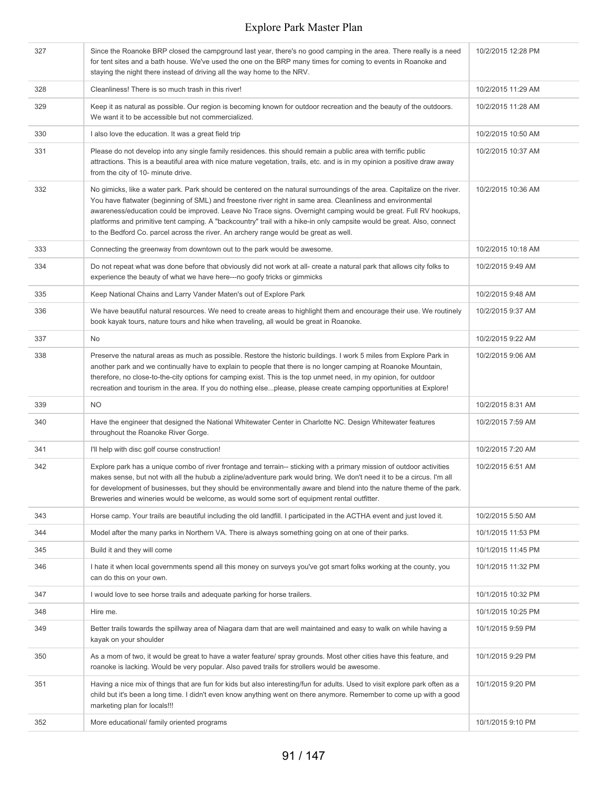| 327 | Since the Roanoke BRP closed the campground last year, there's no good camping in the area. There really is a need<br>for tent sites and a bath house. We've used the one on the BRP many times for coming to events in Roanoke and<br>staying the night there instead of driving all the way home to the NRV.                                                                                                                                                                                                                                                               | 10/2/2015 12:28 PM |
|-----|------------------------------------------------------------------------------------------------------------------------------------------------------------------------------------------------------------------------------------------------------------------------------------------------------------------------------------------------------------------------------------------------------------------------------------------------------------------------------------------------------------------------------------------------------------------------------|--------------------|
| 328 | Cleanliness! There is so much trash in this river!                                                                                                                                                                                                                                                                                                                                                                                                                                                                                                                           | 10/2/2015 11:29 AM |
| 329 | Keep it as natural as possible. Our region is becoming known for outdoor recreation and the beauty of the outdoors.<br>We want it to be accessible but not commercialized.                                                                                                                                                                                                                                                                                                                                                                                                   | 10/2/2015 11:28 AM |
| 330 | I also love the education. It was a great field trip                                                                                                                                                                                                                                                                                                                                                                                                                                                                                                                         | 10/2/2015 10:50 AM |
| 331 | Please do not develop into any single family residences. this should remain a public area with terrific public<br>attractions. This is a beautiful area with nice mature vegetation, trails, etc. and is in my opinion a positive draw away<br>from the city of 10- minute drive.                                                                                                                                                                                                                                                                                            | 10/2/2015 10:37 AM |
| 332 | No gimicks, like a water park. Park should be centered on the natural surroundings of the area. Capitalize on the river.<br>You have flatwater (beginning of SML) and freestone river right in same area. Cleanliness and environmental<br>awareness/education could be improved. Leave No Trace signs. Overnight camping would be great. Full RV hookups,<br>platforms and primitive tent camping. A "backcountry" trail with a hike-in only campsite would be great. Also, connect<br>to the Bedford Co. parcel across the river. An archery range would be great as well. | 10/2/2015 10:36 AM |
| 333 | Connecting the greenway from downtown out to the park would be awesome.                                                                                                                                                                                                                                                                                                                                                                                                                                                                                                      | 10/2/2015 10:18 AM |
| 334 | Do not repeat what was done before that obviously did not work at all- create a natural park that allows city folks to<br>experience the beauty of what we have here---no goofy tricks or gimmicks                                                                                                                                                                                                                                                                                                                                                                           | 10/2/2015 9:49 AM  |
| 335 | Keep National Chains and Larry Vander Maten's out of Explore Park                                                                                                                                                                                                                                                                                                                                                                                                                                                                                                            | 10/2/2015 9:48 AM  |
| 336 | We have beautiful natural resources. We need to create areas to highlight them and encourage their use. We routinely<br>book kayak tours, nature tours and hike when traveling, all would be great in Roanoke.                                                                                                                                                                                                                                                                                                                                                               | 10/2/2015 9:37 AM  |
| 337 | No                                                                                                                                                                                                                                                                                                                                                                                                                                                                                                                                                                           | 10/2/2015 9:22 AM  |
| 338 | Preserve the natural areas as much as possible. Restore the historic buildings. I work 5 miles from Explore Park in<br>another park and we continually have to explain to people that there is no longer camping at Roanoke Mountain,<br>therefore, no close-to-the-city options for camping exist. This is the top unmet need, in my opinion, for outdoor<br>recreation and tourism in the area. If you do nothing elseplease, please create camping opportunities at Explore!                                                                                              | 10/2/2015 9:06 AM  |
| 339 | <b>NO</b>                                                                                                                                                                                                                                                                                                                                                                                                                                                                                                                                                                    | 10/2/2015 8:31 AM  |
| 340 | Have the engineer that designed the National Whitewater Center in Charlotte NC. Design Whitewater features<br>throughout the Roanoke River Gorge.                                                                                                                                                                                                                                                                                                                                                                                                                            | 10/2/2015 7:59 AM  |
| 341 | I'll help with disc golf course construction!                                                                                                                                                                                                                                                                                                                                                                                                                                                                                                                                | 10/2/2015 7:20 AM  |
| 342 | Explore park has a unique combo of river frontage and terrain-- sticking with a primary mission of outdoor activities<br>makes sense, but not with all the hubub a zipline/adventure park would bring. We don't need it to be a circus. I'm all<br>for development of businesses, but they should be environmentally aware and blend into the nature theme of the park.<br>Breweries and wineries would be welcome, as would some sort of equipment rental outfitter.                                                                                                        | 10/2/2015 6:51 AM  |
| 343 | Horse camp. Your trails are beautiful including the old landfill. I participated in the ACTHA event and just loved it.                                                                                                                                                                                                                                                                                                                                                                                                                                                       | 10/2/2015 5:50 AM  |
| 344 | Model after the many parks in Northern VA. There is always something going on at one of their parks.                                                                                                                                                                                                                                                                                                                                                                                                                                                                         | 10/1/2015 11:53 PM |
| 345 | Build it and they will come                                                                                                                                                                                                                                                                                                                                                                                                                                                                                                                                                  | 10/1/2015 11:45 PM |
| 346 | I hate it when local governments spend all this money on surveys you've got smart folks working at the county, you<br>can do this on your own.                                                                                                                                                                                                                                                                                                                                                                                                                               | 10/1/2015 11:32 PM |
| 347 | I would love to see horse trails and adequate parking for horse trailers.                                                                                                                                                                                                                                                                                                                                                                                                                                                                                                    | 10/1/2015 10:32 PM |
| 348 | Hire me.                                                                                                                                                                                                                                                                                                                                                                                                                                                                                                                                                                     | 10/1/2015 10:25 PM |
| 349 | Better trails towards the spillway area of Niagara dam that are well maintained and easy to walk on while having a<br>kayak on your shoulder                                                                                                                                                                                                                                                                                                                                                                                                                                 | 10/1/2015 9:59 PM  |
| 350 | As a mom of two, it would be great to have a water feature/ spray grounds. Most other cities have this feature, and<br>roanoke is lacking. Would be very popular. Also paved trails for strollers would be awesome.                                                                                                                                                                                                                                                                                                                                                          | 10/1/2015 9:29 PM  |
| 351 | Having a nice mix of things that are fun for kids but also interesting/fun for adults. Used to visit explore park often as a<br>child but it's been a long time. I didn't even know anything went on there anymore. Remember to come up with a good<br>marketing plan for locals!!!                                                                                                                                                                                                                                                                                          | 10/1/2015 9:20 PM  |
| 352 | More educational/ family oriented programs                                                                                                                                                                                                                                                                                                                                                                                                                                                                                                                                   | 10/1/2015 9:10 PM  |
|     |                                                                                                                                                                                                                                                                                                                                                                                                                                                                                                                                                                              |                    |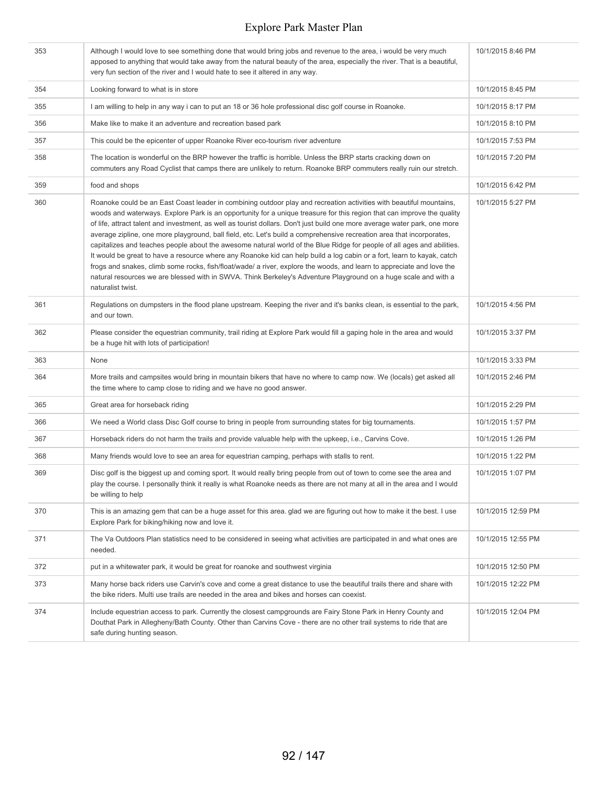| 353 | Although I would love to see something done that would bring jobs and revenue to the area, i would be very much<br>apposed to anything that would take away from the natural beauty of the area, especially the river. That is a beautiful,<br>very fun section of the river and I would hate to see it altered in any way.                                                                                                                                                                                                                                                                                                                                                                                                                                                                                                                                                                                                                                                                                               | 10/1/2015 8:46 PM  |
|-----|---------------------------------------------------------------------------------------------------------------------------------------------------------------------------------------------------------------------------------------------------------------------------------------------------------------------------------------------------------------------------------------------------------------------------------------------------------------------------------------------------------------------------------------------------------------------------------------------------------------------------------------------------------------------------------------------------------------------------------------------------------------------------------------------------------------------------------------------------------------------------------------------------------------------------------------------------------------------------------------------------------------------------|--------------------|
| 354 | Looking forward to what is in store                                                                                                                                                                                                                                                                                                                                                                                                                                                                                                                                                                                                                                                                                                                                                                                                                                                                                                                                                                                       | 10/1/2015 8:45 PM  |
| 355 | I am willing to help in any way i can to put an 18 or 36 hole professional disc golf course in Roanoke.                                                                                                                                                                                                                                                                                                                                                                                                                                                                                                                                                                                                                                                                                                                                                                                                                                                                                                                   | 10/1/2015 8:17 PM  |
| 356 | Make like to make it an adventure and recreation based park                                                                                                                                                                                                                                                                                                                                                                                                                                                                                                                                                                                                                                                                                                                                                                                                                                                                                                                                                               | 10/1/2015 8:10 PM  |
| 357 | This could be the epicenter of upper Roanoke River eco-tourism river adventure                                                                                                                                                                                                                                                                                                                                                                                                                                                                                                                                                                                                                                                                                                                                                                                                                                                                                                                                            | 10/1/2015 7:53 PM  |
| 358 | The location is wonderful on the BRP however the traffic is horrible. Unless the BRP starts cracking down on<br>commuters any Road Cyclist that camps there are unlikely to return. Roanoke BRP commuters really ruin our stretch.                                                                                                                                                                                                                                                                                                                                                                                                                                                                                                                                                                                                                                                                                                                                                                                        | 10/1/2015 7:20 PM  |
| 359 | food and shops                                                                                                                                                                                                                                                                                                                                                                                                                                                                                                                                                                                                                                                                                                                                                                                                                                                                                                                                                                                                            | 10/1/2015 6:42 PM  |
| 360 | Roanoke could be an East Coast leader in combining outdoor play and recreation activities with beautiful mountains,<br>woods and waterways. Explore Park is an opportunity for a unique treasure for this region that can improve the quality<br>of life, attract talent and investment, as well as tourist dollars. Don't just build one more average water park, one more<br>average zipline, one more playground, ball field, etc. Let's build a comprehensive recreation area that incorporates,<br>capitalizes and teaches people about the awesome natural world of the Blue Ridge for people of all ages and abilities.<br>It would be great to have a resource where any Roanoke kid can help build a log cabin or a fort, learn to kayak, catch<br>frogs and snakes, climb some rocks, fish/float/wade/ a river, explore the woods, and learn to appreciate and love the<br>natural resources we are blessed with in SWVA. Think Berkeley's Adventure Playground on a huge scale and with a<br>naturalist twist. | 10/1/2015 5:27 PM  |
| 361 | Regulations on dumpsters in the flood plane upstream. Keeping the river and it's banks clean, is essential to the park,<br>and our town.                                                                                                                                                                                                                                                                                                                                                                                                                                                                                                                                                                                                                                                                                                                                                                                                                                                                                  | 10/1/2015 4:56 PM  |
| 362 | Please consider the equestrian community, trail riding at Explore Park would fill a gaping hole in the area and would<br>be a huge hit with lots of participation!                                                                                                                                                                                                                                                                                                                                                                                                                                                                                                                                                                                                                                                                                                                                                                                                                                                        | 10/1/2015 3:37 PM  |
| 363 | None                                                                                                                                                                                                                                                                                                                                                                                                                                                                                                                                                                                                                                                                                                                                                                                                                                                                                                                                                                                                                      | 10/1/2015 3:33 PM  |
| 364 | More trails and campsites would bring in mountain bikers that have no where to camp now. We (locals) get asked all<br>the time where to camp close to riding and we have no good answer.                                                                                                                                                                                                                                                                                                                                                                                                                                                                                                                                                                                                                                                                                                                                                                                                                                  | 10/1/2015 2:46 PM  |
| 365 | Great area for horseback riding                                                                                                                                                                                                                                                                                                                                                                                                                                                                                                                                                                                                                                                                                                                                                                                                                                                                                                                                                                                           | 10/1/2015 2:29 PM  |
| 366 | We need a World class Disc Golf course to bring in people from surrounding states for big tournaments.                                                                                                                                                                                                                                                                                                                                                                                                                                                                                                                                                                                                                                                                                                                                                                                                                                                                                                                    | 10/1/2015 1:57 PM  |
| 367 | Horseback riders do not harm the trails and provide valuable help with the upkeep, i.e., Carvins Cove.                                                                                                                                                                                                                                                                                                                                                                                                                                                                                                                                                                                                                                                                                                                                                                                                                                                                                                                    | 10/1/2015 1:26 PM  |
| 368 | Many friends would love to see an area for equestrian camping, perhaps with stalls to rent.                                                                                                                                                                                                                                                                                                                                                                                                                                                                                                                                                                                                                                                                                                                                                                                                                                                                                                                               | 10/1/2015 1:22 PM  |
| 369 | Disc golf is the biggest up and coming sport. It would really bring people from out of town to come see the area and<br>play the course. I personally think it really is what Roanoke needs as there are not many at all in the area and I would<br>be willing to help                                                                                                                                                                                                                                                                                                                                                                                                                                                                                                                                                                                                                                                                                                                                                    | 10/1/2015 1:07 PM  |
| 370 | This is an amazing gem that can be a huge asset for this area, glad we are figuring out how to make it the best. I use<br>Explore Park for biking/hiking now and love it.                                                                                                                                                                                                                                                                                                                                                                                                                                                                                                                                                                                                                                                                                                                                                                                                                                                 | 10/1/2015 12:59 PM |
| 371 | The Va Outdoors Plan statistics need to be considered in seeing what activities are participated in and what ones are<br>needed.                                                                                                                                                                                                                                                                                                                                                                                                                                                                                                                                                                                                                                                                                                                                                                                                                                                                                          | 10/1/2015 12:55 PM |
| 372 | put in a whitewater park, it would be great for roanoke and southwest virginia                                                                                                                                                                                                                                                                                                                                                                                                                                                                                                                                                                                                                                                                                                                                                                                                                                                                                                                                            | 10/1/2015 12:50 PM |
| 373 | Many horse back riders use Carvin's cove and come a great distance to use the beautiful trails there and share with<br>the bike riders. Multi use trails are needed in the area and bikes and horses can coexist.                                                                                                                                                                                                                                                                                                                                                                                                                                                                                                                                                                                                                                                                                                                                                                                                         | 10/1/2015 12:22 PM |
| 374 | Include equestrian access to park. Currently the closest campgrounds are Fairy Stone Park in Henry County and<br>Douthat Park in Allegheny/Bath County. Other than Carvins Cove - there are no other trail systems to ride that are<br>safe during hunting season.                                                                                                                                                                                                                                                                                                                                                                                                                                                                                                                                                                                                                                                                                                                                                        | 10/1/2015 12:04 PM |
|     |                                                                                                                                                                                                                                                                                                                                                                                                                                                                                                                                                                                                                                                                                                                                                                                                                                                                                                                                                                                                                           |                    |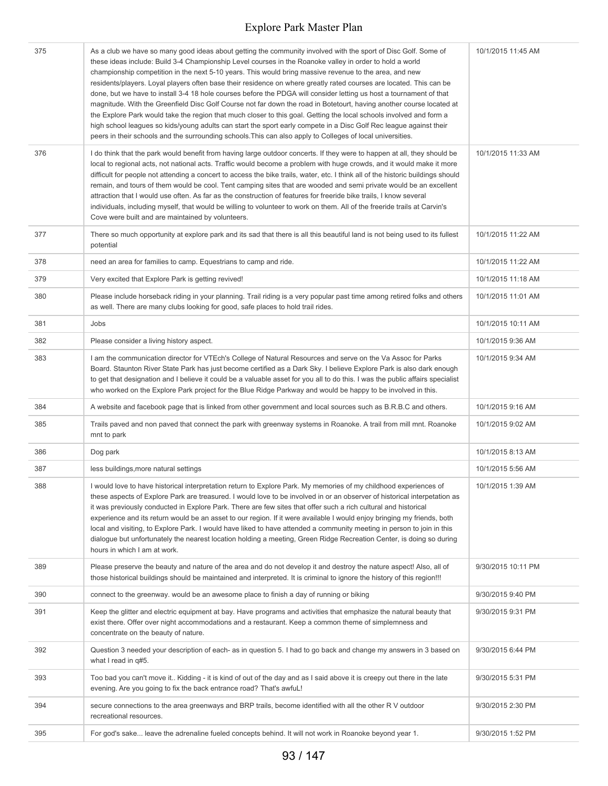| 375 | As a club we have so many good ideas about getting the community involved with the sport of Disc Golf. Some of<br>these ideas include: Build 3-4 Championship Level courses in the Roanoke valley in order to hold a world<br>championship competition in the next 5-10 years. This would bring massive revenue to the area, and new<br>residents/players. Loyal players often base their residence on where greatly rated courses are located. This can be<br>done, but we have to install 3-4 18 hole courses before the PDGA will consider letting us host a tournament of that<br>magnitude. With the Greenfield Disc Golf Course not far down the road in Botetourt, having another course located at<br>the Explore Park would take the region that much closer to this goal. Getting the local schools involved and form a<br>high school leagues so kids/young adults can start the sport early compete in a Disc Golf Rec league against their<br>peers in their schools and the surrounding schools. This can also apply to Colleges of local universities. | 10/1/2015 11:45 AM |
|-----|-----------------------------------------------------------------------------------------------------------------------------------------------------------------------------------------------------------------------------------------------------------------------------------------------------------------------------------------------------------------------------------------------------------------------------------------------------------------------------------------------------------------------------------------------------------------------------------------------------------------------------------------------------------------------------------------------------------------------------------------------------------------------------------------------------------------------------------------------------------------------------------------------------------------------------------------------------------------------------------------------------------------------------------------------------------------------|--------------------|
| 376 | I do think that the park would benefit from having large outdoor concerts. If they were to happen at all, they should be<br>local to regional acts, not national acts. Traffic would become a problem with huge crowds, and it would make it more<br>difficult for people not attending a concert to access the bike trails, water, etc. I think all of the historic buildings should<br>remain, and tours of them would be cool. Tent camping sites that are wooded and semi private would be an excellent<br>attraction that I would use often. As far as the construction of features for freeride bike trails, I know several<br>individuals, including myself, that would be willing to volunteer to work on them. All of the freeride trails at Carvin's<br>Cove were built and are maintained by volunteers.                                                                                                                                                                                                                                                   | 10/1/2015 11:33 AM |
| 377 | There so much opportunity at explore park and its sad that there is all this beautiful land is not being used to its fullest<br>potential                                                                                                                                                                                                                                                                                                                                                                                                                                                                                                                                                                                                                                                                                                                                                                                                                                                                                                                             | 10/1/2015 11:22 AM |
| 378 | need an area for families to camp. Equestrians to camp and ride.                                                                                                                                                                                                                                                                                                                                                                                                                                                                                                                                                                                                                                                                                                                                                                                                                                                                                                                                                                                                      | 10/1/2015 11:22 AM |
| 379 | Very excited that Explore Park is getting revived!                                                                                                                                                                                                                                                                                                                                                                                                                                                                                                                                                                                                                                                                                                                                                                                                                                                                                                                                                                                                                    | 10/1/2015 11:18 AM |
| 380 | Please include horseback riding in your planning. Trail riding is a very popular past time among retired folks and others<br>as well. There are many clubs looking for good, safe places to hold trail rides.                                                                                                                                                                                                                                                                                                                                                                                                                                                                                                                                                                                                                                                                                                                                                                                                                                                         | 10/1/2015 11:01 AM |
| 381 | Jobs                                                                                                                                                                                                                                                                                                                                                                                                                                                                                                                                                                                                                                                                                                                                                                                                                                                                                                                                                                                                                                                                  | 10/1/2015 10:11 AM |
| 382 | Please consider a living history aspect.                                                                                                                                                                                                                                                                                                                                                                                                                                                                                                                                                                                                                                                                                                                                                                                                                                                                                                                                                                                                                              | 10/1/2015 9:36 AM  |
| 383 | I am the communication director for VTEch's College of Natural Resources and serve on the Va Assoc for Parks<br>Board. Staunton River State Park has just become certified as a Dark Sky. I believe Explore Park is also dark enough<br>to get that designation and I believe it could be a valuable asset for you all to do this. I was the public affairs specialist<br>who worked on the Explore Park project for the Blue Ridge Parkway and would be happy to be involved in this.                                                                                                                                                                                                                                                                                                                                                                                                                                                                                                                                                                                | 10/1/2015 9:34 AM  |
| 384 | A website and facebook page that is linked from other government and local sources such as B.R.B.C and others.                                                                                                                                                                                                                                                                                                                                                                                                                                                                                                                                                                                                                                                                                                                                                                                                                                                                                                                                                        | 10/1/2015 9:16 AM  |
| 385 | Trails paved and non paved that connect the park with greenway systems in Roanoke. A trail from mill mnt. Roanoke<br>mnt to park                                                                                                                                                                                                                                                                                                                                                                                                                                                                                                                                                                                                                                                                                                                                                                                                                                                                                                                                      | 10/1/2015 9:02 AM  |
| 386 | Dog park                                                                                                                                                                                                                                                                                                                                                                                                                                                                                                                                                                                                                                                                                                                                                                                                                                                                                                                                                                                                                                                              | 10/1/2015 8:13 AM  |
| 387 | less buildings, more natural settings                                                                                                                                                                                                                                                                                                                                                                                                                                                                                                                                                                                                                                                                                                                                                                                                                                                                                                                                                                                                                                 | 10/1/2015 5:56 AM  |
| 388 | I would love to have historical interpretation return to Explore Park. My memories of my childhood experiences of<br>these aspects of Explore Park are treasured. I would love to be involved in or an observer of historical interpetation as<br>it was previously conducted in Explore Park. There are few sites that offer such a rich cultural and historical<br>experience and its return would be an asset to our region. If it were available I would enjoy bringing my friends, both<br>local and visiting, to Explore Park. I would have liked to have attended a community meeting in person to join in this<br>dialogue but unfortunately the nearest location holding a meeting, Green Ridge Recreation Center, is doing so during<br>hours in which I am at work.                                                                                                                                                                                                                                                                                        | 10/1/2015 1:39 AM  |
| 389 | Please preserve the beauty and nature of the area and do not develop it and destroy the nature aspect! Also, all of<br>those historical buildings should be maintained and interpreted. It is criminal to ignore the history of this region!!!                                                                                                                                                                                                                                                                                                                                                                                                                                                                                                                                                                                                                                                                                                                                                                                                                        | 9/30/2015 10:11 PM |
| 390 | connect to the greenway. would be an awesome place to finish a day of running or biking                                                                                                                                                                                                                                                                                                                                                                                                                                                                                                                                                                                                                                                                                                                                                                                                                                                                                                                                                                               | 9/30/2015 9:40 PM  |
| 391 | Keep the glitter and electric equipment at bay. Have programs and activities that emphasize the natural beauty that<br>exist there. Offer over night accommodations and a restaurant. Keep a common theme of simplemness and<br>concentrate on the beauty of nature.                                                                                                                                                                                                                                                                                                                                                                                                                                                                                                                                                                                                                                                                                                                                                                                                  | 9/30/2015 9:31 PM  |
| 392 | Question 3 needed your description of each- as in question 5. I had to go back and change my answers in 3 based on<br>what I read in q#5.                                                                                                                                                                                                                                                                                                                                                                                                                                                                                                                                                                                                                                                                                                                                                                                                                                                                                                                             | 9/30/2015 6:44 PM  |
| 393 | Too bad you can't move it Kidding - it is kind of out of the day and as I said above it is creepy out there in the late<br>evening. Are you going to fix the back entrance road? That's awfuL!                                                                                                                                                                                                                                                                                                                                                                                                                                                                                                                                                                                                                                                                                                                                                                                                                                                                        | 9/30/2015 5:31 PM  |
| 394 | secure connections to the area greenways and BRP trails, become identified with all the other RV outdoor<br>recreational resources.                                                                                                                                                                                                                                                                                                                                                                                                                                                                                                                                                                                                                                                                                                                                                                                                                                                                                                                                   | 9/30/2015 2:30 PM  |
| 395 | For god's sake leave the adrenaline fueled concepts behind. It will not work in Roanoke beyond year 1.                                                                                                                                                                                                                                                                                                                                                                                                                                                                                                                                                                                                                                                                                                                                                                                                                                                                                                                                                                | 9/30/2015 1:52 PM  |
|     |                                                                                                                                                                                                                                                                                                                                                                                                                                                                                                                                                                                                                                                                                                                                                                                                                                                                                                                                                                                                                                                                       |                    |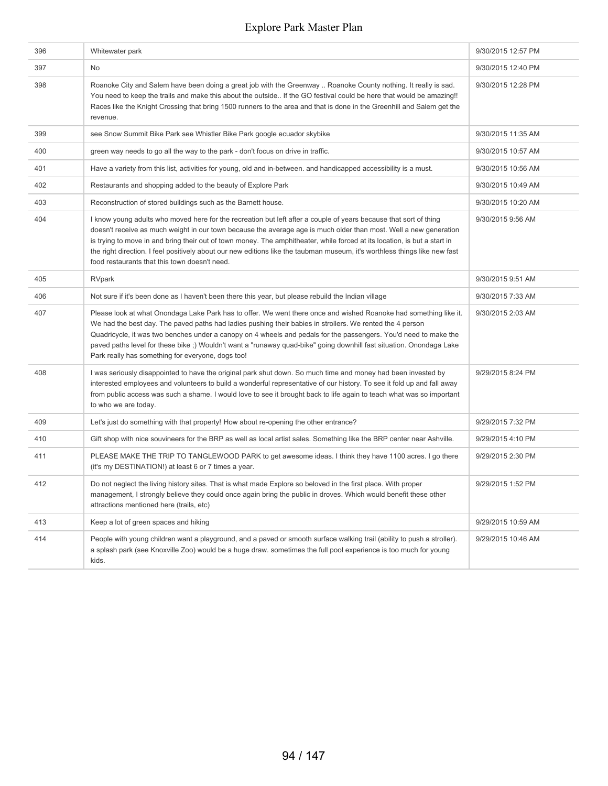| 396 | Whitewater park                                                                                                                                                                                                                                                                                                                                                                                                                                                                                                                                    | 9/30/2015 12:57 PM |
|-----|----------------------------------------------------------------------------------------------------------------------------------------------------------------------------------------------------------------------------------------------------------------------------------------------------------------------------------------------------------------------------------------------------------------------------------------------------------------------------------------------------------------------------------------------------|--------------------|
| 397 | No                                                                                                                                                                                                                                                                                                                                                                                                                                                                                                                                                 | 9/30/2015 12:40 PM |
| 398 | Roanoke City and Salem have been doing a great job with the Greenway  Roanoke County nothing. It really is sad.<br>You need to keep the trails and make this about the outside If the GO festival could be here that would be amazing!!<br>Races like the Knight Crossing that bring 1500 runners to the area and that is done in the Greenhill and Salem get the<br>revenue.                                                                                                                                                                      | 9/30/2015 12:28 PM |
| 399 | see Snow Summit Bike Park see Whistler Bike Park google ecuador skybike                                                                                                                                                                                                                                                                                                                                                                                                                                                                            | 9/30/2015 11:35 AM |
| 400 | green way needs to go all the way to the park - don't focus on drive in traffic.                                                                                                                                                                                                                                                                                                                                                                                                                                                                   | 9/30/2015 10:57 AM |
| 401 | Have a variety from this list, activities for young, old and in-between. and handicapped accessibility is a must.                                                                                                                                                                                                                                                                                                                                                                                                                                  | 9/30/2015 10:56 AM |
| 402 | Restaurants and shopping added to the beauty of Explore Park                                                                                                                                                                                                                                                                                                                                                                                                                                                                                       | 9/30/2015 10:49 AM |
| 403 | Reconstruction of stored buildings such as the Barnett house.                                                                                                                                                                                                                                                                                                                                                                                                                                                                                      | 9/30/2015 10:20 AM |
| 404 | I know young adults who moved here for the recreation but left after a couple of years because that sort of thing<br>doesn't receive as much weight in our town because the average age is much older than most. Well a new generation<br>is trying to move in and bring their out of town money. The amphitheater, while forced at its location, is but a start in<br>the right direction. I feel positively about our new editions like the taubman museum, it's worthless things like new fast<br>food restaurants that this town doesn't need. | 9/30/2015 9:56 AM  |
| 405 | RVpark                                                                                                                                                                                                                                                                                                                                                                                                                                                                                                                                             | 9/30/2015 9:51 AM  |
| 406 | Not sure if it's been done as I haven't been there this year, but please rebuild the Indian village                                                                                                                                                                                                                                                                                                                                                                                                                                                | 9/30/2015 7:33 AM  |
| 407 | Please look at what Onondaga Lake Park has to offer. We went there once and wished Roanoke had something like it.<br>We had the best day. The paved paths had ladies pushing their babies in strollers. We rented the 4 person<br>Quadricycle, it was two benches under a canopy on 4 wheels and pedals for the passengers. You'd need to make the<br>paved paths level for these bike;) Wouldn't want a "runaway quad-bike" going downhill fast situation. Onondaga Lake<br>Park really has something for everyone, dogs too!                     | 9/30/2015 2:03 AM  |
| 408 | I was seriously disappointed to have the original park shut down. So much time and money had been invested by<br>interested employees and volunteers to build a wonderful representative of our history. To see it fold up and fall away<br>from public access was such a shame. I would love to see it brought back to life again to teach what was so important<br>to who we are today.                                                                                                                                                          | 9/29/2015 8:24 PM  |
| 409 | Let's just do something with that property! How about re-opening the other entrance?                                                                                                                                                                                                                                                                                                                                                                                                                                                               | 9/29/2015 7:32 PM  |
| 410 | Gift shop with nice souvineers for the BRP as well as local artist sales. Something like the BRP center near Ashville.                                                                                                                                                                                                                                                                                                                                                                                                                             | 9/29/2015 4:10 PM  |
| 411 | PLEASE MAKE THE TRIP TO TANGLEWOOD PARK to get awesome ideas. I think they have 1100 acres. I go there<br>(it's my DESTINATION!) at least 6 or 7 times a year.                                                                                                                                                                                                                                                                                                                                                                                     | 9/29/2015 2:30 PM  |
| 412 | Do not neglect the living history sites. That is what made Explore so beloved in the first place. With proper<br>management, I strongly believe they could once again bring the public in droves. Which would benefit these other<br>attractions mentioned here (trails, etc)                                                                                                                                                                                                                                                                      | 9/29/2015 1:52 PM  |
| 413 | Keep a lot of green spaces and hiking                                                                                                                                                                                                                                                                                                                                                                                                                                                                                                              | 9/29/2015 10:59 AM |
| 414 | People with young children want a playground, and a paved or smooth surface walking trail (ability to push a stroller).<br>a splash park (see Knoxville Zoo) would be a huge draw. sometimes the full pool experience is too much for young<br>kids.                                                                                                                                                                                                                                                                                               | 9/29/2015 10:46 AM |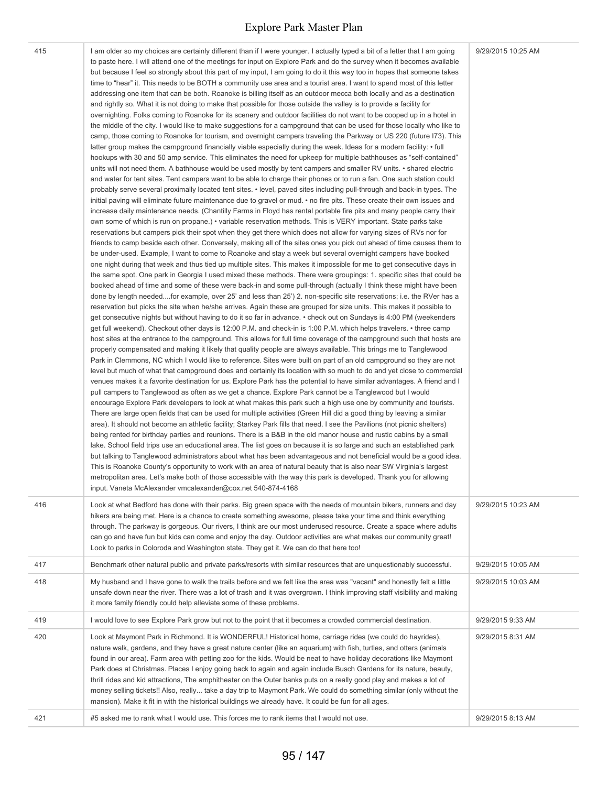| 415 | I am older so my choices are certainly different than if I were younger. I actually typed a bit of a letter that I am going<br>to paste here. I will attend one of the meetings for input on Explore Park and do the survey when it becomes available<br>but because I feel so strongly about this part of my input, I am going to do it this way too in hopes that someone takes<br>time to "hear" it. This needs to be BOTH a community use area and a tourist area. I want to spend most of this letter<br>addressing one item that can be both. Roanoke is billing itself as an outdoor mecca both locally and as a destination<br>and rightly so. What it is not doing to make that possible for those outside the valley is to provide a facility for<br>overnighting. Folks coming to Roanoke for its scenery and outdoor facilities do not want to be cooped up in a hotel in<br>the middle of the city. I would like to make suggestions for a campground that can be used for those locally who like to<br>camp, those coming to Roanoke for tourism, and overnight campers traveling the Parkway or US 220 (future I73). This<br>latter group makes the campground financially viable especially during the week. Ideas for a modern facility: • full<br>hookups with 30 and 50 amp service. This eliminates the need for upkeep for multiple bathhouses as "self-contained"<br>units will not need them. A bathhouse would be used mostly by tent campers and smaller RV units. • shared electric<br>and water for tent sites. Tent campers want to be able to charge their phones or to run a fan. One such station could<br>probably serve several proximally located tent sites. • level, paved sites including pull-through and back-in types. The<br>initial paving will eliminate future maintenance due to gravel or mud. • no fire pits. These create their own issues and<br>increase daily maintenance needs. (Chantilly Farms in Floyd has rental portable fire pits and many people carry their<br>own some of which is run on propane.) • variable reservation methods. This is VERY important. State parks take<br>reservations but campers pick their spot when they get there which does not allow for varying sizes of RVs nor for<br>friends to camp beside each other. Conversely, making all of the sites ones you pick out ahead of time causes them to<br>be under-used. Example, I want to come to Roanoke and stay a week but several overnight campers have booked<br>one night during that week and thus tied up multiple sites. This makes it impossible for me to get consecutive days in<br>the same spot. One park in Georgia I used mixed these methods. There were groupings: 1. specific sites that could be<br>booked ahead of time and some of these were back-in and some pull-through (actually I think these might have been<br>done by length neededfor example, over 25' and less than 25') 2. non-specific site reservations; i.e. the RVer has a<br>reservation but picks the site when he/she arrives. Again these are grouped for size units. This makes it possible to<br>get consecutive nights but without having to do it so far in advance. • check out on Sundays is 4:00 PM (weekenders<br>get full weekend). Checkout other days is 12:00 P.M. and check-in is 1:00 P.M. which helps travelers. • three camp<br>host sites at the entrance to the campground. This allows for full time coverage of the campground such that hosts are<br>properly compensated and making it likely that quality people are always available. This brings me to Tanglewood<br>Park in Clemmons, NC which I would like to reference. Sites were built on part of an old campground so they are not<br>level but much of what that campground does and certainly its location with so much to do and yet close to commercial<br>venues makes it a favorite destination for us. Explore Park has the potential to have similar advantages. A friend and I<br>pull campers to Tanglewood as often as we get a chance. Explore Park cannot be a Tanglewood but I would<br>encourage Explore Park developers to look at what makes this park such a high use one by community and tourists.<br>There are large open fields that can be used for multiple activities (Green Hill did a good thing by leaving a similar<br>area). It should not become an athletic facility; Starkey Park fills that need. I see the Pavilions (not picnic shelters)<br>being rented for birthday parties and reunions. There is a B&B in the old manor house and rustic cabins by a small<br>lake. School field trips use an educational area. The list goes on because it is so large and such an established park<br>but talking to Tanglewood administrators about what has been advantageous and not beneficial would be a good idea.<br>This is Roanoke County's opportunity to work with an area of natural beauty that is also near SW Virginia's largest<br>metropolitan area. Let's make both of those accessible with the way this park is developed. Thank you for allowing<br>input. Vaneta McAlexander vmcalexander@cox.net 540-874-4168 | 9/29/2015 10:25 AM |
|-----|--------------------------------------------------------------------------------------------------------------------------------------------------------------------------------------------------------------------------------------------------------------------------------------------------------------------------------------------------------------------------------------------------------------------------------------------------------------------------------------------------------------------------------------------------------------------------------------------------------------------------------------------------------------------------------------------------------------------------------------------------------------------------------------------------------------------------------------------------------------------------------------------------------------------------------------------------------------------------------------------------------------------------------------------------------------------------------------------------------------------------------------------------------------------------------------------------------------------------------------------------------------------------------------------------------------------------------------------------------------------------------------------------------------------------------------------------------------------------------------------------------------------------------------------------------------------------------------------------------------------------------------------------------------------------------------------------------------------------------------------------------------------------------------------------------------------------------------------------------------------------------------------------------------------------------------------------------------------------------------------------------------------------------------------------------------------------------------------------------------------------------------------------------------------------------------------------------------------------------------------------------------------------------------------------------------------------------------------------------------------------------------------------------------------------------------------------------------------------------------------------------------------------------------------------------------------------------------------------------------------------------------------------------------------------------------------------------------------------------------------------------------------------------------------------------------------------------------------------------------------------------------------------------------------------------------------------------------------------------------------------------------------------------------------------------------------------------------------------------------------------------------------------------------------------------------------------------------------------------------------------------------------------------------------------------------------------------------------------------------------------------------------------------------------------------------------------------------------------------------------------------------------------------------------------------------------------------------------------------------------------------------------------------------------------------------------------------------------------------------------------------------------------------------------------------------------------------------------------------------------------------------------------------------------------------------------------------------------------------------------------------------------------------------------------------------------------------------------------------------------------------------------------------------------------------------------------------------------------------------------------------------------------------------------------------------------------------------------------------------------------------------------------------------------------------------------------------------------------------------------------------------------------------------------------------------------------------------------------------------------------------------------------------------------------------------------------------------------------------------------------------------------------------------------------------------------------------------------------------------------------------------------------------------------------------------------------------------------------------------------------------------------------------------------------------------------------------------------------------------------------------------------------------------------------------|--------------------|
| 416 | Look at what Bedford has done with their parks. Big green space with the needs of mountain bikers, runners and day<br>hikers are being met. Here is a chance to create something awesome, please take your time and think everything<br>through. The parkway is gorgeous. Our rivers, I think are our most underused resource. Create a space where adults<br>can go and have fun but kids can come and enjoy the day. Outdoor activities are what makes our community great!<br>Look to parks in Coloroda and Washington state. They get it. We can do that here too!                                                                                                                                                                                                                                                                                                                                                                                                                                                                                                                                                                                                                                                                                                                                                                                                                                                                                                                                                                                                                                                                                                                                                                                                                                                                                                                                                                                                                                                                                                                                                                                                                                                                                                                                                                                                                                                                                                                                                                                                                                                                                                                                                                                                                                                                                                                                                                                                                                                                                                                                                                                                                                                                                                                                                                                                                                                                                                                                                                                                                                                                                                                                                                                                                                                                                                                                                                                                                                                                                                                                                                                                                                                                                                                                                                                                                                                                                                                                                                                                                                                                                                                                                                                                                                                                                                                                                                                                                                                                                                                                                                                                         | 9/29/2015 10:23 AM |
| 417 | Benchmark other natural public and private parks/resorts with similar resources that are unquestionably successful.                                                                                                                                                                                                                                                                                                                                                                                                                                                                                                                                                                                                                                                                                                                                                                                                                                                                                                                                                                                                                                                                                                                                                                                                                                                                                                                                                                                                                                                                                                                                                                                                                                                                                                                                                                                                                                                                                                                                                                                                                                                                                                                                                                                                                                                                                                                                                                                                                                                                                                                                                                                                                                                                                                                                                                                                                                                                                                                                                                                                                                                                                                                                                                                                                                                                                                                                                                                                                                                                                                                                                                                                                                                                                                                                                                                                                                                                                                                                                                                                                                                                                                                                                                                                                                                                                                                                                                                                                                                                                                                                                                                                                                                                                                                                                                                                                                                                                                                                                                                                                                                            | 9/29/2015 10:05 AM |
| 418 | My husband and I have gone to walk the trails before and we felt like the area was "vacant" and honestly felt a little<br>unsafe down near the river. There was a lot of trash and it was overgrown. I think improving staff visibility and making<br>it more family friendly could help alleviate some of these problems.                                                                                                                                                                                                                                                                                                                                                                                                                                                                                                                                                                                                                                                                                                                                                                                                                                                                                                                                                                                                                                                                                                                                                                                                                                                                                                                                                                                                                                                                                                                                                                                                                                                                                                                                                                                                                                                                                                                                                                                                                                                                                                                                                                                                                                                                                                                                                                                                                                                                                                                                                                                                                                                                                                                                                                                                                                                                                                                                                                                                                                                                                                                                                                                                                                                                                                                                                                                                                                                                                                                                                                                                                                                                                                                                                                                                                                                                                                                                                                                                                                                                                                                                                                                                                                                                                                                                                                                                                                                                                                                                                                                                                                                                                                                                                                                                                                                     | 9/29/2015 10:03 AM |
| 419 | I would love to see Explore Park grow but not to the point that it becomes a crowded commercial destination.                                                                                                                                                                                                                                                                                                                                                                                                                                                                                                                                                                                                                                                                                                                                                                                                                                                                                                                                                                                                                                                                                                                                                                                                                                                                                                                                                                                                                                                                                                                                                                                                                                                                                                                                                                                                                                                                                                                                                                                                                                                                                                                                                                                                                                                                                                                                                                                                                                                                                                                                                                                                                                                                                                                                                                                                                                                                                                                                                                                                                                                                                                                                                                                                                                                                                                                                                                                                                                                                                                                                                                                                                                                                                                                                                                                                                                                                                                                                                                                                                                                                                                                                                                                                                                                                                                                                                                                                                                                                                                                                                                                                                                                                                                                                                                                                                                                                                                                                                                                                                                                                   | 9/29/2015 9:33 AM  |
| 420 | Look at Maymont Park in Richmond. It is WONDERFUL! Historical home, carriage rides (we could do hayrides),<br>nature walk, gardens, and they have a great nature center (like an aquarium) with fish, turtles, and otters (animals<br>found in our area). Farm area with petting zoo for the kids. Would be neat to have holiday decorations like Maymont<br>Park does at Christmas. Places I enjoy going back to again and again include Busch Gardens for its nature, beauty,<br>thrill rides and kid attractions, The amphitheater on the Outer banks puts on a really good play and makes a lot of<br>money selling tickets!! Also, really take a day trip to Maymont Park. We could do something similar (only without the<br>mansion). Make it fit in with the historical buildings we already have. It could be fun for all ages.                                                                                                                                                                                                                                                                                                                                                                                                                                                                                                                                                                                                                                                                                                                                                                                                                                                                                                                                                                                                                                                                                                                                                                                                                                                                                                                                                                                                                                                                                                                                                                                                                                                                                                                                                                                                                                                                                                                                                                                                                                                                                                                                                                                                                                                                                                                                                                                                                                                                                                                                                                                                                                                                                                                                                                                                                                                                                                                                                                                                                                                                                                                                                                                                                                                                                                                                                                                                                                                                                                                                                                                                                                                                                                                                                                                                                                                                                                                                                                                                                                                                                                                                                                                                                                                                                                                                       | 9/29/2015 8:31 AM  |
| 421 | #5 asked me to rank what I would use. This forces me to rank items that I would not use.                                                                                                                                                                                                                                                                                                                                                                                                                                                                                                                                                                                                                                                                                                                                                                                                                                                                                                                                                                                                                                                                                                                                                                                                                                                                                                                                                                                                                                                                                                                                                                                                                                                                                                                                                                                                                                                                                                                                                                                                                                                                                                                                                                                                                                                                                                                                                                                                                                                                                                                                                                                                                                                                                                                                                                                                                                                                                                                                                                                                                                                                                                                                                                                                                                                                                                                                                                                                                                                                                                                                                                                                                                                                                                                                                                                                                                                                                                                                                                                                                                                                                                                                                                                                                                                                                                                                                                                                                                                                                                                                                                                                                                                                                                                                                                                                                                                                                                                                                                                                                                                                                       | 9/29/2015 8:13 AM  |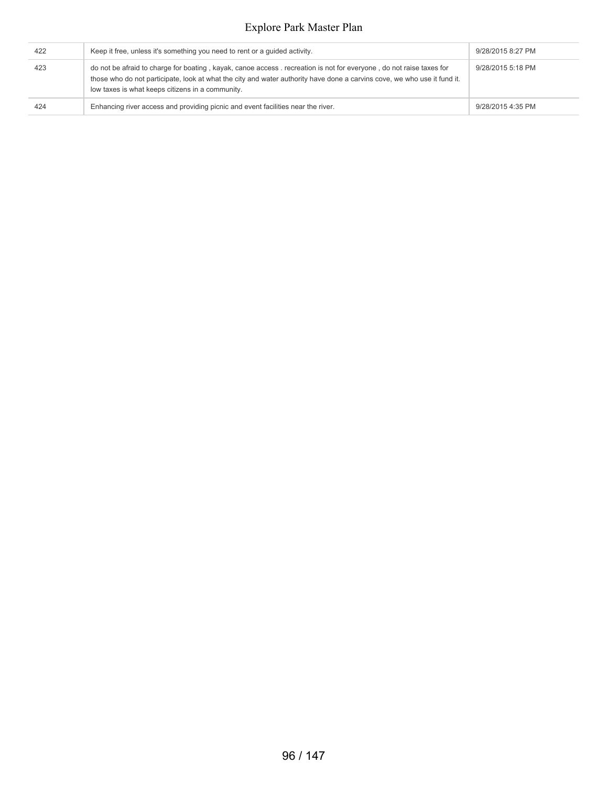| 422 | Keep it free, unless it's something you need to rent or a guided activity.                                                                                                                                                                                                                          | 9/28/2015 8:27 PM |
|-----|-----------------------------------------------------------------------------------------------------------------------------------------------------------------------------------------------------------------------------------------------------------------------------------------------------|-------------------|
| 423 | do not be afraid to charge for boating, kayak, canoe access, recreation is not for everyone, do not raise taxes for<br>those who do not participate, look at what the city and water authority have done a carvins cove, we who use it fund it.<br>low taxes is what keeps citizens in a community. | 9/28/2015 5:18 PM |
| 424 | Enhancing river access and providing picnic and event facilities near the river.                                                                                                                                                                                                                    | 9/28/2015 4:35 PM |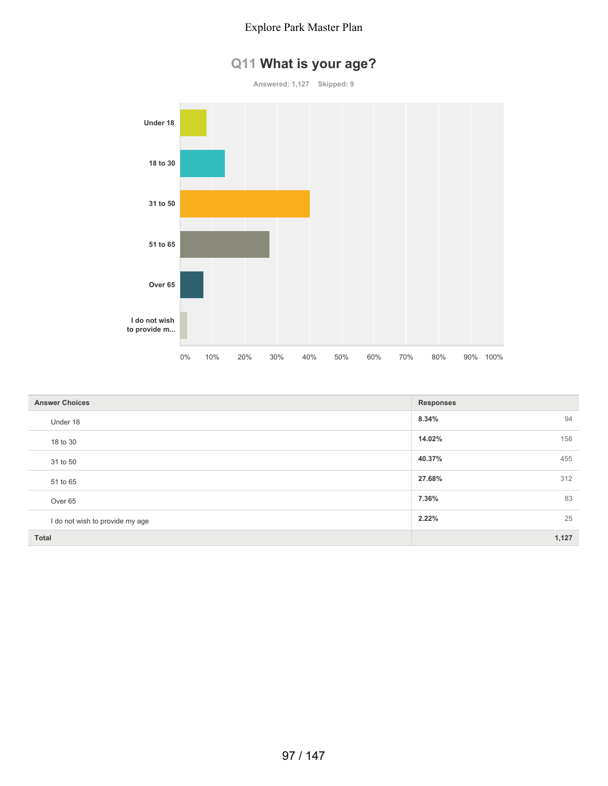# **Q11 What is your age?**



| <b>Answer Choices</b>           | <b>Responses</b> |
|---------------------------------|------------------|
| Under 18                        | 94<br>8.34%      |
| 18 to 30                        | 158<br>14.02%    |
| 31 to 50                        | 455<br>40.37%    |
| 51 to 65                        | 312<br>27.68%    |
| Over <sub>65</sub>              | 83<br>7.36%      |
| I do not wish to provide my age | 25<br>2.22%      |
| <b>Total</b>                    | 1,127            |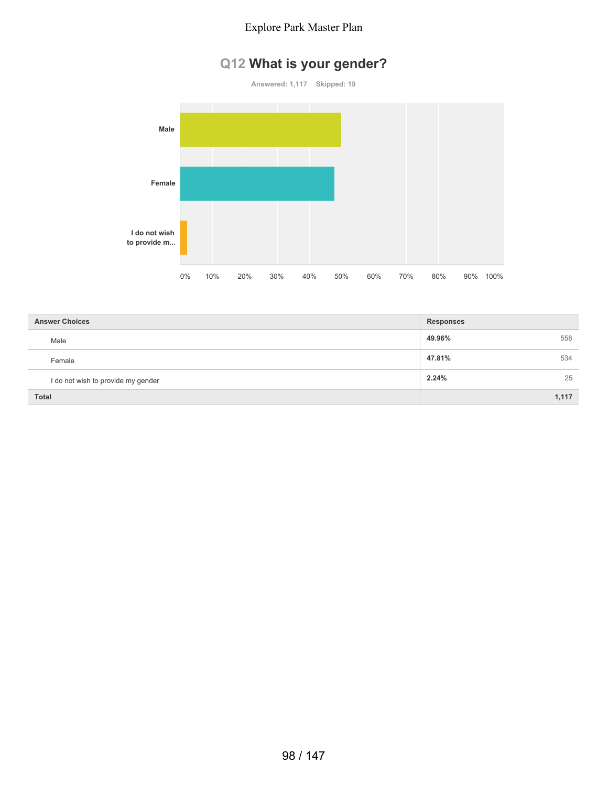# **Q12 What is your gender?**

**Answered: 1,117 Skipped: 19 Male Female I do not wish to provide m...** 0% 10% 20% 30% 40% 50% 60% 70% 80% 90% 100%

| <b>Answer Choices</b>              | <b>Responses</b> |       |
|------------------------------------|------------------|-------|
| Male                               | 49.96%           | 558   |
| Female                             | 47.81%           | 534   |
| I do not wish to provide my gender | 2.24%            | 25    |
| <b>Total</b>                       |                  | 1,117 |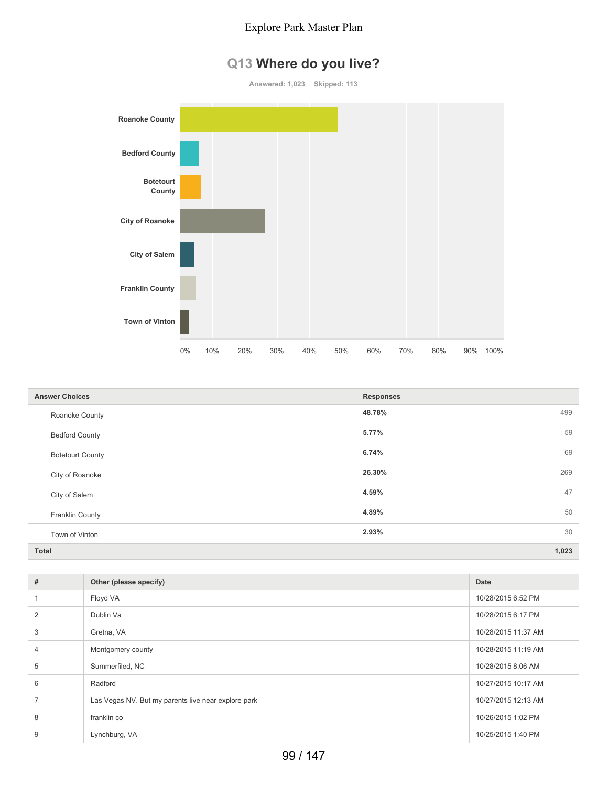# **Q13 Where do you live?**

**Answered: 1,023 Skipped: 113**



| <b>Answer Choices</b>   | <b>Responses</b> |
|-------------------------|------------------|
| Roanoke County          | 48.78%<br>499    |
| <b>Bedford County</b>   | 59<br>5.77%      |
| <b>Botetourt County</b> | 69<br>6.74%      |
| City of Roanoke         | 26.30%<br>269    |
| City of Salem           | 47<br>4.59%      |
| Franklin County         | 50<br>4.89%      |
| Town of Vinton          | 30<br>2.93%      |
| <b>Total</b>            | 1,023            |

| #              | Other (please specify)                              | Date                |
|----------------|-----------------------------------------------------|---------------------|
|                | Floyd VA                                            | 10/28/2015 6:52 PM  |
| $\overline{2}$ | Dublin Va                                           | 10/28/2015 6:17 PM  |
| 3              | Gretna, VA                                          | 10/28/2015 11:37 AM |
| $\overline{4}$ | Montgomery county                                   | 10/28/2015 11:19 AM |
| 5              | Summerfiled, NC                                     | 10/28/2015 8:06 AM  |
| 6              | Radford                                             | 10/27/2015 10:17 AM |
|                | Las Vegas NV. But my parents live near explore park | 10/27/2015 12:13 AM |
| 8              | franklin co                                         | 10/26/2015 1:02 PM  |
| 9              | Lynchburg, VA                                       | 10/25/2015 1:40 PM  |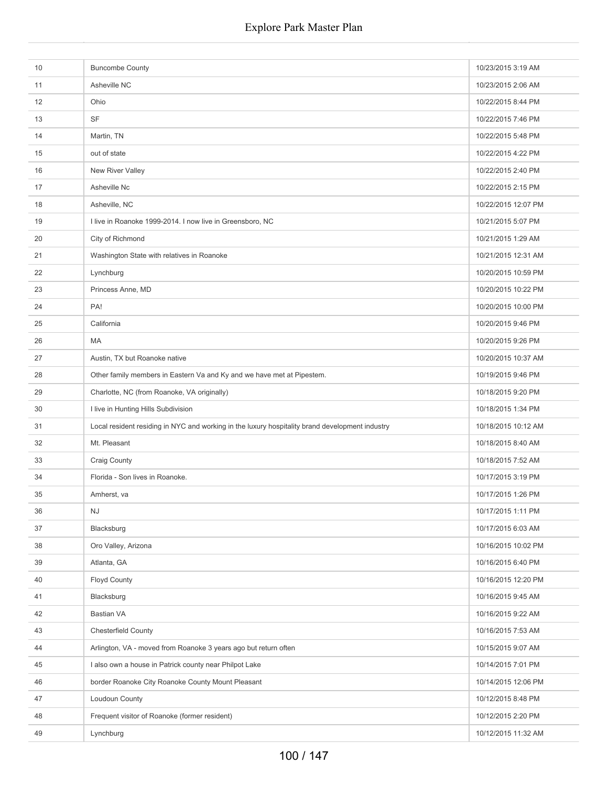| 10 | <b>Buncombe County</b>                                                                          | 10/23/2015 3:19 AM  |
|----|-------------------------------------------------------------------------------------------------|---------------------|
| 11 | Asheville NC                                                                                    | 10/23/2015 2:06 AM  |
| 12 | Ohio                                                                                            | 10/22/2015 8:44 PM  |
| 13 | SF                                                                                              | 10/22/2015 7:46 PM  |
| 14 | Martin, TN                                                                                      | 10/22/2015 5:48 PM  |
| 15 | out of state                                                                                    | 10/22/2015 4:22 PM  |
| 16 | New River Valley                                                                                | 10/22/2015 2:40 PM  |
| 17 | Asheville Nc                                                                                    | 10/22/2015 2:15 PM  |
| 18 | Asheville, NC                                                                                   | 10/22/2015 12:07 PM |
| 19 | I live in Roanoke 1999-2014. I now live in Greensboro, NC                                       | 10/21/2015 5:07 PM  |
| 20 | City of Richmond                                                                                | 10/21/2015 1:29 AM  |
| 21 | Washington State with relatives in Roanoke                                                      | 10/21/2015 12:31 AM |
| 22 | Lynchburg                                                                                       | 10/20/2015 10:59 PM |
| 23 | Princess Anne, MD                                                                               | 10/20/2015 10:22 PM |
| 24 | PA!                                                                                             | 10/20/2015 10:00 PM |
| 25 | California                                                                                      | 10/20/2015 9:46 PM  |
| 26 | MA                                                                                              | 10/20/2015 9:26 PM  |
| 27 | Austin, TX but Roanoke native                                                                   | 10/20/2015 10:37 AM |
| 28 | Other family members in Eastern Va and Ky and we have met at Pipestem.                          | 10/19/2015 9:46 PM  |
| 29 | Charlotte, NC (from Roanoke, VA originally)                                                     | 10/18/2015 9:20 PM  |
| 30 | I live in Hunting Hills Subdivision                                                             | 10/18/2015 1:34 PM  |
| 31 | Local resident residing in NYC and working in the luxury hospitality brand development industry | 10/18/2015 10:12 AM |
| 32 | Mt. Pleasant                                                                                    | 10/18/2015 8:40 AM  |
| 33 | Craig County                                                                                    | 10/18/2015 7:52 AM  |
| 34 | Florida - Son lives in Roanoke.                                                                 | 10/17/2015 3:19 PM  |
| 35 | Amherst, va                                                                                     | 10/17/2015 1:26 PM  |
| 36 | NJ                                                                                              | 10/17/2015 1:11 PM  |
| 37 | Blacksburg                                                                                      | 10/17/2015 6:03 AM  |
| 38 | Oro Valley, Arizona                                                                             | 10/16/2015 10:02 PM |
| 39 | Atlanta, GA                                                                                     | 10/16/2015 6:40 PM  |
| 40 | Floyd County                                                                                    | 10/16/2015 12:20 PM |
| 41 | Blacksburg                                                                                      | 10/16/2015 9:45 AM  |
| 42 | <b>Bastian VA</b>                                                                               | 10/16/2015 9:22 AM  |
| 43 | Chesterfield County                                                                             | 10/16/2015 7:53 AM  |
| 44 | Arlington, VA - moved from Roanoke 3 years ago but return often                                 | 10/15/2015 9:07 AM  |
| 45 | I also own a house in Patrick county near Philpot Lake                                          | 10/14/2015 7:01 PM  |
| 46 | border Roanoke City Roanoke County Mount Pleasant                                               | 10/14/2015 12:06 PM |
| 47 | Loudoun County                                                                                  | 10/12/2015 8:48 PM  |
| 48 | Frequent visitor of Roanoke (former resident)                                                   | 10/12/2015 2:20 PM  |
| 49 | Lynchburg                                                                                       | 10/12/2015 11:32 AM |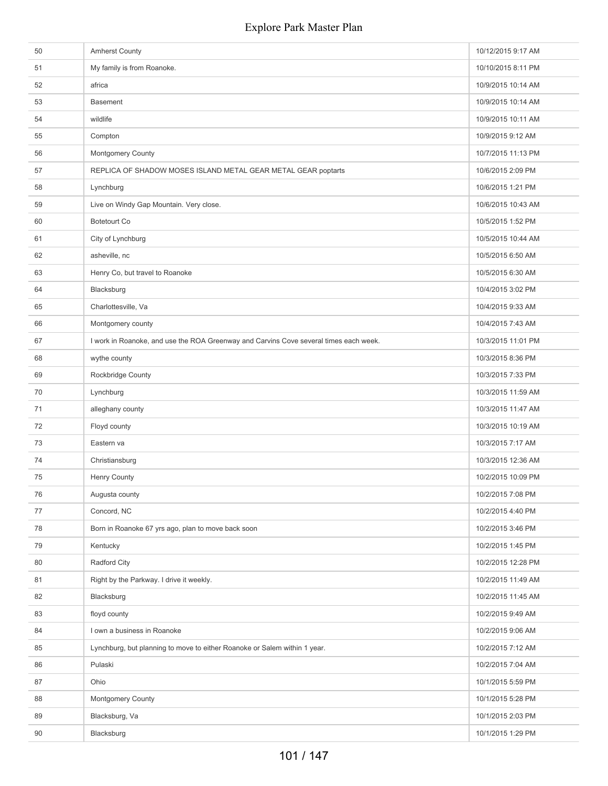| 50 | <b>Amherst County</b>                                                                 | 10/12/2015 9:17 AM |
|----|---------------------------------------------------------------------------------------|--------------------|
| 51 | My family is from Roanoke.                                                            | 10/10/2015 8:11 PM |
| 52 | africa                                                                                | 10/9/2015 10:14 AM |
| 53 | <b>Basement</b>                                                                       | 10/9/2015 10:14 AM |
| 54 | wildlife                                                                              | 10/9/2015 10:11 AM |
| 55 | Compton                                                                               | 10/9/2015 9:12 AM  |
| 56 | <b>Montgomery County</b>                                                              | 10/7/2015 11:13 PM |
| 57 | REPLICA OF SHADOW MOSES ISLAND METAL GEAR METAL GEAR poptarts                         | 10/6/2015 2:09 PM  |
| 58 | Lynchburg                                                                             | 10/6/2015 1:21 PM  |
| 59 | Live on Windy Gap Mountain. Very close.                                               | 10/6/2015 10:43 AM |
| 60 | <b>Botetourt Co</b>                                                                   | 10/5/2015 1:52 PM  |
| 61 | City of Lynchburg                                                                     | 10/5/2015 10:44 AM |
| 62 | asheville, nc                                                                         | 10/5/2015 6:50 AM  |
| 63 | Henry Co, but travel to Roanoke                                                       | 10/5/2015 6:30 AM  |
| 64 | Blacksburg                                                                            | 10/4/2015 3:02 PM  |
| 65 | Charlottesville, Va                                                                   | 10/4/2015 9:33 AM  |
| 66 | Montgomery county                                                                     | 10/4/2015 7:43 AM  |
| 67 | I work in Roanoke, and use the ROA Greenway and Carvins Cove several times each week. | 10/3/2015 11:01 PM |
| 68 | wythe county                                                                          | 10/3/2015 8:36 PM  |
| 69 | Rockbridge County                                                                     | 10/3/2015 7:33 PM  |
| 70 | Lynchburg                                                                             | 10/3/2015 11:59 AM |
| 71 | alleghany county                                                                      | 10/3/2015 11:47 AM |
| 72 | Floyd county                                                                          | 10/3/2015 10:19 AM |
| 73 | Eastern va                                                                            | 10/3/2015 7:17 AM  |
| 74 | Christiansburg                                                                        | 10/3/2015 12:36 AM |
| 75 | <b>Henry County</b>                                                                   | 10/2/2015 10:09 PM |
| 76 | Augusta county                                                                        | 10/2/2015 7:08 PM  |
| 77 | Concord, NC                                                                           | 10/2/2015 4:40 PM  |
| 78 | Born in Roanoke 67 yrs ago, plan to move back soon                                    | 10/2/2015 3:46 PM  |
| 79 | Kentucky                                                                              | 10/2/2015 1:45 PM  |
| 80 | Radford City                                                                          | 10/2/2015 12:28 PM |
| 81 | Right by the Parkway. I drive it weekly.                                              | 10/2/2015 11:49 AM |
| 82 | Blacksburg                                                                            | 10/2/2015 11:45 AM |
| 83 | floyd county                                                                          | 10/2/2015 9:49 AM  |
| 84 | I own a business in Roanoke                                                           | 10/2/2015 9:06 AM  |
| 85 | Lynchburg, but planning to move to either Roanoke or Salem within 1 year.             | 10/2/2015 7:12 AM  |
| 86 | Pulaski                                                                               | 10/2/2015 7:04 AM  |
| 87 | Ohio                                                                                  | 10/1/2015 5:59 PM  |
| 88 | <b>Montgomery County</b>                                                              | 10/1/2015 5:28 PM  |
| 89 | Blacksburg, Va                                                                        | 10/1/2015 2:03 PM  |
| 90 | Blacksburg                                                                            | 10/1/2015 1:29 PM  |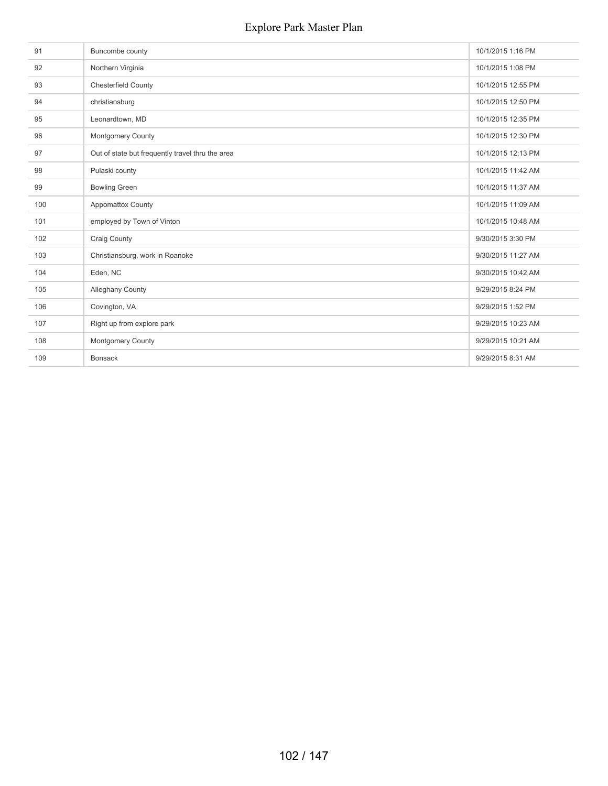| 91  | Buncombe county                                  | 10/1/2015 1:16 PM  |
|-----|--------------------------------------------------|--------------------|
| 92  | Northern Virginia                                | 10/1/2015 1:08 PM  |
| 93  | Chesterfield County                              | 10/1/2015 12:55 PM |
| 94  | christiansburg                                   | 10/1/2015 12:50 PM |
| 95  | Leonardtown, MD                                  | 10/1/2015 12:35 PM |
| 96  | Montgomery County                                | 10/1/2015 12:30 PM |
| 97  | Out of state but frequently travel thru the area | 10/1/2015 12:13 PM |
| 98  | Pulaski county                                   | 10/1/2015 11:42 AM |
| 99  | <b>Bowling Green</b>                             | 10/1/2015 11:37 AM |
| 100 | <b>Appomattox County</b>                         | 10/1/2015 11:09 AM |
| 101 | employed by Town of Vinton                       | 10/1/2015 10:48 AM |
| 102 | Craig County                                     | 9/30/2015 3:30 PM  |
| 103 | Christiansburg, work in Roanoke                  | 9/30/2015 11:27 AM |
| 104 | Eden, NC                                         | 9/30/2015 10:42 AM |
| 105 | <b>Alleghany County</b>                          | 9/29/2015 8:24 PM  |
| 106 | Covington, VA                                    | 9/29/2015 1:52 PM  |
| 107 | Right up from explore park                       | 9/29/2015 10:23 AM |
| 108 | <b>Montgomery County</b>                         | 9/29/2015 10:21 AM |
| 109 | <b>Bonsack</b>                                   | 9/29/2015 8:31 AM  |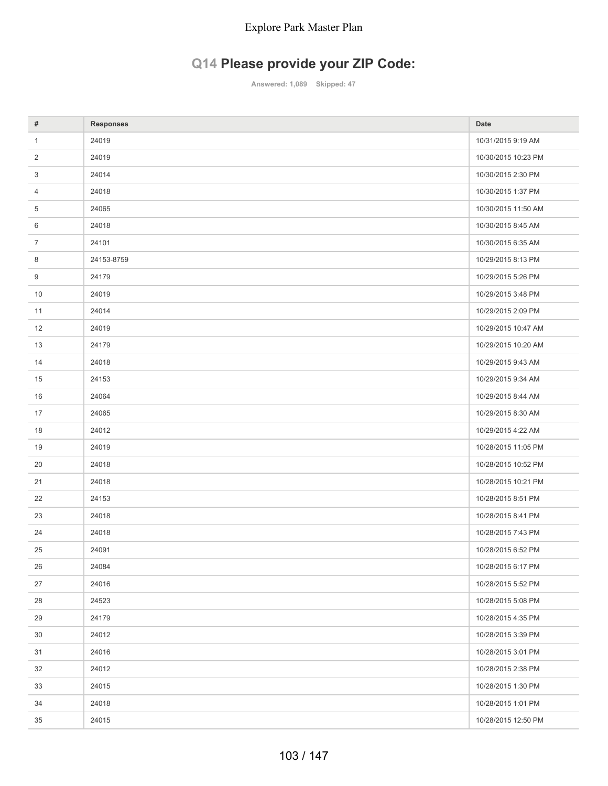# **Q14 Please provide your ZIP Code:**

**Answered: 1,089 Skipped: 47**

| #              | <b>Responses</b> | Date                |
|----------------|------------------|---------------------|
| $\mathbf{1}$   | 24019            | 10/31/2015 9:19 AM  |
| $\overline{2}$ | 24019            | 10/30/2015 10:23 PM |
| 3              | 24014            | 10/30/2015 2:30 PM  |
| 4              | 24018            | 10/30/2015 1:37 PM  |
| 5              | 24065            | 10/30/2015 11:50 AM |
| 6              | 24018            | 10/30/2015 8:45 AM  |
| $\overline{7}$ | 24101            | 10/30/2015 6:35 AM  |
| 8              | 24153-8759       | 10/29/2015 8:13 PM  |
| 9              | 24179            | 10/29/2015 5:26 PM  |
| 10             | 24019            | 10/29/2015 3:48 PM  |
| 11             | 24014            | 10/29/2015 2:09 PM  |
| 12             | 24019            | 10/29/2015 10:47 AM |
| 13             | 24179            | 10/29/2015 10:20 AM |
| 14             | 24018            | 10/29/2015 9:43 AM  |
| 15             | 24153            | 10/29/2015 9:34 AM  |
| 16             | 24064            | 10/29/2015 8:44 AM  |
| 17             | 24065            | 10/29/2015 8:30 AM  |
| 18             | 24012            | 10/29/2015 4:22 AM  |
| 19             | 24019            | 10/28/2015 11:05 PM |
| 20             | 24018            | 10/28/2015 10:52 PM |
| 21             | 24018            | 10/28/2015 10:21 PM |
| 22             | 24153            | 10/28/2015 8:51 PM  |
| 23             | 24018            | 10/28/2015 8:41 PM  |
| 24             | 24018            | 10/28/2015 7:43 PM  |
| 25             | 24091            | 10/28/2015 6:52 PM  |
| 26             | 24084            | 10/28/2015 6:17 PM  |
| 27             | 24016            | 10/28/2015 5:52 PM  |
| 28             | 24523            | 10/28/2015 5:08 PM  |
| 29             | 24179            | 10/28/2015 4:35 PM  |
| 30             | 24012            | 10/28/2015 3:39 PM  |
| 31             | 24016            | 10/28/2015 3:01 PM  |
| 32             | 24012            | 10/28/2015 2:38 PM  |
| 33             | 24015            | 10/28/2015 1:30 PM  |
| 34             | 24018            | 10/28/2015 1:01 PM  |
| 35             | 24015            | 10/28/2015 12:50 PM |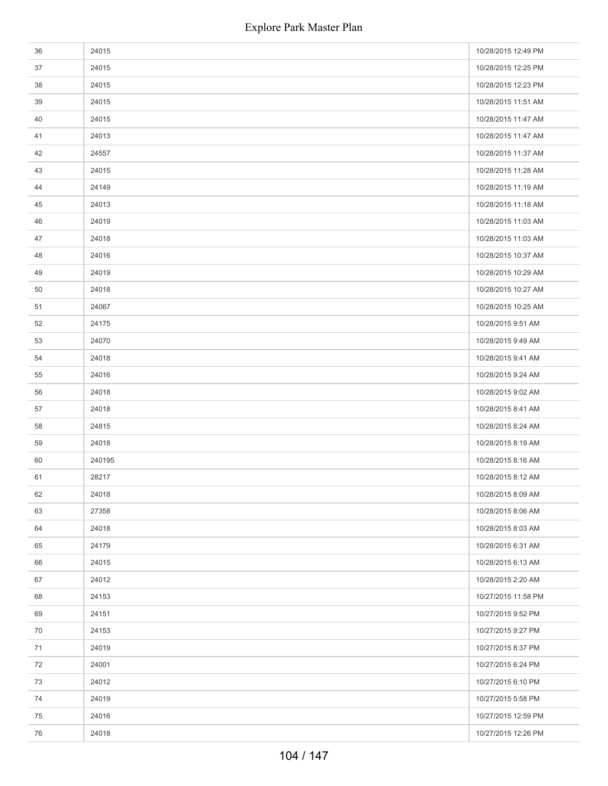| 36 | 24015  | 10/28/2015 12:49 PM |
|----|--------|---------------------|
| 37 | 24015  | 10/28/2015 12:25 PM |
| 38 | 24015  | 10/28/2015 12:23 PM |
| 39 | 24015  | 10/28/2015 11:51 AM |
| 40 | 24015  | 10/28/2015 11:47 AM |
| 41 | 24013  | 10/28/2015 11:47 AM |
| 42 | 24557  | 10/28/2015 11:37 AM |
| 43 | 24015  | 10/28/2015 11:28 AM |
| 44 | 24149  | 10/28/2015 11:19 AM |
| 45 | 24013  | 10/28/2015 11:18 AM |
| 46 | 24019  | 10/28/2015 11:03 AM |
| 47 | 24018  | 10/28/2015 11:03 AM |
| 48 | 24016  | 10/28/2015 10:37 AM |
| 49 | 24019  | 10/28/2015 10:29 AM |
| 50 | 24018  | 10/28/2015 10:27 AM |
| 51 | 24067  | 10/28/2015 10:25 AM |
| 52 | 24175  | 10/28/2015 9:51 AM  |
| 53 | 24070  | 10/28/2015 9:49 AM  |
| 54 | 24018  | 10/28/2015 9:41 AM  |
| 55 | 24016  | 10/28/2015 9:24 AM  |
| 56 | 24018  | 10/28/2015 9:02 AM  |
| 57 | 24018  | 10/28/2015 8:41 AM  |
| 58 | 24815  | 10/28/2015 8:24 AM  |
| 59 | 24018  | 10/28/2015 8:19 AM  |
| 60 | 240195 | 10/28/2015 8:16 AM  |
| 61 | 28217  | 10/28/2015 8:12 AM  |
| 62 | 24018  | 10/28/2015 8:09 AM  |
| 63 | 27358  | 10/28/2015 8:06 AM  |
| 64 | 24018  | 10/28/2015 8:03 AM  |
| 65 | 24179  | 10/28/2015 6:31 AM  |
| 66 | 24015  | 10/28/2015 6:13 AM  |
| 67 | 24012  | 10/28/2015 2:20 AM  |
| 68 | 24153  | 10/27/2015 11:58 PM |
| 69 | 24151  | 10/27/2015 9:52 PM  |
| 70 | 24153  | 10/27/2015 9:27 PM  |
| 71 | 24019  | 10/27/2015 8:37 PM  |
| 72 | 24001  | 10/27/2015 6:24 PM  |
| 73 | 24012  | 10/27/2015 6:10 PM  |
| 74 | 24019  | 10/27/2015 5:58 PM  |
| 75 | 24016  | 10/27/2015 12:59 PM |
| 76 | 24018  | 10/27/2015 12:26 PM |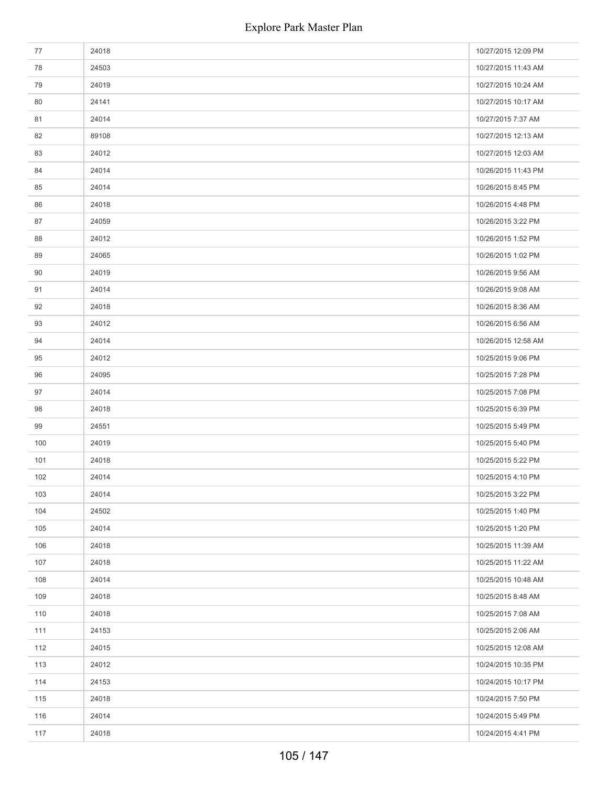| 77  | 24018 | 10/27/2015 12:09 PM |
|-----|-------|---------------------|
| 78  | 24503 | 10/27/2015 11:43 AM |
| 79  | 24019 | 10/27/2015 10:24 AM |
| 80  | 24141 | 10/27/2015 10:17 AM |
| 81  | 24014 | 10/27/2015 7:37 AM  |
| 82  | 89108 | 10/27/2015 12:13 AM |
| 83  | 24012 | 10/27/2015 12:03 AM |
| 84  | 24014 | 10/26/2015 11:43 PM |
| 85  | 24014 | 10/26/2015 8:45 PM  |
| 86  | 24018 | 10/26/2015 4:48 PM  |
| 87  | 24059 | 10/26/2015 3:22 PM  |
| 88  | 24012 | 10/26/2015 1:52 PM  |
| 89  | 24065 | 10/26/2015 1:02 PM  |
| 90  | 24019 | 10/26/2015 9:56 AM  |
| 91  | 24014 | 10/26/2015 9:08 AM  |
| 92  | 24018 | 10/26/2015 8:36 AM  |
| 93  | 24012 | 10/26/2015 6:56 AM  |
| 94  | 24014 | 10/26/2015 12:58 AM |
| 95  | 24012 | 10/25/2015 9:06 PM  |
| 96  | 24095 | 10/25/2015 7:28 PM  |
| 97  | 24014 | 10/25/2015 7:08 PM  |
| 98  | 24018 | 10/25/2015 6:39 PM  |
| 99  | 24551 | 10/25/2015 5:49 PM  |
| 100 | 24019 | 10/25/2015 5:40 PM  |
| 101 | 24018 | 10/25/2015 5:22 PM  |
| 102 | 24014 | 10/25/2015 4:10 PM  |
| 103 | 24014 | 10/25/2015 3:22 PM  |
| 104 | 24502 | 10/25/2015 1:40 PM  |
| 105 | 24014 | 10/25/2015 1:20 PM  |
| 106 | 24018 | 10/25/2015 11:39 AM |
| 107 | 24018 | 10/25/2015 11:22 AM |
| 108 | 24014 | 10/25/2015 10:48 AM |
| 109 | 24018 | 10/25/2015 8:48 AM  |
| 110 | 24018 | 10/25/2015 7:08 AM  |
| 111 | 24153 | 10/25/2015 2:06 AM  |
| 112 | 24015 | 10/25/2015 12:08 AM |
| 113 | 24012 | 10/24/2015 10:35 PM |
| 114 | 24153 | 10/24/2015 10:17 PM |
| 115 | 24018 | 10/24/2015 7:50 PM  |
| 116 | 24014 | 10/24/2015 5:49 PM  |
| 117 | 24018 | 10/24/2015 4:41 PM  |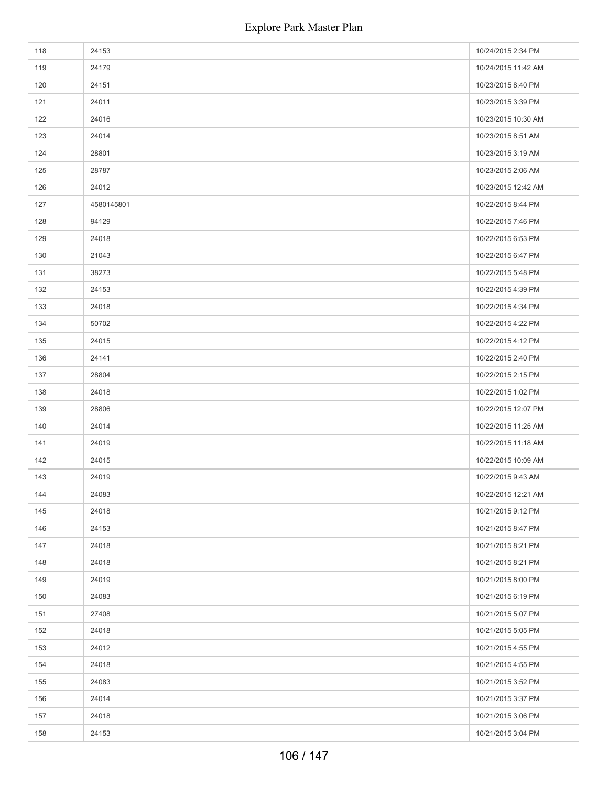| 118 | 24153      | 10/24/2015 2:34 PM  |
|-----|------------|---------------------|
| 119 | 24179      | 10/24/2015 11:42 AM |
| 120 | 24151      | 10/23/2015 8:40 PM  |
| 121 | 24011      | 10/23/2015 3:39 PM  |
| 122 | 24016      | 10/23/2015 10:30 AM |
| 123 | 24014      | 10/23/2015 8:51 AM  |
| 124 | 28801      | 10/23/2015 3:19 AM  |
| 125 | 28787      | 10/23/2015 2:06 AM  |
| 126 | 24012      | 10/23/2015 12:42 AM |
| 127 | 4580145801 | 10/22/2015 8:44 PM  |
| 128 | 94129      | 10/22/2015 7:46 PM  |
| 129 | 24018      | 10/22/2015 6:53 PM  |
| 130 | 21043      | 10/22/2015 6:47 PM  |
| 131 | 38273      | 10/22/2015 5:48 PM  |
| 132 | 24153      | 10/22/2015 4:39 PM  |
| 133 | 24018      | 10/22/2015 4:34 PM  |
| 134 | 50702      | 10/22/2015 4:22 PM  |
| 135 | 24015      | 10/22/2015 4:12 PM  |
| 136 | 24141      | 10/22/2015 2:40 PM  |
| 137 | 28804      | 10/22/2015 2:15 PM  |
| 138 | 24018      | 10/22/2015 1:02 PM  |
| 139 | 28806      | 10/22/2015 12:07 PM |
| 140 | 24014      | 10/22/2015 11:25 AM |
| 141 | 24019      | 10/22/2015 11:18 AM |
| 142 | 24015      | 10/22/2015 10:09 AM |
| 143 | 24019      | 10/22/2015 9:43 AM  |
| 144 | 24083      | 10/22/2015 12:21 AM |
| 145 | 24018      | 10/21/2015 9:12 PM  |
| 146 | 24153      | 10/21/2015 8:47 PM  |
| 147 | 24018      | 10/21/2015 8:21 PM  |
| 148 | 24018      | 10/21/2015 8:21 PM  |
| 149 | 24019      | 10/21/2015 8:00 PM  |
| 150 | 24083      | 10/21/2015 6:19 PM  |
| 151 | 27408      | 10/21/2015 5:07 PM  |
| 152 | 24018      | 10/21/2015 5:05 PM  |
| 153 | 24012      | 10/21/2015 4:55 PM  |
| 154 | 24018      | 10/21/2015 4:55 PM  |
| 155 | 24083      | 10/21/2015 3:52 PM  |
| 156 | 24014      | 10/21/2015 3:37 PM  |
| 157 | 24018      | 10/21/2015 3:06 PM  |
| 158 | 24153      | 10/21/2015 3:04 PM  |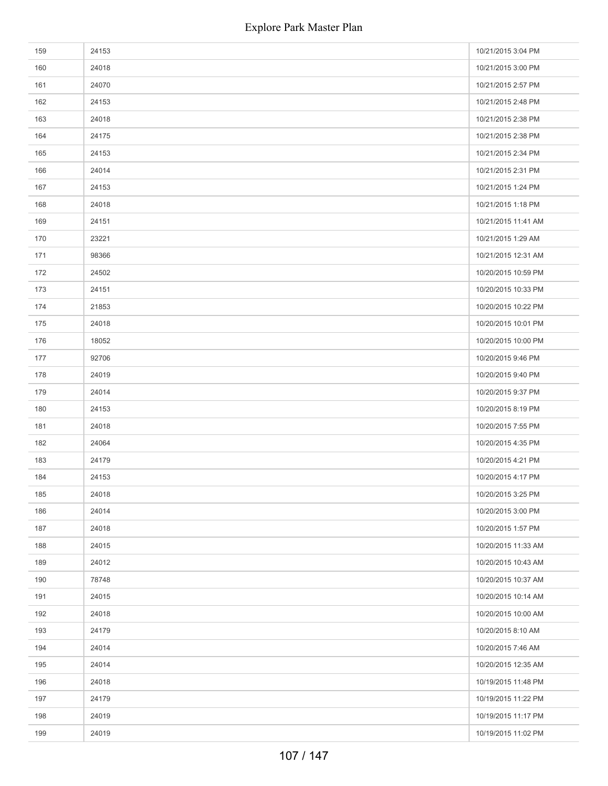| 159 | 24153 | 10/21/2015 3:04 PM  |
|-----|-------|---------------------|
| 160 | 24018 | 10/21/2015 3:00 PM  |
| 161 | 24070 | 10/21/2015 2:57 PM  |
| 162 | 24153 | 10/21/2015 2:48 PM  |
| 163 | 24018 | 10/21/2015 2:38 PM  |
| 164 | 24175 | 10/21/2015 2:38 PM  |
| 165 | 24153 | 10/21/2015 2:34 PM  |
| 166 | 24014 | 10/21/2015 2:31 PM  |
| 167 | 24153 | 10/21/2015 1:24 PM  |
| 168 | 24018 | 10/21/2015 1:18 PM  |
| 169 | 24151 | 10/21/2015 11:41 AM |
| 170 | 23221 | 10/21/2015 1:29 AM  |
| 171 | 98366 | 10/21/2015 12:31 AM |
| 172 | 24502 | 10/20/2015 10:59 PM |
| 173 | 24151 | 10/20/2015 10:33 PM |
| 174 | 21853 | 10/20/2015 10:22 PM |
| 175 | 24018 | 10/20/2015 10:01 PM |
| 176 | 18052 | 10/20/2015 10:00 PM |
| 177 | 92706 | 10/20/2015 9:46 PM  |
| 178 | 24019 | 10/20/2015 9:40 PM  |
| 179 | 24014 | 10/20/2015 9:37 PM  |
| 180 | 24153 | 10/20/2015 8:19 PM  |
| 181 | 24018 | 10/20/2015 7:55 PM  |
| 182 | 24064 | 10/20/2015 4:35 PM  |
| 183 | 24179 | 10/20/2015 4:21 PM  |
| 184 | 24153 | 10/20/2015 4:17 PM  |
| 185 | 24018 | 10/20/2015 3:25 PM  |
| 186 | 24014 | 10/20/2015 3:00 PM  |
| 187 | 24018 | 10/20/2015 1:57 PM  |
| 188 | 24015 | 10/20/2015 11:33 AM |
| 189 | 24012 | 10/20/2015 10:43 AM |
| 190 | 78748 | 10/20/2015 10:37 AM |
| 191 | 24015 | 10/20/2015 10:14 AM |
| 192 | 24018 | 10/20/2015 10:00 AM |
| 193 | 24179 | 10/20/2015 8:10 AM  |
| 194 | 24014 | 10/20/2015 7:46 AM  |
| 195 | 24014 | 10/20/2015 12:35 AM |
| 196 | 24018 | 10/19/2015 11:48 PM |
| 197 | 24179 | 10/19/2015 11:22 PM |
| 198 | 24019 | 10/19/2015 11:17 PM |
| 199 | 24019 | 10/19/2015 11:02 PM |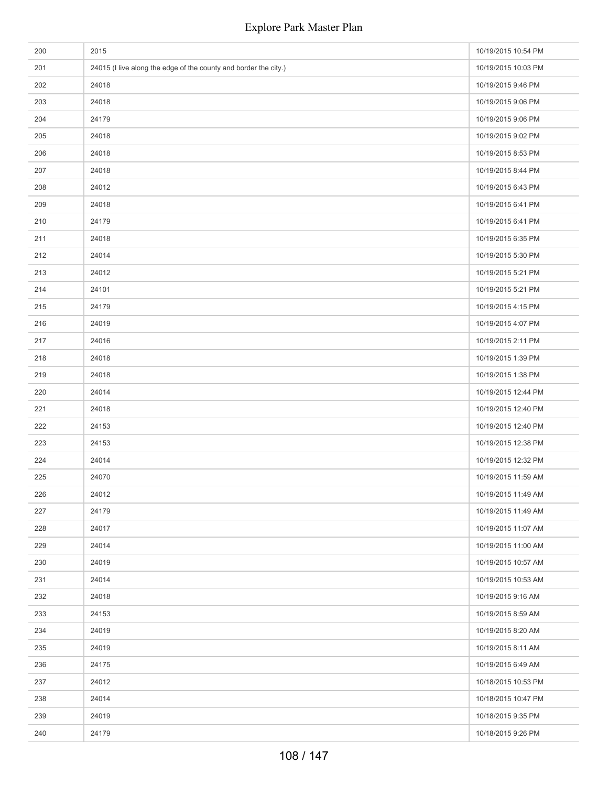| 200 | 2015                                                             | 10/19/2015 10:54 PM |
|-----|------------------------------------------------------------------|---------------------|
| 201 | 24015 (I live along the edge of the county and border the city.) | 10/19/2015 10:03 PM |
| 202 | 24018                                                            | 10/19/2015 9:46 PM  |
| 203 | 24018                                                            | 10/19/2015 9:06 PM  |
| 204 | 24179                                                            | 10/19/2015 9:06 PM  |
| 205 | 24018                                                            | 10/19/2015 9:02 PM  |
| 206 | 24018                                                            | 10/19/2015 8:53 PM  |
| 207 | 24018                                                            | 10/19/2015 8:44 PM  |
| 208 | 24012                                                            | 10/19/2015 6:43 PM  |
| 209 | 24018                                                            | 10/19/2015 6:41 PM  |
| 210 | 24179                                                            | 10/19/2015 6:41 PM  |
| 211 | 24018                                                            | 10/19/2015 6:35 PM  |
| 212 | 24014                                                            | 10/19/2015 5:30 PM  |
| 213 | 24012                                                            | 10/19/2015 5:21 PM  |
| 214 | 24101                                                            | 10/19/2015 5:21 PM  |
| 215 | 24179                                                            | 10/19/2015 4:15 PM  |
| 216 | 24019                                                            | 10/19/2015 4:07 PM  |
| 217 | 24016                                                            | 10/19/2015 2:11 PM  |
| 218 | 24018                                                            | 10/19/2015 1:39 PM  |
| 219 | 24018                                                            | 10/19/2015 1:38 PM  |
| 220 | 24014                                                            | 10/19/2015 12:44 PM |
| 221 | 24018                                                            | 10/19/2015 12:40 PM |
| 222 | 24153                                                            | 10/19/2015 12:40 PM |
| 223 | 24153                                                            | 10/19/2015 12:38 PM |
| 224 | 24014                                                            | 10/19/2015 12:32 PM |
| 225 | 24070                                                            | 10/19/2015 11:59 AM |
| 226 | 24012                                                            | 10/19/2015 11:49 AM |
| 227 | 24179                                                            | 10/19/2015 11:49 AM |
| 228 | 24017                                                            | 10/19/2015 11:07 AM |
| 229 | 24014                                                            | 10/19/2015 11:00 AM |
| 230 | 24019                                                            | 10/19/2015 10:57 AM |
| 231 | 24014                                                            | 10/19/2015 10:53 AM |
| 232 | 24018                                                            | 10/19/2015 9:16 AM  |
| 233 | 24153                                                            | 10/19/2015 8:59 AM  |
| 234 | 24019                                                            | 10/19/2015 8:20 AM  |
| 235 | 24019                                                            | 10/19/2015 8:11 AM  |
| 236 | 24175                                                            | 10/19/2015 6:49 AM  |
| 237 | 24012                                                            | 10/18/2015 10:53 PM |
| 238 | 24014                                                            | 10/18/2015 10:47 PM |
| 239 | 24019                                                            | 10/18/2015 9:35 PM  |
| 240 | 24179                                                            | 10/18/2015 9:26 PM  |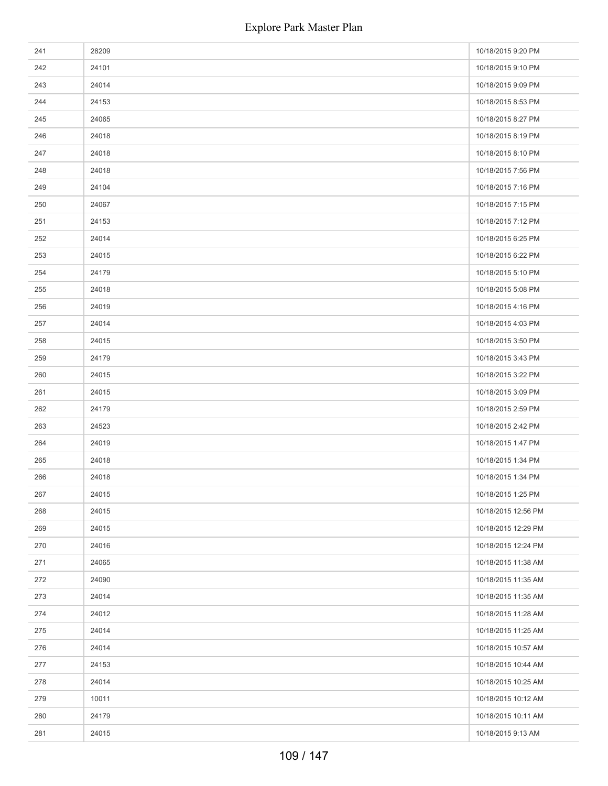| 241 | 28209 | 10/18/2015 9:20 PM  |
|-----|-------|---------------------|
| 242 | 24101 | 10/18/2015 9:10 PM  |
| 243 | 24014 | 10/18/2015 9:09 PM  |
| 244 | 24153 | 10/18/2015 8:53 PM  |
| 245 | 24065 | 10/18/2015 8:27 PM  |
| 246 | 24018 | 10/18/2015 8:19 PM  |
| 247 | 24018 | 10/18/2015 8:10 PM  |
| 248 | 24018 | 10/18/2015 7:56 PM  |
| 249 | 24104 | 10/18/2015 7:16 PM  |
| 250 | 24067 | 10/18/2015 7:15 PM  |
| 251 | 24153 | 10/18/2015 7:12 PM  |
| 252 | 24014 | 10/18/2015 6:25 PM  |
| 253 | 24015 | 10/18/2015 6:22 PM  |
| 254 | 24179 | 10/18/2015 5:10 PM  |
| 255 | 24018 | 10/18/2015 5:08 PM  |
| 256 | 24019 | 10/18/2015 4:16 PM  |
| 257 | 24014 | 10/18/2015 4:03 PM  |
| 258 | 24015 | 10/18/2015 3:50 PM  |
| 259 | 24179 | 10/18/2015 3:43 PM  |
| 260 | 24015 | 10/18/2015 3:22 PM  |
| 261 | 24015 | 10/18/2015 3:09 PM  |
| 262 | 24179 | 10/18/2015 2:59 PM  |
| 263 | 24523 | 10/18/2015 2:42 PM  |
| 264 | 24019 | 10/18/2015 1:47 PM  |
| 265 | 24018 | 10/18/2015 1:34 PM  |
| 266 | 24018 | 10/18/2015 1:34 PM  |
| 267 | 24015 | 10/18/2015 1:25 PM  |
| 268 | 24015 | 10/18/2015 12:56 PM |
| 269 | 24015 | 10/18/2015 12:29 PM |
| 270 | 24016 | 10/18/2015 12:24 PM |
| 271 | 24065 | 10/18/2015 11:38 AM |
| 272 | 24090 | 10/18/2015 11:35 AM |
| 273 | 24014 | 10/18/2015 11:35 AM |
| 274 | 24012 | 10/18/2015 11:28 AM |
| 275 | 24014 | 10/18/2015 11:25 AM |
| 276 | 24014 | 10/18/2015 10:57 AM |
| 277 | 24153 | 10/18/2015 10:44 AM |
| 278 | 24014 | 10/18/2015 10:25 AM |
| 279 | 10011 | 10/18/2015 10:12 AM |
| 280 | 24179 | 10/18/2015 10:11 AM |
| 281 | 24015 | 10/18/2015 9:13 AM  |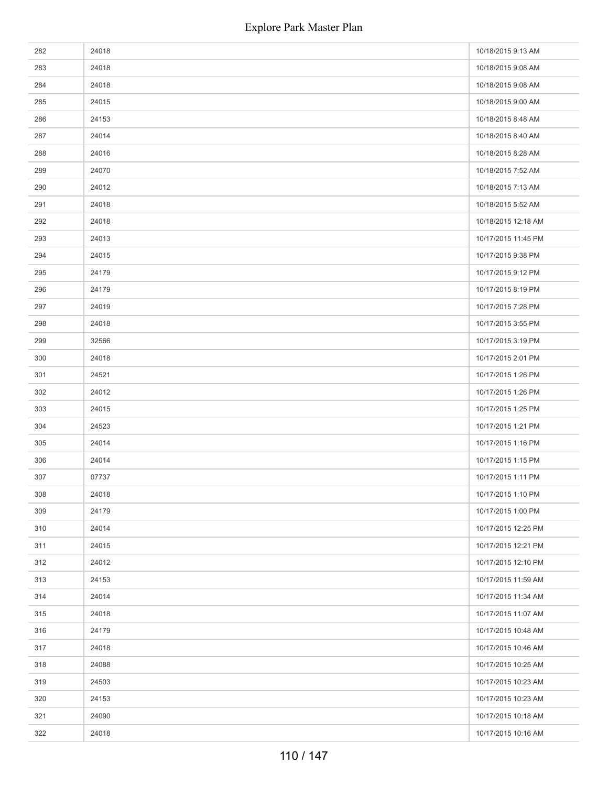| 282 | 24018 | 10/18/2015 9:13 AM  |
|-----|-------|---------------------|
| 283 | 24018 | 10/18/2015 9:08 AM  |
| 284 | 24018 | 10/18/2015 9:08 AM  |
| 285 | 24015 | 10/18/2015 9:00 AM  |
| 286 | 24153 | 10/18/2015 8:48 AM  |
| 287 | 24014 | 10/18/2015 8:40 AM  |
| 288 | 24016 | 10/18/2015 8:28 AM  |
| 289 | 24070 | 10/18/2015 7:52 AM  |
| 290 | 24012 | 10/18/2015 7:13 AM  |
| 291 | 24018 | 10/18/2015 5:52 AM  |
| 292 | 24018 | 10/18/2015 12:18 AM |
| 293 | 24013 | 10/17/2015 11:45 PM |
| 294 | 24015 | 10/17/2015 9:38 PM  |
| 295 | 24179 | 10/17/2015 9:12 PM  |
| 296 | 24179 | 10/17/2015 8:19 PM  |
| 297 | 24019 | 10/17/2015 7:28 PM  |
| 298 | 24018 | 10/17/2015 3:55 PM  |
| 299 | 32566 | 10/17/2015 3:19 PM  |
| 300 | 24018 | 10/17/2015 2:01 PM  |
| 301 | 24521 | 10/17/2015 1:26 PM  |
| 302 | 24012 | 10/17/2015 1:26 PM  |
| 303 | 24015 | 10/17/2015 1:25 PM  |
| 304 | 24523 | 10/17/2015 1:21 PM  |
| 305 | 24014 | 10/17/2015 1:16 PM  |
| 306 | 24014 | 10/17/2015 1:15 PM  |
| 307 | 07737 | 10/17/2015 1:11 PM  |
| 308 | 24018 | 10/17/2015 1:10 PM  |
| 309 | 24179 | 10/17/2015 1:00 PM  |
| 310 | 24014 | 10/17/2015 12:25 PM |
| 311 | 24015 | 10/17/2015 12:21 PM |
| 312 | 24012 | 10/17/2015 12:10 PM |
| 313 | 24153 | 10/17/2015 11:59 AM |
| 314 | 24014 | 10/17/2015 11:34 AM |
| 315 | 24018 | 10/17/2015 11:07 AM |
| 316 | 24179 | 10/17/2015 10:48 AM |
| 317 | 24018 | 10/17/2015 10:46 AM |
| 318 | 24088 | 10/17/2015 10:25 AM |
| 319 | 24503 | 10/17/2015 10:23 AM |
| 320 | 24153 | 10/17/2015 10:23 AM |
| 321 | 24090 | 10/17/2015 10:18 AM |
| 322 | 24018 | 10/17/2015 10:16 AM |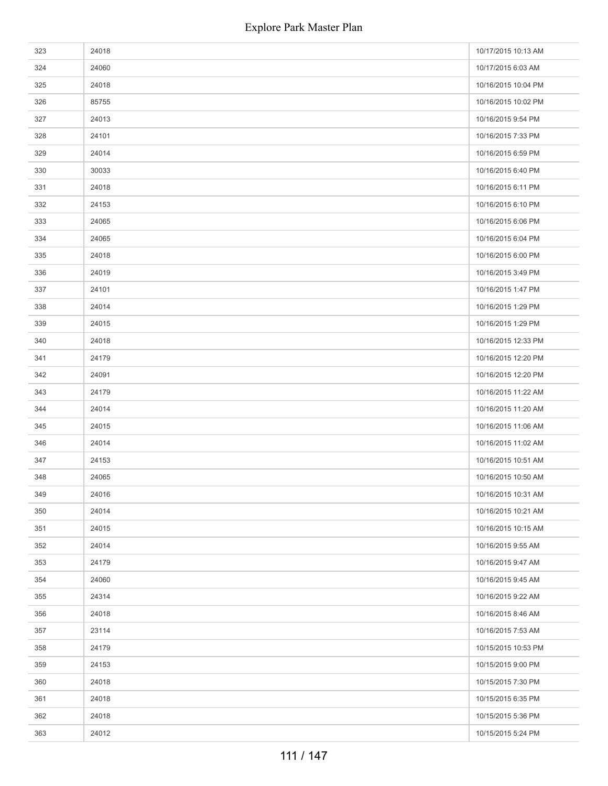| 323 | 24018 | 10/17/2015 10:13 AM |
|-----|-------|---------------------|
| 324 | 24060 | 10/17/2015 6:03 AM  |
| 325 | 24018 | 10/16/2015 10:04 PM |
| 326 | 85755 | 10/16/2015 10:02 PM |
| 327 | 24013 | 10/16/2015 9:54 PM  |
| 328 | 24101 | 10/16/2015 7:33 PM  |
| 329 | 24014 | 10/16/2015 6:59 PM  |
| 330 | 30033 | 10/16/2015 6:40 PM  |
| 331 | 24018 | 10/16/2015 6:11 PM  |
| 332 | 24153 | 10/16/2015 6:10 PM  |
| 333 | 24065 | 10/16/2015 6:06 PM  |
| 334 | 24065 | 10/16/2015 6:04 PM  |
| 335 | 24018 | 10/16/2015 6:00 PM  |
| 336 | 24019 | 10/16/2015 3:49 PM  |
| 337 | 24101 | 10/16/2015 1:47 PM  |
| 338 | 24014 | 10/16/2015 1:29 PM  |
| 339 | 24015 | 10/16/2015 1:29 PM  |
| 340 | 24018 | 10/16/2015 12:33 PM |
| 341 | 24179 | 10/16/2015 12:20 PM |
| 342 | 24091 | 10/16/2015 12:20 PM |
| 343 | 24179 | 10/16/2015 11:22 AM |
| 344 | 24014 | 10/16/2015 11:20 AM |
| 345 | 24015 | 10/16/2015 11:06 AM |
| 346 | 24014 | 10/16/2015 11:02 AM |
| 347 | 24153 | 10/16/2015 10:51 AM |
| 348 | 24065 | 10/16/2015 10:50 AM |
| 349 | 24016 | 10/16/2015 10:31 AM |
| 350 | 24014 | 10/16/2015 10:21 AM |
| 351 | 24015 | 10/16/2015 10:15 AM |
| 352 | 24014 | 10/16/2015 9:55 AM  |
| 353 | 24179 | 10/16/2015 9:47 AM  |
| 354 | 24060 | 10/16/2015 9:45 AM  |
| 355 | 24314 | 10/16/2015 9:22 AM  |
| 356 | 24018 | 10/16/2015 8:46 AM  |
| 357 | 23114 | 10/16/2015 7:53 AM  |
| 358 | 24179 | 10/15/2015 10:53 PM |
| 359 | 24153 | 10/15/2015 9:00 PM  |
| 360 | 24018 | 10/15/2015 7:30 PM  |
| 361 | 24018 | 10/15/2015 6:35 PM  |
| 362 | 24018 | 10/15/2015 5:36 PM  |
| 363 | 24012 | 10/15/2015 5:24 PM  |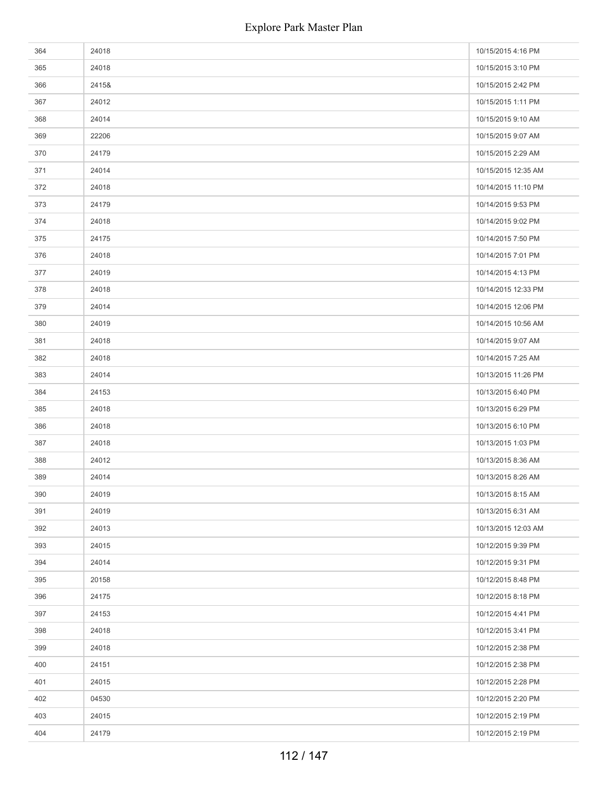| 364 | 24018 | 10/15/2015 4:16 PM  |
|-----|-------|---------------------|
| 365 | 24018 | 10/15/2015 3:10 PM  |
| 366 | 2415& | 10/15/2015 2:42 PM  |
| 367 | 24012 | 10/15/2015 1:11 PM  |
| 368 | 24014 | 10/15/2015 9:10 AM  |
| 369 | 22206 | 10/15/2015 9:07 AM  |
| 370 | 24179 | 10/15/2015 2:29 AM  |
| 371 | 24014 | 10/15/2015 12:35 AM |
| 372 | 24018 | 10/14/2015 11:10 PM |
| 373 | 24179 | 10/14/2015 9:53 PM  |
| 374 | 24018 | 10/14/2015 9:02 PM  |
| 375 | 24175 | 10/14/2015 7:50 PM  |
| 376 | 24018 | 10/14/2015 7:01 PM  |
| 377 | 24019 | 10/14/2015 4:13 PM  |
| 378 | 24018 | 10/14/2015 12:33 PM |
| 379 | 24014 | 10/14/2015 12:06 PM |
| 380 | 24019 | 10/14/2015 10:56 AM |
| 381 | 24018 | 10/14/2015 9:07 AM  |
| 382 | 24018 | 10/14/2015 7:25 AM  |
| 383 | 24014 | 10/13/2015 11:26 PM |
| 384 | 24153 | 10/13/2015 6:40 PM  |
| 385 | 24018 | 10/13/2015 6:29 PM  |
| 386 | 24018 | 10/13/2015 6:10 PM  |
| 387 | 24018 | 10/13/2015 1:03 PM  |
| 388 | 24012 | 10/13/2015 8:36 AM  |
| 389 | 24014 | 10/13/2015 8:26 AM  |
| 390 | 24019 | 10/13/2015 8:15 AM  |
| 391 | 24019 | 10/13/2015 6:31 AM  |
| 392 | 24013 | 10/13/2015 12:03 AM |
| 393 | 24015 | 10/12/2015 9:39 PM  |
| 394 | 24014 | 10/12/2015 9:31 PM  |
| 395 | 20158 | 10/12/2015 8:48 PM  |
| 396 | 24175 | 10/12/2015 8:18 PM  |
| 397 | 24153 | 10/12/2015 4:41 PM  |
| 398 | 24018 | 10/12/2015 3:41 PM  |
| 399 | 24018 | 10/12/2015 2:38 PM  |
| 400 | 24151 | 10/12/2015 2:38 PM  |
| 401 | 24015 | 10/12/2015 2:28 PM  |
| 402 | 04530 | 10/12/2015 2:20 PM  |
| 403 | 24015 | 10/12/2015 2:19 PM  |
| 404 | 24179 | 10/12/2015 2:19 PM  |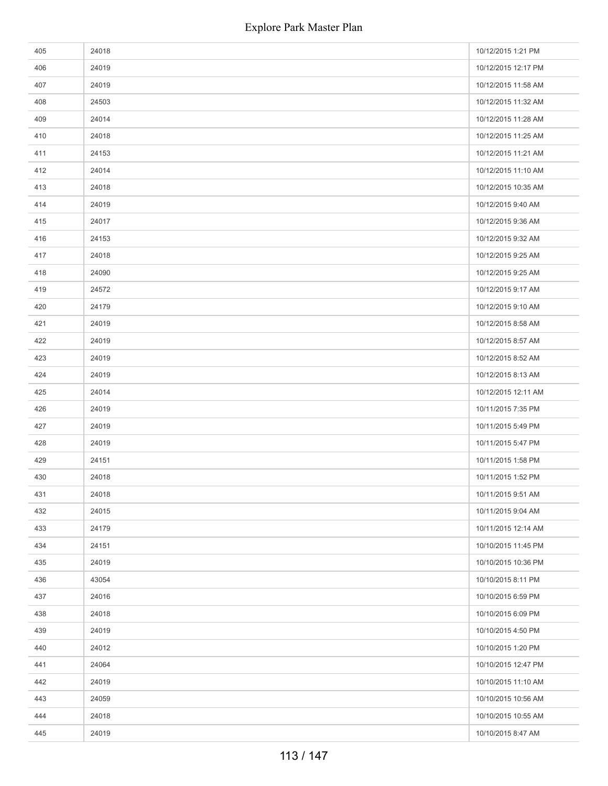| 405 | 24018 | 10/12/2015 1:21 PM  |
|-----|-------|---------------------|
| 406 | 24019 | 10/12/2015 12:17 PM |
| 407 | 24019 | 10/12/2015 11:58 AM |
| 408 | 24503 | 10/12/2015 11:32 AM |
| 409 | 24014 | 10/12/2015 11:28 AM |
| 410 | 24018 | 10/12/2015 11:25 AM |
| 411 | 24153 | 10/12/2015 11:21 AM |
| 412 | 24014 | 10/12/2015 11:10 AM |
| 413 | 24018 | 10/12/2015 10:35 AM |
| 414 | 24019 | 10/12/2015 9:40 AM  |
| 415 | 24017 | 10/12/2015 9:36 AM  |
| 416 | 24153 | 10/12/2015 9:32 AM  |
| 417 | 24018 | 10/12/2015 9:25 AM  |
| 418 | 24090 | 10/12/2015 9:25 AM  |
| 419 | 24572 | 10/12/2015 9:17 AM  |
| 420 | 24179 | 10/12/2015 9:10 AM  |
| 421 | 24019 | 10/12/2015 8:58 AM  |
| 422 | 24019 | 10/12/2015 8:57 AM  |
| 423 | 24019 | 10/12/2015 8:52 AM  |
| 424 | 24019 | 10/12/2015 8:13 AM  |
| 425 | 24014 | 10/12/2015 12:11 AM |
| 426 | 24019 | 10/11/2015 7:35 PM  |
| 427 | 24019 | 10/11/2015 5:49 PM  |
| 428 | 24019 | 10/11/2015 5:47 PM  |
| 429 | 24151 | 10/11/2015 1:58 PM  |
| 430 | 24018 | 10/11/2015 1:52 PM  |
| 431 | 24018 | 10/11/2015 9:51 AM  |
| 432 | 24015 | 10/11/2015 9:04 AM  |
| 433 | 24179 | 10/11/2015 12:14 AM |
| 434 | 24151 | 10/10/2015 11:45 PM |
| 435 | 24019 | 10/10/2015 10:36 PM |
| 436 | 43054 | 10/10/2015 8:11 PM  |
| 437 | 24016 | 10/10/2015 6:59 PM  |
| 438 | 24018 | 10/10/2015 6:09 PM  |
| 439 | 24019 | 10/10/2015 4:50 PM  |
| 440 | 24012 | 10/10/2015 1:20 PM  |
| 441 | 24064 | 10/10/2015 12:47 PM |
| 442 | 24019 | 10/10/2015 11:10 AM |
| 443 | 24059 | 10/10/2015 10:56 AM |
| 444 | 24018 | 10/10/2015 10:55 AM |
| 445 | 24019 | 10/10/2015 8:47 AM  |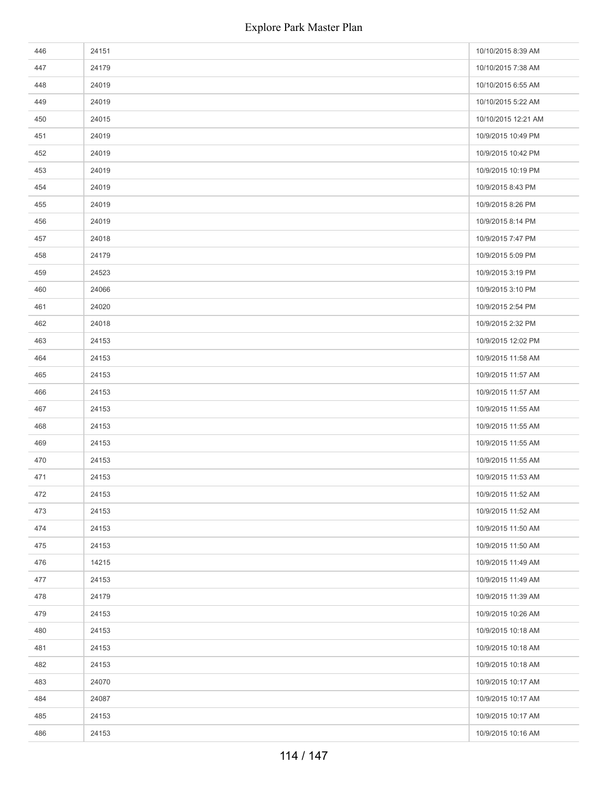| 446 | 24151 | 10/10/2015 8:39 AM  |
|-----|-------|---------------------|
| 447 | 24179 | 10/10/2015 7:38 AM  |
| 448 | 24019 | 10/10/2015 6:55 AM  |
| 449 | 24019 | 10/10/2015 5:22 AM  |
| 450 | 24015 | 10/10/2015 12:21 AM |
| 451 | 24019 | 10/9/2015 10:49 PM  |
| 452 | 24019 | 10/9/2015 10:42 PM  |
| 453 | 24019 | 10/9/2015 10:19 PM  |
| 454 | 24019 | 10/9/2015 8:43 PM   |
| 455 | 24019 | 10/9/2015 8:26 PM   |
| 456 | 24019 | 10/9/2015 8:14 PM   |
| 457 | 24018 | 10/9/2015 7:47 PM   |
| 458 | 24179 | 10/9/2015 5:09 PM   |
| 459 | 24523 | 10/9/2015 3:19 PM   |
| 460 | 24066 | 10/9/2015 3:10 PM   |
| 461 | 24020 | 10/9/2015 2:54 PM   |
| 462 | 24018 | 10/9/2015 2:32 PM   |
| 463 | 24153 | 10/9/2015 12:02 PM  |
| 464 | 24153 | 10/9/2015 11:58 AM  |
| 465 | 24153 | 10/9/2015 11:57 AM  |
| 466 | 24153 | 10/9/2015 11:57 AM  |
| 467 | 24153 | 10/9/2015 11:55 AM  |
| 468 | 24153 | 10/9/2015 11:55 AM  |
| 469 | 24153 | 10/9/2015 11:55 AM  |
| 470 | 24153 | 10/9/2015 11:55 AM  |
| 471 | 24153 | 10/9/2015 11:53 AM  |
| 472 | 24153 | 10/9/2015 11:52 AM  |
| 473 | 24153 | 10/9/2015 11:52 AM  |
| 474 | 24153 | 10/9/2015 11:50 AM  |
| 475 | 24153 | 10/9/2015 11:50 AM  |
| 476 | 14215 | 10/9/2015 11:49 AM  |
| 477 | 24153 | 10/9/2015 11:49 AM  |
| 478 | 24179 | 10/9/2015 11:39 AM  |
| 479 | 24153 | 10/9/2015 10:26 AM  |
| 480 | 24153 | 10/9/2015 10:18 AM  |
| 481 | 24153 | 10/9/2015 10:18 AM  |
| 482 | 24153 | 10/9/2015 10:18 AM  |
| 483 | 24070 | 10/9/2015 10:17 AM  |
| 484 | 24087 | 10/9/2015 10:17 AM  |
| 485 | 24153 | 10/9/2015 10:17 AM  |
| 486 | 24153 | 10/9/2015 10:16 AM  |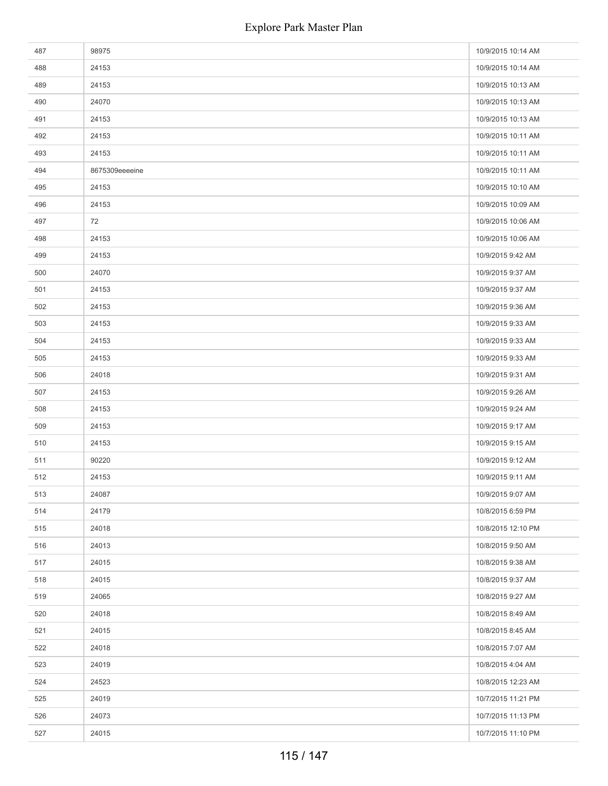| 487 | 98975          | 10/9/2015 10:14 AM |
|-----|----------------|--------------------|
| 488 | 24153          | 10/9/2015 10:14 AM |
| 489 | 24153          | 10/9/2015 10:13 AM |
| 490 | 24070          | 10/9/2015 10:13 AM |
| 491 | 24153          | 10/9/2015 10:13 AM |
| 492 | 24153          | 10/9/2015 10:11 AM |
| 493 | 24153          | 10/9/2015 10:11 AM |
| 494 | 8675309eeeeine | 10/9/2015 10:11 AM |
| 495 | 24153          | 10/9/2015 10:10 AM |
| 496 | 24153          | 10/9/2015 10:09 AM |
| 497 | 72             | 10/9/2015 10:06 AM |
| 498 | 24153          | 10/9/2015 10:06 AM |
| 499 | 24153          | 10/9/2015 9:42 AM  |
| 500 | 24070          | 10/9/2015 9:37 AM  |
| 501 | 24153          | 10/9/2015 9:37 AM  |
| 502 | 24153          | 10/9/2015 9:36 AM  |
| 503 | 24153          | 10/9/2015 9:33 AM  |
| 504 | 24153          | 10/9/2015 9:33 AM  |
| 505 | 24153          | 10/9/2015 9:33 AM  |
| 506 | 24018          | 10/9/2015 9:31 AM  |
| 507 | 24153          | 10/9/2015 9:26 AM  |
| 508 | 24153          | 10/9/2015 9:24 AM  |
| 509 | 24153          | 10/9/2015 9:17 AM  |
| 510 | 24153          | 10/9/2015 9:15 AM  |
| 511 | 90220          | 10/9/2015 9:12 AM  |
| 512 | 24153          | 10/9/2015 9:11 AM  |
| 513 | 24087          | 10/9/2015 9:07 AM  |
| 514 | 24179          | 10/8/2015 6:59 PM  |
| 515 | 24018          | 10/8/2015 12:10 PM |
| 516 | 24013          | 10/8/2015 9:50 AM  |
| 517 | 24015          | 10/8/2015 9:38 AM  |
| 518 | 24015          | 10/8/2015 9:37 AM  |
| 519 | 24065          | 10/8/2015 9:27 AM  |
| 520 | 24018          | 10/8/2015 8:49 AM  |
| 521 | 24015          | 10/8/2015 8:45 AM  |
| 522 | 24018          | 10/8/2015 7:07 AM  |
| 523 | 24019          | 10/8/2015 4:04 AM  |
| 524 | 24523          | 10/8/2015 12:23 AM |
| 525 | 24019          | 10/7/2015 11:21 PM |
| 526 | 24073          | 10/7/2015 11:13 PM |
| 527 | 24015          | 10/7/2015 11:10 PM |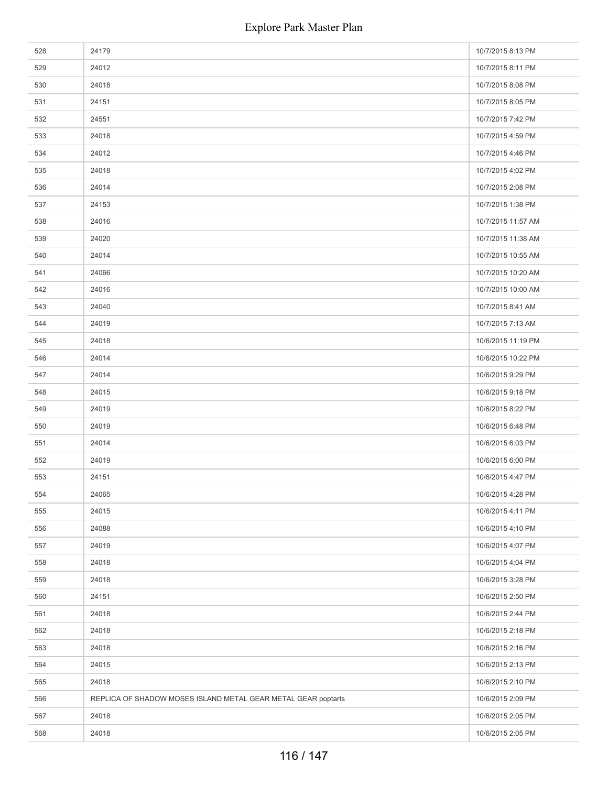| 528 | 24179                                                         | 10/7/2015 8:13 PM  |
|-----|---------------------------------------------------------------|--------------------|
| 529 | 24012                                                         | 10/7/2015 8:11 PM  |
| 530 | 24018                                                         | 10/7/2015 8:08 PM  |
| 531 | 24151                                                         | 10/7/2015 8:05 PM  |
| 532 | 24551                                                         | 10/7/2015 7:42 PM  |
| 533 | 24018                                                         | 10/7/2015 4:59 PM  |
| 534 | 24012                                                         | 10/7/2015 4:46 PM  |
| 535 | 24018                                                         | 10/7/2015 4:02 PM  |
| 536 | 24014                                                         | 10/7/2015 2:08 PM  |
| 537 | 24153                                                         | 10/7/2015 1:38 PM  |
| 538 | 24016                                                         | 10/7/2015 11:57 AM |
| 539 | 24020                                                         | 10/7/2015 11:38 AM |
| 540 | 24014                                                         | 10/7/2015 10:55 AM |
| 541 | 24066                                                         | 10/7/2015 10:20 AM |
| 542 | 24016                                                         | 10/7/2015 10:00 AM |
| 543 | 24040                                                         | 10/7/2015 8:41 AM  |
| 544 | 24019                                                         | 10/7/2015 7:13 AM  |
| 545 | 24018                                                         | 10/6/2015 11:19 PM |
| 546 | 24014                                                         | 10/6/2015 10:22 PM |
| 547 | 24014                                                         | 10/6/2015 9:29 PM  |
| 548 | 24015                                                         | 10/6/2015 9:18 PM  |
| 549 | 24019                                                         | 10/6/2015 8:22 PM  |
| 550 | 24019                                                         | 10/6/2015 6:48 PM  |
| 551 | 24014                                                         | 10/6/2015 6:03 PM  |
| 552 | 24019                                                         | 10/6/2015 6:00 PM  |
| 553 | 24151                                                         | 10/6/2015 4:47 PM  |
| 554 | 24065                                                         | 10/6/2015 4:28 PM  |
| 555 | 24015                                                         | 10/6/2015 4:11 PM  |
| 556 | 24088                                                         | 10/6/2015 4:10 PM  |
| 557 | 24019                                                         | 10/6/2015 4:07 PM  |
| 558 | 24018                                                         | 10/6/2015 4:04 PM  |
| 559 | 24018                                                         | 10/6/2015 3:28 PM  |
| 560 | 24151                                                         | 10/6/2015 2:50 PM  |
| 561 | 24018                                                         | 10/6/2015 2:44 PM  |
| 562 | 24018                                                         | 10/6/2015 2:18 PM  |
| 563 | 24018                                                         | 10/6/2015 2:16 PM  |
| 564 | 24015                                                         | 10/6/2015 2:13 PM  |
| 565 | 24018                                                         | 10/6/2015 2:10 PM  |
| 566 | REPLICA OF SHADOW MOSES ISLAND METAL GEAR METAL GEAR poptarts | 10/6/2015 2:09 PM  |
| 567 | 24018                                                         | 10/6/2015 2:05 PM  |
| 568 | 24018                                                         | 10/6/2015 2:05 PM  |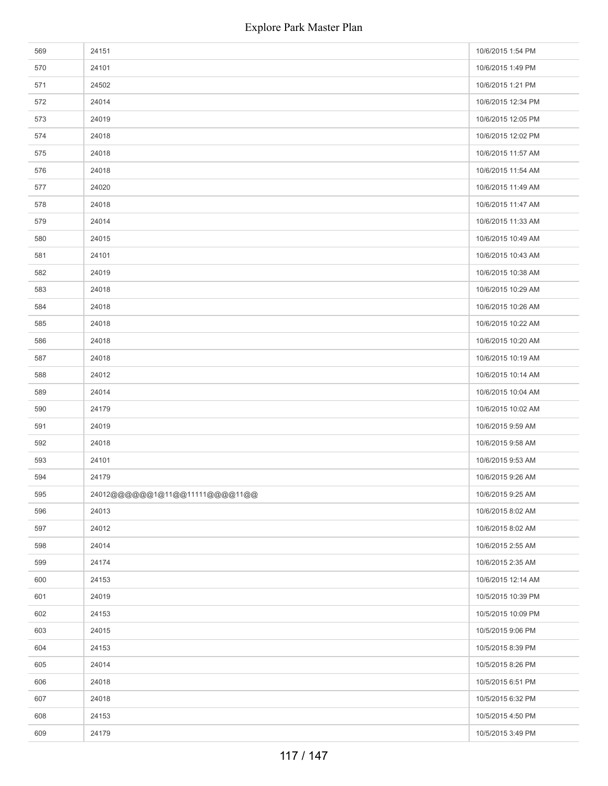| 569 | 24151                          | 10/6/2015 1:54 PM  |
|-----|--------------------------------|--------------------|
| 570 | 24101                          | 10/6/2015 1:49 PM  |
| 571 | 24502                          | 10/6/2015 1:21 PM  |
| 572 | 24014                          | 10/6/2015 12:34 PM |
| 573 | 24019                          | 10/6/2015 12:05 PM |
| 574 | 24018                          | 10/6/2015 12:02 PM |
| 575 | 24018                          | 10/6/2015 11:57 AM |
| 576 | 24018                          | 10/6/2015 11:54 AM |
| 577 | 24020                          | 10/6/2015 11:49 AM |
| 578 | 24018                          | 10/6/2015 11:47 AM |
| 579 | 24014                          | 10/6/2015 11:33 AM |
| 580 | 24015                          | 10/6/2015 10:49 AM |
| 581 | 24101                          | 10/6/2015 10:43 AM |
| 582 | 24019                          | 10/6/2015 10:38 AM |
| 583 | 24018                          | 10/6/2015 10:29 AM |
| 584 | 24018                          | 10/6/2015 10:26 AM |
| 585 | 24018                          | 10/6/2015 10:22 AM |
| 586 | 24018                          | 10/6/2015 10:20 AM |
| 587 | 24018                          | 10/6/2015 10:19 AM |
| 588 | 24012                          | 10/6/2015 10:14 AM |
| 589 | 24014                          | 10/6/2015 10:04 AM |
| 590 | 24179                          | 10/6/2015 10:02 AM |
| 591 | 24019                          | 10/6/2015 9:59 AM  |
| 592 | 24018                          | 10/6/2015 9:58 AM  |
| 593 | 24101                          | 10/6/2015 9:53 AM  |
| 594 | 24179                          | 10/6/2015 9:26 AM  |
| 595 | 24012@@@@@@1@11@@11111@@@@11@@ | 10/6/2015 9:25 AM  |
| 596 | 24013                          | 10/6/2015 8:02 AM  |
| 597 | 24012                          | 10/6/2015 8:02 AM  |
| 598 | 24014                          | 10/6/2015 2:55 AM  |
| 599 | 24174                          | 10/6/2015 2:35 AM  |
| 600 | 24153                          | 10/6/2015 12:14 AM |
| 601 | 24019                          | 10/5/2015 10:39 PM |
| 602 | 24153                          | 10/5/2015 10:09 PM |
| 603 | 24015                          | 10/5/2015 9:06 PM  |
| 604 | 24153                          | 10/5/2015 8:39 PM  |
| 605 | 24014                          | 10/5/2015 8:26 PM  |
| 606 | 24018                          | 10/5/2015 6:51 PM  |
| 607 | 24018                          | 10/5/2015 6:32 PM  |
| 608 | 24153                          | 10/5/2015 4:50 PM  |
| 609 | 24179                          | 10/5/2015 3:49 PM  |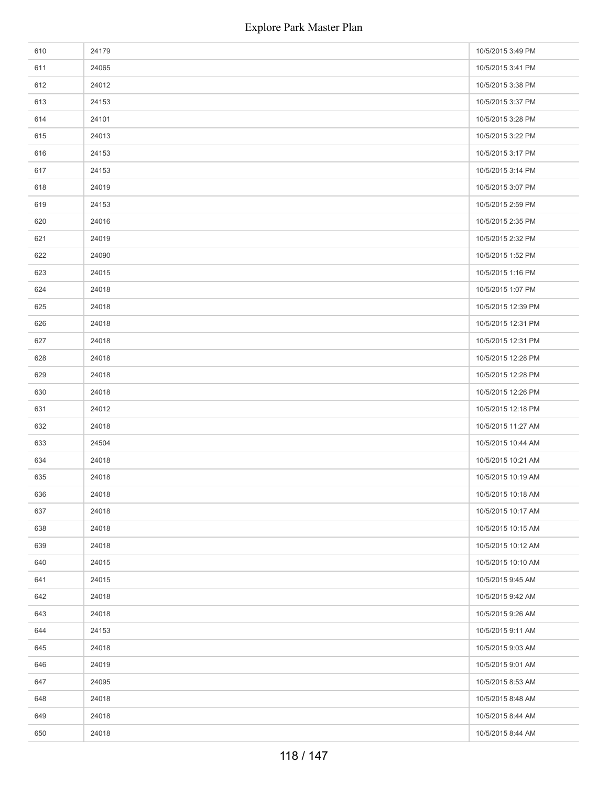| 610 | 24179 | 10/5/2015 3:49 PM  |
|-----|-------|--------------------|
| 611 | 24065 | 10/5/2015 3:41 PM  |
| 612 | 24012 | 10/5/2015 3:38 PM  |
| 613 | 24153 | 10/5/2015 3:37 PM  |
| 614 | 24101 | 10/5/2015 3:28 PM  |
| 615 | 24013 | 10/5/2015 3:22 PM  |
| 616 | 24153 | 10/5/2015 3:17 PM  |
| 617 | 24153 | 10/5/2015 3:14 PM  |
| 618 | 24019 | 10/5/2015 3:07 PM  |
| 619 | 24153 | 10/5/2015 2:59 PM  |
| 620 | 24016 | 10/5/2015 2:35 PM  |
| 621 | 24019 | 10/5/2015 2:32 PM  |
| 622 | 24090 | 10/5/2015 1:52 PM  |
| 623 | 24015 | 10/5/2015 1:16 PM  |
| 624 | 24018 | 10/5/2015 1:07 PM  |
| 625 | 24018 | 10/5/2015 12:39 PM |
| 626 | 24018 | 10/5/2015 12:31 PM |
| 627 | 24018 | 10/5/2015 12:31 PM |
| 628 | 24018 | 10/5/2015 12:28 PM |
| 629 | 24018 | 10/5/2015 12:28 PM |
| 630 | 24018 | 10/5/2015 12:26 PM |
| 631 | 24012 | 10/5/2015 12:18 PM |
| 632 | 24018 | 10/5/2015 11:27 AM |
| 633 | 24504 | 10/5/2015 10:44 AM |
| 634 | 24018 | 10/5/2015 10:21 AM |
| 635 | 24018 | 10/5/2015 10:19 AM |
| 636 | 24018 | 10/5/2015 10:18 AM |
| 637 | 24018 | 10/5/2015 10:17 AM |
| 638 | 24018 | 10/5/2015 10:15 AM |
| 639 | 24018 | 10/5/2015 10:12 AM |
| 640 | 24015 | 10/5/2015 10:10 AM |
| 641 | 24015 | 10/5/2015 9:45 AM  |
| 642 | 24018 | 10/5/2015 9:42 AM  |
| 643 | 24018 | 10/5/2015 9:26 AM  |
| 644 | 24153 | 10/5/2015 9:11 AM  |
| 645 | 24018 | 10/5/2015 9:03 AM  |
| 646 | 24019 | 10/5/2015 9:01 AM  |
| 647 | 24095 | 10/5/2015 8:53 AM  |
| 648 | 24018 | 10/5/2015 8:48 AM  |
| 649 | 24018 | 10/5/2015 8:44 AM  |
| 650 | 24018 | 10/5/2015 8:44 AM  |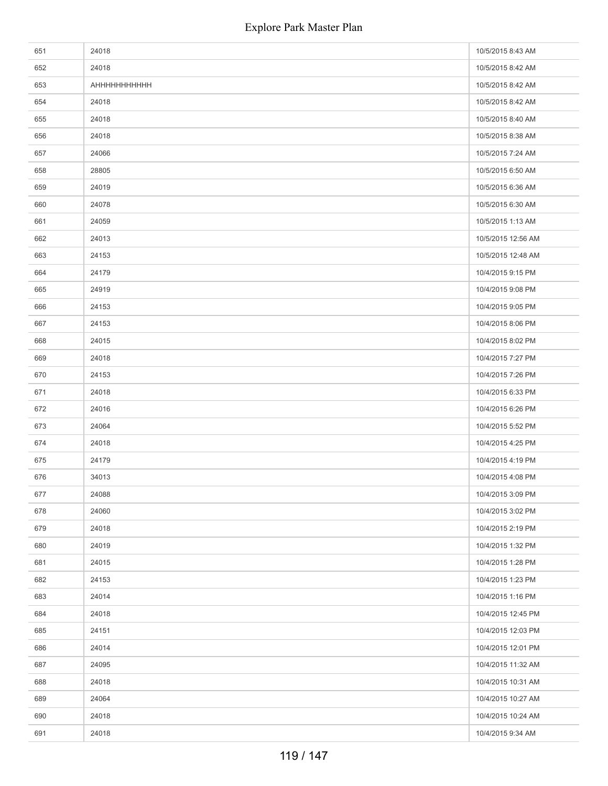| 651 | 24018              | 10/5/2015 8:43 AM  |
|-----|--------------------|--------------------|
| 652 | 24018              | 10/5/2015 8:42 AM  |
| 653 | <b>АНННННННННН</b> | 10/5/2015 8:42 AM  |
| 654 | 24018              | 10/5/2015 8:42 AM  |
| 655 | 24018              | 10/5/2015 8:40 AM  |
| 656 | 24018              | 10/5/2015 8:38 AM  |
| 657 | 24066              | 10/5/2015 7:24 AM  |
| 658 | 28805              | 10/5/2015 6:50 AM  |
| 659 | 24019              | 10/5/2015 6:36 AM  |
| 660 | 24078              | 10/5/2015 6:30 AM  |
| 661 | 24059              | 10/5/2015 1:13 AM  |
| 662 | 24013              | 10/5/2015 12:56 AM |
| 663 | 24153              | 10/5/2015 12:48 AM |
| 664 | 24179              | 10/4/2015 9:15 PM  |
| 665 | 24919              | 10/4/2015 9:08 PM  |
| 666 | 24153              | 10/4/2015 9:05 PM  |
| 667 | 24153              | 10/4/2015 8:06 PM  |
| 668 | 24015              | 10/4/2015 8:02 PM  |
| 669 | 24018              | 10/4/2015 7:27 PM  |
| 670 | 24153              | 10/4/2015 7:26 PM  |
| 671 | 24018              | 10/4/2015 6:33 PM  |
| 672 | 24016              | 10/4/2015 6:26 PM  |
| 673 | 24064              | 10/4/2015 5:52 PM  |
| 674 | 24018              | 10/4/2015 4:25 PM  |
| 675 | 24179              | 10/4/2015 4:19 PM  |
| 676 | 34013              | 10/4/2015 4:08 PM  |
| 677 | 24088              | 10/4/2015 3:09 PM  |
| 678 | 24060              | 10/4/2015 3:02 PM  |
| 679 | 24018              | 10/4/2015 2:19 PM  |
| 680 | 24019              | 10/4/2015 1:32 PM  |
| 681 | 24015              | 10/4/2015 1:28 PM  |
| 682 | 24153              | 10/4/2015 1:23 PM  |
| 683 | 24014              | 10/4/2015 1:16 PM  |
| 684 | 24018              | 10/4/2015 12:45 PM |
| 685 | 24151              | 10/4/2015 12:03 PM |
| 686 | 24014              | 10/4/2015 12:01 PM |
| 687 | 24095              | 10/4/2015 11:32 AM |
| 688 | 24018              | 10/4/2015 10:31 AM |
| 689 | 24064              | 10/4/2015 10:27 AM |
| 690 | 24018              | 10/4/2015 10:24 AM |
| 691 | 24018              | 10/4/2015 9:34 AM  |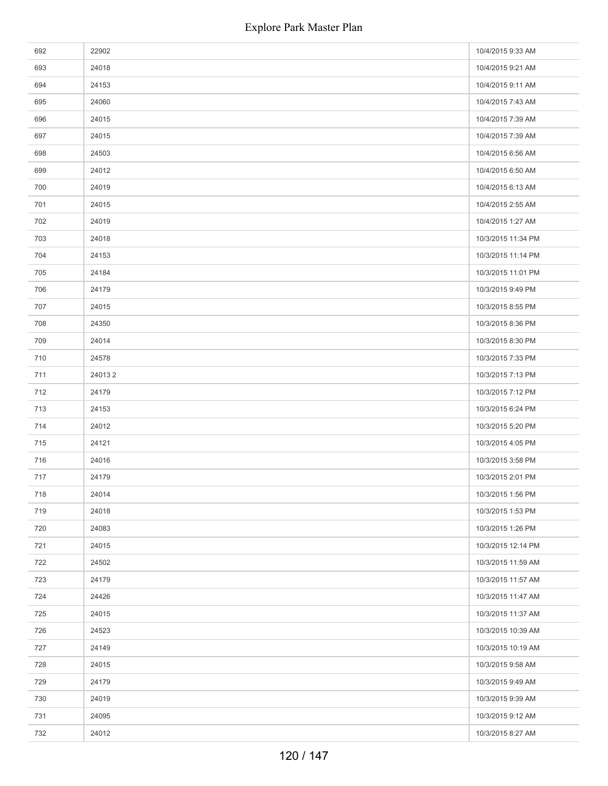| 692 | 22902  | 10/4/2015 9:33 AM  |
|-----|--------|--------------------|
| 693 | 24018  | 10/4/2015 9:21 AM  |
| 694 | 24153  | 10/4/2015 9:11 AM  |
| 695 | 24060  | 10/4/2015 7:43 AM  |
| 696 | 24015  | 10/4/2015 7:39 AM  |
| 697 | 24015  | 10/4/2015 7:39 AM  |
| 698 | 24503  | 10/4/2015 6:56 AM  |
| 699 | 24012  | 10/4/2015 6:50 AM  |
| 700 | 24019  | 10/4/2015 6:13 AM  |
| 701 | 24015  | 10/4/2015 2:55 AM  |
| 702 | 24019  | 10/4/2015 1:27 AM  |
| 703 | 24018  | 10/3/2015 11:34 PM |
| 704 | 24153  | 10/3/2015 11:14 PM |
| 705 | 24184  | 10/3/2015 11:01 PM |
| 706 | 24179  | 10/3/2015 9:49 PM  |
| 707 | 24015  | 10/3/2015 8:55 PM  |
| 708 | 24350  | 10/3/2015 8:36 PM  |
| 709 | 24014  | 10/3/2015 8:30 PM  |
| 710 | 24578  | 10/3/2015 7:33 PM  |
| 711 | 240132 | 10/3/2015 7:13 PM  |
| 712 | 24179  | 10/3/2015 7:12 PM  |
| 713 | 24153  | 10/3/2015 6:24 PM  |
| 714 | 24012  | 10/3/2015 5:20 PM  |
| 715 | 24121  | 10/3/2015 4:05 PM  |
| 716 | 24016  | 10/3/2015 3:58 PM  |
| 717 | 24179  | 10/3/2015 2:01 PM  |
| 718 | 24014  | 10/3/2015 1:56 PM  |
| 719 | 24018  | 10/3/2015 1:53 PM  |
| 720 | 24083  | 10/3/2015 1:26 PM  |
| 721 | 24015  | 10/3/2015 12:14 PM |
| 722 | 24502  | 10/3/2015 11:59 AM |
| 723 | 24179  | 10/3/2015 11:57 AM |
| 724 | 24426  | 10/3/2015 11:47 AM |
| 725 | 24015  | 10/3/2015 11:37 AM |
| 726 | 24523  | 10/3/2015 10:39 AM |
| 727 | 24149  | 10/3/2015 10:19 AM |
| 728 | 24015  | 10/3/2015 9:58 AM  |
| 729 | 24179  | 10/3/2015 9:49 AM  |
| 730 | 24019  | 10/3/2015 9:39 AM  |
| 731 | 24095  | 10/3/2015 9:12 AM  |
| 732 | 24012  | 10/3/2015 8:27 AM  |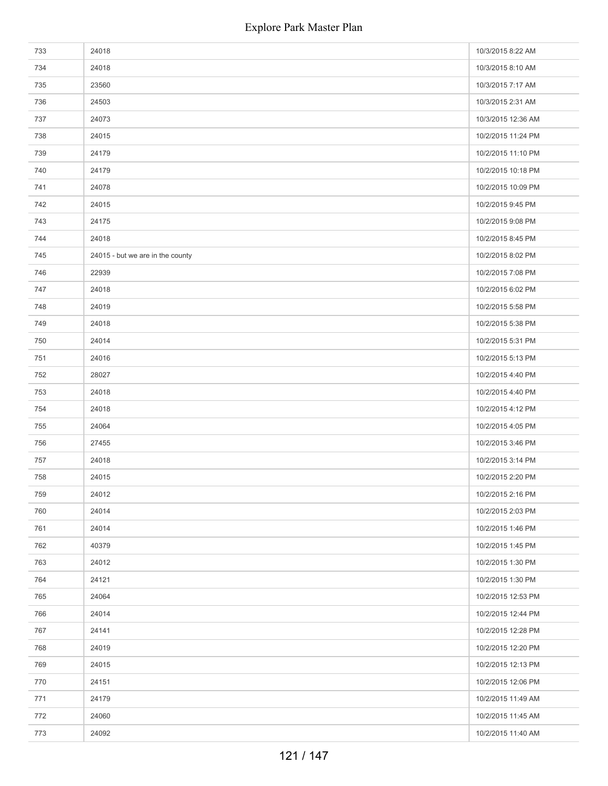| 733 | 24018                            | 10/3/2015 8:22 AM  |
|-----|----------------------------------|--------------------|
| 734 | 24018                            | 10/3/2015 8:10 AM  |
| 735 | 23560                            | 10/3/2015 7:17 AM  |
| 736 | 24503                            | 10/3/2015 2:31 AM  |
| 737 | 24073                            | 10/3/2015 12:36 AM |
| 738 | 24015                            | 10/2/2015 11:24 PM |
| 739 | 24179                            | 10/2/2015 11:10 PM |
| 740 | 24179                            | 10/2/2015 10:18 PM |
| 741 | 24078                            | 10/2/2015 10:09 PM |
| 742 | 24015                            | 10/2/2015 9:45 PM  |
| 743 | 24175                            | 10/2/2015 9:08 PM  |
| 744 | 24018                            | 10/2/2015 8:45 PM  |
| 745 | 24015 - but we are in the county | 10/2/2015 8:02 PM  |
| 746 | 22939                            | 10/2/2015 7:08 PM  |
| 747 | 24018                            | 10/2/2015 6:02 PM  |
| 748 | 24019                            | 10/2/2015 5:58 PM  |
| 749 | 24018                            | 10/2/2015 5:38 PM  |
| 750 | 24014                            | 10/2/2015 5:31 PM  |
| 751 | 24016                            | 10/2/2015 5:13 PM  |
| 752 | 28027                            | 10/2/2015 4:40 PM  |
| 753 | 24018                            | 10/2/2015 4:40 PM  |
| 754 | 24018                            | 10/2/2015 4:12 PM  |
| 755 | 24064                            | 10/2/2015 4:05 PM  |
| 756 | 27455                            | 10/2/2015 3:46 PM  |
| 757 | 24018                            | 10/2/2015 3:14 PM  |
| 758 | 24015                            | 10/2/2015 2:20 PM  |
| 759 | 24012                            | 10/2/2015 2:16 PM  |
| 760 | 24014                            | 10/2/2015 2:03 PM  |
| 761 | 24014                            | 10/2/2015 1:46 PM  |
| 762 | 40379                            | 10/2/2015 1:45 PM  |
| 763 | 24012                            | 10/2/2015 1:30 PM  |
| 764 | 24121                            | 10/2/2015 1:30 PM  |
| 765 | 24064                            | 10/2/2015 12:53 PM |
| 766 | 24014                            | 10/2/2015 12:44 PM |
| 767 | 24141                            | 10/2/2015 12:28 PM |
| 768 | 24019                            | 10/2/2015 12:20 PM |
| 769 | 24015                            | 10/2/2015 12:13 PM |
| 770 | 24151                            | 10/2/2015 12:06 PM |
| 771 | 24179                            | 10/2/2015 11:49 AM |
| 772 | 24060                            | 10/2/2015 11:45 AM |
| 773 | 24092                            | 10/2/2015 11:40 AM |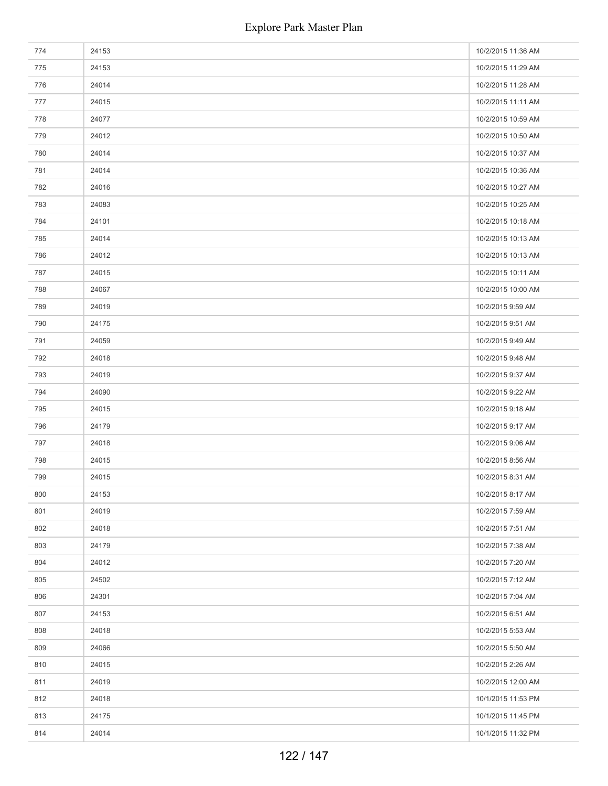| 774 | 24153 | 10/2/2015 11:36 AM |
|-----|-------|--------------------|
| 775 | 24153 | 10/2/2015 11:29 AM |
| 776 | 24014 | 10/2/2015 11:28 AM |
| 777 | 24015 | 10/2/2015 11:11 AM |
| 778 | 24077 | 10/2/2015 10:59 AM |
| 779 | 24012 | 10/2/2015 10:50 AM |
| 780 | 24014 | 10/2/2015 10:37 AM |
| 781 | 24014 | 10/2/2015 10:36 AM |
| 782 | 24016 | 10/2/2015 10:27 AM |
| 783 | 24083 | 10/2/2015 10:25 AM |
| 784 | 24101 | 10/2/2015 10:18 AM |
| 785 | 24014 | 10/2/2015 10:13 AM |
| 786 | 24012 | 10/2/2015 10:13 AM |
| 787 | 24015 | 10/2/2015 10:11 AM |
| 788 | 24067 | 10/2/2015 10:00 AM |
| 789 | 24019 | 10/2/2015 9:59 AM  |
| 790 | 24175 | 10/2/2015 9:51 AM  |
| 791 | 24059 | 10/2/2015 9:49 AM  |
| 792 | 24018 | 10/2/2015 9:48 AM  |
| 793 | 24019 | 10/2/2015 9:37 AM  |
| 794 | 24090 | 10/2/2015 9:22 AM  |
| 795 | 24015 | 10/2/2015 9:18 AM  |
| 796 | 24179 | 10/2/2015 9:17 AM  |
| 797 | 24018 | 10/2/2015 9:06 AM  |
| 798 | 24015 | 10/2/2015 8:56 AM  |
| 799 | 24015 | 10/2/2015 8:31 AM  |
| 800 | 24153 | 10/2/2015 8:17 AM  |
| 801 | 24019 | 10/2/2015 7:59 AM  |
| 802 | 24018 | 10/2/2015 7:51 AM  |
| 803 | 24179 | 10/2/2015 7:38 AM  |
| 804 | 24012 | 10/2/2015 7:20 AM  |
| 805 | 24502 | 10/2/2015 7:12 AM  |
| 806 | 24301 | 10/2/2015 7:04 AM  |
| 807 | 24153 | 10/2/2015 6:51 AM  |
| 808 | 24018 | 10/2/2015 5:53 AM  |
| 809 | 24066 | 10/2/2015 5:50 AM  |
| 810 | 24015 | 10/2/2015 2:26 AM  |
| 811 | 24019 | 10/2/2015 12:00 AM |
| 812 | 24018 | 10/1/2015 11:53 PM |
| 813 | 24175 | 10/1/2015 11:45 PM |
| 814 | 24014 | 10/1/2015 11:32 PM |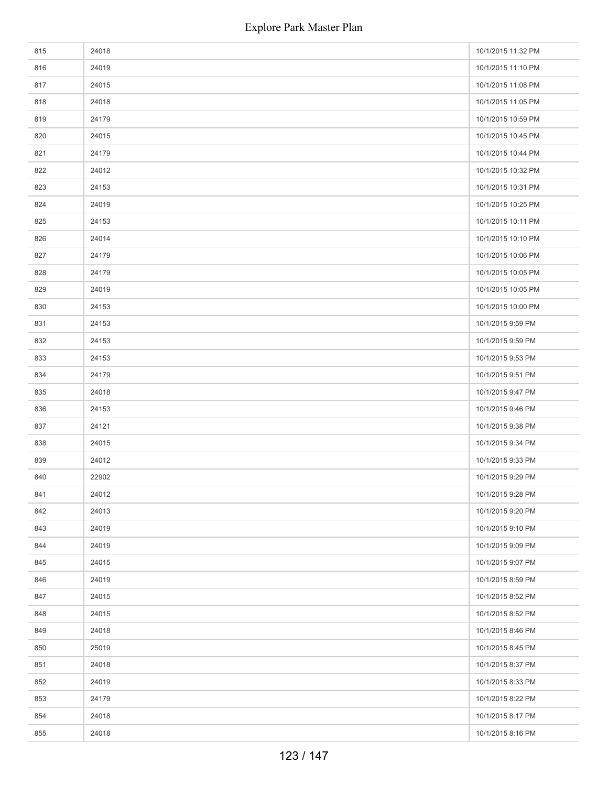| 815 | 24018 | 10/1/2015 11:32 PM |
|-----|-------|--------------------|
| 816 | 24019 | 10/1/2015 11:10 PM |
| 817 | 24015 | 10/1/2015 11:08 PM |
| 818 | 24018 | 10/1/2015 11:05 PM |
| 819 | 24179 | 10/1/2015 10:59 PM |
| 820 | 24015 | 10/1/2015 10:45 PM |
| 821 | 24179 | 10/1/2015 10:44 PM |
| 822 | 24012 | 10/1/2015 10:32 PM |
| 823 | 24153 | 10/1/2015 10:31 PM |
| 824 | 24019 | 10/1/2015 10:25 PM |
| 825 | 24153 | 10/1/2015 10:11 PM |
| 826 | 24014 | 10/1/2015 10:10 PM |
| 827 | 24179 | 10/1/2015 10:06 PM |
| 828 | 24179 | 10/1/2015 10:05 PM |
| 829 | 24019 | 10/1/2015 10:05 PM |
| 830 | 24153 | 10/1/2015 10:00 PM |
| 831 | 24153 | 10/1/2015 9:59 PM  |
| 832 | 24153 | 10/1/2015 9:59 PM  |
| 833 | 24153 | 10/1/2015 9:53 PM  |
| 834 | 24179 | 10/1/2015 9:51 PM  |
| 835 | 24018 | 10/1/2015 9:47 PM  |
| 836 | 24153 | 10/1/2015 9:46 PM  |
| 837 | 24121 | 10/1/2015 9:38 PM  |
| 838 | 24015 | 10/1/2015 9:34 PM  |
| 839 | 24012 | 10/1/2015 9:33 PM  |
| 840 | 22902 | 10/1/2015 9:29 PM  |
| 841 | 24012 | 10/1/2015 9:28 PM  |
| 842 | 24013 | 10/1/2015 9:20 PM  |
| 843 | 24019 | 10/1/2015 9:10 PM  |
| 844 | 24019 | 10/1/2015 9:09 PM  |
| 845 | 24015 | 10/1/2015 9:07 PM  |
| 846 | 24019 | 10/1/2015 8:59 PM  |
| 847 | 24015 | 10/1/2015 8:52 PM  |
| 848 | 24015 | 10/1/2015 8:52 PM  |
| 849 | 24018 | 10/1/2015 8:46 PM  |
| 850 | 25019 | 10/1/2015 8:45 PM  |
| 851 | 24018 | 10/1/2015 8:37 PM  |
| 852 | 24019 | 10/1/2015 8:33 PM  |
| 853 | 24179 | 10/1/2015 8:22 PM  |
| 854 | 24018 | 10/1/2015 8:17 PM  |
| 855 | 24018 | 10/1/2015 8:16 PM  |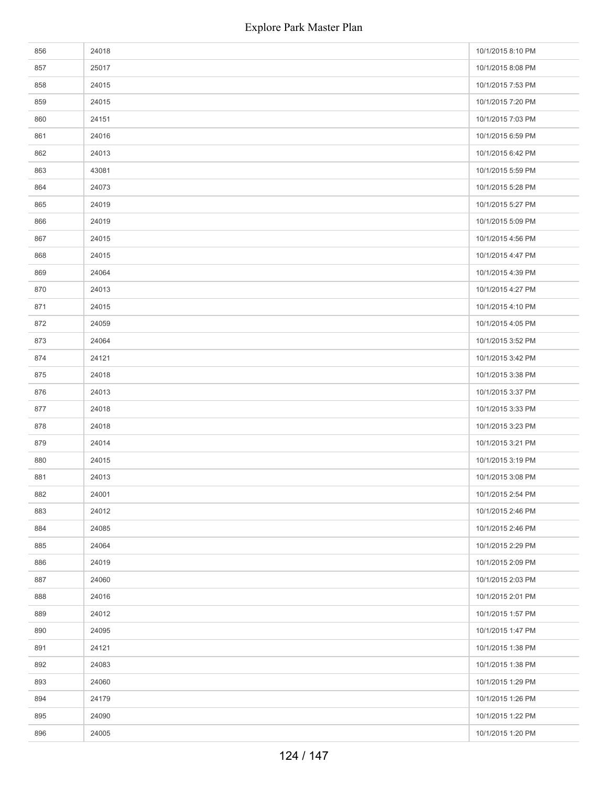| 856 | 24018 | 10/1/2015 8:10 PM |
|-----|-------|-------------------|
| 857 | 25017 | 10/1/2015 8:08 PM |
| 858 | 24015 | 10/1/2015 7:53 PM |
| 859 | 24015 | 10/1/2015 7:20 PM |
| 860 | 24151 | 10/1/2015 7:03 PM |
| 861 | 24016 | 10/1/2015 6:59 PM |
| 862 | 24013 | 10/1/2015 6:42 PM |
| 863 | 43081 | 10/1/2015 5:59 PM |
| 864 | 24073 | 10/1/2015 5:28 PM |
| 865 | 24019 | 10/1/2015 5:27 PM |
| 866 | 24019 | 10/1/2015 5:09 PM |
| 867 | 24015 | 10/1/2015 4:56 PM |
| 868 | 24015 | 10/1/2015 4:47 PM |
| 869 | 24064 | 10/1/2015 4:39 PM |
| 870 | 24013 | 10/1/2015 4:27 PM |
| 871 | 24015 | 10/1/2015 4:10 PM |
| 872 | 24059 | 10/1/2015 4:05 PM |
| 873 | 24064 | 10/1/2015 3:52 PM |
| 874 | 24121 | 10/1/2015 3:42 PM |
| 875 | 24018 | 10/1/2015 3:38 PM |
| 876 | 24013 | 10/1/2015 3:37 PM |
| 877 | 24018 | 10/1/2015 3:33 PM |
| 878 | 24018 | 10/1/2015 3:23 PM |
| 879 | 24014 | 10/1/2015 3:21 PM |
| 880 | 24015 | 10/1/2015 3:19 PM |
| 881 | 24013 | 10/1/2015 3:08 PM |
| 882 | 24001 | 10/1/2015 2:54 PM |
| 883 | 24012 | 10/1/2015 2:46 PM |
| 884 | 24085 | 10/1/2015 2:46 PM |
| 885 | 24064 | 10/1/2015 2:29 PM |
| 886 | 24019 | 10/1/2015 2:09 PM |
| 887 | 24060 | 10/1/2015 2:03 PM |
| 888 | 24016 | 10/1/2015 2:01 PM |
| 889 | 24012 | 10/1/2015 1:57 PM |
| 890 | 24095 | 10/1/2015 1:47 PM |
| 891 | 24121 | 10/1/2015 1:38 PM |
| 892 | 24083 | 10/1/2015 1:38 PM |
| 893 | 24060 | 10/1/2015 1:29 PM |
| 894 | 24179 | 10/1/2015 1:26 PM |
| 895 | 24090 | 10/1/2015 1:22 PM |
| 896 | 24005 | 10/1/2015 1:20 PM |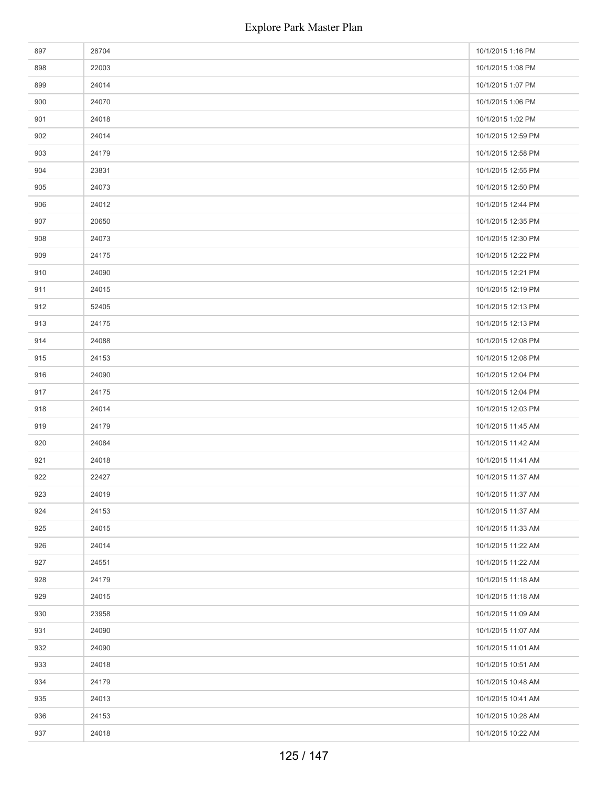| 897 | 28704 | 10/1/2015 1:16 PM  |
|-----|-------|--------------------|
| 898 | 22003 | 10/1/2015 1:08 PM  |
| 899 | 24014 | 10/1/2015 1:07 PM  |
| 900 | 24070 | 10/1/2015 1:06 PM  |
| 901 | 24018 | 10/1/2015 1:02 PM  |
| 902 | 24014 | 10/1/2015 12:59 PM |
| 903 | 24179 | 10/1/2015 12:58 PM |
| 904 | 23831 | 10/1/2015 12:55 PM |
| 905 | 24073 | 10/1/2015 12:50 PM |
| 906 | 24012 | 10/1/2015 12:44 PM |
| 907 | 20650 | 10/1/2015 12:35 PM |
| 908 | 24073 | 10/1/2015 12:30 PM |
| 909 | 24175 | 10/1/2015 12:22 PM |
| 910 | 24090 | 10/1/2015 12:21 PM |
| 911 | 24015 | 10/1/2015 12:19 PM |
| 912 | 52405 | 10/1/2015 12:13 PM |
| 913 | 24175 | 10/1/2015 12:13 PM |
| 914 | 24088 | 10/1/2015 12:08 PM |
| 915 | 24153 | 10/1/2015 12:08 PM |
| 916 | 24090 | 10/1/2015 12:04 PM |
| 917 | 24175 | 10/1/2015 12:04 PM |
| 918 | 24014 | 10/1/2015 12:03 PM |
| 919 | 24179 | 10/1/2015 11:45 AM |
| 920 | 24084 | 10/1/2015 11:42 AM |
| 921 | 24018 | 10/1/2015 11:41 AM |
| 922 | 22427 | 10/1/2015 11:37 AM |
| 923 | 24019 | 10/1/2015 11:37 AM |
| 924 | 24153 | 10/1/2015 11:37 AM |
| 925 | 24015 | 10/1/2015 11:33 AM |
| 926 | 24014 | 10/1/2015 11:22 AM |
| 927 | 24551 | 10/1/2015 11:22 AM |
| 928 | 24179 | 10/1/2015 11:18 AM |
| 929 | 24015 | 10/1/2015 11:18 AM |
| 930 | 23958 | 10/1/2015 11:09 AM |
| 931 | 24090 | 10/1/2015 11:07 AM |
| 932 | 24090 | 10/1/2015 11:01 AM |
| 933 | 24018 | 10/1/2015 10:51 AM |
| 934 | 24179 | 10/1/2015 10:48 AM |
| 935 | 24013 | 10/1/2015 10:41 AM |
| 936 | 24153 | 10/1/2015 10:28 AM |
| 937 | 24018 | 10/1/2015 10:22 AM |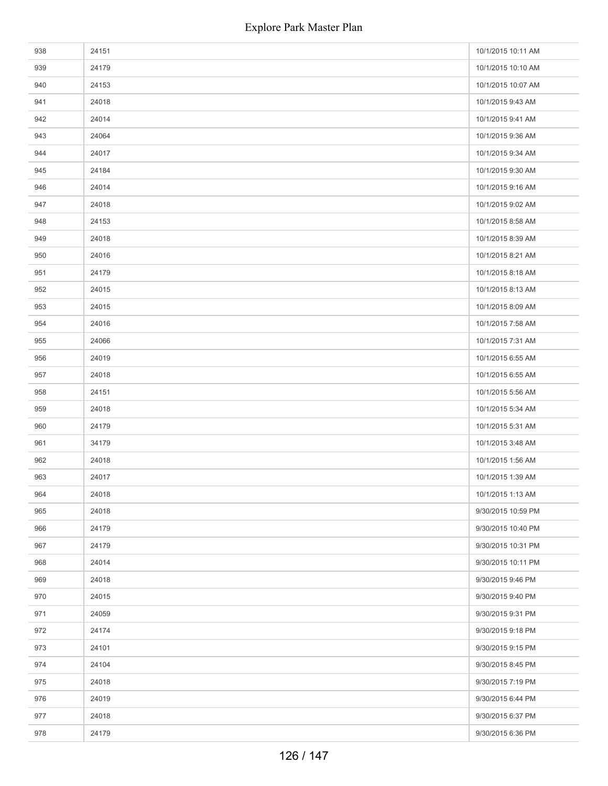| 938 | 24151 | 10/1/2015 10:11 AM |
|-----|-------|--------------------|
| 939 | 24179 | 10/1/2015 10:10 AM |
| 940 | 24153 | 10/1/2015 10:07 AM |
| 941 | 24018 | 10/1/2015 9:43 AM  |
| 942 | 24014 | 10/1/2015 9:41 AM  |
| 943 | 24064 | 10/1/2015 9:36 AM  |
| 944 | 24017 | 10/1/2015 9:34 AM  |
| 945 | 24184 | 10/1/2015 9:30 AM  |
| 946 | 24014 | 10/1/2015 9:16 AM  |
| 947 | 24018 | 10/1/2015 9:02 AM  |
| 948 | 24153 | 10/1/2015 8:58 AM  |
| 949 | 24018 | 10/1/2015 8:39 AM  |
| 950 | 24016 | 10/1/2015 8:21 AM  |
| 951 | 24179 | 10/1/2015 8:18 AM  |
| 952 | 24015 | 10/1/2015 8:13 AM  |
| 953 | 24015 | 10/1/2015 8:09 AM  |
| 954 | 24016 | 10/1/2015 7:58 AM  |
| 955 | 24066 | 10/1/2015 7:31 AM  |
| 956 | 24019 | 10/1/2015 6:55 AM  |
| 957 | 24018 | 10/1/2015 6:55 AM  |
| 958 | 24151 | 10/1/2015 5:56 AM  |
| 959 | 24018 | 10/1/2015 5:34 AM  |
| 960 | 24179 | 10/1/2015 5:31 AM  |
| 961 | 34179 | 10/1/2015 3:48 AM  |
| 962 | 24018 | 10/1/2015 1:56 AM  |
| 963 | 24017 | 10/1/2015 1:39 AM  |
| 964 | 24018 | 10/1/2015 1:13 AM  |
| 965 | 24018 | 9/30/2015 10:59 PM |
| 966 | 24179 | 9/30/2015 10:40 PM |
| 967 | 24179 | 9/30/2015 10:31 PM |
| 968 | 24014 | 9/30/2015 10:11 PM |
| 969 | 24018 | 9/30/2015 9:46 PM  |
| 970 | 24015 | 9/30/2015 9:40 PM  |
| 971 | 24059 | 9/30/2015 9:31 PM  |
| 972 | 24174 | 9/30/2015 9:18 PM  |
| 973 | 24101 | 9/30/2015 9:15 PM  |
| 974 | 24104 | 9/30/2015 8:45 PM  |
| 975 | 24018 | 9/30/2015 7:19 PM  |
| 976 | 24019 | 9/30/2015 6:44 PM  |
| 977 | 24018 | 9/30/2015 6:37 PM  |
| 978 | 24179 | 9/30/2015 6:36 PM  |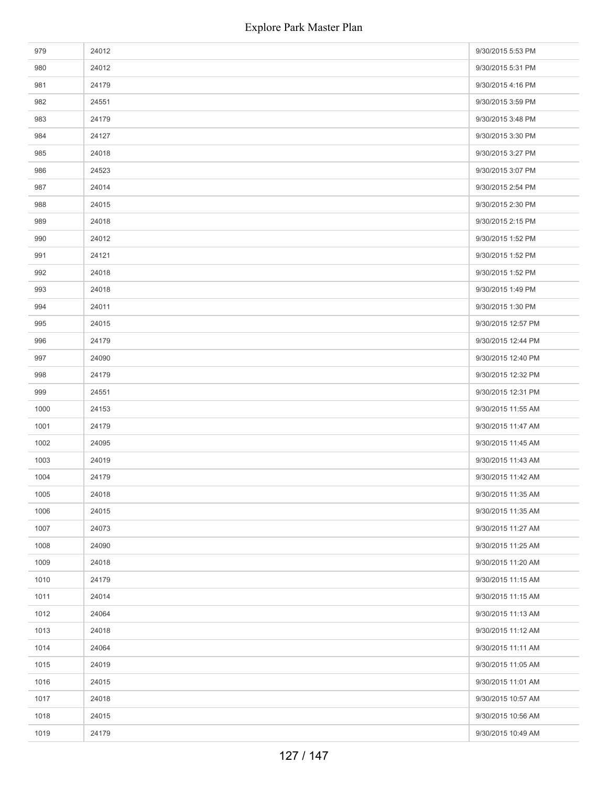| 979  | 24012 | 9/30/2015 5:53 PM  |
|------|-------|--------------------|
| 980  | 24012 | 9/30/2015 5:31 PM  |
| 981  | 24179 | 9/30/2015 4:16 PM  |
| 982  | 24551 | 9/30/2015 3:59 PM  |
| 983  | 24179 | 9/30/2015 3:48 PM  |
| 984  | 24127 | 9/30/2015 3:30 PM  |
| 985  | 24018 | 9/30/2015 3:27 PM  |
| 986  | 24523 | 9/30/2015 3:07 PM  |
| 987  | 24014 | 9/30/2015 2:54 PM  |
| 988  | 24015 | 9/30/2015 2:30 PM  |
| 989  | 24018 | 9/30/2015 2:15 PM  |
| 990  | 24012 | 9/30/2015 1:52 PM  |
| 991  | 24121 | 9/30/2015 1:52 PM  |
| 992  | 24018 | 9/30/2015 1:52 PM  |
| 993  | 24018 | 9/30/2015 1:49 PM  |
| 994  | 24011 | 9/30/2015 1:30 PM  |
| 995  | 24015 | 9/30/2015 12:57 PM |
| 996  | 24179 | 9/30/2015 12:44 PM |
| 997  | 24090 | 9/30/2015 12:40 PM |
| 998  | 24179 | 9/30/2015 12:32 PM |
| 999  | 24551 | 9/30/2015 12:31 PM |
| 1000 | 24153 | 9/30/2015 11:55 AM |
| 1001 | 24179 | 9/30/2015 11:47 AM |
| 1002 | 24095 | 9/30/2015 11:45 AM |
| 1003 | 24019 | 9/30/2015 11:43 AM |
| 1004 | 24179 | 9/30/2015 11:42 AM |
| 1005 | 24018 | 9/30/2015 11:35 AM |
| 1006 | 24015 | 9/30/2015 11:35 AM |
| 1007 | 24073 | 9/30/2015 11:27 AM |
| 1008 | 24090 | 9/30/2015 11:25 AM |
| 1009 | 24018 | 9/30/2015 11:20 AM |
| 1010 | 24179 | 9/30/2015 11:15 AM |
| 1011 | 24014 | 9/30/2015 11:15 AM |
| 1012 | 24064 | 9/30/2015 11:13 AM |
| 1013 | 24018 | 9/30/2015 11:12 AM |
| 1014 | 24064 | 9/30/2015 11:11 AM |
| 1015 | 24019 | 9/30/2015 11:05 AM |
| 1016 | 24015 | 9/30/2015 11:01 AM |
| 1017 | 24018 | 9/30/2015 10:57 AM |
| 1018 | 24015 | 9/30/2015 10:56 AM |
| 1019 | 24179 | 9/30/2015 10:49 AM |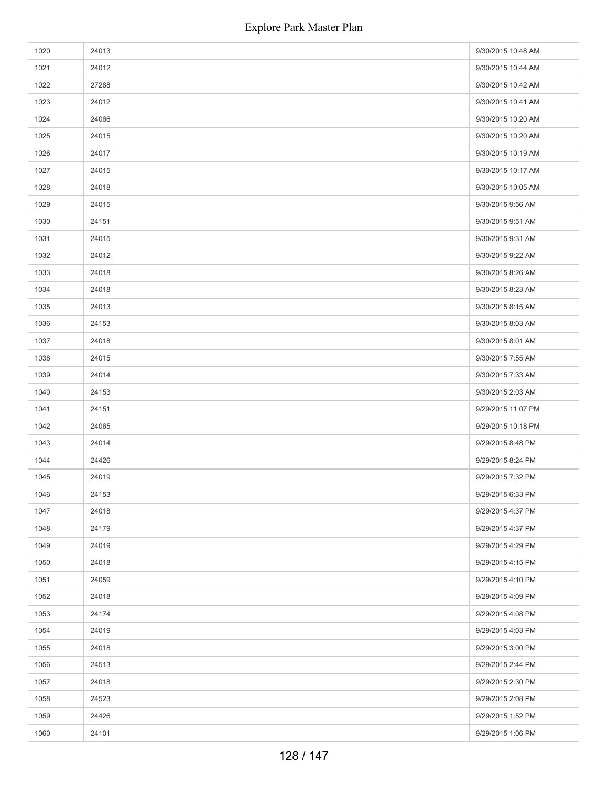| 1020 | 24013 | 9/30/2015 10:48 AM |
|------|-------|--------------------|
| 1021 | 24012 | 9/30/2015 10:44 AM |
| 1022 | 27288 | 9/30/2015 10:42 AM |
| 1023 | 24012 | 9/30/2015 10:41 AM |
| 1024 | 24066 | 9/30/2015 10:20 AM |
| 1025 | 24015 | 9/30/2015 10:20 AM |
| 1026 | 24017 | 9/30/2015 10:19 AM |
| 1027 | 24015 | 9/30/2015 10:17 AM |
| 1028 | 24018 | 9/30/2015 10:05 AM |
| 1029 | 24015 | 9/30/2015 9:56 AM  |
| 1030 | 24151 | 9/30/2015 9:51 AM  |
| 1031 | 24015 | 9/30/2015 9:31 AM  |
| 1032 | 24012 | 9/30/2015 9:22 AM  |
| 1033 | 24018 | 9/30/2015 8:26 AM  |
| 1034 | 24018 | 9/30/2015 8:23 AM  |
| 1035 | 24013 | 9/30/2015 8:15 AM  |
| 1036 | 24153 | 9/30/2015 8:03 AM  |
| 1037 | 24018 | 9/30/2015 8:01 AM  |
| 1038 | 24015 | 9/30/2015 7:55 AM  |
| 1039 | 24014 | 9/30/2015 7:33 AM  |
| 1040 | 24153 | 9/30/2015 2:03 AM  |
| 1041 | 24151 | 9/29/2015 11:07 PM |
| 1042 | 24065 | 9/29/2015 10:18 PM |
| 1043 | 24014 | 9/29/2015 8:48 PM  |
| 1044 | 24426 | 9/29/2015 8:24 PM  |
| 1045 | 24019 | 9/29/2015 7:32 PM  |
| 1046 | 24153 | 9/29/2015 6:33 PM  |
| 1047 | 24018 | 9/29/2015 4:37 PM  |
| 1048 | 24179 | 9/29/2015 4:37 PM  |
| 1049 | 24019 | 9/29/2015 4:29 PM  |
| 1050 | 24018 | 9/29/2015 4:15 PM  |
| 1051 | 24059 | 9/29/2015 4:10 PM  |
| 1052 | 24018 | 9/29/2015 4:09 PM  |
| 1053 | 24174 | 9/29/2015 4:08 PM  |
| 1054 | 24019 | 9/29/2015 4:03 PM  |
| 1055 | 24018 | 9/29/2015 3:00 PM  |
| 1056 | 24513 | 9/29/2015 2:44 PM  |
| 1057 | 24018 | 9/29/2015 2:30 PM  |
| 1058 | 24523 | 9/29/2015 2:08 PM  |
| 1059 | 24426 | 9/29/2015 1:52 PM  |
| 1060 | 24101 | 9/29/2015 1:06 PM  |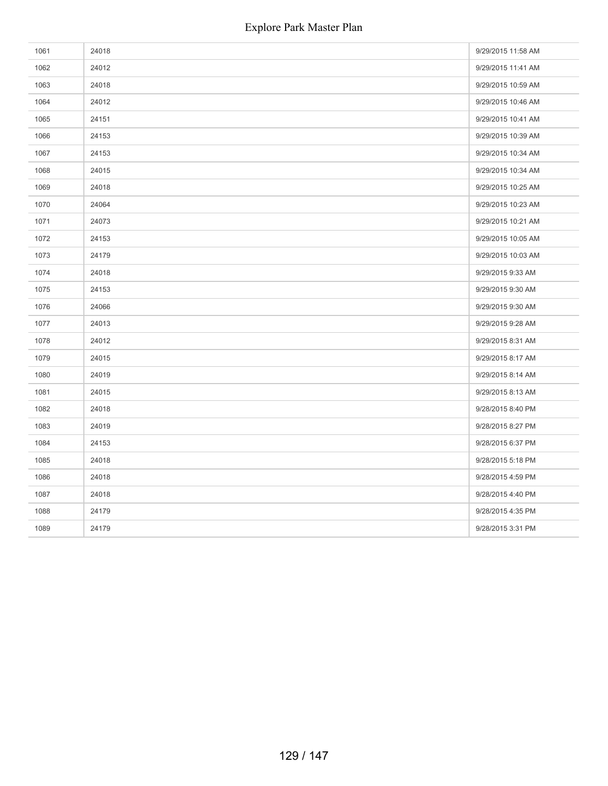| 1061 | 24018 | 9/29/2015 11:58 AM |
|------|-------|--------------------|
| 1062 | 24012 | 9/29/2015 11:41 AM |
| 1063 | 24018 | 9/29/2015 10:59 AM |
| 1064 | 24012 | 9/29/2015 10:46 AM |
| 1065 | 24151 | 9/29/2015 10:41 AM |
| 1066 | 24153 | 9/29/2015 10:39 AM |
| 1067 | 24153 | 9/29/2015 10:34 AM |
| 1068 | 24015 | 9/29/2015 10:34 AM |
| 1069 | 24018 | 9/29/2015 10:25 AM |
| 1070 | 24064 | 9/29/2015 10:23 AM |
| 1071 | 24073 | 9/29/2015 10:21 AM |
| 1072 | 24153 | 9/29/2015 10:05 AM |
| 1073 | 24179 | 9/29/2015 10:03 AM |
| 1074 | 24018 | 9/29/2015 9:33 AM  |
| 1075 | 24153 | 9/29/2015 9:30 AM  |
| 1076 | 24066 | 9/29/2015 9:30 AM  |
| 1077 | 24013 | 9/29/2015 9:28 AM  |
| 1078 | 24012 | 9/29/2015 8:31 AM  |
| 1079 | 24015 | 9/29/2015 8:17 AM  |
| 1080 | 24019 | 9/29/2015 8:14 AM  |
| 1081 | 24015 | 9/29/2015 8:13 AM  |
| 1082 | 24018 | 9/28/2015 8:40 PM  |
| 1083 | 24019 | 9/28/2015 8:27 PM  |
| 1084 | 24153 | 9/28/2015 6:37 PM  |
| 1085 | 24018 | 9/28/2015 5:18 PM  |
| 1086 | 24018 | 9/28/2015 4:59 PM  |
| 1087 | 24018 | 9/28/2015 4:40 PM  |
| 1088 | 24179 | 9/28/2015 4:35 PM  |
| 1089 | 24179 | 9/28/2015 3:31 PM  |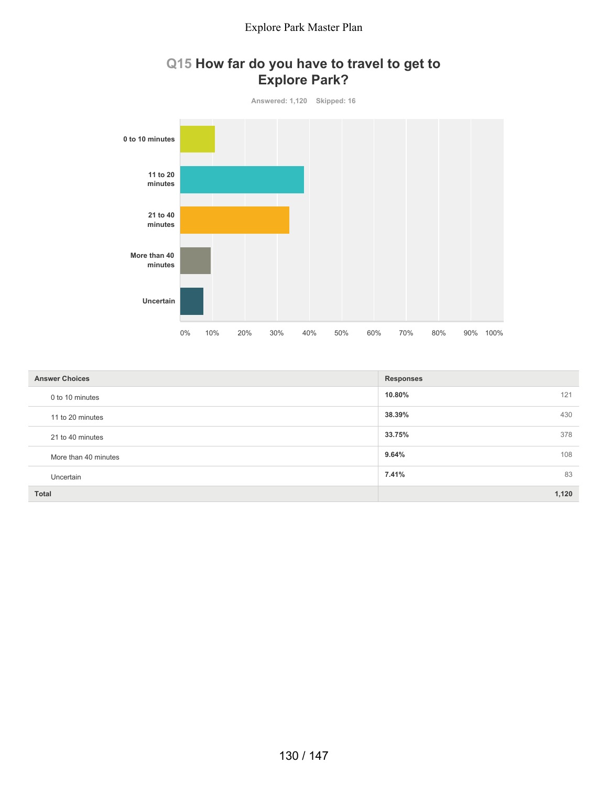



| <b>Answer Choices</b> | <b>Responses</b> |
|-----------------------|------------------|
| 0 to 10 minutes       | 10.80%<br>121    |
| 11 to 20 minutes      | 38.39%<br>430    |
| 21 to 40 minutes      | 33.75%<br>378    |
| More than 40 minutes  | 9.64%<br>108     |
| Uncertain             | 7.41%<br>83      |
| <b>Total</b>          | 1,120            |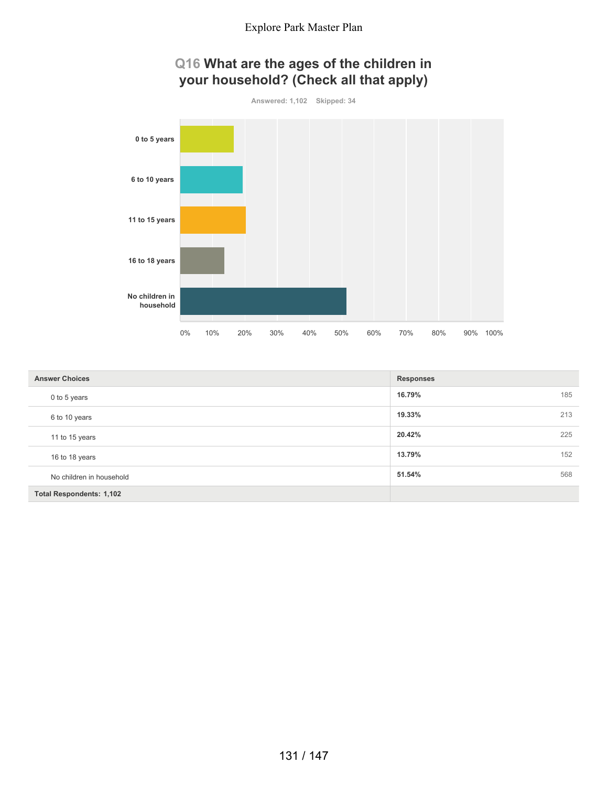

| <b>Answer Choices</b>           | <b>Responses</b> |
|---------------------------------|------------------|
| 0 to 5 years                    | 16.79%<br>185    |
| 6 to 10 years                   | 19.33%<br>213    |
| 11 to 15 years                  | 20.42%<br>225    |
| 16 to 18 years                  | 152<br>13.79%    |
| No children in household        | 51.54%<br>568    |
| <b>Total Respondents: 1,102</b> |                  |

## 131 / 147